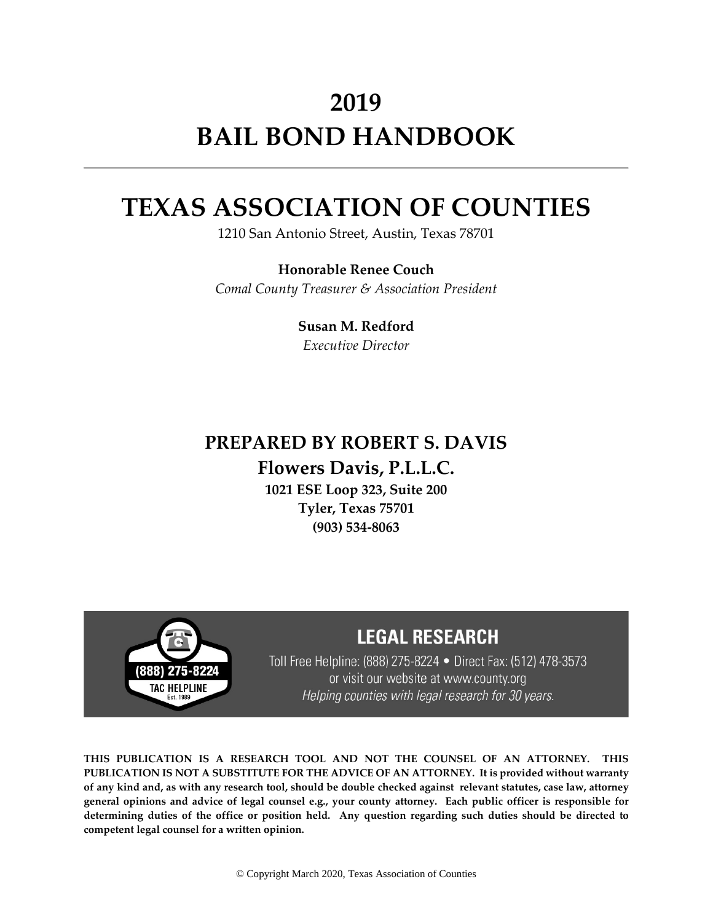# **2019 BAIL BOND HANDBOOK**

# **TEXAS ASSOCIATION OF COUNTIES**

1210 San Antonio Street, Austin, Texas 78701

**Honorable Renee Couch**

*Comal County Treasurer & Association President*

**Susan M. Redford** *Executive Director*

# **PREPARED BY ROBERT S. DAVIS**

**Flowers Davis, P.L.L.C.**

**1021 ESE Loop 323, Suite 200 Tyler, Texas 75701 (903) 534-8063**



# **LEGAL RESEARCH**

Toll Free Helpline: (888) 275-8224 • Direct Fax: (512) 478-3573 or visit our website at www.county.org Helping counties with legal research for 30 years.

**THIS PUBLICATION IS A RESEARCH TOOL AND NOT THE COUNSEL OF AN ATTORNEY. THIS PUBLICATION IS NOT A SUBSTITUTE FOR THE ADVICE OF AN ATTORNEY. It is provided without warranty of any kind and, as with any research tool, should be double checked against relevant statutes, case law, attorney general opinions and advice of legal counsel e.g., your county attorney. Each public officer is responsible for determining duties of the office or position held. Any question regarding such duties should be directed to competent legal counsel for a written opinion.**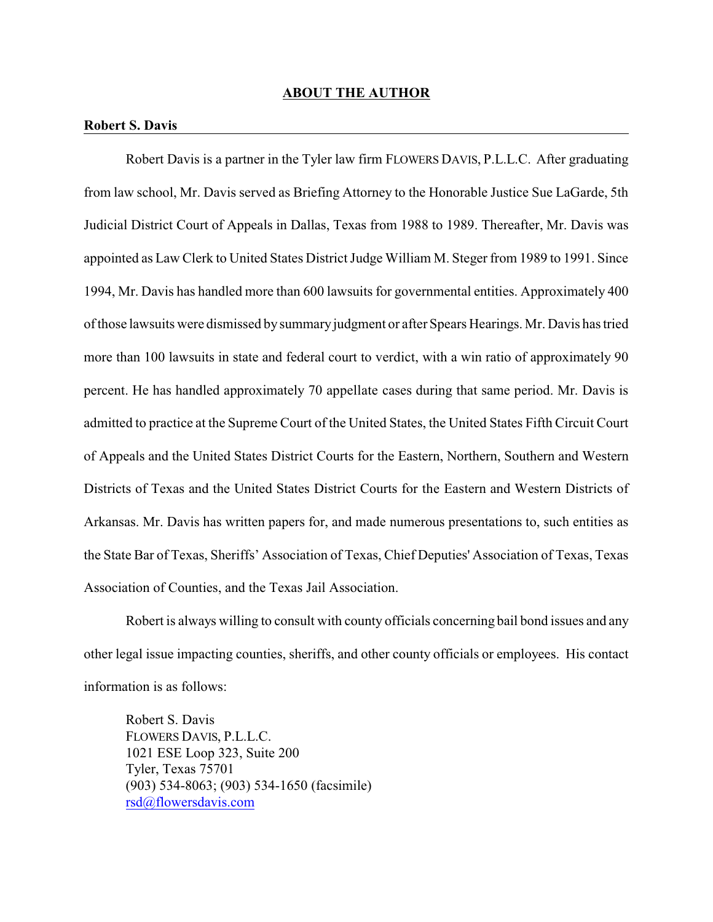#### **ABOUT THE AUTHOR**

#### **Robert S. Davis**

Robert Davis is a partner in the Tyler law firm FLOWERS DAVIS, P.L.L.C. After graduating from law school, Mr. Davis served as Briefing Attorney to the Honorable Justice Sue LaGarde, 5th Judicial District Court of Appeals in Dallas, Texas from 1988 to 1989. Thereafter, Mr. Davis was appointed as Law Clerk to United States District Judge William M. Steger from 1989 to 1991. Since 1994, Mr. Davis has handled more than 600 lawsuits for governmental entities. Approximately 400 of those lawsuits were dismissed by summary judgment or after Spears Hearings. Mr. Davis has tried more than 100 lawsuits in state and federal court to verdict, with a win ratio of approximately 90 percent. He has handled approximately 70 appellate cases during that same period. Mr. Davis is admitted to practice at the Supreme Court of the United States, the United States Fifth Circuit Court of Appeals and the United States District Courts for the Eastern, Northern, Southern and Western Districts of Texas and the United States District Courts for the Eastern and Western Districts of Arkansas. Mr. Davis has written papers for, and made numerous presentations to, such entities as the State Bar of Texas, Sheriffs' Association of Texas, Chief Deputies' Association of Texas, Texas Association of Counties, and the Texas Jail Association.

Robert is always willing to consult with county officials concerning bail bond issues and any other legal issue impacting counties, sheriffs, and other county officials or employees. His contact information is as follows:

Robert S. Davis FLOWERS DAVIS, P.L.L.C. 1021 ESE Loop 323, Suite 200 Tyler, Texas 75701 (903) 534-8063; (903) 534-1650 (facsimile) [rsd@flowersdavis.com](mailto:rsd@flowersdavis.com)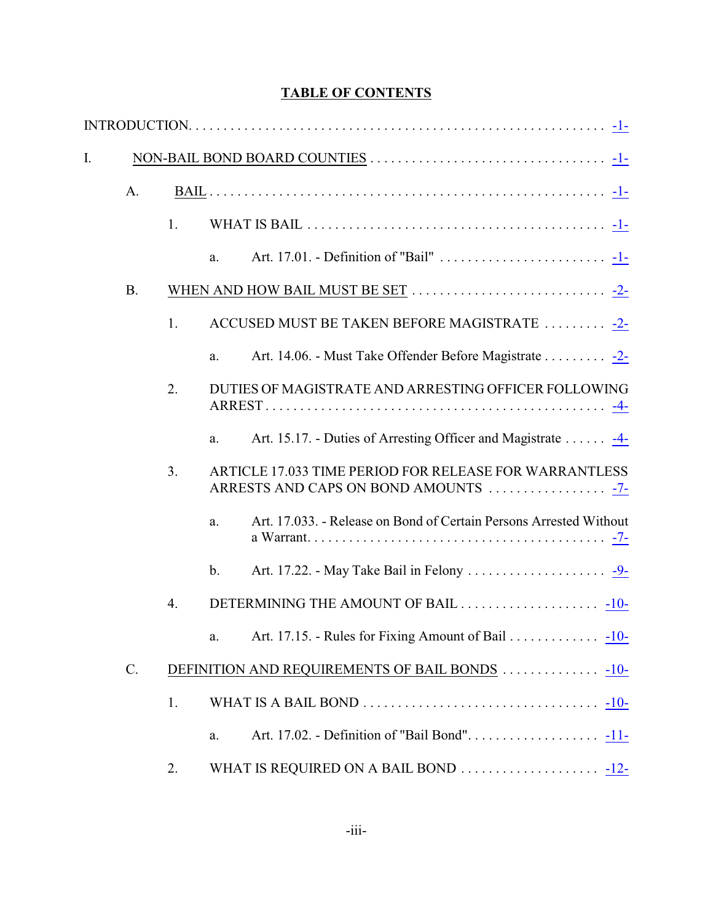# **TABLE OF CONTENTS**

| I. |           |    |                                                                                                                    |
|----|-----------|----|--------------------------------------------------------------------------------------------------------------------|
|    | A.        |    |                                                                                                                    |
|    |           | 1. |                                                                                                                    |
|    |           |    | a.                                                                                                                 |
|    | <b>B.</b> |    |                                                                                                                    |
|    |           | 1. | ACCUSED MUST BE TAKEN BEFORE MAGISTRATE  -2-                                                                       |
|    |           |    | Art. 14.06. - Must Take Offender Before Magistrate - 2-<br>a.                                                      |
|    |           | 2. | DUTIES OF MAGISTRATE AND ARRESTING OFFICER FOLLOWING                                                               |
|    |           |    | Art. 15.17. - Duties of Arresting Officer and Magistrate  -4-<br>a.                                                |
|    |           | 3. | ARTICLE 17.033 TIME PERIOD FOR RELEASE FOR WARRANTLESS                                                             |
|    |           |    | Art. 17.033. - Release on Bond of Certain Persons Arrested Without<br>a.                                           |
|    |           |    | $\mathbf b$ .                                                                                                      |
|    |           | 4. |                                                                                                                    |
|    |           |    |                                                                                                                    |
|    | C.        |    | DEFINITION AND REQUIREMENTS OF BAIL BONDS  -10-                                                                    |
|    |           | 1. | WHAT IS A BAIL BOND $\ldots \ldots \ldots \ldots \ldots \ldots \ldots \ldots \ldots \ldots \ldots \frac{-10-1}{2}$ |
|    |           |    | a.                                                                                                                 |
|    |           | 2. |                                                                                                                    |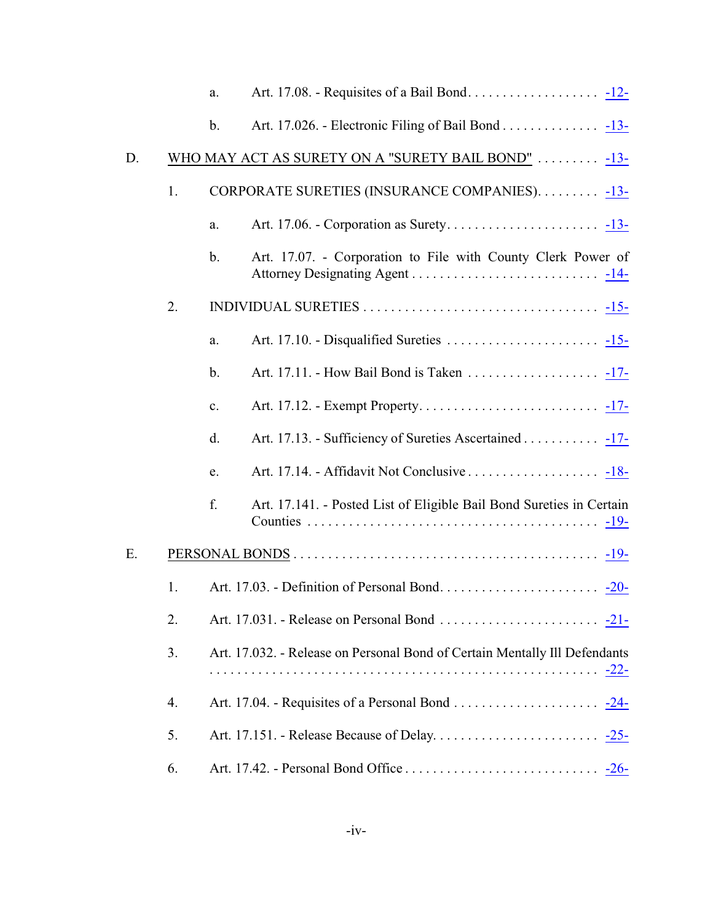|    |    | a.            |                                                                            |  |
|----|----|---------------|----------------------------------------------------------------------------|--|
|    |    | $\mathbf b$ . |                                                                            |  |
| D. |    |               | WHO MAY ACT AS SURETY ON A "SURETY BAIL BOND"  -13-                        |  |
|    | 1. |               | CORPORATE SURETIES (INSURANCE COMPANIES) -13-                              |  |
|    |    | a.            |                                                                            |  |
|    |    | $\mathbf b$ . | Art. 17.07. - Corporation to File with County Clerk Power of               |  |
|    | 2. |               |                                                                            |  |
|    |    | a.            |                                                                            |  |
|    |    | $\mathbf b$ . |                                                                            |  |
|    |    | c.            |                                                                            |  |
|    |    | d.            | Art. 17.13. - Sufficiency of Sureties Ascertained -17-                     |  |
|    |    | e.            |                                                                            |  |
|    |    | f.            | Art. 17.141. - Posted List of Eligible Bail Bond Sureties in Certain       |  |
| Ε. |    |               |                                                                            |  |
|    | 1. |               |                                                                            |  |
|    | 2. |               |                                                                            |  |
|    | 3. |               | Art. 17.032. - Release on Personal Bond of Certain Mentally Ill Defendants |  |
|    | 4. |               |                                                                            |  |
|    | 5. |               |                                                                            |  |
|    | 6. |               |                                                                            |  |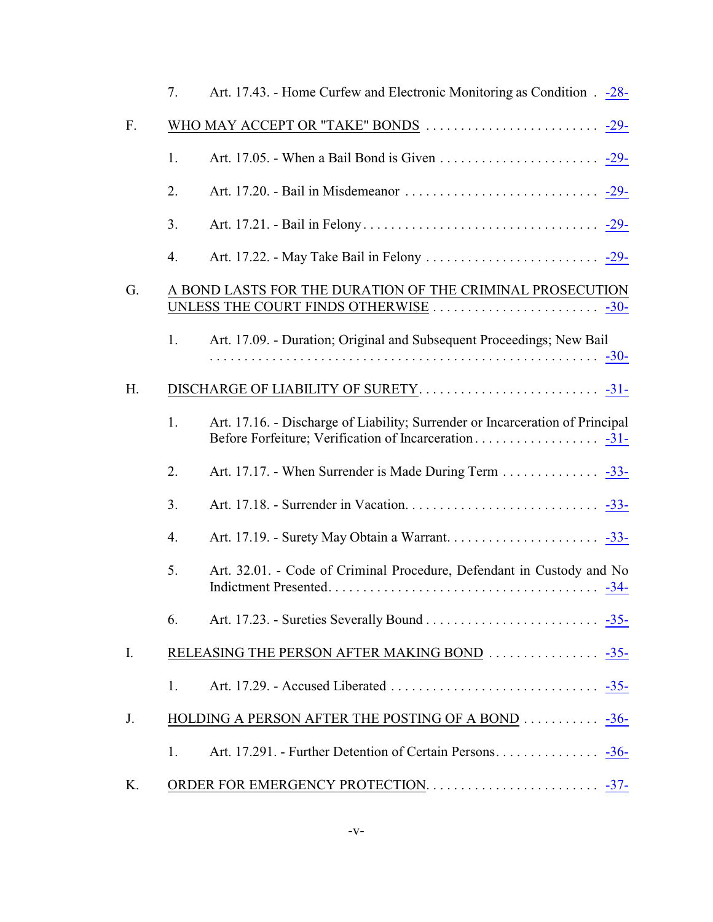|    | 7. | Art. 17.43. - Home Curfew and Electronic Monitoring as Condition . -28-       |
|----|----|-------------------------------------------------------------------------------|
| F. |    |                                                                               |
|    | 1. |                                                                               |
|    | 2. |                                                                               |
|    | 3. |                                                                               |
|    | 4. |                                                                               |
| G. |    | A BOND LASTS FOR THE DURATION OF THE CRIMINAL PROSECUTION                     |
|    | 1. | Art. 17.09. - Duration; Original and Subsequent Proceedings; New Bail         |
| H. |    |                                                                               |
|    | 1. | Art. 17.16. - Discharge of Liability; Surrender or Incarceration of Principal |
|    | 2. |                                                                               |
|    | 3. |                                                                               |
|    | 4. |                                                                               |
|    | 5. | Art. 32.01. - Code of Criminal Procedure, Defendant in Custody and No         |
|    | 6. |                                                                               |
| I. |    |                                                                               |
|    | 1. |                                                                               |
| J. |    | HOLDING A PERSON AFTER THE POSTING OF A BOND  -36-                            |
|    | 1. |                                                                               |
| Κ. |    |                                                                               |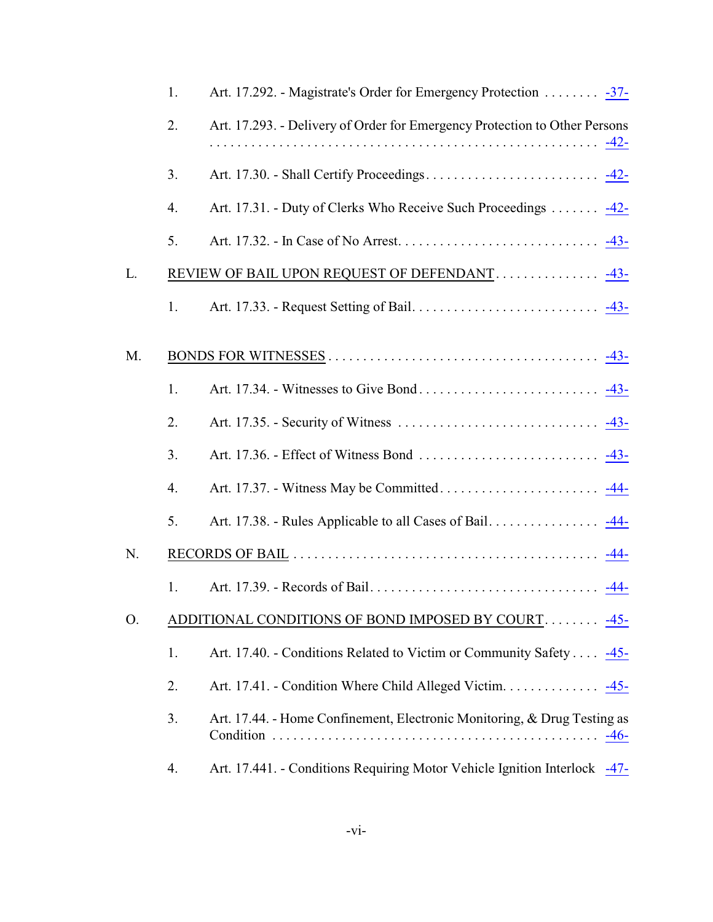|    | 1.               | Art. 17.292. - Magistrate's Order for Emergency Protection - 37-           |
|----|------------------|----------------------------------------------------------------------------|
|    | 2.               | Art. 17.293. - Delivery of Order for Emergency Protection to Other Persons |
|    | 3.               |                                                                            |
|    | 4.               | Art. 17.31. - Duty of Clerks Who Receive Such Proceedings  -42-            |
|    | 5.               |                                                                            |
| L. |                  |                                                                            |
|    | 1.               |                                                                            |
| M. |                  |                                                                            |
|    | 1.               |                                                                            |
|    | 2.               |                                                                            |
|    | 3.               |                                                                            |
|    | $\overline{4}$ . |                                                                            |
|    | 5.               |                                                                            |
| N. |                  |                                                                            |
|    | 1.               |                                                                            |
| Ο. |                  | ADDITIONAL CONDITIONS OF BOND IMPOSED BY COURT -45-                        |
|    | 1.               | Art. 17.40. - Conditions Related to Victim or Community Safety -45-        |
|    | 2.               |                                                                            |
|    | 3.               | Art. 17.44. - Home Confinement, Electronic Monitoring, & Drug Testing as   |
|    | 4.               | Art. 17.441. - Conditions Requiring Motor Vehicle Ignition Interlock -47-  |
|    |                  |                                                                            |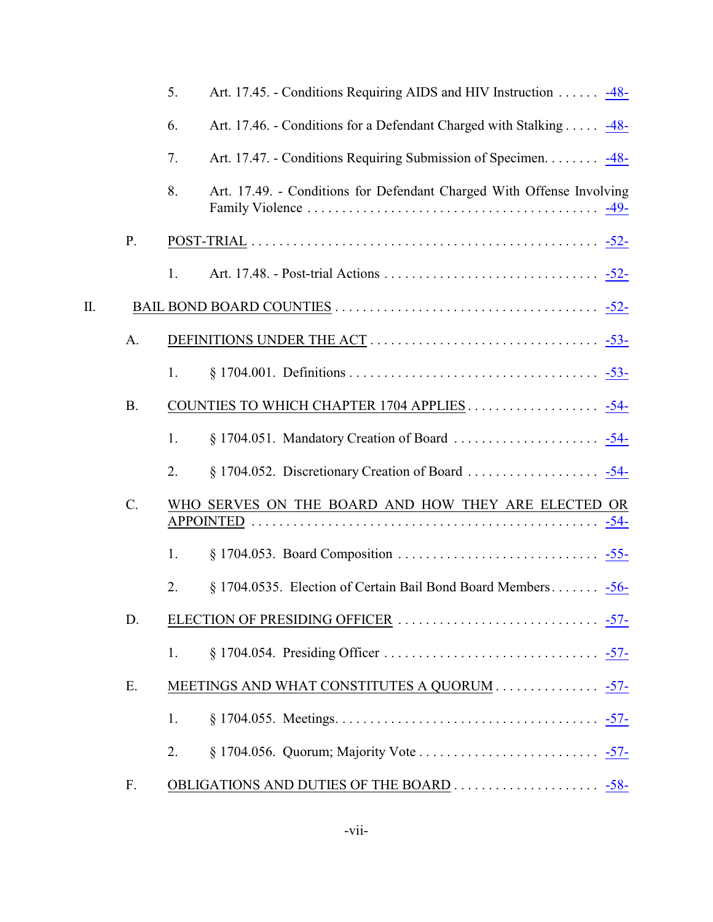|    |           | 5. | Art. 17.45. - Conditions Requiring AIDS and HIV Instruction -48-      |
|----|-----------|----|-----------------------------------------------------------------------|
|    |           | 6. | Art. 17.46. - Conditions for a Defendant Charged with Stalking -48-   |
|    |           | 7. | Art. 17.47. - Conditions Requiring Submission of Specimen. 48-        |
|    |           | 8. | Art. 17.49. - Conditions for Defendant Charged With Offense Involving |
|    | P.        |    |                                                                       |
|    |           | 1. |                                                                       |
| Π. |           |    |                                                                       |
|    | A.        |    |                                                                       |
|    |           | 1. |                                                                       |
|    | <b>B.</b> |    |                                                                       |
|    |           | 1. |                                                                       |
|    |           | 2. |                                                                       |
|    | C.        |    | WHO SERVES ON THE BOARD AND HOW THEY ARE ELECTED OR                   |
|    |           | 1. |                                                                       |
|    |           | 2. | § 1704.0535. Election of Certain Bail Bond Board Members -56-         |
|    | D.        |    |                                                                       |
|    |           | 1. |                                                                       |
|    | Ε.        |    |                                                                       |
|    |           | 1. |                                                                       |
|    |           | 2. |                                                                       |
|    | F.        |    |                                                                       |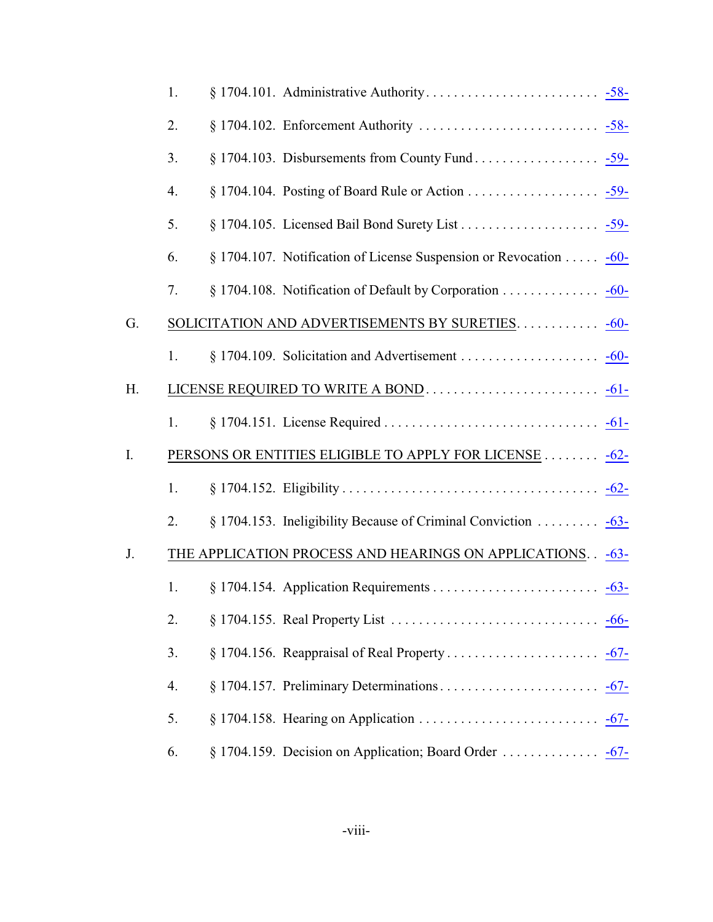|    | 1. |                                                                   |
|----|----|-------------------------------------------------------------------|
|    | 2. |                                                                   |
|    | 3. |                                                                   |
|    | 4. |                                                                   |
|    | 5. |                                                                   |
|    | 6. | § 1704.107. Notification of License Suspension or Revocation -60- |
|    | 7. |                                                                   |
| G. |    | SOLICITATION AND ADVERTISEMENTS BY SURETIES -60-                  |
|    | 1. |                                                                   |
| H. |    |                                                                   |
|    | 1. |                                                                   |
| I. |    | PERSONS OR ENTITIES ELIGIBLE TO APPLY FOR LICENSE  -62-           |
|    | 1. |                                                                   |
|    | 2. | $\S$ 1704.153. Ineligibility Because of Criminal Conviction  -63- |
| J. |    | THE APPLICATION PROCESS AND HEARINGS ON APPLICATIONS. . - 63-     |
|    | 1. |                                                                   |
|    | 2. |                                                                   |
|    | 3. |                                                                   |
|    | 4. |                                                                   |
|    | 5. |                                                                   |
|    | 6. | § 1704.159. Decision on Application; Board Order  -67-            |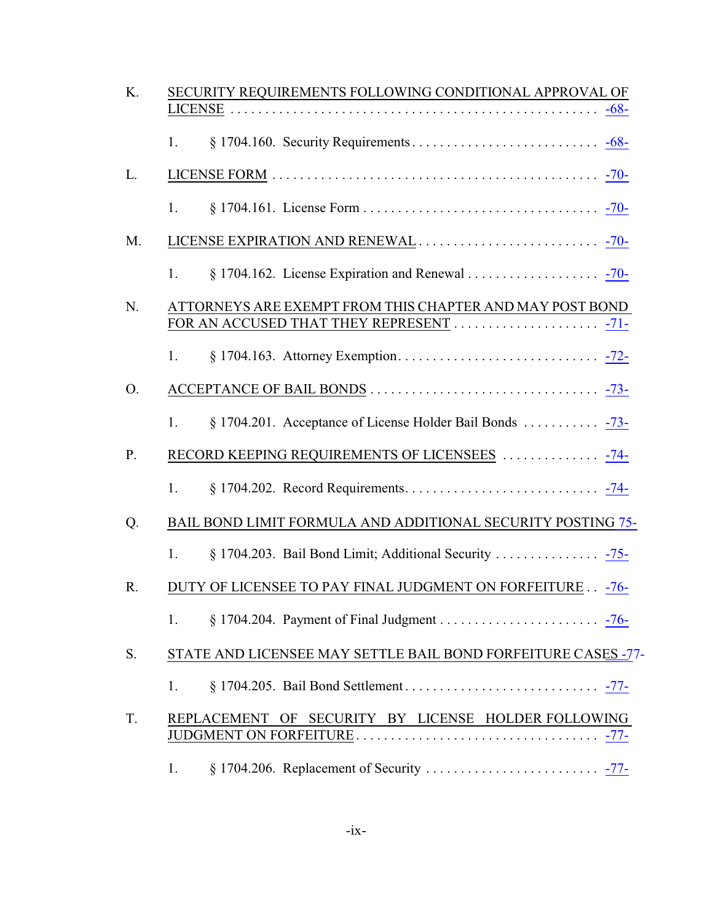| K. | SECURITY REQUIREMENTS FOLLOWING CONDITIONAL APPROVAL OF         |
|----|-----------------------------------------------------------------|
|    |                                                                 |
|    | 1.                                                              |
| L. |                                                                 |
|    | 1.                                                              |
| M. |                                                                 |
|    | 1.                                                              |
| N. | ATTORNEYS ARE EXEMPT FROM THIS CHAPTER AND MAY POST BOND        |
|    | 1.                                                              |
| O. |                                                                 |
|    | 1.<br>§ 1704.201. Acceptance of License Holder Bail Bonds  -73- |
| P. | RECORD KEEPING REQUIREMENTS OF LICENSEES  -74-                  |
|    | 1.                                                              |
| Q. | BAIL BOND LIMIT FORMULA AND ADDITIONAL SECURITY POSTING 75-     |
|    | 1.                                                              |
| R. | DUTY OF LICENSEE TO PAY FINAL JUDGMENT ON FORFEITURE - 76-      |
|    | 1.                                                              |
| S. | STATE AND LICENSEE MAY SETTLE BAIL BOND FORFEITURE CASES -77-   |
|    | 1.                                                              |
| T. | REPLACEMENT OF SECURITY BY LICENSE HOLDER FOLLOWING             |
|    | 1.                                                              |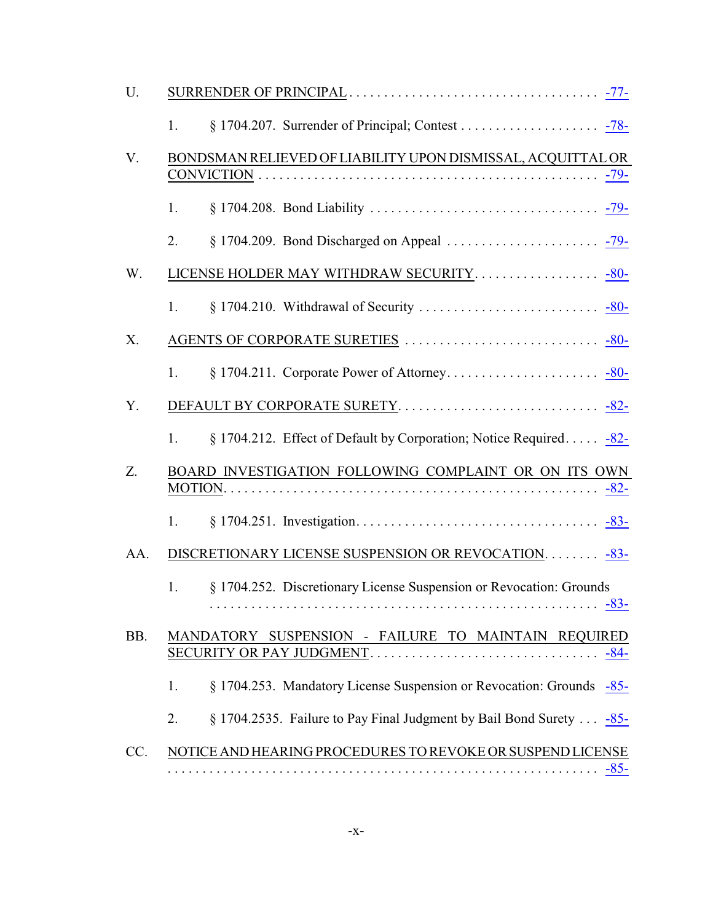| U.  |                                                                                     |
|-----|-------------------------------------------------------------------------------------|
|     | 1.                                                                                  |
| V.  | BONDSMAN RELIEVED OF LIABILITY UPON DISMISSAL, ACQUITTAL OR                         |
|     | 1.                                                                                  |
|     | 2.                                                                                  |
| W.  |                                                                                     |
|     | 1.                                                                                  |
| X.  |                                                                                     |
|     | 1.                                                                                  |
| Y.  |                                                                                     |
|     | § 1704.212. Effect of Default by Corporation; Notice Required $-82-$<br>1.          |
| Z.  | BOARD INVESTIGATION FOLLOWING COMPLAINT OR ON ITS OWN                               |
|     | 1.                                                                                  |
| AA. | DISCRETIONARY LICENSE SUSPENSION OR REVOCATION -83-                                 |
|     | § 1704.252. Discretionary License Suspension or Revocation: Grounds<br>1.<br>$-83-$ |
| BB. | MANDATORY SUSPENSION - FAILURE TO MAINTAIN REQUIRED                                 |
|     | § 1704.253. Mandatory License Suspension or Revocation: Grounds -85-<br>1.          |
|     | § 1704.2535. Failure to Pay Final Judgment by Bail Bond Surety -85-<br>2.           |
| CC. | NOTICE AND HEARING PROCEDURES TO REVOKE OR SUSPEND LICENSE<br>$-85-$                |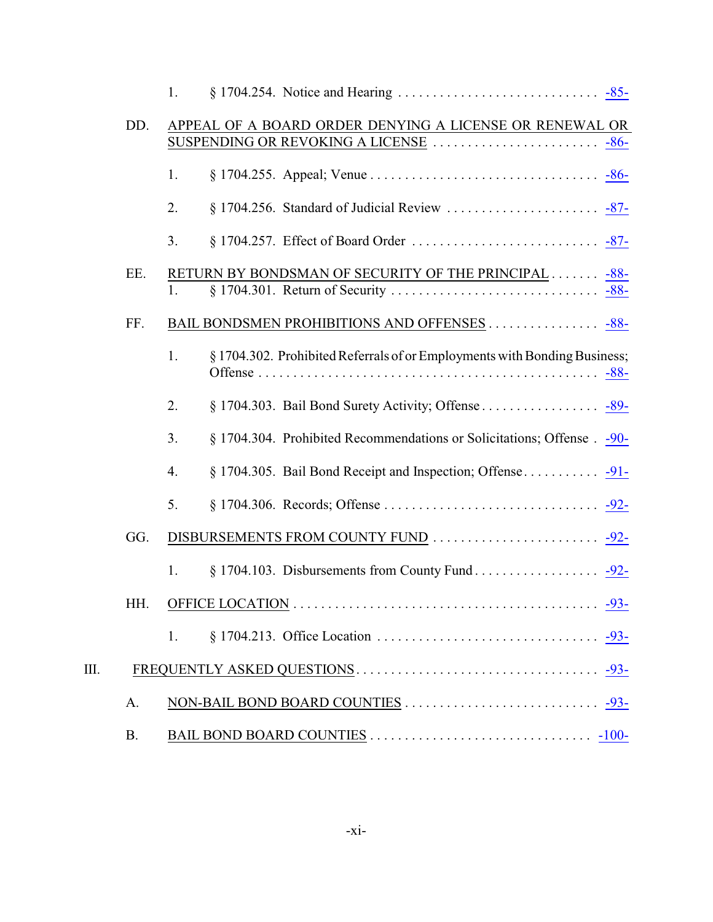|    |           | 1. |                                                                                                                                      |
|----|-----------|----|--------------------------------------------------------------------------------------------------------------------------------------|
|    | DD.       |    | APPEAL OF A BOARD ORDER DENYING A LICENSE OR RENEWAL OR                                                                              |
|    |           | 1. |                                                                                                                                      |
|    |           | 2. |                                                                                                                                      |
|    |           | 3. |                                                                                                                                      |
|    | EE.       | 1. | RETURN BY BONDSMAN OF SECURITY OF THE PRINCIPAL  -88-                                                                                |
|    | FF.       |    | BAIL BONDSMEN PROHIBITIONS AND OFFENSES -88-                                                                                         |
|    |           | 1. | § 1704.302. Prohibited Referrals of or Employments with Bonding Business;                                                            |
|    |           | 2. |                                                                                                                                      |
|    |           | 3. | § 1704.304. Prohibited Recommendations or Solicitations; Offense . -90-                                                              |
|    |           | 4. |                                                                                                                                      |
|    |           | 5. |                                                                                                                                      |
|    | GG.       |    |                                                                                                                                      |
|    |           | 1. |                                                                                                                                      |
|    | HH.       |    | OFFICE LOCATION $\ldots$ $\ldots$ $\ldots$ $\ldots$ $\ldots$ $\ldots$ $\ldots$ $\ldots$ $\ldots$ $\ldots$ $\ldots$ $\ldots$ $\ldots$ |
|    |           | 1. |                                                                                                                                      |
| Ш. |           |    |                                                                                                                                      |
|    | A.        |    |                                                                                                                                      |
|    | <b>B.</b> |    |                                                                                                                                      |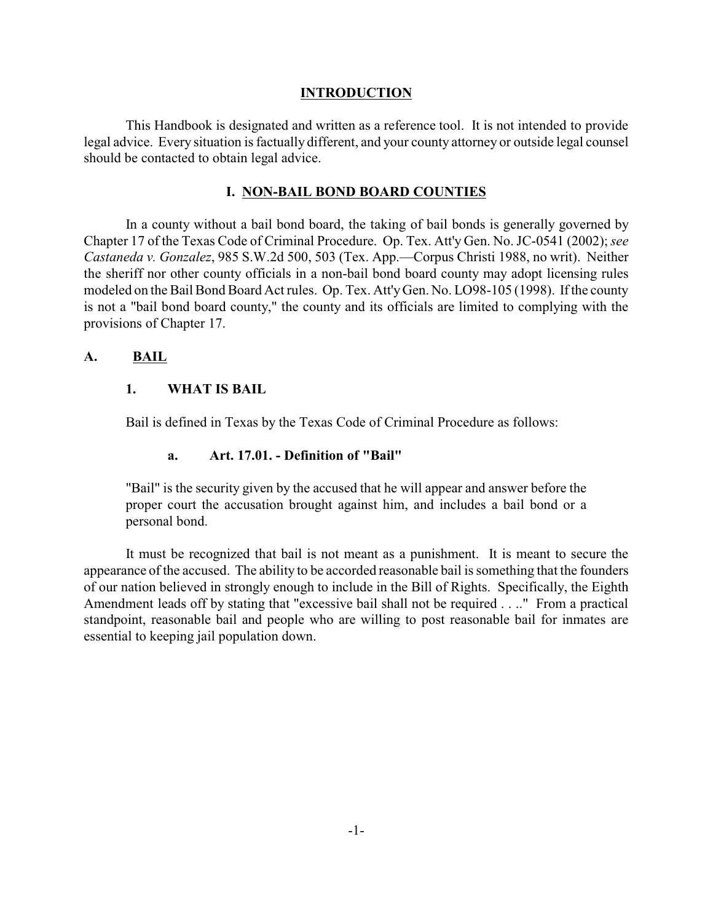#### <span id="page-11-0"></span>**INTRODUCTION**

This Handbook is designated and written as a reference tool. It is not intended to provide legal advice. Every situation is factually different, and your county attorney or outside legal counsel should be contacted to obtain legal advice.

#### <span id="page-11-1"></span>**I. NON-BAIL BOND BOARD COUNTIES**

In a county without a bail bond board, the taking of bail bonds is generally governed by Chapter 17 of the Texas Code of Criminal Procedure. Op. Tex. Att'y Gen. No. JC-0541 (2002); *see Castaneda v. Gonzalez*, 985 S.W.2d 500, 503 (Tex. App.—Corpus Christi 1988, no writ). Neither the sheriff nor other county officials in a non-bail bond board county may adopt licensing rules modeled on the Bail Bond Board Act rules. Op. Tex. Att'y Gen. No. LO98-105 (1998). Ifthe county is not a "bail bond board county," the county and its officials are limited to complying with the provisions of Chapter 17.

### <span id="page-11-2"></span>**A. BAIL**

#### <span id="page-11-3"></span>**1. WHAT IS BAIL**

Bail is defined in Texas by the Texas Code of Criminal Procedure as follows:

#### <span id="page-11-4"></span>**a. Art. 17.01. - Definition of "Bail"**

"Bail" is the security given by the accused that he will appear and answer before the proper court the accusation brought against him, and includes a bail bond or a personal bond.

<span id="page-11-5"></span>It must be recognized that bail is not meant as a punishment. It is meant to secure the appearance of the accused. The ability to be accorded reasonable bail is something that the founders of our nation believed in strongly enough to include in the Bill of Rights. Specifically, the Eighth Amendment leads off by stating that "excessive bail shall not be required . . .." From a practical standpoint, reasonable bail and people who are willing to post reasonable bail for inmates are essential to keeping jail population down.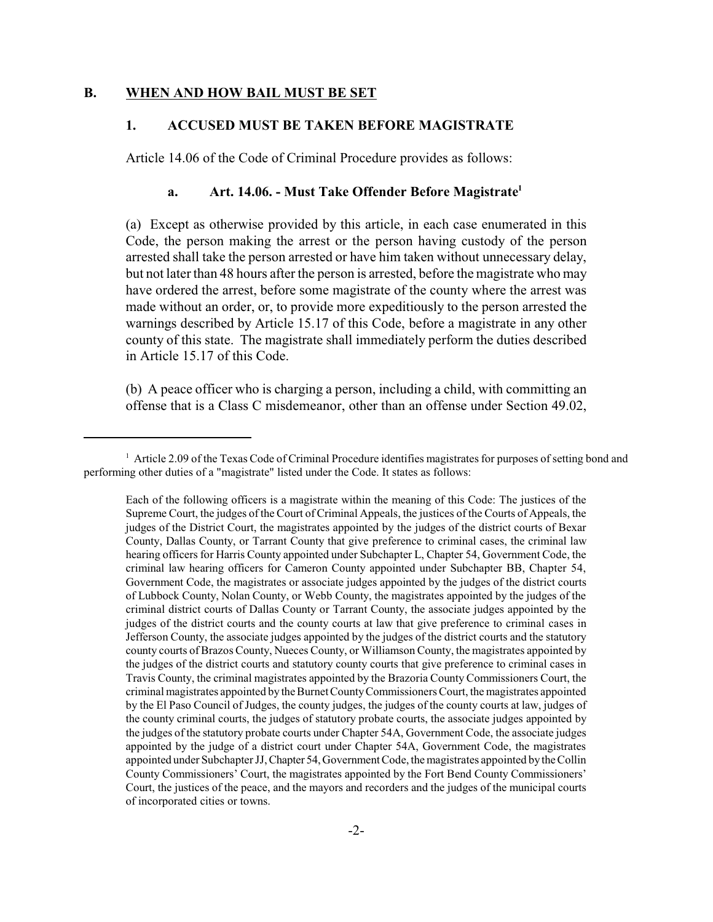#### **B. WHEN AND HOW BAIL MUST BE SET**

#### <span id="page-12-0"></span>**1. ACCUSED MUST BE TAKEN BEFORE MAGISTRATE**

Article 14.06 of the Code of Criminal Procedure provides as follows:

#### <span id="page-12-1"></span>**a. Art. 14.06. - Must Take Offender Before Magistrate<sup>1</sup>**

(a) Except as otherwise provided by this article, in each case enumerated in this Code, the person making the arrest or the person having custody of the person arrested shall take the person arrested or have him taken without unnecessary delay, but not later than 48 hours after the person is arrested, before the magistrate who may have ordered the arrest, before some magistrate of the county where the arrest was made without an order, or, to provide more expeditiously to the person arrested the warnings described by Article 15.17 of this Code, before a magistrate in any other county of this state. The magistrate shall immediately perform the duties described in Article 15.17 of this Code.

(b) A peace officer who is charging a person, including a child, with committing an offense that is a Class C misdemeanor, other than an offense under Section 49.02,

<sup>&</sup>lt;sup>1</sup> Article 2.09 of the Texas Code of Criminal Procedure identifies magistrates for purposes of setting bond and performing other duties of a "magistrate" listed under the Code. It states as follows:

Each of the following officers is a magistrate within the meaning of this Code: The justices of the Supreme Court, the judges of the Court of Criminal Appeals, the justices of the Courts of Appeals, the judges of the District Court, the magistrates appointed by the judges of the district courts of Bexar County, Dallas County, or Tarrant County that give preference to criminal cases, the criminal law hearing officers for Harris County appointed under Subchapter L, Chapter 54, Government Code, the criminal law hearing officers for Cameron County appointed under Subchapter BB, Chapter 54, Government Code, the magistrates or associate judges appointed by the judges of the district courts of Lubbock County, Nolan County, or Webb County, the magistrates appointed by the judges of the criminal district courts of Dallas County or Tarrant County, the associate judges appointed by the judges of the district courts and the county courts at law that give preference to criminal cases in Jefferson County, the associate judges appointed by the judges of the district courts and the statutory county courts of Brazos County, Nueces County, or Williamson County, the magistrates appointed by the judges of the district courts and statutory county courts that give preference to criminal cases in Travis County, the criminal magistrates appointed by the Brazoria County Commissioners Court, the criminal magistrates appointed by the Burnet CountyCommissioners Court, the magistrates appointed by the El Paso Council of Judges, the county judges, the judges of the county courts at law, judges of the county criminal courts, the judges of statutory probate courts, the associate judges appointed by the judges of the statutory probate courts under Chapter 54A, Government Code, the associate judges appointed by the judge of a district court under Chapter 54A, Government Code, the magistrates appointed under Subchapter JJ, Chapter 54,Government Code, the magistrates appointed bythe Collin County Commissioners' Court, the magistrates appointed by the Fort Bend County Commissioners' Court, the justices of the peace, and the mayors and recorders and the judges of the municipal courts of incorporated cities or towns.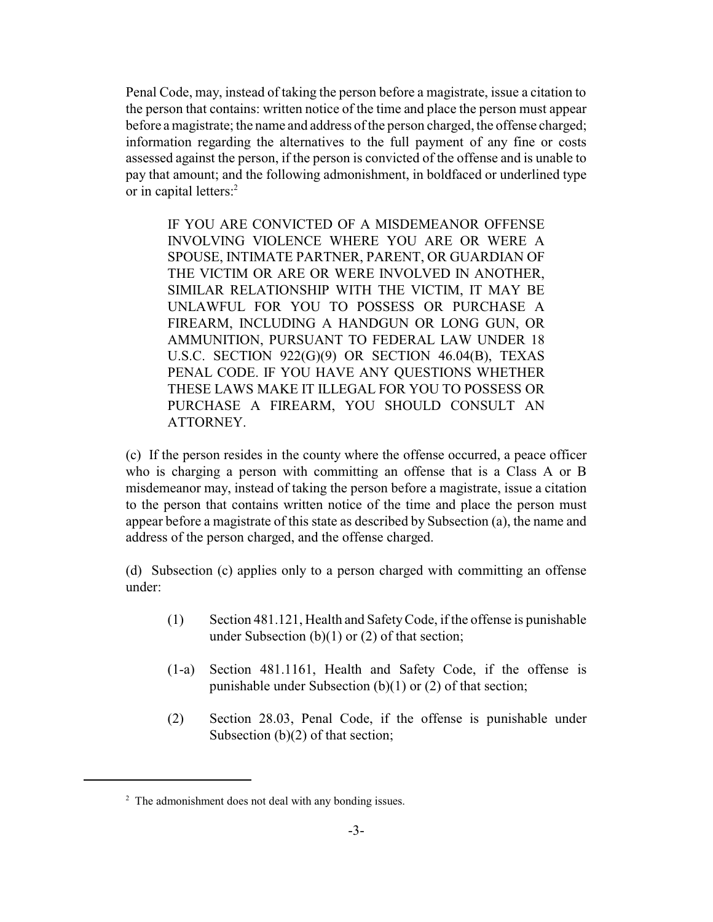Penal Code, may, instead of taking the person before a magistrate, issue a citation to the person that contains: written notice of the time and place the person must appear before a magistrate; the name and address of the person charged, the offense charged; information regarding the alternatives to the full payment of any fine or costs assessed against the person, if the person is convicted of the offense and is unable to pay that amount; and the following admonishment, in boldfaced or underlined type or in capital letters:<sup>2</sup>

IF YOU ARE CONVICTED OF A MISDEMEANOR OFFENSE INVOLVING VIOLENCE WHERE YOU ARE OR WERE A SPOUSE, INTIMATE PARTNER, PARENT, OR GUARDIAN OF THE VICTIM OR ARE OR WERE INVOLVED IN ANOTHER, SIMILAR RELATIONSHIP WITH THE VICTIM, IT MAY BE UNLAWFUL FOR YOU TO POSSESS OR PURCHASE A FIREARM, INCLUDING A HANDGUN OR LONG GUN, OR AMMUNITION, PURSUANT TO FEDERAL LAW UNDER 18 U.S.C. SECTION 922(G)(9) OR SECTION 46.04(B), TEXAS PENAL CODE. IF YOU HAVE ANY QUESTIONS WHETHER THESE LAWS MAKE IT ILLEGAL FOR YOU TO POSSESS OR PURCHASE A FIREARM, YOU SHOULD CONSULT AN ATTORNEY.

(c) If the person resides in the county where the offense occurred, a peace officer who is charging a person with committing an offense that is a Class A or B misdemeanor may, instead of taking the person before a magistrate, issue a citation to the person that contains written notice of the time and place the person must appear before a magistrate of this state as described by Subsection (a), the name and address of the person charged, and the offense charged.

(d) Subsection (c) applies only to a person charged with committing an offense under:

- (1) Section 481.121, Health and SafetyCode, if the offense is punishable under Subsection  $(b)(1)$  or  $(2)$  of that section;
- (1-a) Section 481.1161, Health and Safety Code, if the offense is punishable under Subsection (b)(1) or (2) of that section;
- (2) Section 28.03, Penal Code, if the offense is punishable under Subsection (b)(2) of that section;

<sup>&</sup>lt;sup>2</sup> The admonishment does not deal with any bonding issues.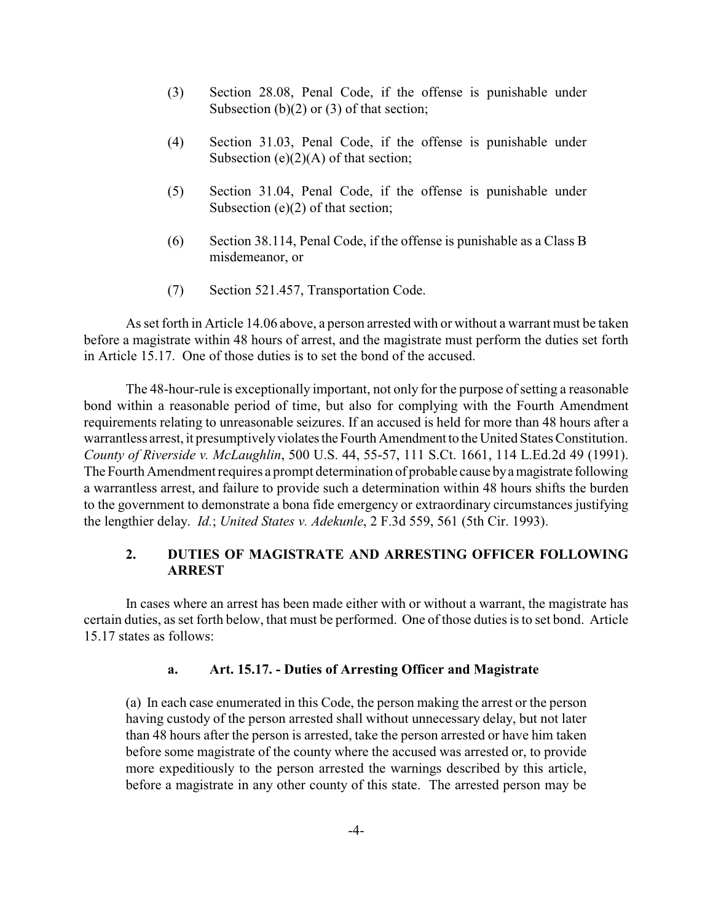- (3) Section 28.08, Penal Code, if the offense is punishable under Subsection  $(b)(2)$  or  $(3)$  of that section;
- (4) Section 31.03, Penal Code, if the offense is punishable under Subsection  $(e)(2)(A)$  of that section;
- (5) Section 31.04, Penal Code, if the offense is punishable under Subsection (e)(2) of that section;
- (6) Section 38.114, Penal Code, if the offense is punishable as a Class B misdemeanor, or
- (7) Section 521.457, Transportation Code.

As set forth in Article 14.06 above, a person arrested with or without a warrant must be taken before a magistrate within 48 hours of arrest, and the magistrate must perform the duties set forth in Article 15.17. One of those duties is to set the bond of the accused.

The 48-hour-rule is exceptionally important, not only for the purpose of setting a reasonable bond within a reasonable period of time, but also for complying with the Fourth Amendment requirements relating to unreasonable seizures. If an accused is held for more than 48 hours after a warrantless arrest, it presumptively violates the Fourth Amendment to the United States Constitution. *County of Riverside v. McLaughlin*, 500 U.S. 44, 55-57, 111 S.Ct. 1661, 114 L.Ed.2d 49 (1991). The Fourth Amendment requires a prompt determination of probable cause byamagistrate following a warrantless arrest, and failure to provide such a determination within 48 hours shifts the burden to the government to demonstrate a bona fide emergency or extraordinary circumstances justifying the lengthier delay. *Id.*; *United States v. Adekunle*, 2 F.3d 559, 561 (5th Cir. 1993).

# <span id="page-14-0"></span>**2. DUTIES OF MAGISTRATE AND ARRESTING OFFICER FOLLOWING ARREST**

In cases where an arrest has been made either with or without a warrant, the magistrate has certain duties, as set forth below, that must be performed. One of those duties is to set bond. Article 15.17 states as follows:

# <span id="page-14-1"></span>**a. Art. 15.17. - Duties of Arresting Officer and Magistrate**

(a) In each case enumerated in this Code, the person making the arrest or the person having custody of the person arrested shall without unnecessary delay, but not later than 48 hours after the person is arrested, take the person arrested or have him taken before some magistrate of the county where the accused was arrested or, to provide more expeditiously to the person arrested the warnings described by this article, before a magistrate in any other county of this state. The arrested person may be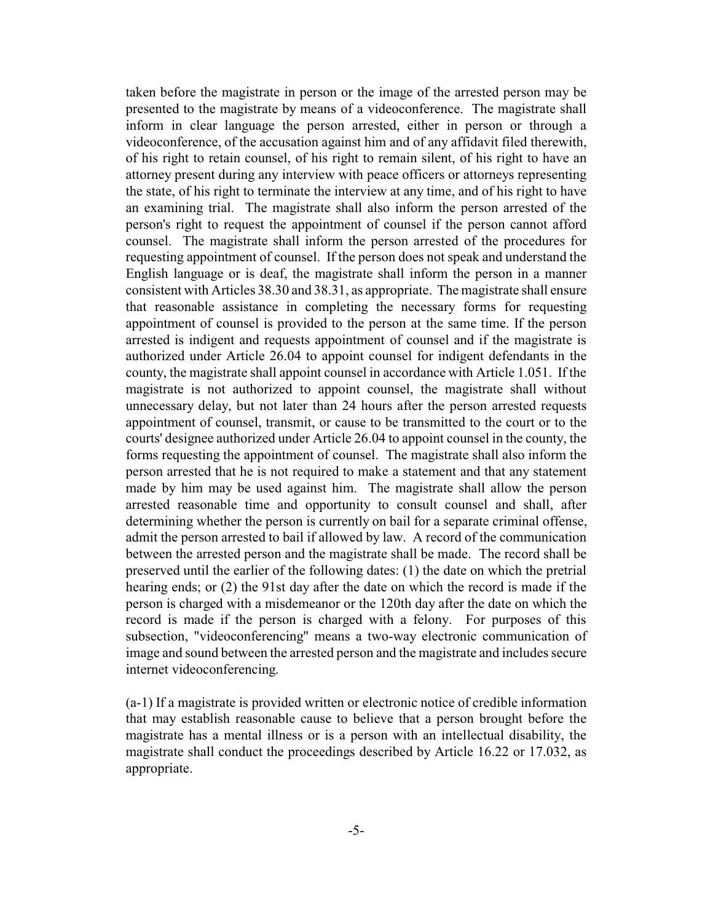taken before the magistrate in person or the image of the arrested person may be presented to the magistrate by means of a videoconference. The magistrate shall inform in clear language the person arrested, either in person or through a videoconference, of the accusation against him and of any affidavit filed therewith, of his right to retain counsel, of his right to remain silent, of his right to have an attorney present during any interview with peace officers or attorneys representing the state, of his right to terminate the interview at any time, and of his right to have an examining trial. The magistrate shall also inform the person arrested of the person's right to request the appointment of counsel if the person cannot afford counsel. The magistrate shall inform the person arrested of the procedures for requesting appointment of counsel. If the person does not speak and understand the English language or is deaf, the magistrate shall inform the person in a manner consistent with Articles 38.30 and 38.31, as appropriate. The magistrate shall ensure that reasonable assistance in completing the necessary forms for requesting appointment of counsel is provided to the person at the same time. If the person arrested is indigent and requests appointment of counsel and if the magistrate is authorized under Article 26.04 to appoint counsel for indigent defendants in the county, the magistrate shall appoint counsel in accordance with Article 1.051. If the magistrate is not authorized to appoint counsel, the magistrate shall without unnecessary delay, but not later than 24 hours after the person arrested requests appointment of counsel, transmit, or cause to be transmitted to the court or to the courts' designee authorized under Article 26.04 to appoint counsel in the county, the forms requesting the appointment of counsel. The magistrate shall also inform the person arrested that he is not required to make a statement and that any statement made by him may be used against him. The magistrate shall allow the person arrested reasonable time and opportunity to consult counsel and shall, after determining whether the person is currently on bail for a separate criminal offense, admit the person arrested to bail if allowed by law. A record of the communication between the arrested person and the magistrate shall be made. The record shall be preserved until the earlier of the following dates: (1) the date on which the pretrial hearing ends; or (2) the 91st day after the date on which the record is made if the person is charged with a misdemeanor or the 120th day after the date on which the record is made if the person is charged with a felony. For purposes of this subsection, "videoconferencing" means a two-way electronic communication of image and sound between the arrested person and the magistrate and includes secure internet videoconferencing.

(a-1) If a magistrate is provided written or electronic notice of credible information that may establish reasonable cause to believe that a person brought before the magistrate has a mental illness or is a person with an intellectual disability, the magistrate shall conduct the proceedings described by Article 16.22 or 17.032, as appropriate.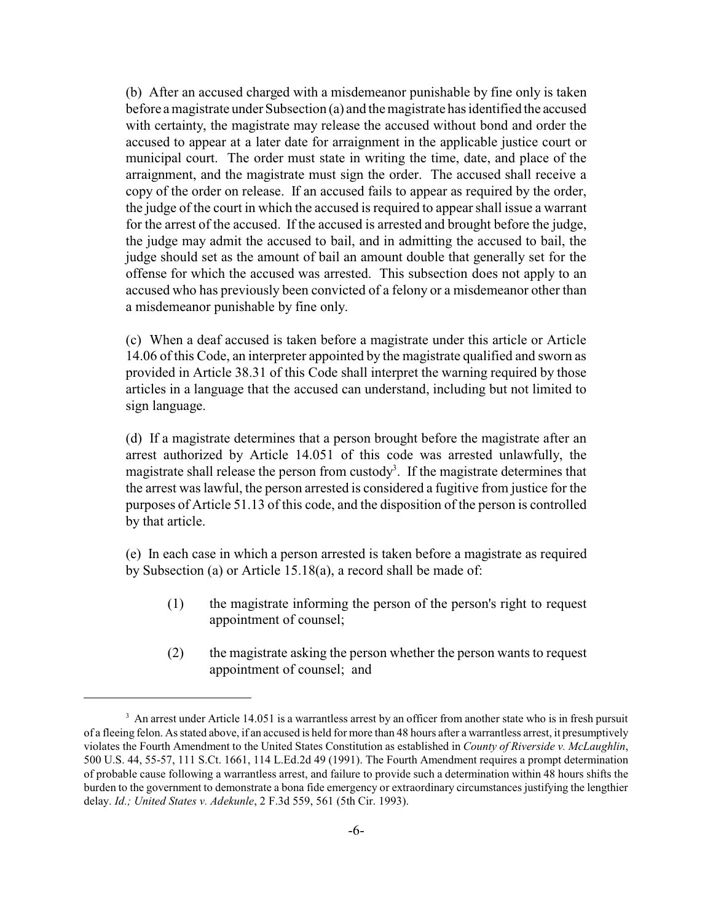(b) After an accused charged with a misdemeanor punishable by fine only is taken before a magistrate under Subsection (a) and the magistrate has identified the accused with certainty, the magistrate may release the accused without bond and order the accused to appear at a later date for arraignment in the applicable justice court or municipal court. The order must state in writing the time, date, and place of the arraignment, and the magistrate must sign the order. The accused shall receive a copy of the order on release. If an accused fails to appear as required by the order, the judge of the court in which the accused is required to appear shall issue a warrant for the arrest of the accused. If the accused is arrested and brought before the judge, the judge may admit the accused to bail, and in admitting the accused to bail, the judge should set as the amount of bail an amount double that generally set for the offense for which the accused was arrested. This subsection does not apply to an accused who has previously been convicted of a felony or a misdemeanor other than a misdemeanor punishable by fine only.

(c) When a deaf accused is taken before a magistrate under this article or Article 14.06 of this Code, an interpreter appointed by the magistrate qualified and sworn as provided in Article 38.31 of this Code shall interpret the warning required by those articles in a language that the accused can understand, including but not limited to sign language.

(d) If a magistrate determines that a person brought before the magistrate after an arrest authorized by Article 14.051 of this code was arrested unlawfully, the magistrate shall release the person from custody<sup>3</sup>. If the magistrate determines that the arrest was lawful, the person arrested is considered a fugitive from justice for the purposes of Article 51.13 of this code, and the disposition of the person is controlled by that article.

(e) In each case in which a person arrested is taken before a magistrate as required by Subsection (a) or Article 15.18(a), a record shall be made of:

- (1) the magistrate informing the person of the person's right to request appointment of counsel;
- (2) the magistrate asking the person whether the person wants to request appointment of counsel; and

 $3$  An arrest under Article 14.051 is a warrantless arrest by an officer from another state who is in fresh pursuit of a fleeing felon. As stated above, if an accused is held for more than 48 hours after a warrantless arrest, it presumptively violates the Fourth Amendment to the United States Constitution as established in *County of Riverside v. McLaughlin*, 500 U.S. 44, 55-57, 111 S.Ct. 1661, 114 L.Ed.2d 49 (1991). The Fourth Amendment requires a prompt determination of probable cause following a warrantless arrest, and failure to provide such a determination within 48 hours shifts the burden to the government to demonstrate a bona fide emergency or extraordinary circumstances justifying the lengthier delay. *Id.; United States v. Adekunle*, 2 F.3d 559, 561 (5th Cir. 1993).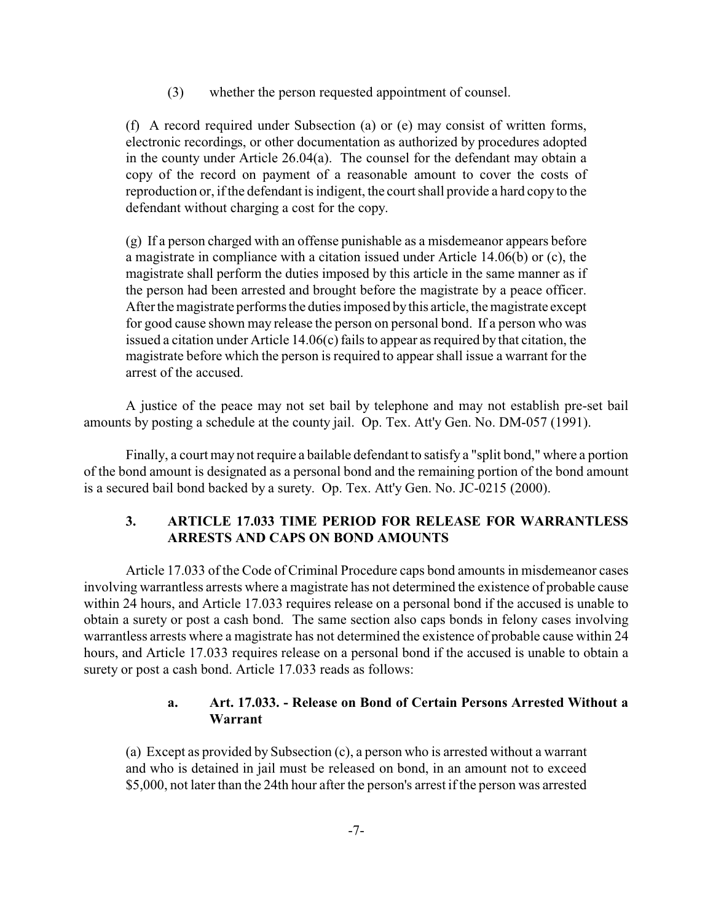(3) whether the person requested appointment of counsel.

(f) A record required under Subsection (a) or (e) may consist of written forms, electronic recordings, or other documentation as authorized by procedures adopted in the county under Article 26.04(a). The counsel for the defendant may obtain a copy of the record on payment of a reasonable amount to cover the costs of reproduction or, if the defendant is indigent, the court shall provide a hard copy to the defendant without charging a cost for the copy.

(g) If a person charged with an offense punishable as a misdemeanor appears before a magistrate in compliance with a citation issued under Article 14.06(b) or (c), the magistrate shall perform the duties imposed by this article in the same manner as if the person had been arrested and brought before the magistrate by a peace officer. After the magistrate performs the duties imposed bythis article, the magistrate except for good cause shown may release the person on personal bond. If a person who was issued a citation under Article 14.06(c) fails to appear as required by that citation, the magistrate before which the person is required to appear shall issue a warrant for the arrest of the accused.

A justice of the peace may not set bail by telephone and may not establish pre-set bail amounts by posting a schedule at the county jail. Op. Tex. Att'y Gen. No. DM-057 (1991).

Finally, a court may not require a bailable defendant to satisfy a "split bond," where a portion of the bond amount is designated as a personal bond and the remaining portion of the bond amount is a secured bail bond backed by a surety. Op. Tex. Att'y Gen. No. JC-0215 (2000).

# <span id="page-17-0"></span>**3. ARTICLE 17.033 TIME PERIOD FOR RELEASE FOR WARRANTLESS ARRESTS AND CAPS ON BOND AMOUNTS**

Article 17.033 of the Code of Criminal Procedure caps bond amounts in misdemeanor cases involving warrantless arrests where a magistrate has not determined the existence of probable cause within 24 hours, and Article 17.033 requires release on a personal bond if the accused is unable to obtain a surety or post a cash bond. The same section also caps bonds in felony cases involving warrantless arrests where a magistrate has not determined the existence of probable cause within 24 hours, and Article 17.033 requires release on a personal bond if the accused is unable to obtain a surety or post a cash bond. Article 17.033 reads as follows:

### <span id="page-17-1"></span>**a. Art. 17.033. - Release on Bond of Certain Persons Arrested Without a Warrant**

(a) Except as provided by Subsection (c), a person who is arrested without a warrant and who is detained in jail must be released on bond, in an amount not to exceed \$5,000, not later than the 24th hour after the person's arrest if the person was arrested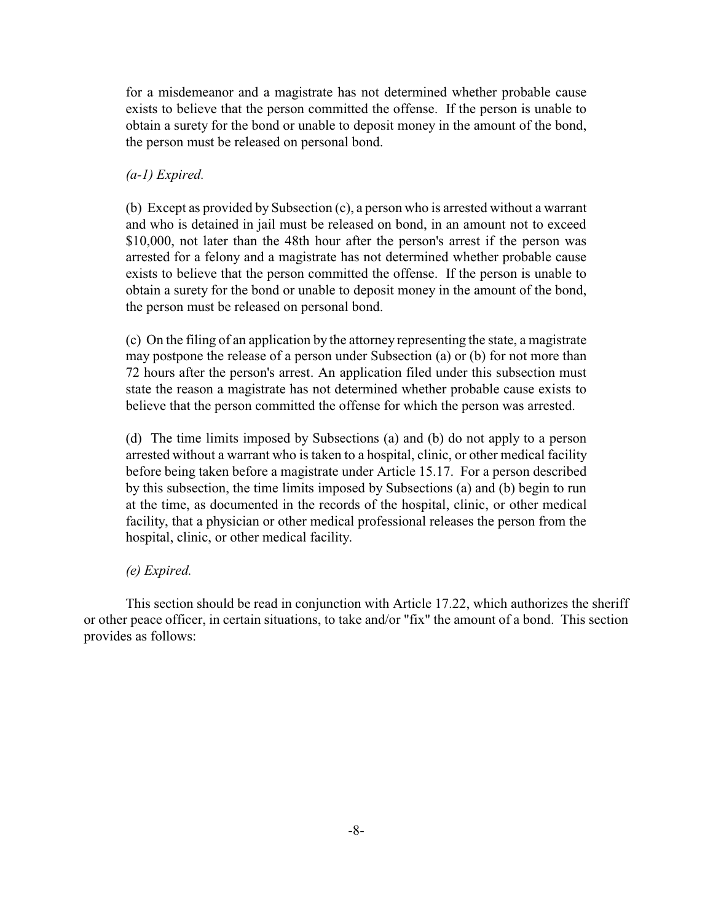for a misdemeanor and a magistrate has not determined whether probable cause exists to believe that the person committed the offense. If the person is unable to obtain a surety for the bond or unable to deposit money in the amount of the bond, the person must be released on personal bond.

#### *(a-1) Expired.*

(b) Except as provided by Subsection (c), a person who is arrested without a warrant and who is detained in jail must be released on bond, in an amount not to exceed \$10,000, not later than the 48th hour after the person's arrest if the person was arrested for a felony and a magistrate has not determined whether probable cause exists to believe that the person committed the offense. If the person is unable to obtain a surety for the bond or unable to deposit money in the amount of the bond, the person must be released on personal bond.

(c) On the filing of an application by the attorney representing the state, a magistrate may postpone the release of a person under Subsection (a) or (b) for not more than 72 hours after the person's arrest. An application filed under this subsection must state the reason a magistrate has not determined whether probable cause exists to believe that the person committed the offense for which the person was arrested.

(d) The time limits imposed by Subsections (a) and (b) do not apply to a person arrested without a warrant who is taken to a hospital, clinic, or other medical facility before being taken before a magistrate under Article 15.17. For a person described by this subsection, the time limits imposed by Subsections (a) and (b) begin to run at the time, as documented in the records of the hospital, clinic, or other medical facility, that a physician or other medical professional releases the person from the hospital, clinic, or other medical facility.

#### *(e) Expired.*

This section should be read in conjunction with Article 17.22, which authorizes the sheriff or other peace officer, in certain situations, to take and/or "fix" the amount of a bond. This section provides as follows: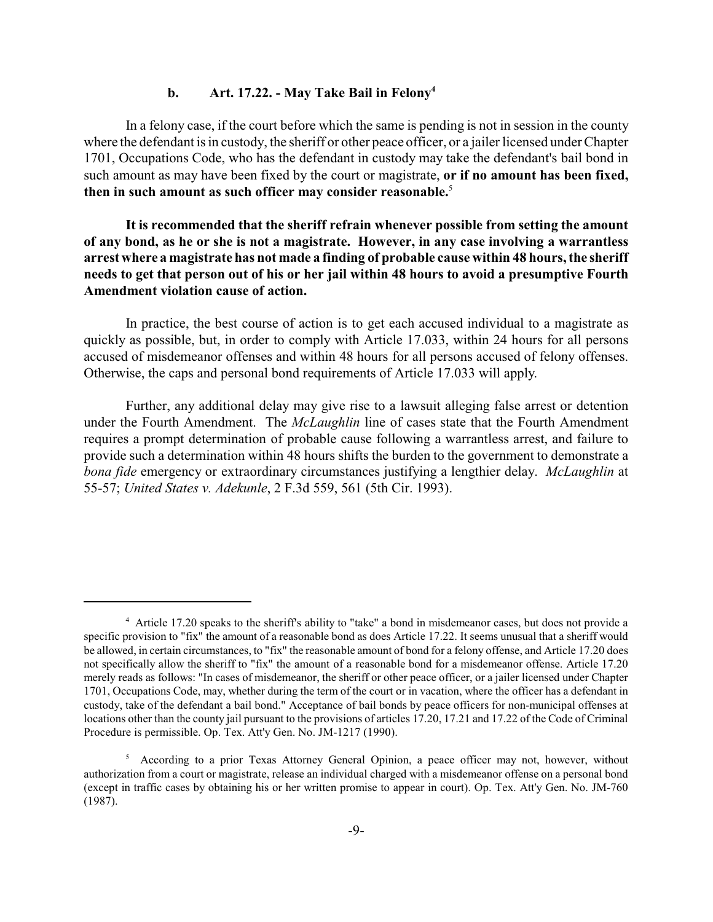#### <span id="page-19-0"></span>**b. Art. 17.22. - May Take Bail in Felony<sup>4</sup>**

In a felony case, if the court before which the same is pending is not in session in the county where the defendant is in custody, the sheriff or other peace officer, or a jailer licensed under Chapter 1701, Occupations Code, who has the defendant in custody may take the defendant's bail bond in such amount as may have been fixed by the court or magistrate, **or if no amount has been fixed, then in such amount as such officer may consider reasonable.**<sup>5</sup>

**It is recommended that the sheriff refrain whenever possible from setting the amount of any bond, as he or she is not a magistrate. However, in any case involving a warrantless arrest where a magistrate has not made a finding of probable cause within 48 hours, the sheriff needs to get that person out of his or her jail within 48 hours to avoid a presumptive Fourth Amendment violation cause of action.**

In practice, the best course of action is to get each accused individual to a magistrate as quickly as possible, but, in order to comply with Article 17.033, within 24 hours for all persons accused of misdemeanor offenses and within 48 hours for all persons accused of felony offenses. Otherwise, the caps and personal bond requirements of Article 17.033 will apply.

Further, any additional delay may give rise to a lawsuit alleging false arrest or detention under the Fourth Amendment. The *McLaughlin* line of cases state that the Fourth Amendment requires a prompt determination of probable cause following a warrantless arrest, and failure to provide such a determination within 48 hours shifts the burden to the government to demonstrate a *bona fide* emergency or extraordinary circumstances justifying a lengthier delay. *McLaughlin* at 55-57; *United States v. Adekunle*, 2 F.3d 559, 561 (5th Cir. 1993).

<sup>&</sup>lt;sup>4</sup> Article 17.20 speaks to the sheriff's ability to "take" a bond in misdemeanor cases, but does not provide a specific provision to "fix" the amount of a reasonable bond as does Article 17.22. It seems unusual that a sheriff would be allowed, in certain circumstances, to "fix" the reasonable amount of bond for a felony offense, and Article 17.20 does not specifically allow the sheriff to "fix" the amount of a reasonable bond for a misdemeanor offense. Article 17.20 merely reads as follows: "In cases of misdemeanor, the sheriff or other peace officer, or a jailer licensed under Chapter 1701, Occupations Code, may, whether during the term of the court or in vacation, where the officer has a defendant in custody, take of the defendant a bail bond." Acceptance of bail bonds by peace officers for non-municipal offenses at locations other than the county jail pursuant to the provisions of articles 17.20, 17.21 and 17.22 of the Code of Criminal Procedure is permissible. Op. Tex. Att'y Gen. No. JM-1217 (1990).

<sup>&</sup>lt;sup>5</sup> According to a prior Texas Attorney General Opinion, a peace officer may not, however, without authorization from a court or magistrate, release an individual charged with a misdemeanor offense on a personal bond (except in traffic cases by obtaining his or her written promise to appear in court). Op. Tex. Att'y Gen. No. JM-760 (1987).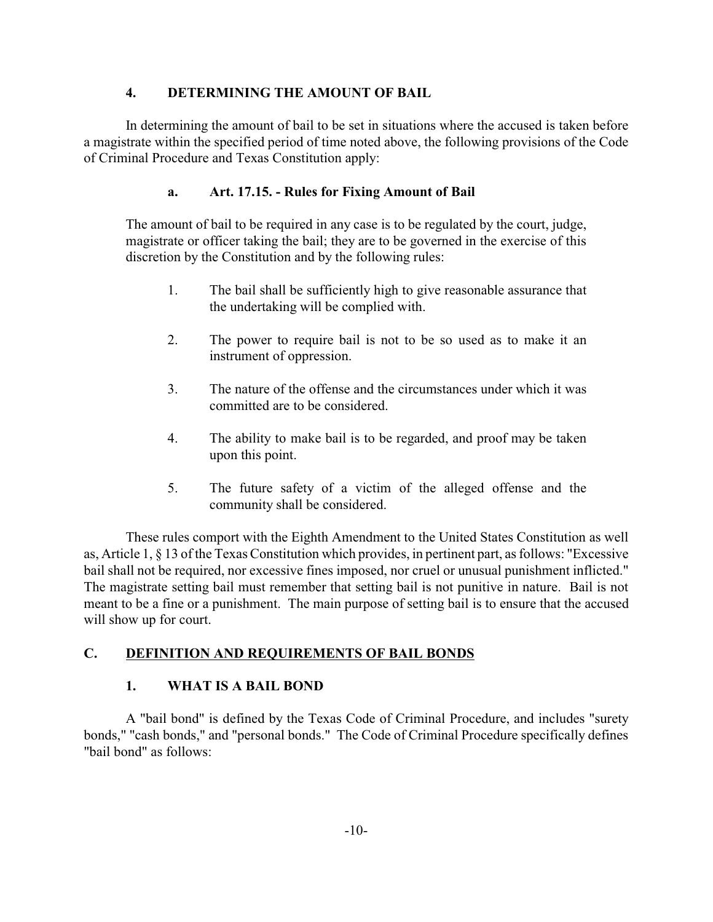### **4. DETERMINING THE AMOUNT OF BAIL**

<span id="page-20-0"></span>In determining the amount of bail to be set in situations where the accused is taken before a magistrate within the specified period of time noted above, the following provisions of the Code of Criminal Procedure and Texas Constitution apply:

## <span id="page-20-1"></span>**a. Art. 17.15. - Rules for Fixing Amount of Bail**

The amount of bail to be required in any case is to be regulated by the court, judge, magistrate or officer taking the bail; they are to be governed in the exercise of this discretion by the Constitution and by the following rules:

- 1. The bail shall be sufficiently high to give reasonable assurance that the undertaking will be complied with.
- 2. The power to require bail is not to be so used as to make it an instrument of oppression.
- 3. The nature of the offense and the circumstances under which it was committed are to be considered.
- 4. The ability to make bail is to be regarded, and proof may be taken upon this point.
- 5. The future safety of a victim of the alleged offense and the community shall be considered.

These rules comport with the Eighth Amendment to the United States Constitution as well as, Article 1, § 13 of the Texas Constitution which provides, in pertinent part, as follows: "Excessive bail shall not be required, nor excessive fines imposed, nor cruel or unusual punishment inflicted." The magistrate setting bail must remember that setting bail is not punitive in nature. Bail is not meant to be a fine or a punishment. The main purpose of setting bail is to ensure that the accused will show up for court.

# <span id="page-20-2"></span>**C. DEFINITION AND REQUIREMENTS OF BAIL BONDS**

# <span id="page-20-3"></span>**1. WHAT IS A BAIL BOND**

A "bail bond" is defined by the Texas Code of Criminal Procedure, and includes "surety bonds," "cash bonds," and "personal bonds." The Code of Criminal Procedure specifically defines "bail bond" as follows: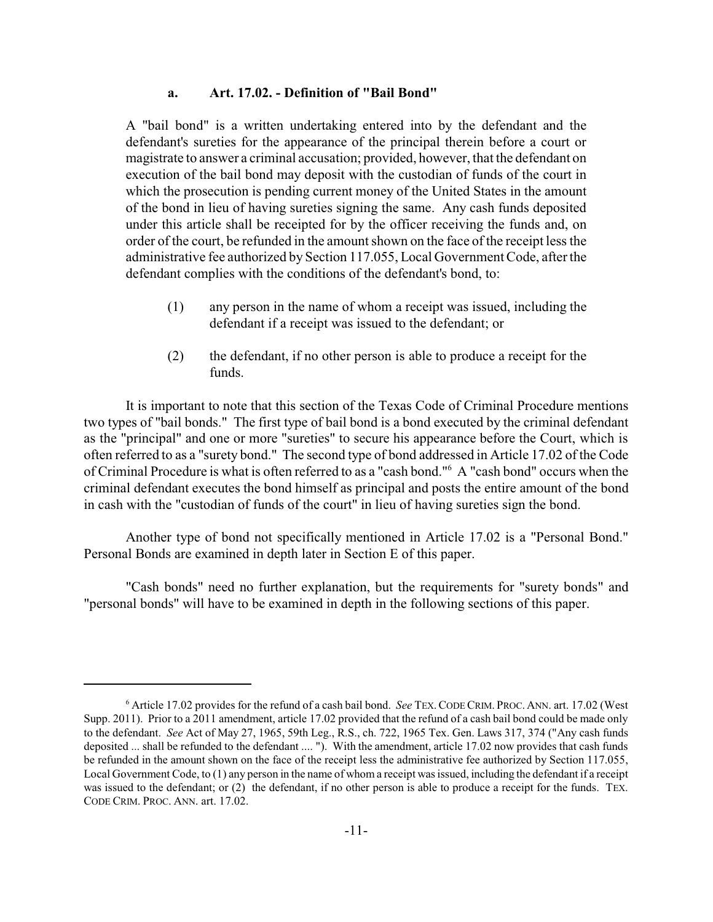#### <span id="page-21-0"></span>**a. Art. 17.02. - Definition of "Bail Bond"**

A "bail bond" is a written undertaking entered into by the defendant and the defendant's sureties for the appearance of the principal therein before a court or magistrate to answer a criminal accusation; provided, however, that the defendant on execution of the bail bond may deposit with the custodian of funds of the court in which the prosecution is pending current money of the United States in the amount of the bond in lieu of having sureties signing the same. Any cash funds deposited under this article shall be receipted for by the officer receiving the funds and, on order of the court, be refunded in the amount shown on the face of the receipt less the administrative fee authorized by Section 117.055, Local Government Code, after the defendant complies with the conditions of the defendant's bond, to:

- (1) any person in the name of whom a receipt was issued, including the defendant if a receipt was issued to the defendant; or
- (2) the defendant, if no other person is able to produce a receipt for the funds.

It is important to note that this section of the Texas Code of Criminal Procedure mentions two types of "bail bonds." The first type of bail bond is a bond executed by the criminal defendant as the "principal" and one or more "sureties" to secure his appearance before the Court, which is often referred to as a "surety bond." The second type of bond addressed in Article 17.02 of the Code of Criminal Procedure is what is often referred to as a "cash bond."<sup>6</sup> A "cash bond" occurs when the criminal defendant executes the bond himself as principal and posts the entire amount of the bond in cash with the "custodian of funds of the court" in lieu of having sureties sign the bond.

Another type of bond not specifically mentioned in Article 17.02 is a "Personal Bond." Personal Bonds are examined in depth later in Section E of this paper.

"Cash bonds" need no further explanation, but the requirements for "surety bonds" and "personal bonds" will have to be examined in depth in the following sections of this paper.

<sup>6</sup> Article 17.02 provides for the refund of a cash bail bond. *See* TEX.CODECRIM. PROC. ANN. art. 17.02 (West Supp. 2011). Prior to a 2011 amendment, article 17.02 provided that the refund of a cash bail bond could be made only to the defendant. *See* Act of May 27, 1965, 59th Leg., R.S., ch. 722, 1965 Tex. Gen. Laws 317, 374 ("Any cash funds deposited ... shall be refunded to the defendant .... "). With the amendment, article 17.02 now provides that cash funds be refunded in the amount shown on the face of the receipt less the administrative fee authorized by Section 117.055, Local Government Code, to (1) any person in the name of whom a receipt was issued, including the defendant if a receipt was issued to the defendant; or (2) the defendant, if no other person is able to produce a receipt for the funds. TEX. CODE CRIM. PROC. ANN. art. 17.02.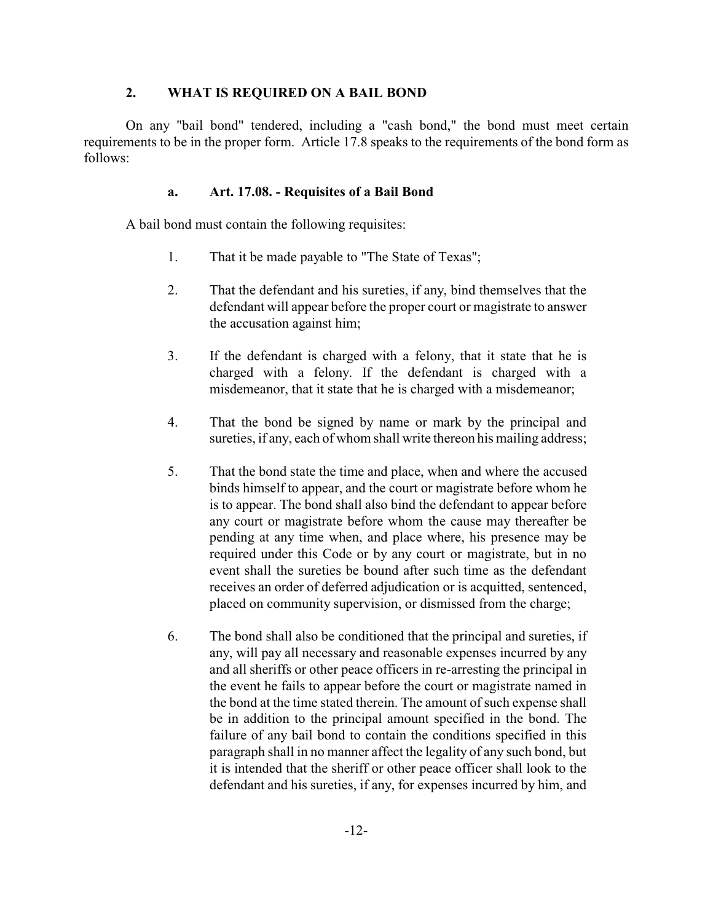#### <span id="page-22-0"></span>**2. WHAT IS REQUIRED ON A BAIL BOND**

On any "bail bond" tendered, including a "cash bond," the bond must meet certain requirements to be in the proper form. Article 17.8 speaks to the requirements of the bond form as follows:

#### <span id="page-22-1"></span>**a. Art. 17.08. - Requisites of a Bail Bond**

A bail bond must contain the following requisites:

- 1. That it be made payable to "The State of Texas";
- 2. That the defendant and his sureties, if any, bind themselves that the defendant will appear before the proper court or magistrate to answer the accusation against him;
- 3. If the defendant is charged with a felony, that it state that he is charged with a felony. If the defendant is charged with a misdemeanor, that it state that he is charged with a misdemeanor;
- 4. That the bond be signed by name or mark by the principal and sureties, if any, each of whom shall write thereon his mailing address;
- 5. That the bond state the time and place, when and where the accused binds himself to appear, and the court or magistrate before whom he is to appear. The bond shall also bind the defendant to appear before any court or magistrate before whom the cause may thereafter be pending at any time when, and place where, his presence may be required under this Code or by any court or magistrate, but in no event shall the sureties be bound after such time as the defendant receives an order of deferred adjudication or is acquitted, sentenced, placed on community supervision, or dismissed from the charge;
- 6. The bond shall also be conditioned that the principal and sureties, if any, will pay all necessary and reasonable expenses incurred by any and all sheriffs or other peace officers in re-arresting the principal in the event he fails to appear before the court or magistrate named in the bond at the time stated therein. The amount of such expense shall be in addition to the principal amount specified in the bond. The failure of any bail bond to contain the conditions specified in this paragraph shall in no manner affect the legality of any such bond, but it is intended that the sheriff or other peace officer shall look to the defendant and his sureties, if any, for expenses incurred by him, and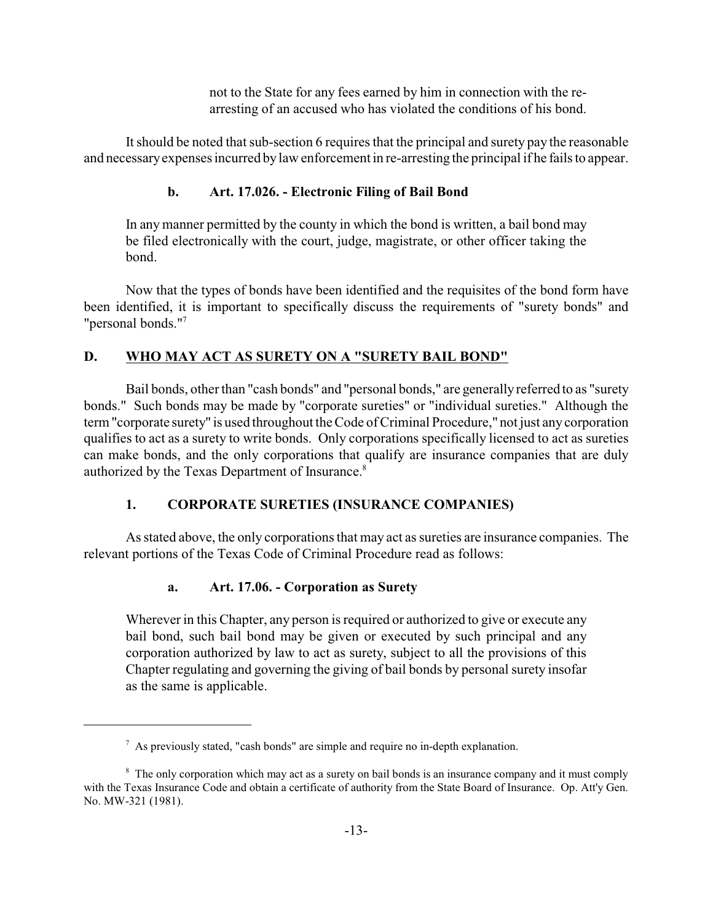not to the State for any fees earned by him in connection with the rearresting of an accused who has violated the conditions of his bond.

<span id="page-23-0"></span>It should be noted that sub-section 6 requires that the principal and surety pay the reasonable and necessaryexpenses incurred by law enforcement in re-arresting the principal if he fails to appear.

# **b. Art. 17.026. - Electronic Filing of Bail Bond**

In any manner permitted by the county in which the bond is written, a bail bond may be filed electronically with the court, judge, magistrate, or other officer taking the bond.

Now that the types of bonds have been identified and the requisites of the bond form have been identified, it is important to specifically discuss the requirements of "surety bonds" and "personal bonds."<sup>7</sup>

# <span id="page-23-1"></span>**D. WHO MAY ACT AS SURETY ON A "SURETY BAIL BOND"**

Bail bonds, other than "cash bonds" and "personal bonds," are generallyreferred to as "surety bonds." Such bonds may be made by "corporate sureties" or "individual sureties." Although the term "corporate surety" is used throughout the Code of Criminal Procedure," not just any corporation qualifies to act as a surety to write bonds. Only corporations specifically licensed to act as sureties can make bonds, and the only corporations that qualify are insurance companies that are duly authorized by the Texas Department of Insurance.<sup>8</sup>

# <span id="page-23-2"></span>**1. CORPORATE SURETIES (INSURANCE COMPANIES)**

As stated above, the only corporations that may act as sureties are insurance companies. The relevant portions of the Texas Code of Criminal Procedure read as follows:

# <span id="page-23-3"></span>**a. Art. 17.06. - Corporation as Surety**

Wherever in this Chapter, any person is required or authorized to give or execute any bail bond, such bail bond may be given or executed by such principal and any corporation authorized by law to act as surety, subject to all the provisions of this Chapter regulating and governing the giving of bail bonds by personal surety insofar as the same is applicable.

 $\alpha$  As previously stated, "cash bonds" are simple and require no in-depth explanation.

<sup>&</sup>lt;sup>8</sup> The only corporation which may act as a surety on bail bonds is an insurance company and it must comply with the Texas Insurance Code and obtain a certificate of authority from the State Board of Insurance. Op. Att'y Gen. No. MW-321 (1981).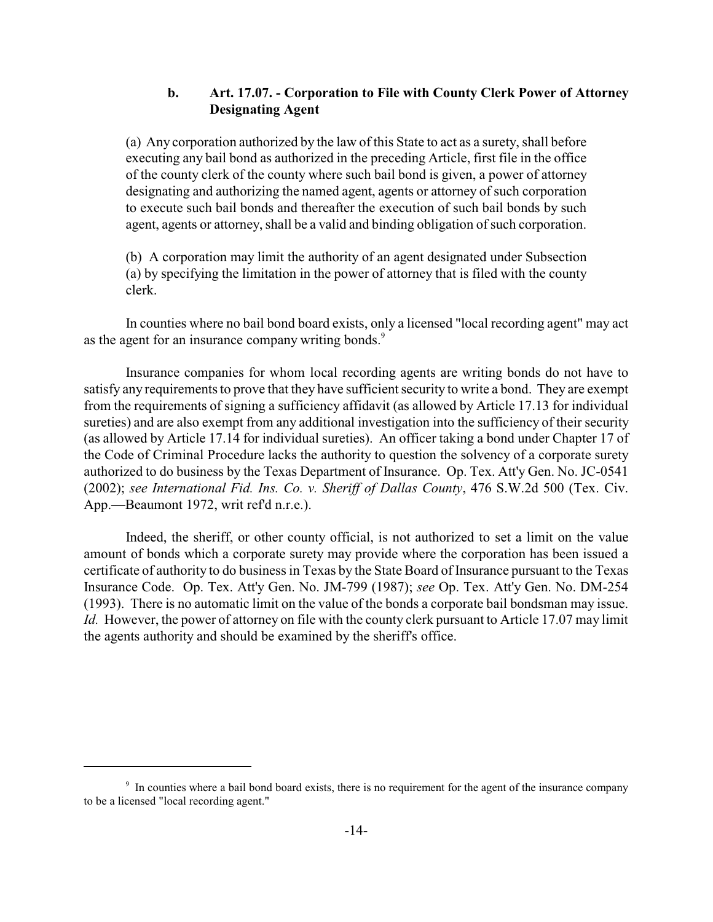### <span id="page-24-0"></span>**b. Art. 17.07. - Corporation to File with County Clerk Power of Attorney Designating Agent**

(a) Any corporation authorized by the law of this State to act as a surety, shall before executing any bail bond as authorized in the preceding Article, first file in the office of the county clerk of the county where such bail bond is given, a power of attorney designating and authorizing the named agent, agents or attorney of such corporation to execute such bail bonds and thereafter the execution of such bail bonds by such agent, agents or attorney, shall be a valid and binding obligation of such corporation.

(b) A corporation may limit the authority of an agent designated under Subsection (a) by specifying the limitation in the power of attorney that is filed with the county clerk.

In counties where no bail bond board exists, only a licensed "local recording agent" may act as the agent for an insurance company writing bonds.<sup>9</sup>

Insurance companies for whom local recording agents are writing bonds do not have to satisfy any requirements to prove that they have sufficient security to write a bond. They are exempt from the requirements of signing a sufficiency affidavit (as allowed by Article 17.13 for individual sureties) and are also exempt from any additional investigation into the sufficiency of their security (as allowed by Article 17.14 for individual sureties). An officer taking a bond under Chapter 17 of the Code of Criminal Procedure lacks the authority to question the solvency of a corporate surety authorized to do business by the Texas Department of Insurance. Op. Tex. Att'y Gen. No. JC-0541 (2002); *see International Fid. Ins. Co. v. Sheriff of Dallas County*, 476 S.W.2d 500 (Tex. Civ. App.—Beaumont 1972, writ ref'd n.r.e.).

Indeed, the sheriff, or other county official, is not authorized to set a limit on the value amount of bonds which a corporate surety may provide where the corporation has been issued a certificate of authority to do business in Texas by the State Board of Insurance pursuant to the Texas Insurance Code. Op. Tex. Att'y Gen. No. JM-799 (1987); *see* Op. Tex. Att'y Gen. No. DM-254 (1993). There is no automatic limit on the value of the bonds a corporate bail bondsman may issue. *Id.* However, the power of attorney on file with the county clerk pursuant to Article 17.07 may limit the agents authority and should be examined by the sheriff's office.

<sup>&</sup>lt;sup>9</sup> In counties where a bail bond board exists, there is no requirement for the agent of the insurance company to be a licensed "local recording agent."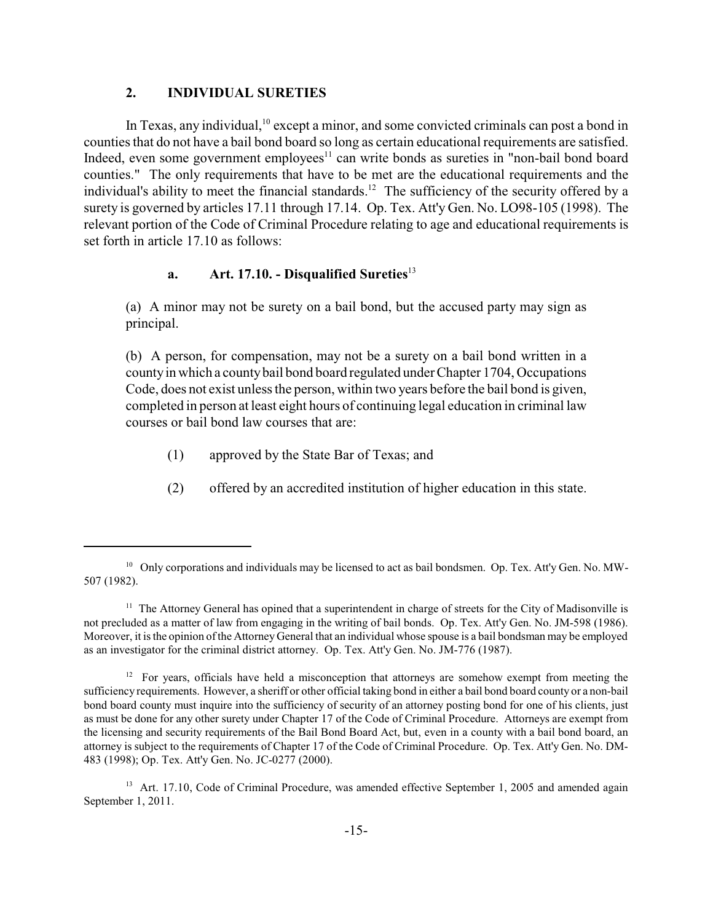#### <span id="page-25-0"></span>**2. INDIVIDUAL SURETIES**

In Texas, any individual,<sup>10</sup> except a minor, and some convicted criminals can post a bond in counties that do not have a bail bond board so long as certain educational requirements are satisfied. Indeed, even some government employees<sup>11</sup> can write bonds as sureties in "non-bail bond board counties." The only requirements that have to be met are the educational requirements and the individual's ability to meet the financial standards.<sup>12</sup> The sufficiency of the security offered by a surety is governed by articles 17.11 through 17.14. Op. Tex. Att'y Gen. No. LO98-105 (1998). The relevant portion of the Code of Criminal Procedure relating to age and educational requirements is set forth in article 17.10 as follows:

#### <span id="page-25-1"></span>**a. Art. 17.10. - Disqualified Sureties**<sup>13</sup>

(a) A minor may not be surety on a bail bond, but the accused party may sign as principal.

(b) A person, for compensation, may not be a surety on a bail bond written in a countyin which a countybail bond board regulated under Chapter 1704, Occupations Code, does not exist unless the person, within two years before the bail bond is given, completed in person at least eight hours of continuing legal education in criminal law courses or bail bond law courses that are:

- (1) approved by the State Bar of Texas; and
- (2) offered by an accredited institution of higher education in this state.

<sup>&</sup>lt;sup>10</sup> Only corporations and individuals may be licensed to act as bail bondsmen. Op. Tex. Att'y Gen. No. MW-507 (1982).

<sup>&</sup>lt;sup>11</sup> The Attorney General has opined that a superintendent in charge of streets for the City of Madisonville is not precluded as a matter of law from engaging in the writing of bail bonds. Op. Tex. Att'y Gen. No. JM-598 (1986). Moreover, it is the opinion ofthe Attorney General that an individual whose spouse is a bail bondsman may be employed as an investigator for the criminal district attorney. Op. Tex. Att'y Gen. No. JM-776 (1987).

 $12$  For years, officials have held a misconception that attorneys are somehow exempt from meeting the sufficiency requirements. However, a sheriff or other official taking bond in either a bail bond board county or a non-bail bond board county must inquire into the sufficiency of security of an attorney posting bond for one of his clients, just as must be done for any other surety under Chapter 17 of the Code of Criminal Procedure. Attorneys are exempt from the licensing and security requirements of the Bail Bond Board Act, but, even in a county with a bail bond board, an attorney is subject to the requirements of Chapter 17 of the Code of Criminal Procedure. Op. Tex. Att'y Gen. No. DM-483 (1998); Op. Tex. Att'y Gen. No. JC-0277 (2000).

<sup>&</sup>lt;sup>13</sup> Art. 17.10, Code of Criminal Procedure, was amended effective September 1, 2005 and amended again September 1, 2011.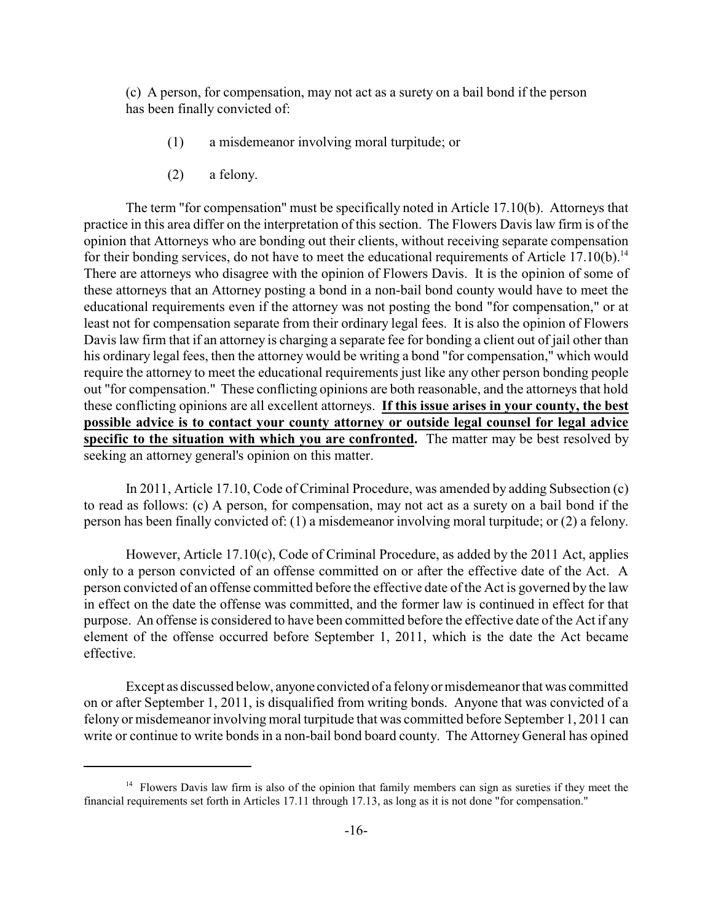(c) A person, for compensation, may not act as a surety on a bail bond if the person has been finally convicted of:

- (1) a misdemeanor involving moral turpitude; or
- (2) a felony.

The term "for compensation" must be specifically noted in Article 17.10(b). Attorneys that practice in this area differ on the interpretation of this section. The Flowers Davis law firm is of the opinion that Attorneys who are bonding out their clients, without receiving separate compensation for their bonding services, do not have to meet the educational requirements of Article 17.10(b).<sup>14</sup> There are attorneys who disagree with the opinion of Flowers Davis. It is the opinion of some of these attorneys that an Attorney posting a bond in a non-bail bond county would have to meet the educational requirements even if the attorney was not posting the bond "for compensation," or at least not for compensation separate from their ordinary legal fees. It is also the opinion of Flowers Davis law firm that if an attorney is charging a separate fee for bonding a client out of jail other than his ordinary legal fees, then the attorney would be writing a bond "for compensation," which would require the attorney to meet the educational requirements just like any other person bonding people out "for compensation." These conflicting opinions are both reasonable, and the attorneys that hold these conflicting opinions are all excellent attorneys. **If this issue arises in your county, the best possible advice is to contact your county attorney or outside legal counsel for legal advice specific to the situation with which you are confronted.** The matter may be best resolved by seeking an attorney general's opinion on this matter.

In 2011, Article 17.10, Code of Criminal Procedure, was amended by adding Subsection (c) to read as follows: (c) A person, for compensation, may not act as a surety on a bail bond if the person has been finally convicted of: (1) a misdemeanor involving moral turpitude; or (2) a felony.

However, Article 17.10(c), Code of Criminal Procedure, as added by the 2011 Act, applies only to a person convicted of an offense committed on or after the effective date of the Act. A person convicted of an offense committed before the effective date of the Act is governed by the law in effect on the date the offense was committed, and the former law is continued in effect for that purpose. An offense is considered to have been committed before the effective date of the Act if any element of the offense occurred before September 1, 2011, which is the date the Act became effective.

Except as discussed below, anyone convicted of a felonyor misdemeanor that was committed on or after September 1, 2011, is disqualified from writing bonds. Anyone that was convicted of a felony or misdemeanor involving moral turpitude that was committed before September 1, 2011 can write or continue to write bonds in a non-bail bond board county. The Attorney General has opined

<sup>&</sup>lt;sup>14</sup> Flowers Davis law firm is also of the opinion that family members can sign as sureties if they meet the financial requirements set forth in Articles 17.11 through 17.13, as long as it is not done "for compensation."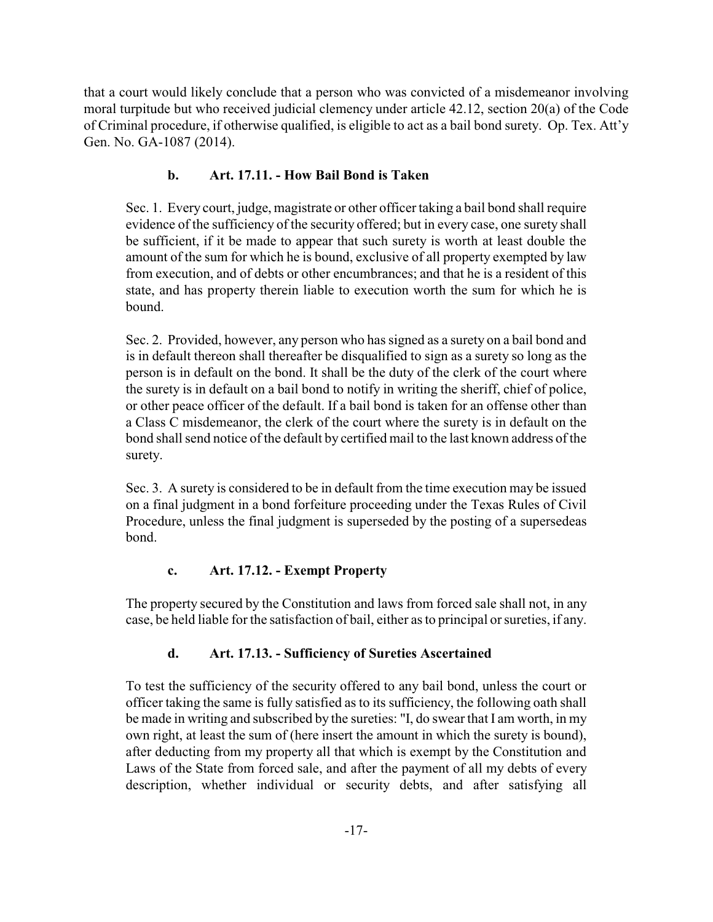that a court would likely conclude that a person who was convicted of a misdemeanor involving moral turpitude but who received judicial clemency under article 42.12, section 20(a) of the Code of Criminal procedure, if otherwise qualified, is eligible to act as a bail bond surety. Op. Tex. Att'y Gen. No. GA-1087 (2014).

# <span id="page-27-0"></span>**b. Art. 17.11. - How Bail Bond is Taken**

Sec. 1. Every court, judge, magistrate or other officer taking a bail bond shall require evidence of the sufficiency of the security offered; but in every case, one surety shall be sufficient, if it be made to appear that such surety is worth at least double the amount of the sum for which he is bound, exclusive of all property exempted by law from execution, and of debts or other encumbrances; and that he is a resident of this state, and has property therein liable to execution worth the sum for which he is bound.

Sec. 2. Provided, however, any person who has signed as a surety on a bail bond and is in default thereon shall thereafter be disqualified to sign as a surety so long as the person is in default on the bond. It shall be the duty of the clerk of the court where the surety is in default on a bail bond to notify in writing the sheriff, chief of police, or other peace officer of the default. If a bail bond is taken for an offense other than a Class C misdemeanor, the clerk of the court where the surety is in default on the bond shall send notice of the default by certified mail to the last known address of the surety.

Sec. 3. A surety is considered to be in default from the time execution may be issued on a final judgment in a bond forfeiture proceeding under the Texas Rules of Civil Procedure, unless the final judgment is superseded by the posting of a supersedeas bond.

# <span id="page-27-1"></span>**c. Art. 17.12. - Exempt Property**

The property secured by the Constitution and laws from forced sale shall not, in any case, be held liable for the satisfaction of bail, either as to principal or sureties, if any.

# <span id="page-27-2"></span>**d. Art. 17.13. - Sufficiency of Sureties Ascertained**

To test the sufficiency of the security offered to any bail bond, unless the court or officer taking the same is fully satisfied as to its sufficiency, the following oath shall be made in writing and subscribed by the sureties: "I, do swear that I am worth, in my own right, at least the sum of (here insert the amount in which the surety is bound), after deducting from my property all that which is exempt by the Constitution and Laws of the State from forced sale, and after the payment of all my debts of every description, whether individual or security debts, and after satisfying all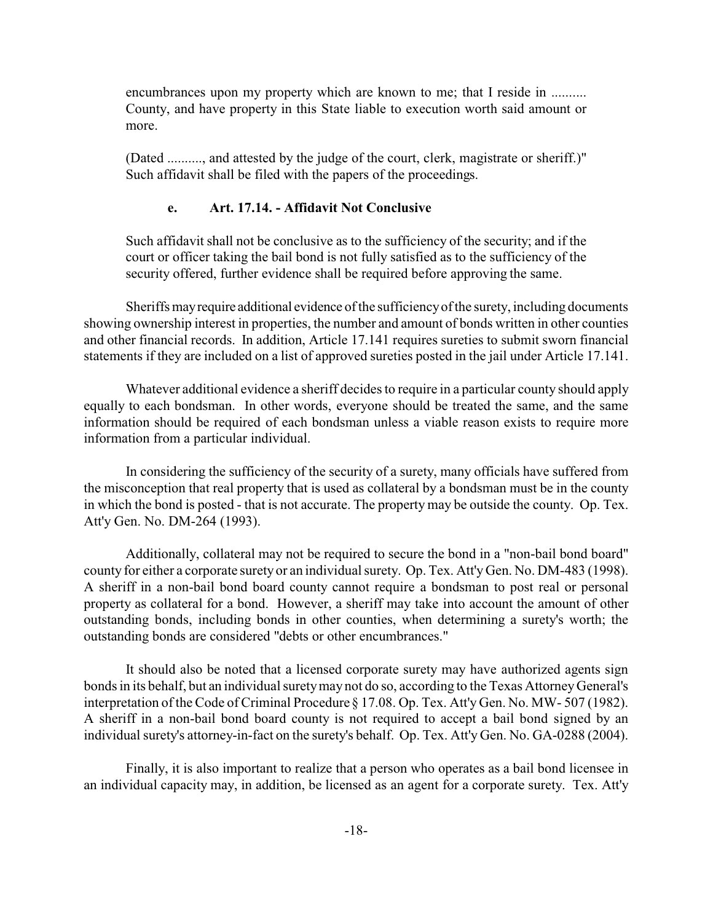encumbrances upon my property which are known to me; that I reside in ......... County, and have property in this State liable to execution worth said amount or more.

(Dated .........., and attested by the judge of the court, clerk, magistrate or sheriff.)" Such affidavit shall be filed with the papers of the proceedings.

#### <span id="page-28-0"></span>**e. Art. 17.14. - Affidavit Not Conclusive**

Such affidavit shall not be conclusive as to the sufficiency of the security; and if the court or officer taking the bail bond is not fully satisfied as to the sufficiency of the security offered, further evidence shall be required before approving the same.

Sheriffs mayrequire additional evidence of the sufficiencyof the surety, including documents showing ownership interest in properties, the number and amount of bonds written in other counties and other financial records. In addition, Article 17.141 requires sureties to submit sworn financial statements if they are included on a list of approved sureties posted in the jail under Article 17.141.

Whatever additional evidence a sheriff decides to require in a particular county should apply equally to each bondsman. In other words, everyone should be treated the same, and the same information should be required of each bondsman unless a viable reason exists to require more information from a particular individual.

In considering the sufficiency of the security of a surety, many officials have suffered from the misconception that real property that is used as collateral by a bondsman must be in the county in which the bond is posted - that is not accurate. The property may be outside the county. Op. Tex. Att'y Gen. No. DM-264 (1993).

Additionally, collateral may not be required to secure the bond in a "non-bail bond board" county for either a corporate surety or an individual surety. Op. Tex. Att'yGen. No. DM-483 (1998). A sheriff in a non-bail bond board county cannot require a bondsman to post real or personal property as collateral for a bond. However, a sheriff may take into account the amount of other outstanding bonds, including bonds in other counties, when determining a surety's worth; the outstanding bonds are considered "debts or other encumbrances."

It should also be noted that a licensed corporate surety may have authorized agents sign bonds in its behalf, but an individual suretymay not do so, according to the Texas AttorneyGeneral's interpretation of the Code of Criminal Procedure§ 17.08. Op. Tex. Att'y Gen. No. MW- 507 (1982). A sheriff in a non-bail bond board county is not required to accept a bail bond signed by an individual surety's attorney-in-fact on the surety's behalf. Op. Tex. Att'y Gen. No. GA-0288 (2004).

Finally, it is also important to realize that a person who operates as a bail bond licensee in an individual capacity may, in addition, be licensed as an agent for a corporate surety. Tex. Att'y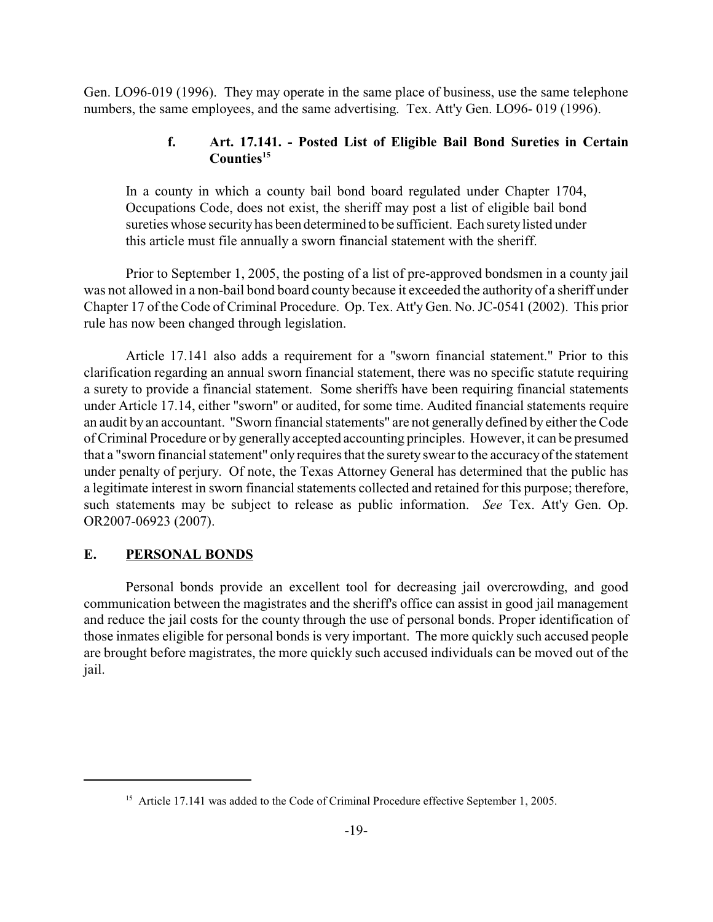Gen. LO96-019 (1996). They may operate in the same place of business, use the same telephone numbers, the same employees, and the same advertising. Tex. Att'y Gen. LO96- 019 (1996).

# <span id="page-29-0"></span>**f. Art. 17.141. - Posted List of Eligible Bail Bond Sureties in Certain Counties<sup>15</sup>**

In a county in which a county bail bond board regulated under Chapter 1704, Occupations Code, does not exist, the sheriff may post a list of eligible bail bond sureties whose securityhas been determined to be sufficient. Each suretylisted under this article must file annually a sworn financial statement with the sheriff.

Prior to September 1, 2005, the posting of a list of pre-approved bondsmen in a county jail was not allowed in a non-bail bond board county because it exceeded the authority of a sheriff under Chapter 17 of the Code of Criminal Procedure. Op. Tex. Att'y Gen. No. JC-0541 (2002). This prior rule has now been changed through legislation.

Article 17.141 also adds a requirement for a "sworn financial statement." Prior to this clarification regarding an annual sworn financial statement, there was no specific statute requiring a surety to provide a financial statement. Some sheriffs have been requiring financial statements under Article 17.14, either "sworn" or audited, for some time. Audited financial statements require an audit by an accountant. "Sworn financial statements" are not generally defined by either the Code of Criminal Procedure or by generally accepted accounting principles. However, it can be presumed that a "sworn financial statement" only requires that the surety swear to the accuracyof the statement under penalty of perjury. Of note, the Texas Attorney General has determined that the public has a legitimate interest in sworn financial statements collected and retained for this purpose; therefore, such statements may be subject to release as public information. *See* Tex. Att'y Gen. Op. OR2007-06923 (2007).

# <span id="page-29-1"></span>**E. PERSONAL BONDS**

Personal bonds provide an excellent tool for decreasing jail overcrowding, and good communication between the magistrates and the sheriff's office can assist in good jail management and reduce the jail costs for the county through the use of personal bonds. Proper identification of those inmates eligible for personal bonds is very important. The more quickly such accused people are brought before magistrates, the more quickly such accused individuals can be moved out of the jail.

<sup>&</sup>lt;sup>15</sup> Article 17.141 was added to the Code of Criminal Procedure effective September 1, 2005.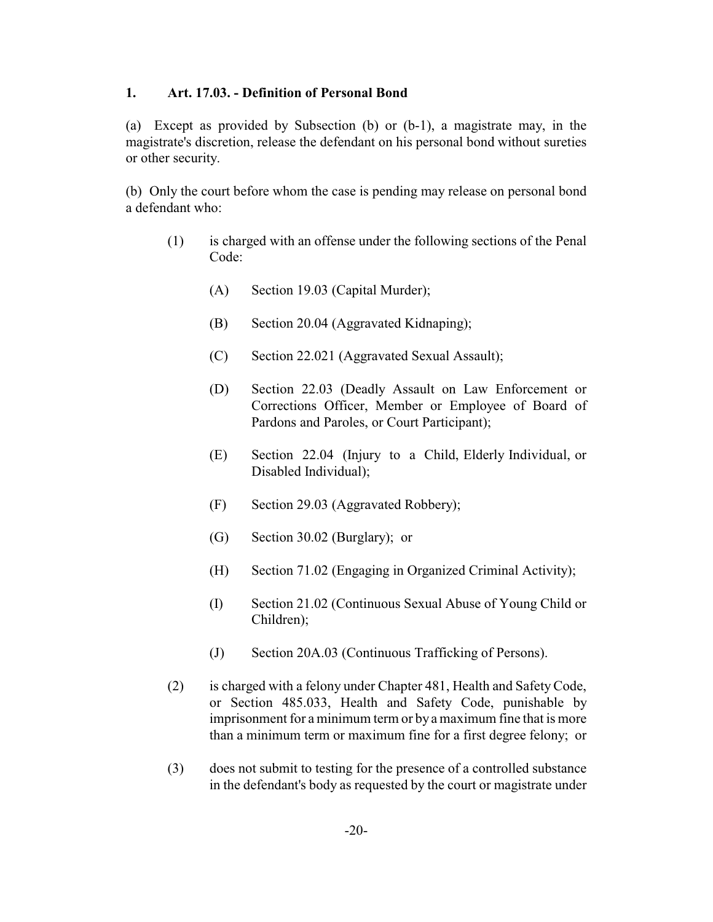#### <span id="page-30-0"></span>**1. Art. 17.03. - Definition of Personal Bond**

(a) Except as provided by Subsection (b) or (b-1), a magistrate may, in the magistrate's discretion, release the defendant on his personal bond without sureties or other security.

(b) Only the court before whom the case is pending may release on personal bond a defendant who:

- (1) is charged with an offense under the following sections of the Penal Code:
	- (A) Section 19.03 (Capital Murder);
	- (B) Section 20.04 (Aggravated Kidnaping);
	- (C) Section 22.021 (Aggravated Sexual Assault);
	- (D) Section 22.03 (Deadly Assault on Law Enforcement or Corrections Officer, Member or Employee of Board of Pardons and Paroles, or Court Participant);
	- (E) Section 22.04 (Injury to a Child, Elderly Individual, or Disabled Individual);
	- (F) Section 29.03 (Aggravated Robbery);
	- (G) Section 30.02 (Burglary); or
	- (H) Section 71.02 (Engaging in Organized Criminal Activity);
	- (I) Section 21.02 (Continuous Sexual Abuse of Young Child or Children);
	- (J) Section 20A.03 (Continuous Trafficking of Persons).
- (2) is charged with a felony under Chapter 481, Health and SafetyCode, or Section 485.033, Health and Safety Code, punishable by imprisonment for a minimum term or by a maximum fine that is more than a minimum term or maximum fine for a first degree felony; or
- (3) does not submit to testing for the presence of a controlled substance in the defendant's body as requested by the court or magistrate under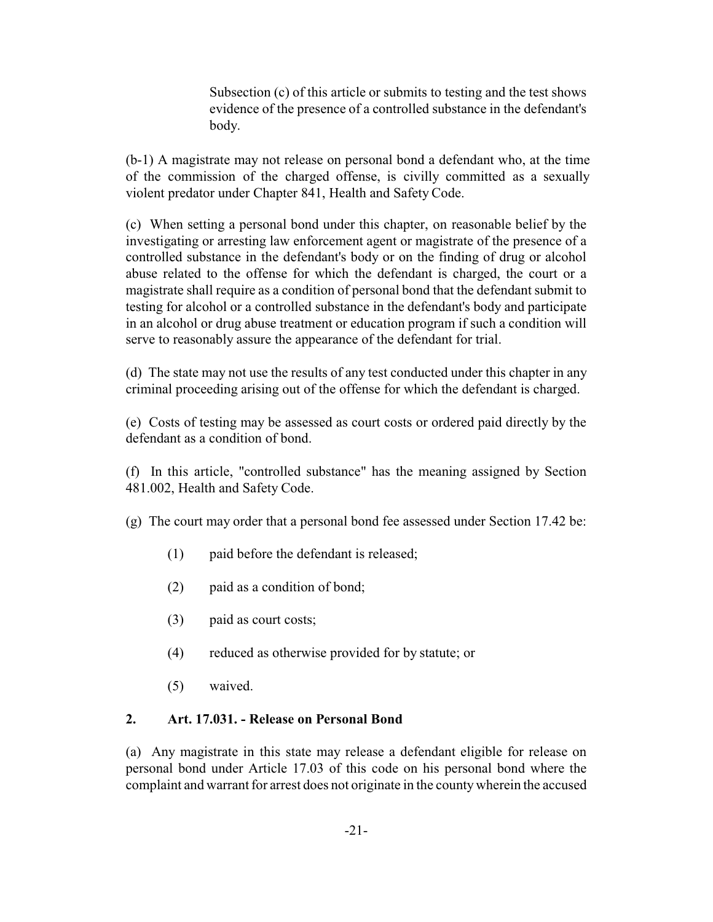Subsection (c) of this article or submits to testing and the test shows evidence of the presence of a controlled substance in the defendant's body.

(b-1) A magistrate may not release on personal bond a defendant who, at the time of the commission of the charged offense, is civilly committed as a sexually violent predator under Chapter 841, Health and Safety Code.

(c) When setting a personal bond under this chapter, on reasonable belief by the investigating or arresting law enforcement agent or magistrate of the presence of a controlled substance in the defendant's body or on the finding of drug or alcohol abuse related to the offense for which the defendant is charged, the court or a magistrate shall require as a condition of personal bond that the defendant submit to testing for alcohol or a controlled substance in the defendant's body and participate in an alcohol or drug abuse treatment or education program if such a condition will serve to reasonably assure the appearance of the defendant for trial.

(d) The state may not use the results of any test conducted under this chapter in any criminal proceeding arising out of the offense for which the defendant is charged.

(e) Costs of testing may be assessed as court costs or ordered paid directly by the defendant as a condition of bond.

(f) In this article, "controlled substance" has the meaning assigned by Section 481.002, Health and Safety Code.

(g) The court may order that a personal bond fee assessed under Section 17.42 be:

- (1) paid before the defendant is released;
- (2) paid as a condition of bond;
- (3) paid as court costs;
- (4) reduced as otherwise provided for by statute; or
- (5) waived.

# <span id="page-31-0"></span>**2. Art. 17.031. - Release on Personal Bond**

(a) Any magistrate in this state may release a defendant eligible for release on personal bond under Article 17.03 of this code on his personal bond where the complaint and warrant for arrest does not originate in the county wherein the accused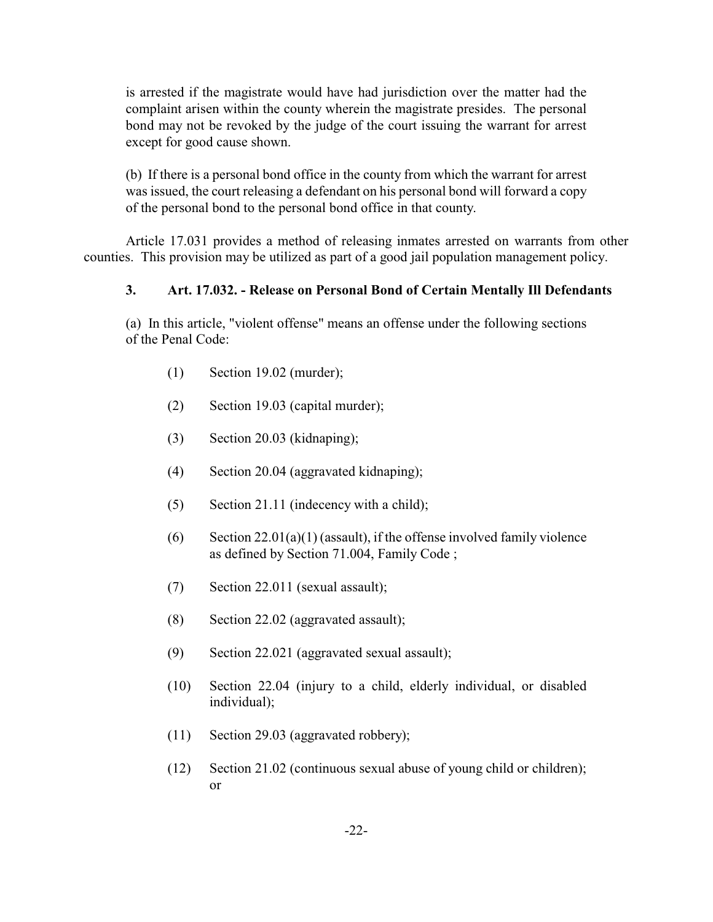is arrested if the magistrate would have had jurisdiction over the matter had the complaint arisen within the county wherein the magistrate presides. The personal bond may not be revoked by the judge of the court issuing the warrant for arrest except for good cause shown.

(b) If there is a personal bond office in the county from which the warrant for arrest was issued, the court releasing a defendant on his personal bond will forward a copy of the personal bond to the personal bond office in that county.

Article 17.031 provides a method of releasing inmates arrested on warrants from other counties. This provision may be utilized as part of a good jail population management policy.

### <span id="page-32-0"></span>**3. Art. 17.032. - Release on Personal Bond of Certain Mentally Ill Defendants**

(a) In this article, "violent offense" means an offense under the following sections of the Penal Code:

- (1) Section 19.02 (murder);
- (2) Section 19.03 (capital murder);
- (3) Section 20.03 (kidnaping);
- (4) Section 20.04 (aggravated kidnaping);
- (5) Section 21.11 (indecency with a child);
- (6) Section  $22.01(a)(1)$  (assault), if the offense involved family violence as defined by Section 71.004, Family Code ;
- (7) Section 22.011 (sexual assault);
- (8) Section 22.02 (aggravated assault);
- (9) Section 22.021 (aggravated sexual assault);
- (10) Section 22.04 (injury to a child, elderly individual, or disabled individual);
- (11) Section 29.03 (aggravated robbery);
- (12) Section 21.02 (continuous sexual abuse of young child or children); or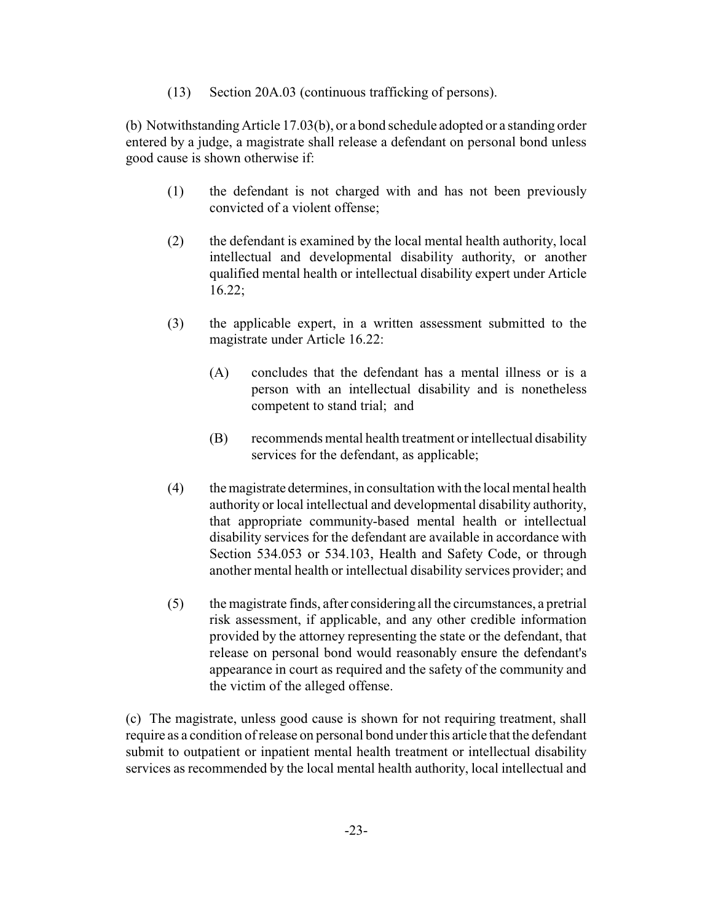(13) Section 20A.03 (continuous trafficking of persons).

(b) Notwithstanding Article 17.03(b), or a bond schedule adopted or a standing order entered by a judge, a magistrate shall release a defendant on personal bond unless good cause is shown otherwise if:

- (1) the defendant is not charged with and has not been previously convicted of a violent offense;
- (2) the defendant is examined by the local mental health authority, local intellectual and developmental disability authority, or another qualified mental health or intellectual disability expert under Article 16.22;
- (3) the applicable expert, in a written assessment submitted to the magistrate under Article 16.22:
	- (A) concludes that the defendant has a mental illness or is a person with an intellectual disability and is nonetheless competent to stand trial; and
	- (B) recommends mental health treatment or intellectual disability services for the defendant, as applicable;
- (4) the magistrate determines, in consultation with the local mental health authority or local intellectual and developmental disability authority, that appropriate community-based mental health or intellectual disability services for the defendant are available in accordance with Section 534.053 or 534.103, Health and Safety Code, or through another mental health or intellectual disability services provider; and
- (5) the magistrate finds, after considering all the circumstances, a pretrial risk assessment, if applicable, and any other credible information provided by the attorney representing the state or the defendant, that release on personal bond would reasonably ensure the defendant's appearance in court as required and the safety of the community and the victim of the alleged offense.

(c) The magistrate, unless good cause is shown for not requiring treatment, shall require as a condition of release on personal bond under this article that the defendant submit to outpatient or inpatient mental health treatment or intellectual disability services as recommended by the local mental health authority, local intellectual and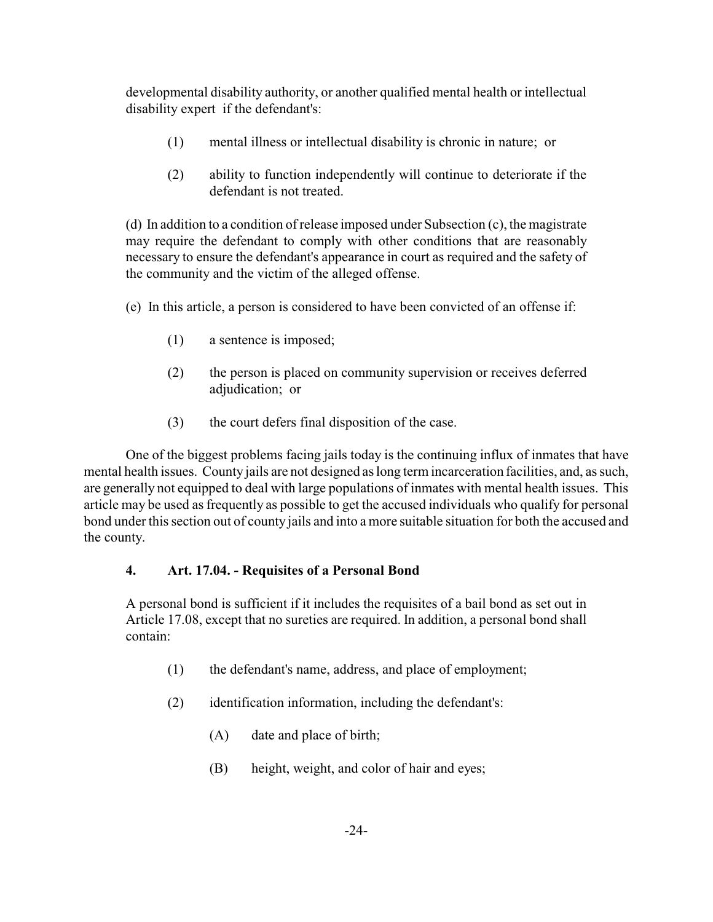developmental disability authority, or another qualified mental health or intellectual disability expert if the defendant's:

- (1) mental illness or intellectual disability is chronic in nature; or
- (2) ability to function independently will continue to deteriorate if the defendant is not treated.

(d) In addition to a condition of release imposed under Subsection (c), the magistrate may require the defendant to comply with other conditions that are reasonably necessary to ensure the defendant's appearance in court as required and the safety of the community and the victim of the alleged offense.

- (e) In this article, a person is considered to have been convicted of an offense if:
	- (1) a sentence is imposed;
	- (2) the person is placed on community supervision or receives deferred adjudication; or
	- (3) the court defers final disposition of the case.

One of the biggest problems facing jails today is the continuing influx of inmates that have mental health issues. County jails are not designed as long term incarceration facilities, and, as such, are generally not equipped to deal with large populations of inmates with mental health issues. This article may be used as frequently as possible to get the accused individuals who qualify for personal bond under this section out of county jails and into a more suitable situation for both the accused and the county.

# <span id="page-34-0"></span>**4. Art. 17.04. - Requisites of a Personal Bond**

A personal bond is sufficient if it includes the requisites of a bail bond as set out in Article 17.08, except that no sureties are required. In addition, a personal bond shall contain:

- (1) the defendant's name, address, and place of employment;
- (2) identification information, including the defendant's:
	- (A) date and place of birth;
	- (B) height, weight, and color of hair and eyes;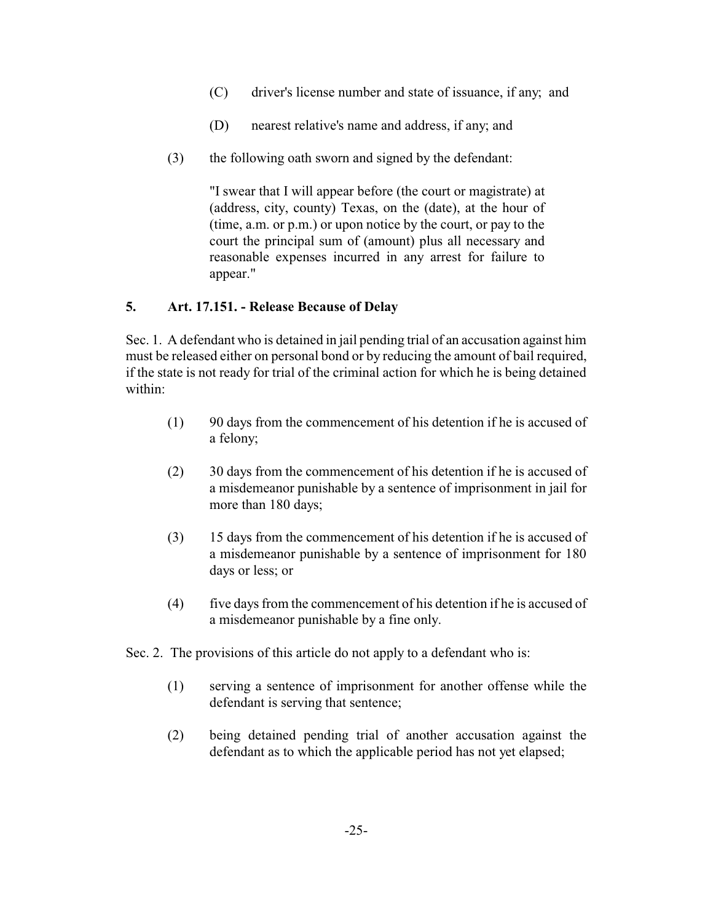- (C) driver's license number and state of issuance, if any; and
- (D) nearest relative's name and address, if any; and
- (3) the following oath sworn and signed by the defendant:

"I swear that I will appear before (the court or magistrate) at (address, city, county) Texas, on the (date), at the hour of (time, a.m. or p.m.) or upon notice by the court, or pay to the court the principal sum of (amount) plus all necessary and reasonable expenses incurred in any arrest for failure to appear."

#### <span id="page-35-0"></span>**5. Art. 17.151. - Release Because of Delay**

Sec. 1. A defendant who is detained in jail pending trial of an accusation against him must be released either on personal bond or by reducing the amount of bail required, if the state is not ready for trial of the criminal action for which he is being detained within:

- (1) 90 days from the commencement of his detention if he is accused of a felony;
- (2) 30 days from the commencement of his detention if he is accused of a misdemeanor punishable by a sentence of imprisonment in jail for more than 180 days;
- (3) 15 days from the commencement of his detention if he is accused of a misdemeanor punishable by a sentence of imprisonment for 180 days or less; or
- (4) five days from the commencement of his detention if he is accused of a misdemeanor punishable by a fine only.
- Sec. 2. The provisions of this article do not apply to a defendant who is:
	- (1) serving a sentence of imprisonment for another offense while the defendant is serving that sentence;
	- (2) being detained pending trial of another accusation against the defendant as to which the applicable period has not yet elapsed;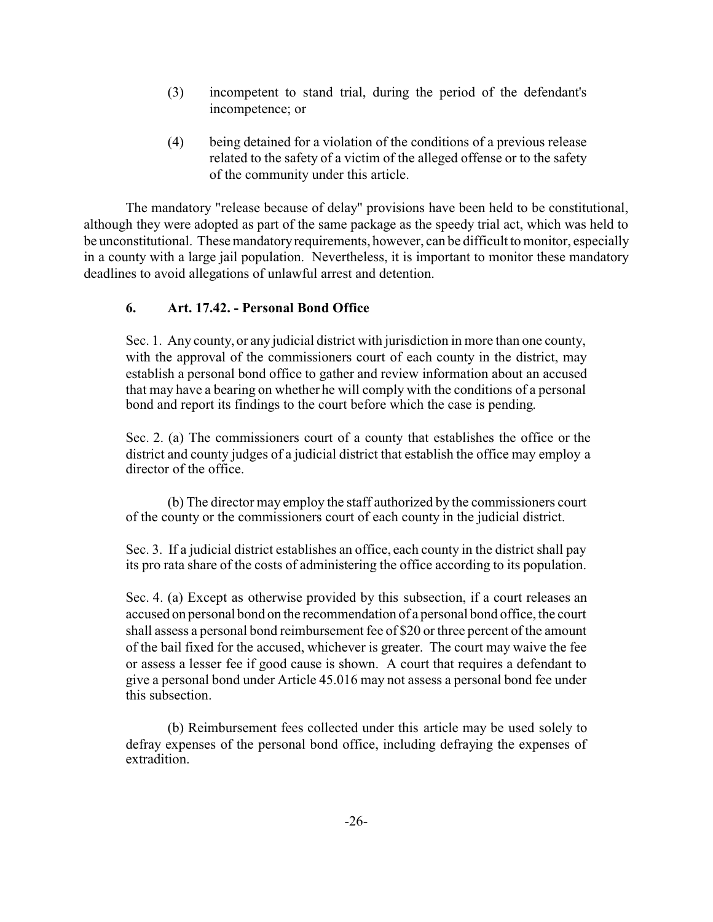- (3) incompetent to stand trial, during the period of the defendant's incompetence; or
- (4) being detained for a violation of the conditions of a previous release related to the safety of a victim of the alleged offense or to the safety of the community under this article.

The mandatory "release because of delay" provisions have been held to be constitutional, although they were adopted as part of the same package as the speedy trial act, which was held to be unconstitutional. These mandatory requirements, however, can be difficult to monitor, especially in a county with a large jail population. Nevertheless, it is important to monitor these mandatory deadlines to avoid allegations of unlawful arrest and detention.

#### **6. Art. 17.42. - Personal Bond Office**

Sec. 1. Any county, or any judicial district with jurisdiction in more than one county, with the approval of the commissioners court of each county in the district, may establish a personal bond office to gather and review information about an accused that may have a bearing on whether he will comply with the conditions of a personal bond and report its findings to the court before which the case is pending.

Sec. 2. (a) The commissioners court of a county that establishes the office or the district and county judges of a judicial district that establish the office may employ a director of the office.

(b) The director may employ the staff authorized by the commissioners court of the county or the commissioners court of each county in the judicial district.

Sec. 3. If a judicial district establishes an office, each county in the district shall pay its pro rata share of the costs of administering the office according to its population.

Sec. 4. (a) Except as otherwise provided by this subsection, if a court releases an accused on personal bond on the recommendation of a personal bond office, the court shall assess a personal bond reimbursement fee of \$20 or three percent of the amount of the bail fixed for the accused, whichever is greater. The court may waive the fee or assess a lesser fee if good cause is shown. A court that requires a defendant to give a personal bond under Article 45.016 may not assess a personal bond fee under this subsection.

(b) Reimbursement fees collected under this article may be used solely to defray expenses of the personal bond office, including defraying the expenses of extradition.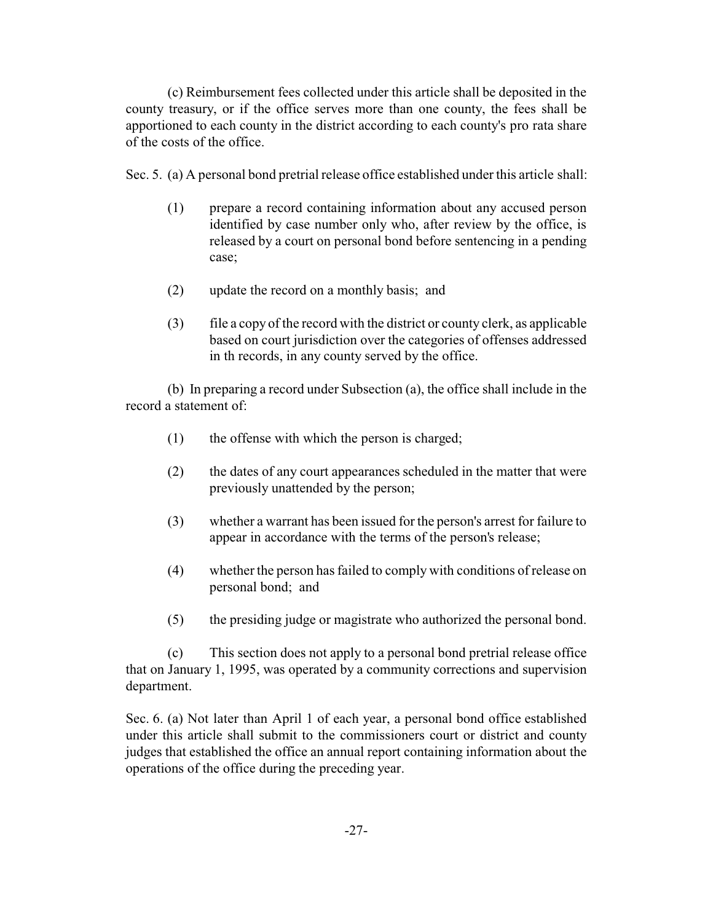(c) Reimbursement fees collected under this article shall be deposited in the county treasury, or if the office serves more than one county, the fees shall be apportioned to each county in the district according to each county's pro rata share of the costs of the office.

Sec. 5. (a) A personal bond pretrial release office established under this article shall:

- (1) prepare a record containing information about any accused person identified by case number only who, after review by the office, is released by a court on personal bond before sentencing in a pending case;
- (2) update the record on a monthly basis; and
- (3) file a copy of the record with the district or county clerk, as applicable based on court jurisdiction over the categories of offenses addressed in th records, in any county served by the office.

(b) In preparing a record under Subsection (a), the office shall include in the record a statement of:

- (1) the offense with which the person is charged;
- (2) the dates of any court appearances scheduled in the matter that were previously unattended by the person;
- (3) whether a warrant has been issued for the person's arrest for failure to appear in accordance with the terms of the person's release;
- (4) whether the person has failed to comply with conditions of release on personal bond; and
- (5) the presiding judge or magistrate who authorized the personal bond.

(c) This section does not apply to a personal bond pretrial release office that on January 1, 1995, was operated by a community corrections and supervision department.

Sec. 6. (a) Not later than April 1 of each year, a personal bond office established under this article shall submit to the commissioners court or district and county judges that established the office an annual report containing information about the operations of the office during the preceding year.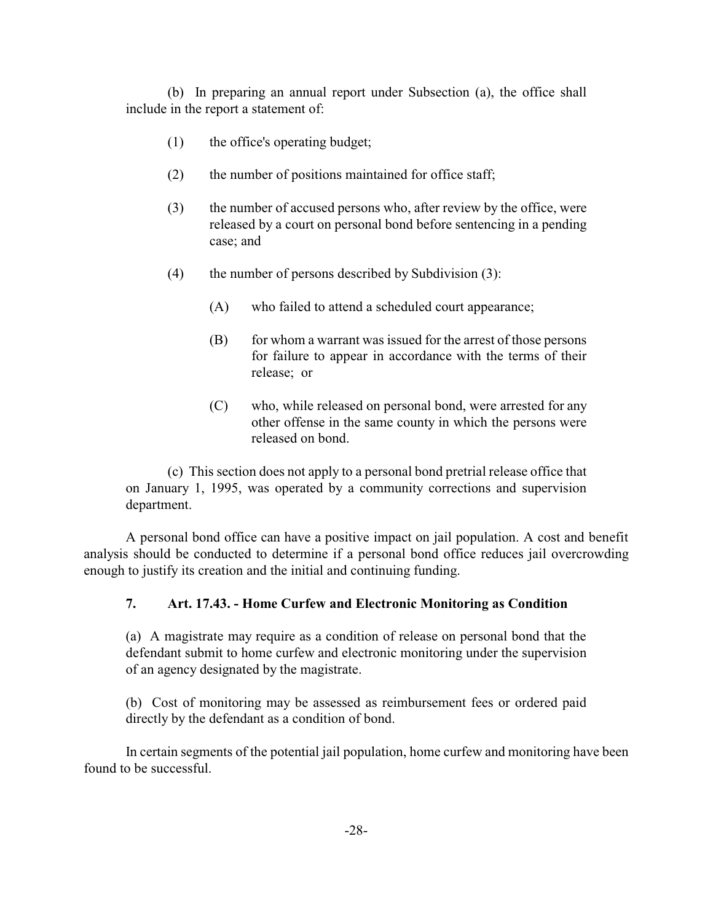(b) In preparing an annual report under Subsection (a), the office shall include in the report a statement of:

- (1) the office's operating budget;
- (2) the number of positions maintained for office staff;
- (3) the number of accused persons who, after review by the office, were released by a court on personal bond before sentencing in a pending case; and
- (4) the number of persons described by Subdivision (3):
	- (A) who failed to attend a scheduled court appearance;
	- (B) for whom a warrant was issued for the arrest of those persons for failure to appear in accordance with the terms of their release; or
	- (C) who, while released on personal bond, were arrested for any other offense in the same county in which the persons were released on bond.

(c) This section does not apply to a personal bond pretrial release office that on January 1, 1995, was operated by a community corrections and supervision department.

A personal bond office can have a positive impact on jail population. A cost and benefit analysis should be conducted to determine if a personal bond office reduces jail overcrowding enough to justify its creation and the initial and continuing funding.

### **7. Art. 17.43. - Home Curfew and Electronic Monitoring as Condition**

(a) A magistrate may require as a condition of release on personal bond that the defendant submit to home curfew and electronic monitoring under the supervision of an agency designated by the magistrate.

(b) Cost of monitoring may be assessed as reimbursement fees or ordered paid directly by the defendant as a condition of bond.

In certain segments of the potential jail population, home curfew and monitoring have been found to be successful.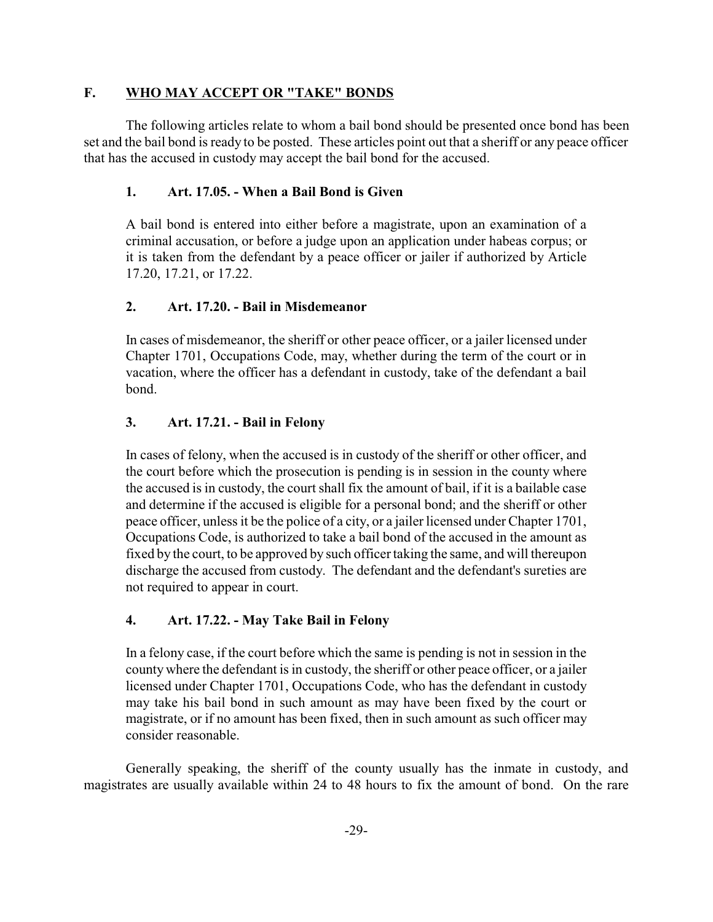#### **F. WHO MAY ACCEPT OR "TAKE" BONDS**

The following articles relate to whom a bail bond should be presented once bond has been set and the bail bond is ready to be posted. These articles point out that a sheriff or any peace officer that has the accused in custody may accept the bail bond for the accused.

### **1. Art. 17.05. - When a Bail Bond is Given**

A bail bond is entered into either before a magistrate, upon an examination of a criminal accusation, or before a judge upon an application under habeas corpus; or it is taken from the defendant by a peace officer or jailer if authorized by Article 17.20, 17.21, or 17.22.

# **2. Art. 17.20. - Bail in Misdemeanor**

In cases of misdemeanor, the sheriff or other peace officer, or a jailer licensed under Chapter 1701, Occupations Code, may, whether during the term of the court or in vacation, where the officer has a defendant in custody, take of the defendant a bail bond.

# **3. Art. 17.21. - Bail in Felony**

In cases of felony, when the accused is in custody of the sheriff or other officer, and the court before which the prosecution is pending is in session in the county where the accused is in custody, the court shall fix the amount of bail, if it is a bailable case and determine if the accused is eligible for a personal bond; and the sheriff or other peace officer, unless it be the police of a city, or a jailer licensed under Chapter 1701, Occupations Code, is authorized to take a bail bond of the accused in the amount as fixed by the court, to be approved by such officer taking the same, and will thereupon discharge the accused from custody. The defendant and the defendant's sureties are not required to appear in court.

# **4. Art. 17.22. - May Take Bail in Felony**

In a felony case, if the court before which the same is pending is not in session in the county where the defendant is in custody, the sheriff or other peace officer, or a jailer licensed under Chapter 1701, Occupations Code, who has the defendant in custody may take his bail bond in such amount as may have been fixed by the court or magistrate, or if no amount has been fixed, then in such amount as such officer may consider reasonable.

Generally speaking, the sheriff of the county usually has the inmate in custody, and magistrates are usually available within 24 to 48 hours to fix the amount of bond. On the rare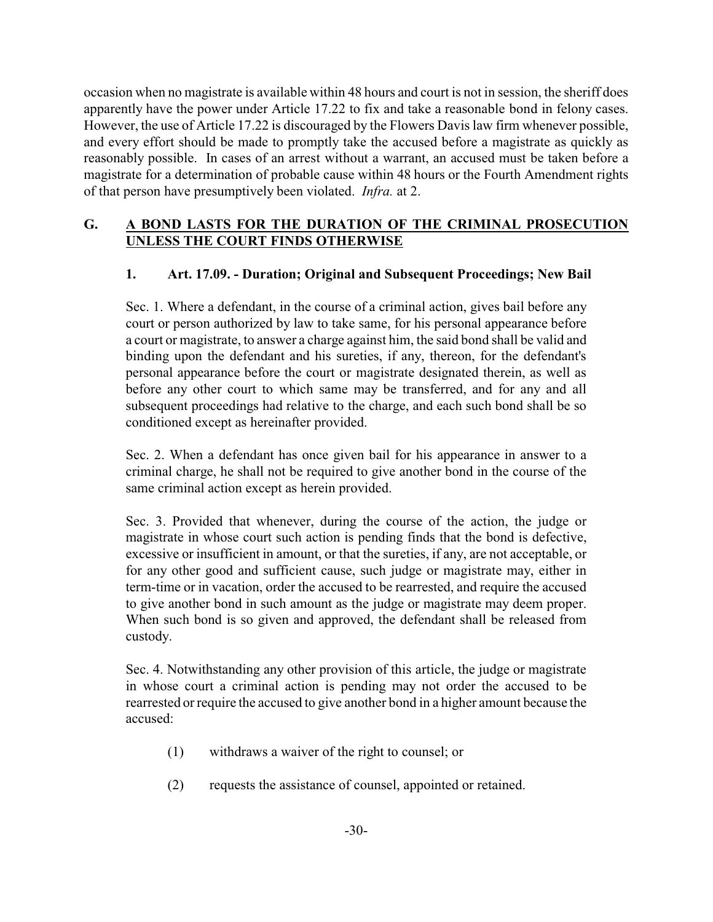occasion when no magistrate is available within 48 hours and court is not in session, the sheriff does apparently have the power under Article 17.22 to fix and take a reasonable bond in felony cases. However, the use of Article 17.22 is discouraged by the Flowers Davis law firm whenever possible, and every effort should be made to promptly take the accused before a magistrate as quickly as reasonably possible. In cases of an arrest without a warrant, an accused must be taken before a magistrate for a determination of probable cause within 48 hours or the Fourth Amendment rights of that person have presumptively been violated. *Infra.* at 2.

# **G. A BOND LASTS FOR THE DURATION OF THE CRIMINAL PROSECUTION UNLESS THE COURT FINDS OTHERWISE**

# **1. Art. 17.09. - Duration; Original and Subsequent Proceedings; New Bail**

Sec. 1. Where a defendant, in the course of a criminal action, gives bail before any court or person authorized by law to take same, for his personal appearance before a court or magistrate, to answer a charge against him, the said bond shall be valid and binding upon the defendant and his sureties, if any, thereon, for the defendant's personal appearance before the court or magistrate designated therein, as well as before any other court to which same may be transferred, and for any and all subsequent proceedings had relative to the charge, and each such bond shall be so conditioned except as hereinafter provided.

Sec. 2. When a defendant has once given bail for his appearance in answer to a criminal charge, he shall not be required to give another bond in the course of the same criminal action except as herein provided.

Sec. 3. Provided that whenever, during the course of the action, the judge or magistrate in whose court such action is pending finds that the bond is defective, excessive or insufficient in amount, or that the sureties, if any, are not acceptable, or for any other good and sufficient cause, such judge or magistrate may, either in term-time or in vacation, order the accused to be rearrested, and require the accused to give another bond in such amount as the judge or magistrate may deem proper. When such bond is so given and approved, the defendant shall be released from custody.

Sec. 4. Notwithstanding any other provision of this article, the judge or magistrate in whose court a criminal action is pending may not order the accused to be rearrested or require the accused to give another bond in a higher amount because the accused:

- (1) withdraws a waiver of the right to counsel; or
- (2) requests the assistance of counsel, appointed or retained.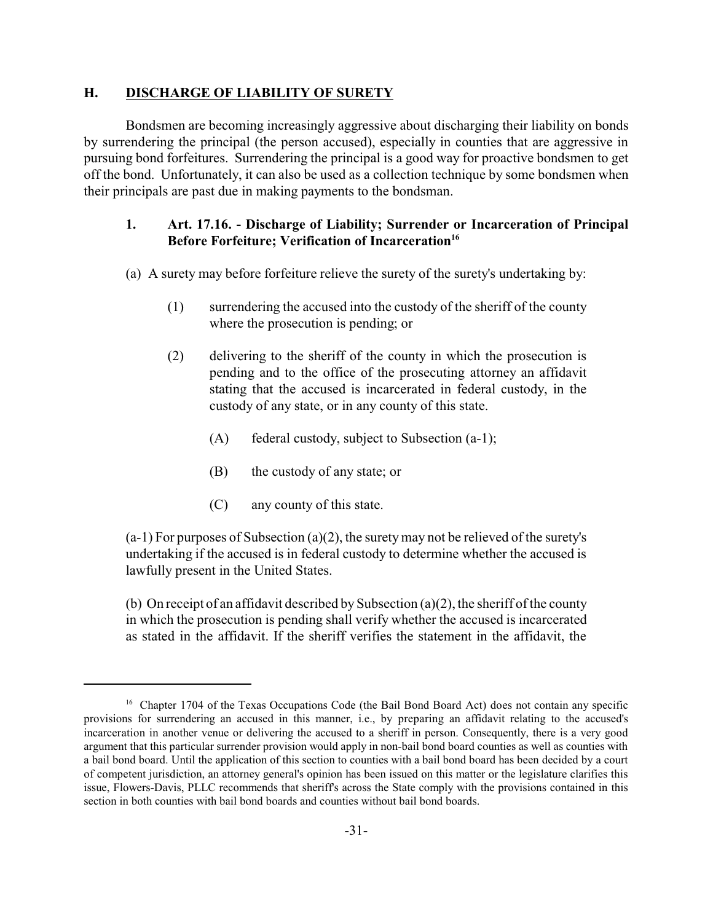#### **H. DISCHARGE OF LIABILITY OF SURETY**

Bondsmen are becoming increasingly aggressive about discharging their liability on bonds by surrendering the principal (the person accused), especially in counties that are aggressive in pursuing bond forfeitures. Surrendering the principal is a good way for proactive bondsmen to get off the bond. Unfortunately, it can also be used as a collection technique by some bondsmen when their principals are past due in making payments to the bondsman.

#### **1. Art. 17.16. - Discharge of Liability; Surrender or Incarceration of Principal Before Forfeiture; Verification of Incarceration<sup>16</sup>**

- (a) A surety may before forfeiture relieve the surety of the surety's undertaking by:
	- (1) surrendering the accused into the custody of the sheriff of the county where the prosecution is pending; or
	- (2) delivering to the sheriff of the county in which the prosecution is pending and to the office of the prosecuting attorney an affidavit stating that the accused is incarcerated in federal custody, in the custody of any state, or in any county of this state.
		- (A) federal custody, subject to Subsection (a-1);
		- (B) the custody of any state; or
		- (C) any county of this state.

(a-1) For purposes of Subsection (a)(2), the surety may not be relieved of the surety's undertaking if the accused is in federal custody to determine whether the accused is lawfully present in the United States.

(b) On receipt of an affidavit described by Subsection (a)(2), the sheriff of the county in which the prosecution is pending shall verify whether the accused is incarcerated as stated in the affidavit. If the sheriff verifies the statement in the affidavit, the

<sup>&</sup>lt;sup>16</sup> Chapter 1704 of the Texas Occupations Code (the Bail Bond Board Act) does not contain any specific provisions for surrendering an accused in this manner, i.e., by preparing an affidavit relating to the accused's incarceration in another venue or delivering the accused to a sheriff in person. Consequently, there is a very good argument that this particular surrender provision would apply in non-bail bond board counties as well as counties with a bail bond board. Until the application of this section to counties with a bail bond board has been decided by a court of competent jurisdiction, an attorney general's opinion has been issued on this matter or the legislature clarifies this issue, Flowers-Davis, PLLC recommends that sheriff's across the State comply with the provisions contained in this section in both counties with bail bond boards and counties without bail bond boards.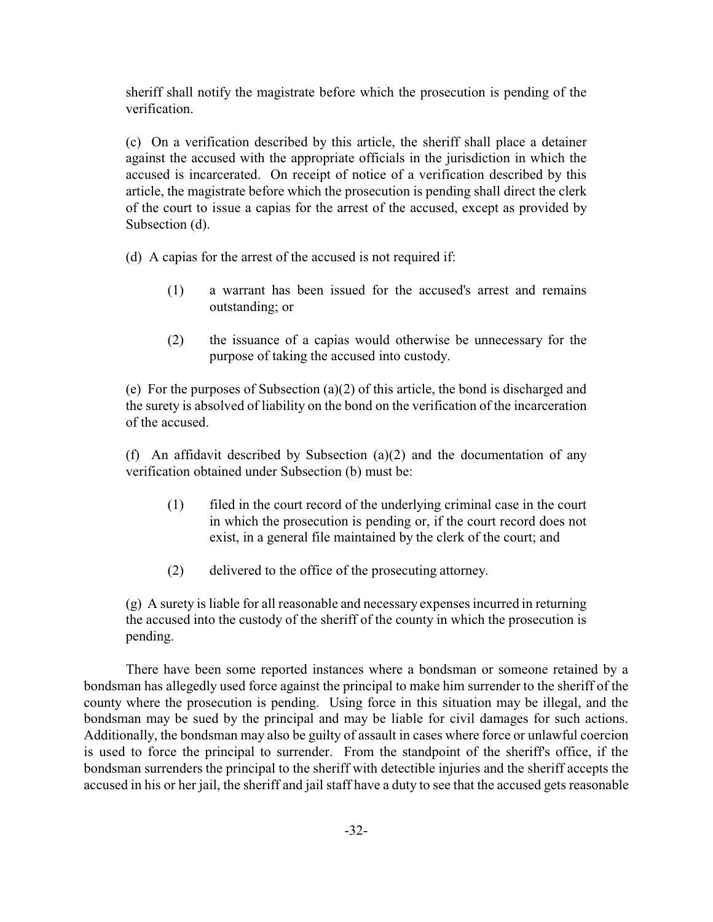sheriff shall notify the magistrate before which the prosecution is pending of the verification.

(c) On a verification described by this article, the sheriff shall place a detainer against the accused with the appropriate officials in the jurisdiction in which the accused is incarcerated. On receipt of notice of a verification described by this article, the magistrate before which the prosecution is pending shall direct the clerk of the court to issue a capias for the arrest of the accused, except as provided by Subsection (d).

(d) A capias for the arrest of the accused is not required if:

- (1) a warrant has been issued for the accused's arrest and remains outstanding; or
- (2) the issuance of a capias would otherwise be unnecessary for the purpose of taking the accused into custody.

(e) For the purposes of Subsection (a)(2) of this article, the bond is discharged and the surety is absolved of liability on the bond on the verification of the incarceration of the accused.

(f) An affidavit described by Subsection (a)(2) and the documentation of any verification obtained under Subsection (b) must be:

- (1) filed in the court record of the underlying criminal case in the court in which the prosecution is pending or, if the court record does not exist, in a general file maintained by the clerk of the court; and
- (2) delivered to the office of the prosecuting attorney.

(g) A surety is liable for all reasonable and necessary expenses incurred in returning the accused into the custody of the sheriff of the county in which the prosecution is pending.

There have been some reported instances where a bondsman or someone retained by a bondsman has allegedly used force against the principal to make him surrender to the sheriff of the county where the prosecution is pending. Using force in this situation may be illegal, and the bondsman may be sued by the principal and may be liable for civil damages for such actions. Additionally, the bondsman may also be guilty of assault in cases where force or unlawful coercion is used to force the principal to surrender. From the standpoint of the sheriff's office, if the bondsman surrenders the principal to the sheriff with detectible injuries and the sheriff accepts the accused in his or her jail, the sheriff and jail staff have a duty to see that the accused gets reasonable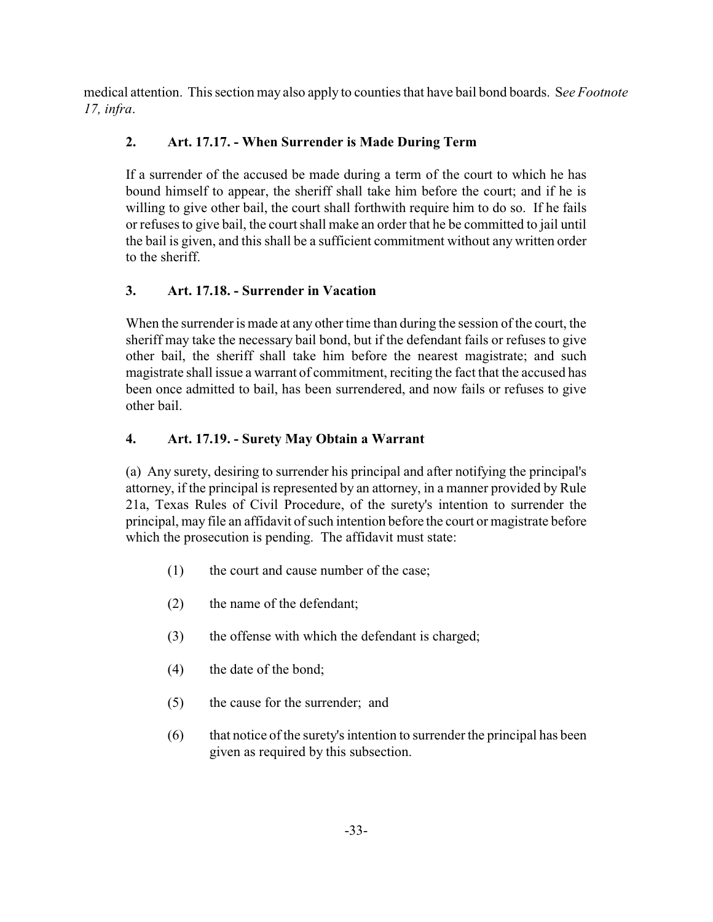medical attention. This section may also apply to counties that have bail bond boards. S*ee Footnote 17, infra*.

# **2. Art. 17.17. - When Surrender is Made During Term**

If a surrender of the accused be made during a term of the court to which he has bound himself to appear, the sheriff shall take him before the court; and if he is willing to give other bail, the court shall forthwith require him to do so. If he fails or refuses to give bail, the court shall make an order that he be committed to jail until the bail is given, and this shall be a sufficient commitment without any written order to the sheriff.

# **3. Art. 17.18. - Surrender in Vacation**

When the surrender is made at any other time than during the session of the court, the sheriff may take the necessary bail bond, but if the defendant fails or refuses to give other bail, the sheriff shall take him before the nearest magistrate; and such magistrate shall issue a warrant of commitment, reciting the fact that the accused has been once admitted to bail, has been surrendered, and now fails or refuses to give other bail.

# **4. Art. 17.19. - Surety May Obtain a Warrant**

(a) Any surety, desiring to surrender his principal and after notifying the principal's attorney, if the principal is represented by an attorney, in a manner provided by Rule 21a, Texas Rules of Civil Procedure, of the surety's intention to surrender the principal, may file an affidavit of such intention before the court or magistrate before which the prosecution is pending. The affidavit must state:

- (1) the court and cause number of the case;
- (2) the name of the defendant;
- (3) the offense with which the defendant is charged;
- (4) the date of the bond;
- (5) the cause for the surrender; and
- (6) that notice of the surety's intention to surrender the principal has been given as required by this subsection.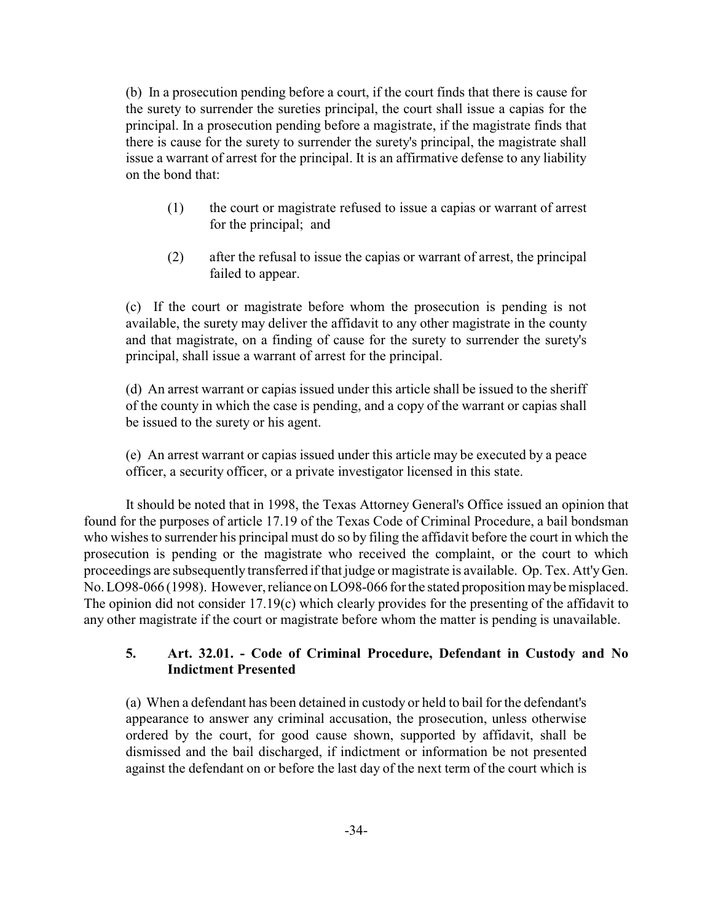(b) In a prosecution pending before a court, if the court finds that there is cause for the surety to surrender the sureties principal, the court shall issue a capias for the principal. In a prosecution pending before a magistrate, if the magistrate finds that there is cause for the surety to surrender the surety's principal, the magistrate shall issue a warrant of arrest for the principal. It is an affirmative defense to any liability on the bond that:

- (1) the court or magistrate refused to issue a capias or warrant of arrest for the principal; and
- (2) after the refusal to issue the capias or warrant of arrest, the principal failed to appear.

(c) If the court or magistrate before whom the prosecution is pending is not available, the surety may deliver the affidavit to any other magistrate in the county and that magistrate, on a finding of cause for the surety to surrender the surety's principal, shall issue a warrant of arrest for the principal.

(d) An arrest warrant or capias issued under this article shall be issued to the sheriff of the county in which the case is pending, and a copy of the warrant or capias shall be issued to the surety or his agent.

(e) An arrest warrant or capias issued under this article may be executed by a peace officer, a security officer, or a private investigator licensed in this state.

It should be noted that in 1998, the Texas Attorney General's Office issued an opinion that found for the purposes of article 17.19 of the Texas Code of Criminal Procedure, a bail bondsman who wishes to surrender his principal must do so by filing the affidavit before the court in which the prosecution is pending or the magistrate who received the complaint, or the court to which proceedings are subsequently transferred if that judge or magistrate is available. Op. Tex. Att'yGen. No. LO98-066 (1998). However, reliance on LO98-066 for the stated proposition maybe misplaced. The opinion did not consider 17.19(c) which clearly provides for the presenting of the affidavit to any other magistrate if the court or magistrate before whom the matter is pending is unavailable.

### **5. Art. 32.01. - Code of Criminal Procedure, Defendant in Custody and No Indictment Presented**

(a) When a defendant has been detained in custody or held to bail for the defendant's appearance to answer any criminal accusation, the prosecution, unless otherwise ordered by the court, for good cause shown, supported by affidavit, shall be dismissed and the bail discharged, if indictment or information be not presented against the defendant on or before the last day of the next term of the court which is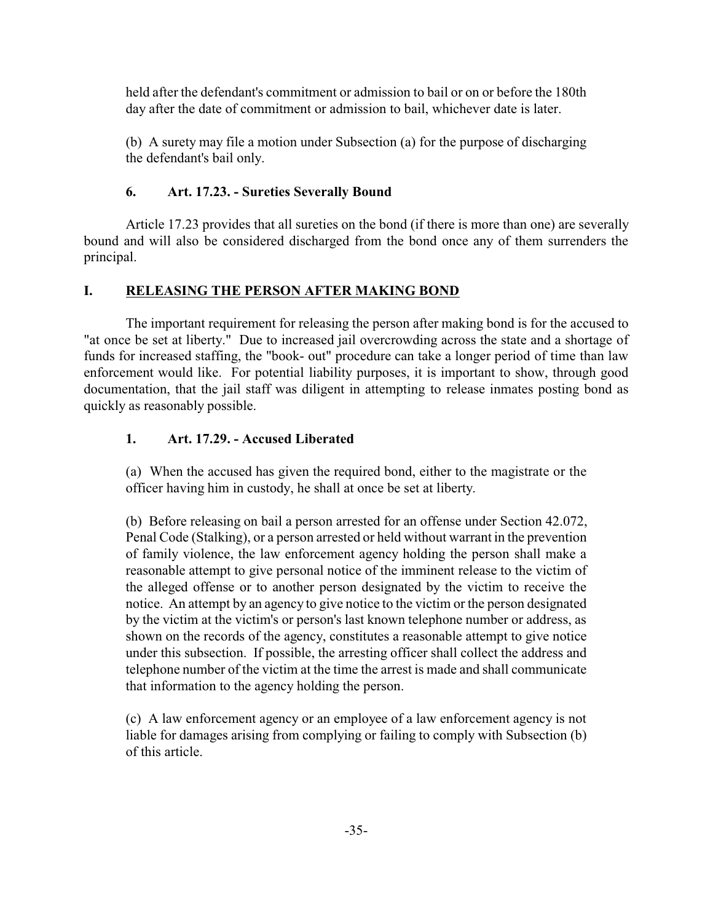held after the defendant's commitment or admission to bail or on or before the 180th day after the date of commitment or admission to bail, whichever date is later.

(b) A surety may file a motion under Subsection (a) for the purpose of discharging the defendant's bail only.

# **6. Art. 17.23. - Sureties Severally Bound**

Article 17.23 provides that all sureties on the bond (if there is more than one) are severally bound and will also be considered discharged from the bond once any of them surrenders the principal.

# **I. RELEASING THE PERSON AFTER MAKING BOND**

The important requirement for releasing the person after making bond is for the accused to "at once be set at liberty." Due to increased jail overcrowding across the state and a shortage of funds for increased staffing, the "book- out" procedure can take a longer period of time than law enforcement would like. For potential liability purposes, it is important to show, through good documentation, that the jail staff was diligent in attempting to release inmates posting bond as quickly as reasonably possible.

# **1. Art. 17.29. - Accused Liberated**

(a) When the accused has given the required bond, either to the magistrate or the officer having him in custody, he shall at once be set at liberty.

(b) Before releasing on bail a person arrested for an offense under Section 42.072, Penal Code (Stalking), or a person arrested or held without warrant in the prevention of family violence, the law enforcement agency holding the person shall make a reasonable attempt to give personal notice of the imminent release to the victim of the alleged offense or to another person designated by the victim to receive the notice. An attempt by an agency to give notice to the victim or the person designated by the victim at the victim's or person's last known telephone number or address, as shown on the records of the agency, constitutes a reasonable attempt to give notice under this subsection. If possible, the arresting officer shall collect the address and telephone number of the victim at the time the arrest is made and shall communicate that information to the agency holding the person.

(c) A law enforcement agency or an employee of a law enforcement agency is not liable for damages arising from complying or failing to comply with Subsection (b) of this article.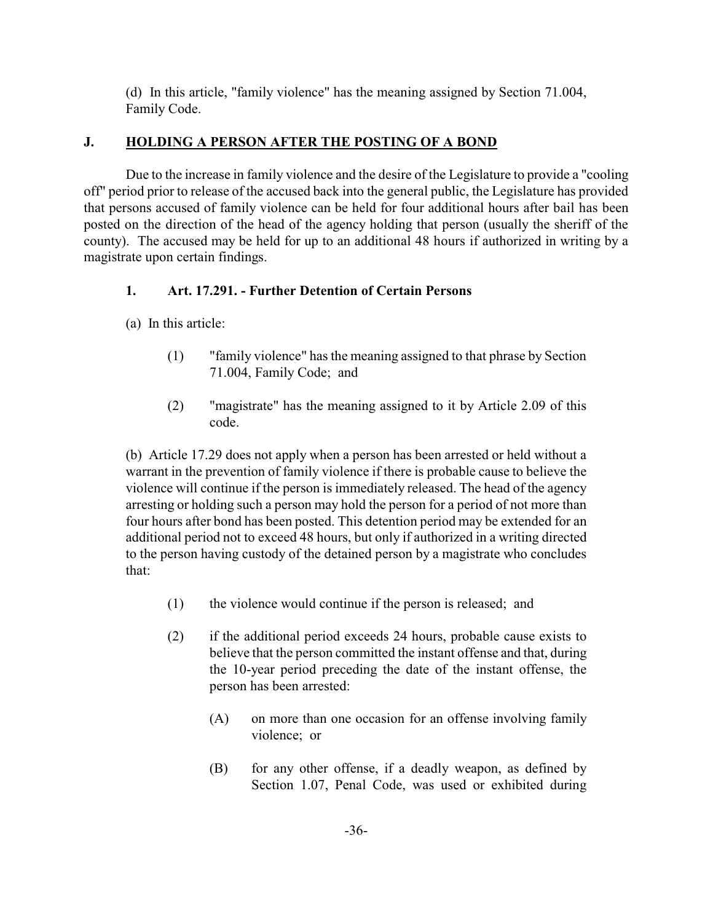(d) In this article, "family violence" has the meaning assigned by Section 71.004, Family Code.

# **J. HOLDING A PERSON AFTER THE POSTING OF A BOND**

Due to the increase in family violence and the desire of the Legislature to provide a "cooling off" period prior to release of the accused back into the general public, the Legislature has provided that persons accused of family violence can be held for four additional hours after bail has been posted on the direction of the head of the agency holding that person (usually the sheriff of the county). The accused may be held for up to an additional 48 hours if authorized in writing by a magistrate upon certain findings.

# **1. Art. 17.291. - Further Detention of Certain Persons**

(a) In this article:

- (1) "family violence" has the meaning assigned to that phrase by Section 71.004, Family Code; and
- (2) "magistrate" has the meaning assigned to it by Article 2.09 of this code.

(b) Article 17.29 does not apply when a person has been arrested or held without a warrant in the prevention of family violence if there is probable cause to believe the violence will continue if the person is immediately released. The head of the agency arresting or holding such a person may hold the person for a period of not more than four hours after bond has been posted. This detention period may be extended for an additional period not to exceed 48 hours, but only if authorized in a writing directed to the person having custody of the detained person by a magistrate who concludes that:

- (1) the violence would continue if the person is released; and
- (2) if the additional period exceeds 24 hours, probable cause exists to believe that the person committed the instant offense and that, during the 10-year period preceding the date of the instant offense, the person has been arrested:
	- (A) on more than one occasion for an offense involving family violence; or
	- (B) for any other offense, if a deadly weapon, as defined by Section 1.07, Penal Code, was used or exhibited during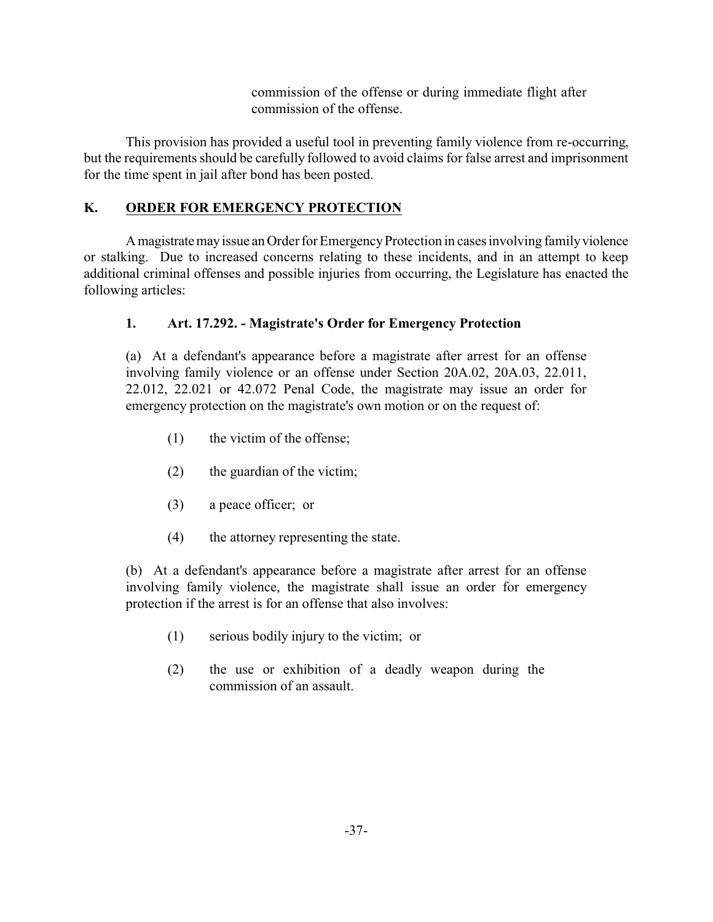commission of the offense or during immediate flight after commission of the offense.

This provision has provided a useful tool in preventing family violence from re-occurring, but the requirements should be carefully followed to avoid claims for false arrest and imprisonment for the time spent in jail after bond has been posted.

# **K. ORDER FOR EMERGENCY PROTECTION**

A magistrate may issue an Order for Emergency Protection in cases involving family violence or stalking. Due to increased concerns relating to these incidents, and in an attempt to keep additional criminal offenses and possible injuries from occurring, the Legislature has enacted the following articles:

# **1. Art. 17.292. - Magistrate's Order for Emergency Protection**

(a) At a defendant's appearance before a magistrate after arrest for an offense involving family violence or an offense under Section 20A.02, 20A.03, 22.011, 22.012, 22.021 or 42.072 Penal Code, the magistrate may issue an order for emergency protection on the magistrate's own motion or on the request of:

- (1) the victim of the offense;
- (2) the guardian of the victim;
- (3) a peace officer; or
- (4) the attorney representing the state.

(b) At a defendant's appearance before a magistrate after arrest for an offense involving family violence, the magistrate shall issue an order for emergency protection if the arrest is for an offense that also involves:

- (1) serious bodily injury to the victim; or
- (2) the use or exhibition of a deadly weapon during the commission of an assault.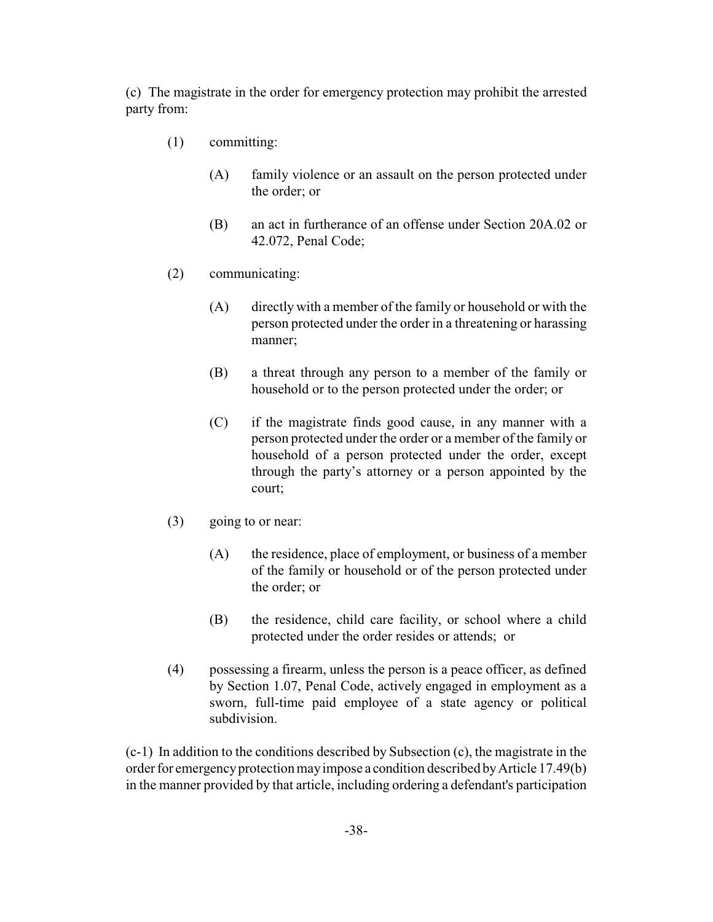(c) The magistrate in the order for emergency protection may prohibit the arrested party from:

- (1) committing:
	- (A) family violence or an assault on the person protected under the order; or
	- (B) an act in furtherance of an offense under Section 20A.02 or 42.072, Penal Code;
- (2) communicating:
	- (A) directly with a member of the family or household or with the person protected under the order in a threatening or harassing manner;
	- (B) a threat through any person to a member of the family or household or to the person protected under the order; or
	- (C) if the magistrate finds good cause, in any manner with a person protected under the order or a member of the family or household of a person protected under the order, except through the party's attorney or a person appointed by the court;
- (3) going to or near:
	- (A) the residence, place of employment, or business of a member of the family or household or of the person protected under the order; or
	- (B) the residence, child care facility, or school where a child protected under the order resides or attends; or
- (4) possessing a firearm, unless the person is a peace officer, as defined by Section 1.07, Penal Code, actively engaged in employment as a sworn, full-time paid employee of a state agency or political subdivision.

(c-1) In addition to the conditions described by Subsection (c), the magistrate in the order for emergencyprotection mayimpose a condition described byArticle 17.49(b) in the manner provided by that article, including ordering a defendant's participation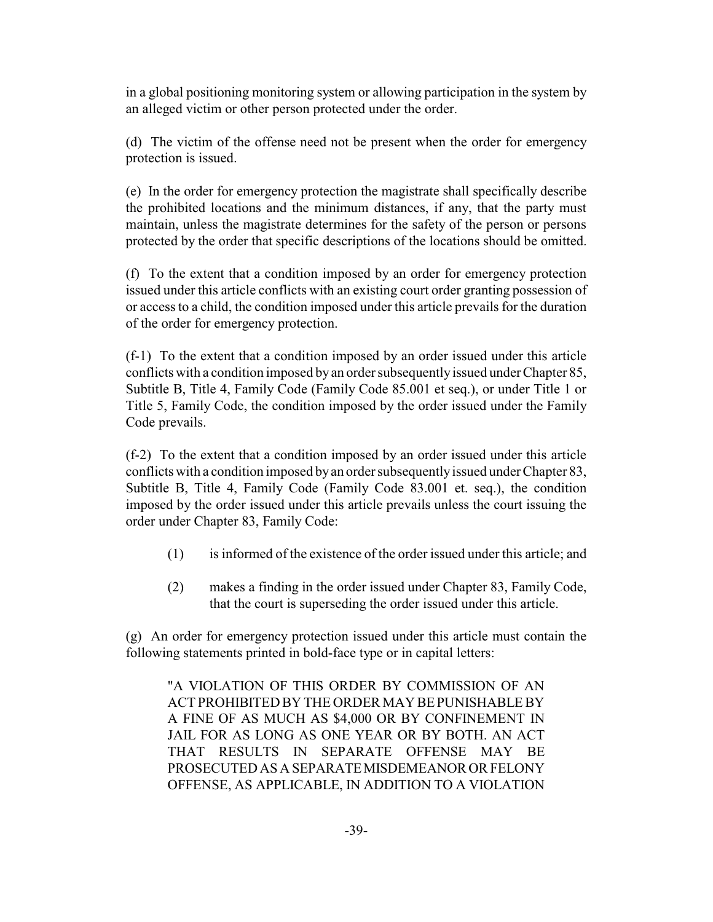in a global positioning monitoring system or allowing participation in the system by an alleged victim or other person protected under the order.

(d) The victim of the offense need not be present when the order for emergency protection is issued.

(e) In the order for emergency protection the magistrate shall specifically describe the prohibited locations and the minimum distances, if any, that the party must maintain, unless the magistrate determines for the safety of the person or persons protected by the order that specific descriptions of the locations should be omitted.

(f) To the extent that a condition imposed by an order for emergency protection issued under this article conflicts with an existing court order granting possession of or access to a child, the condition imposed under this article prevails for the duration of the order for emergency protection.

(f-1) To the extent that a condition imposed by an order issued under this article conflicts with a condition imposed byan order subsequentlyissued under Chapter 85, Subtitle B, Title 4, Family Code (Family Code 85.001 et seq.), or under Title 1 or Title 5, Family Code, the condition imposed by the order issued under the Family Code prevails.

(f-2) To the extent that a condition imposed by an order issued under this article conflicts with a condition imposed byan order subsequentlyissued under Chapter 83, Subtitle B, Title 4, Family Code (Family Code 83.001 et. seq.), the condition imposed by the order issued under this article prevails unless the court issuing the order under Chapter 83, Family Code:

- (1) is informed of the existence of the order issued under this article; and
- (2) makes a finding in the order issued under Chapter 83, Family Code, that the court is superseding the order issued under this article.

(g) An order for emergency protection issued under this article must contain the following statements printed in bold-face type or in capital letters:

"A VIOLATION OF THIS ORDER BY COMMISSION OF AN ACT PROHIBITED BY THE ORDER MAY BEPUNISHABLE BY A FINE OF AS MUCH AS \$4,000 OR BY CONFINEMENT IN JAIL FOR AS LONG AS ONE YEAR OR BY BOTH. AN ACT THAT RESULTS IN SEPARATE OFFENSE MAY BE PROSECUTED AS A SEPARATE MISDEMEANOR OR FELONY OFFENSE, AS APPLICABLE, IN ADDITION TO A VIOLATION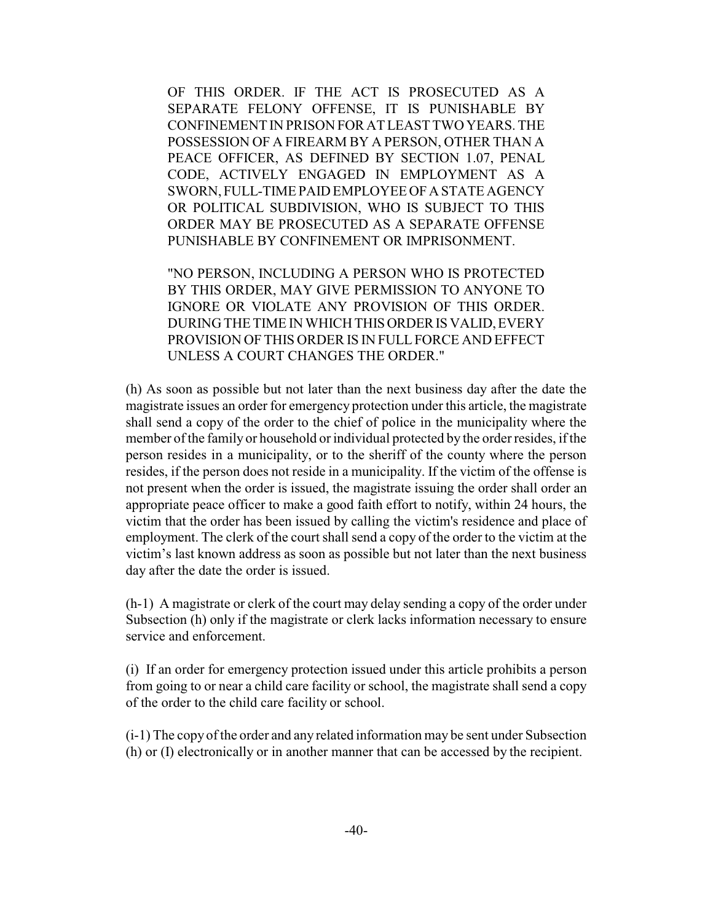OF THIS ORDER. IF THE ACT IS PROSECUTED AS A SEPARATE FELONY OFFENSE, IT IS PUNISHABLE BY CONFINEMENT IN PRISON FOR AT LEAST TWO YEARS. THE POSSESSION OF A FIREARM BY A PERSON, OTHER THAN A PEACE OFFICER, AS DEFINED BY SECTION 1.07, PENAL CODE, ACTIVELY ENGAGED IN EMPLOYMENT AS A SWORN, FULL-TIME PAID EMPLOYEE OF A STATE AGENCY OR POLITICAL SUBDIVISION, WHO IS SUBJECT TO THIS ORDER MAY BE PROSECUTED AS A SEPARATE OFFENSE PUNISHABLE BY CONFINEMENT OR IMPRISONMENT.

"NO PERSON, INCLUDING A PERSON WHO IS PROTECTED BY THIS ORDER, MAY GIVE PERMISSION TO ANYONE TO IGNORE OR VIOLATE ANY PROVISION OF THIS ORDER. DURING THE TIME IN WHICH THISORDERIS VALID,EVERY PROVISION OFTHIS ORDER IS IN FULLFORCE AND EFFECT UNLESS A COURT CHANGES THE ORDER."

(h) As soon as possible but not later than the next business day after the date the magistrate issues an order for emergency protection under this article, the magistrate shall send a copy of the order to the chief of police in the municipality where the member of the family or household or individual protected by the order resides, if the person resides in a municipality, or to the sheriff of the county where the person resides, if the person does not reside in a municipality. If the victim of the offense is not present when the order is issued, the magistrate issuing the order shall order an appropriate peace officer to make a good faith effort to notify, within 24 hours, the victim that the order has been issued by calling the victim's residence and place of employment. The clerk of the court shall send a copy of the order to the victim at the victim's last known address as soon as possible but not later than the next business day after the date the order is issued.

(h-1) A magistrate or clerk of the court may delay sending a copy of the order under Subsection (h) only if the magistrate or clerk lacks information necessary to ensure service and enforcement.

(i) If an order for emergency protection issued under this article prohibits a person from going to or near a child care facility or school, the magistrate shall send a copy of the order to the child care facility or school.

(i-1) The copy of the order and any related information may be sent under Subsection (h) or (I) electronically or in another manner that can be accessed by the recipient.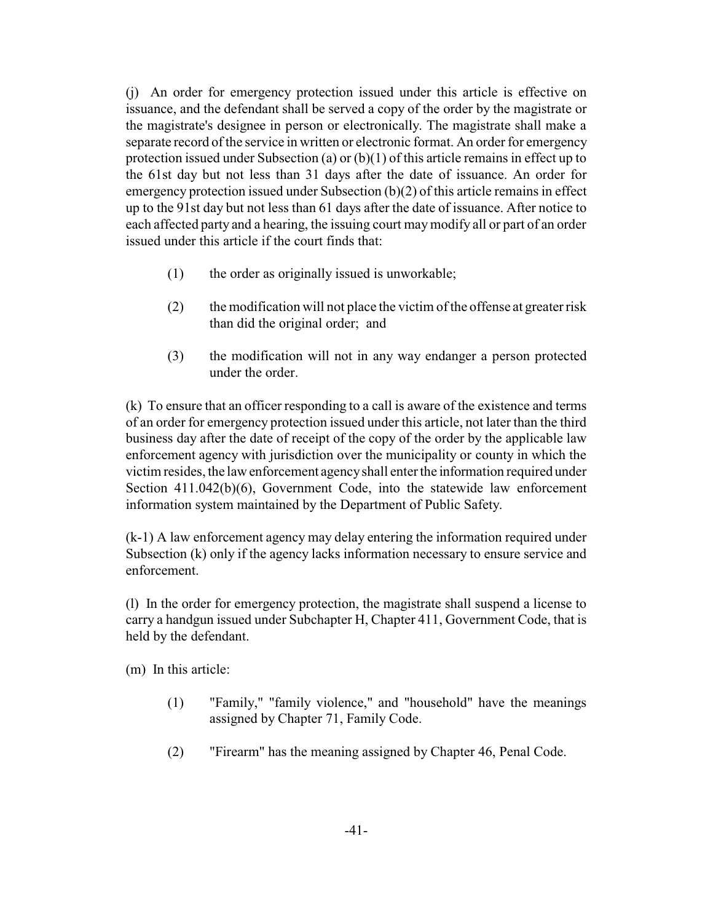(j) An order for emergency protection issued under this article is effective on issuance, and the defendant shall be served a copy of the order by the magistrate or the magistrate's designee in person or electronically. The magistrate shall make a separate record of the service in written or electronic format. An order for emergency protection issued under Subsection (a) or  $(b)(1)$  of this article remains in effect up to the 61st day but not less than 31 days after the date of issuance. An order for emergency protection issued under Subsection (b)(2) of this article remains in effect up to the 91st day but not less than 61 days after the date of issuance. After notice to each affected party and a hearing, the issuing court maymodify all or part of an order issued under this article if the court finds that:

- (1) the order as originally issued is unworkable;
- (2) the modification will not place the victim of the offense at greater risk than did the original order; and
- (3) the modification will not in any way endanger a person protected under the order.

(k) To ensure that an officer responding to a call is aware of the existence and terms of an order for emergency protection issued under this article, not later than the third business day after the date of receipt of the copy of the order by the applicable law enforcement agency with jurisdiction over the municipality or county in which the victim resides, the law enforcement agencyshall enter the information required under Section 411.042(b)(6), Government Code, into the statewide law enforcement information system maintained by the Department of Public Safety.

(k-1) A law enforcement agency may delay entering the information required under Subsection (k) only if the agency lacks information necessary to ensure service and enforcement.

(l) In the order for emergency protection, the magistrate shall suspend a license to carry a handgun issued under Subchapter H, Chapter 411, Government Code, that is held by the defendant.

(m) In this article:

- (1) "Family," "family violence," and "household" have the meanings assigned by Chapter 71, Family Code.
- (2) "Firearm" has the meaning assigned by Chapter 46, Penal Code.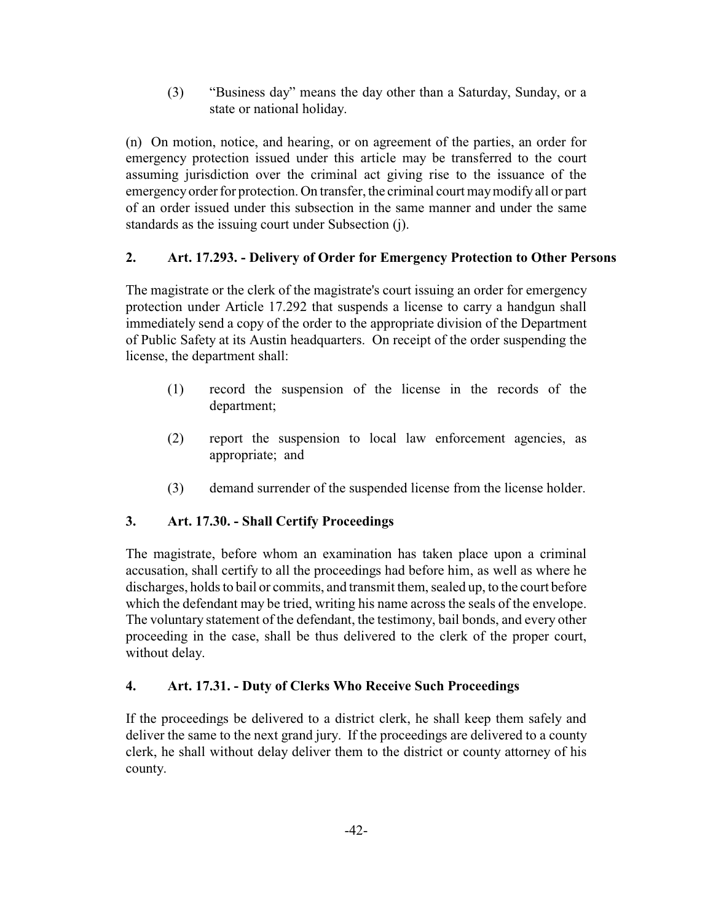(3) "Business day" means the day other than a Saturday, Sunday, or a state or national holiday.

(n) On motion, notice, and hearing, or on agreement of the parties, an order for emergency protection issued under this article may be transferred to the court assuming jurisdiction over the criminal act giving rise to the issuance of the emergencyorder for protection. On transfer, the criminal court maymodify all or part of an order issued under this subsection in the same manner and under the same standards as the issuing court under Subsection (j).

# **2. Art. 17.293. - Delivery of Order for Emergency Protection to Other Persons**

The magistrate or the clerk of the magistrate's court issuing an order for emergency protection under Article 17.292 that suspends a license to carry a handgun shall immediately send a copy of the order to the appropriate division of the Department of Public Safety at its Austin headquarters. On receipt of the order suspending the license, the department shall:

- (1) record the suspension of the license in the records of the department;
- (2) report the suspension to local law enforcement agencies, as appropriate; and
- (3) demand surrender of the suspended license from the license holder.

# **3. Art. 17.30. - Shall Certify Proceedings**

The magistrate, before whom an examination has taken place upon a criminal accusation, shall certify to all the proceedings had before him, as well as where he discharges, holds to bail or commits, and transmit them, sealed up, to the court before which the defendant may be tried, writing his name across the seals of the envelope. The voluntary statement of the defendant, the testimony, bail bonds, and every other proceeding in the case, shall be thus delivered to the clerk of the proper court, without delay.

### **4. Art. 17.31. - Duty of Clerks Who Receive Such Proceedings**

If the proceedings be delivered to a district clerk, he shall keep them safely and deliver the same to the next grand jury. If the proceedings are delivered to a county clerk, he shall without delay deliver them to the district or county attorney of his county.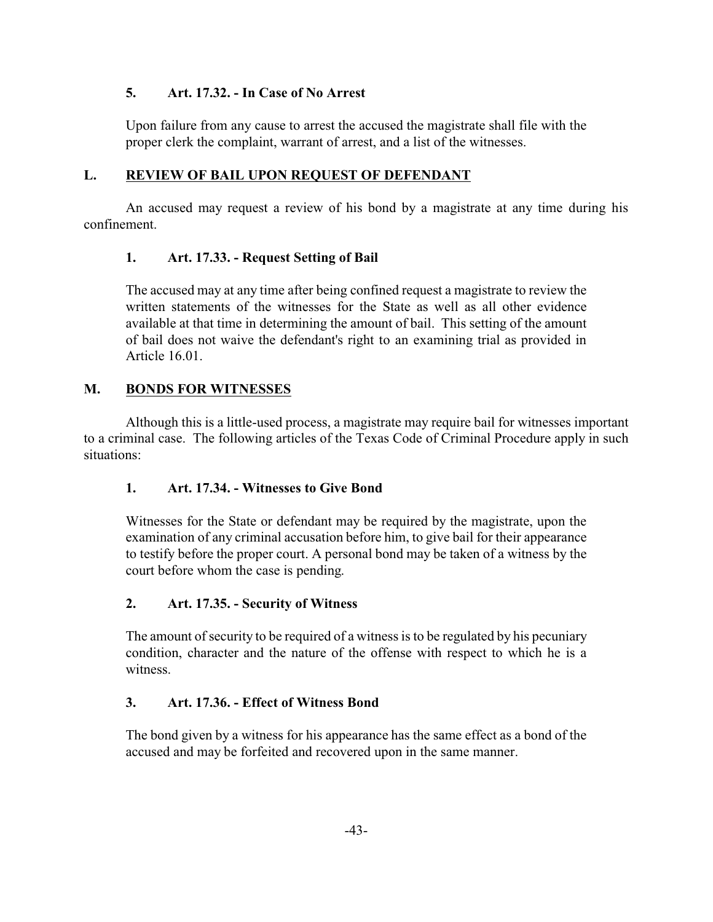# **5. Art. 17.32. - In Case of No Arrest**

Upon failure from any cause to arrest the accused the magistrate shall file with the proper clerk the complaint, warrant of arrest, and a list of the witnesses.

### **L. REVIEW OF BAIL UPON REQUEST OF DEFENDANT**

An accused may request a review of his bond by a magistrate at any time during his confinement.

# **1. Art. 17.33. - Request Setting of Bail**

The accused may at any time after being confined request a magistrate to review the written statements of the witnesses for the State as well as all other evidence available at that time in determining the amount of bail. This setting of the amount of bail does not waive the defendant's right to an examining trial as provided in Article 16.01.

# **M. BONDS FOR WITNESSES**

Although this is a little-used process, a magistrate may require bail for witnesses important to a criminal case. The following articles of the Texas Code of Criminal Procedure apply in such situations:

### **1. Art. 17.34. - Witnesses to Give Bond**

Witnesses for the State or defendant may be required by the magistrate, upon the examination of any criminal accusation before him, to give bail for their appearance to testify before the proper court. A personal bond may be taken of a witness by the court before whom the case is pending.

### **2. Art. 17.35. - Security of Witness**

The amount of security to be required of a witness is to be regulated by his pecuniary condition, character and the nature of the offense with respect to which he is a witness.

### **3. Art. 17.36. - Effect of Witness Bond**

The bond given by a witness for his appearance has the same effect as a bond of the accused and may be forfeited and recovered upon in the same manner.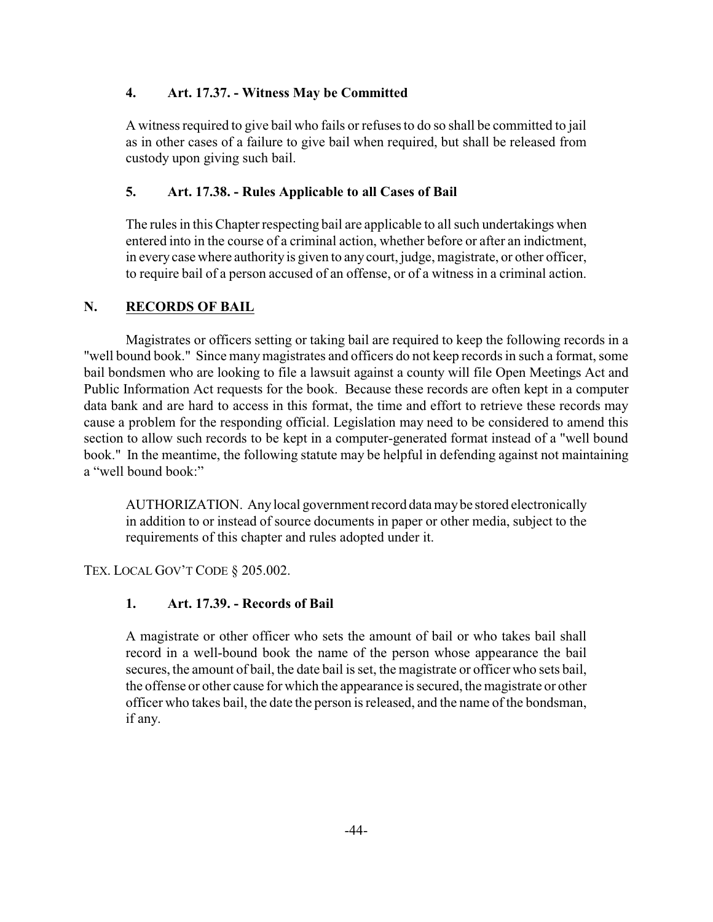# **4. Art. 17.37. - Witness May be Committed**

A witness required to give bail who fails or refuses to do so shall be committed to jail as in other cases of a failure to give bail when required, but shall be released from custody upon giving such bail.

# **5. Art. 17.38. - Rules Applicable to all Cases of Bail**

The rules in this Chapter respecting bail are applicable to all such undertakings when entered into in the course of a criminal action, whether before or after an indictment, in every case where authority is given to any court, judge, magistrate, or other officer, to require bail of a person accused of an offense, or of a witness in a criminal action.

# **N. RECORDS OF BAIL**

Magistrates or officers setting or taking bail are required to keep the following records in a "well bound book." Since manymagistrates and officers do not keep records in such a format, some bail bondsmen who are looking to file a lawsuit against a county will file Open Meetings Act and Public Information Act requests for the book. Because these records are often kept in a computer data bank and are hard to access in this format, the time and effort to retrieve these records may cause a problem for the responding official. Legislation may need to be considered to amend this section to allow such records to be kept in a computer-generated format instead of a "well bound book." In the meantime, the following statute may be helpful in defending against not maintaining a "well bound book:"

AUTHORIZATION. Any local government record data maybe stored electronically in addition to or instead of source documents in paper or other media, subject to the requirements of this chapter and rules adopted under it.

TEX. LOCAL GOV'T CODE § 205.002.

# **1. Art. 17.39. - Records of Bail**

A magistrate or other officer who sets the amount of bail or who takes bail shall record in a well-bound book the name of the person whose appearance the bail secures, the amount of bail, the date bail is set, the magistrate or officer who sets bail, the offense or other cause for which the appearance is secured, the magistrate or other officer who takes bail, the date the person is released, and the name of the bondsman, if any.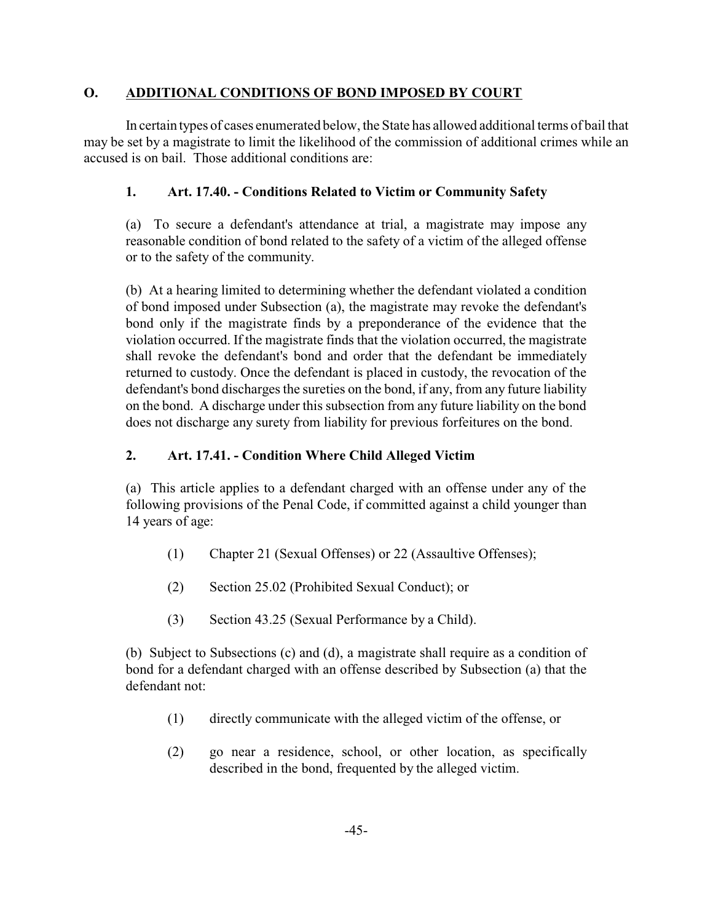### **O. ADDITIONAL CONDITIONS OF BOND IMPOSED BY COURT**

In certain types of cases enumerated below, the State has allowed additional terms of bail that may be set by a magistrate to limit the likelihood of the commission of additional crimes while an accused is on bail. Those additional conditions are:

# **1. Art. 17.40. - Conditions Related to Victim or Community Safety**

(a) To secure a defendant's attendance at trial, a magistrate may impose any reasonable condition of bond related to the safety of a victim of the alleged offense or to the safety of the community.

(b) At a hearing limited to determining whether the defendant violated a condition of bond imposed under Subsection (a), the magistrate may revoke the defendant's bond only if the magistrate finds by a preponderance of the evidence that the violation occurred. If the magistrate finds that the violation occurred, the magistrate shall revoke the defendant's bond and order that the defendant be immediately returned to custody. Once the defendant is placed in custody, the revocation of the defendant's bond discharges the sureties on the bond, if any, from any future liability on the bond. A discharge under this subsection from any future liability on the bond does not discharge any surety from liability for previous forfeitures on the bond.

# **2. Art. 17.41. - Condition Where Child Alleged Victim**

(a) This article applies to a defendant charged with an offense under any of the following provisions of the Penal Code, if committed against a child younger than 14 years of age:

- (1) Chapter 21 (Sexual Offenses) or 22 (Assaultive Offenses);
- (2) Section 25.02 (Prohibited Sexual Conduct); or
- (3) Section 43.25 (Sexual Performance by a Child).

(b) Subject to Subsections (c) and (d), a magistrate shall require as a condition of bond for a defendant charged with an offense described by Subsection (a) that the defendant not:

- (1) directly communicate with the alleged victim of the offense, or
- (2) go near a residence, school, or other location, as specifically described in the bond, frequented by the alleged victim.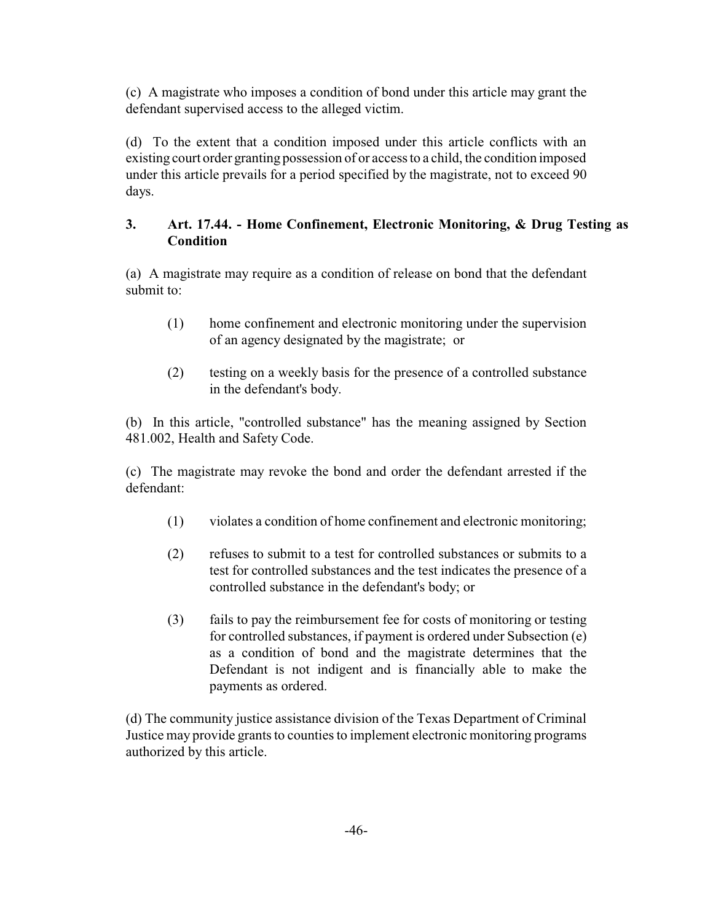(c) A magistrate who imposes a condition of bond under this article may grant the defendant supervised access to the alleged victim.

(d) To the extent that a condition imposed under this article conflicts with an existing court order granting possession of or access to a child, the condition imposed under this article prevails for a period specified by the magistrate, not to exceed 90 days.

# **3. Art. 17.44. - Home Confinement, Electronic Monitoring, & Drug Testing as Condition**

(a) A magistrate may require as a condition of release on bond that the defendant submit to:

- (1) home confinement and electronic monitoring under the supervision of an agency designated by the magistrate; or
- (2) testing on a weekly basis for the presence of a controlled substance in the defendant's body.

(b) In this article, "controlled substance" has the meaning assigned by Section 481.002, Health and Safety Code.

(c) The magistrate may revoke the bond and order the defendant arrested if the defendant:

- (1) violates a condition of home confinement and electronic monitoring;
- (2) refuses to submit to a test for controlled substances or submits to a test for controlled substances and the test indicates the presence of a controlled substance in the defendant's body; or
- (3) fails to pay the reimbursement fee for costs of monitoring or testing for controlled substances, if payment is ordered under Subsection (e) as a condition of bond and the magistrate determines that the Defendant is not indigent and is financially able to make the payments as ordered.

(d) The community justice assistance division of the Texas Department of Criminal Justice may provide grants to counties to implement electronic monitoring programs authorized by this article.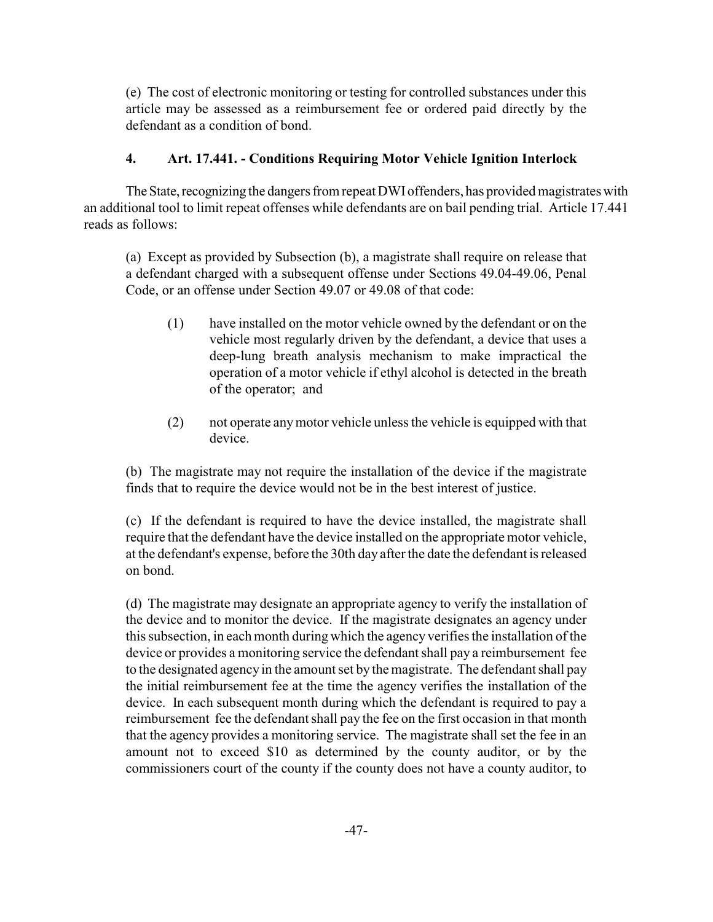(e) The cost of electronic monitoring or testing for controlled substances under this article may be assessed as a reimbursement fee or ordered paid directly by the defendant as a condition of bond.

# **4. Art. 17.441. - Conditions Requiring Motor Vehicle Ignition Interlock**

The State, recognizing the dangers from repeat DWI offenders, has provided magistrates with an additional tool to limit repeat offenses while defendants are on bail pending trial. Article 17.441 reads as follows:

(a) Except as provided by Subsection (b), a magistrate shall require on release that a defendant charged with a subsequent offense under Sections 49.04-49.06, Penal Code, or an offense under Section 49.07 or 49.08 of that code:

- (1) have installed on the motor vehicle owned by the defendant or on the vehicle most regularly driven by the defendant, a device that uses a deep-lung breath analysis mechanism to make impractical the operation of a motor vehicle if ethyl alcohol is detected in the breath of the operator; and
- (2) not operate any motor vehicle unless the vehicle is equipped with that device.

(b) The magistrate may not require the installation of the device if the magistrate finds that to require the device would not be in the best interest of justice.

(c) If the defendant is required to have the device installed, the magistrate shall require that the defendant have the device installed on the appropriate motor vehicle, at the defendant's expense, before the 30th day after the date the defendant is released on bond.

(d) The magistrate may designate an appropriate agency to verify the installation of the device and to monitor the device. If the magistrate designates an agency under this subsection, in each month during which the agency verifies the installation of the device or provides a monitoring service the defendant shall pay a reimbursement fee to the designated agency in the amount set by the magistrate. The defendant shall pay the initial reimbursement fee at the time the agency verifies the installation of the device. In each subsequent month during which the defendant is required to pay a reimbursement fee the defendant shall pay the fee on the first occasion in that month that the agency provides a monitoring service. The magistrate shall set the fee in an amount not to exceed \$10 as determined by the county auditor, or by the commissioners court of the county if the county does not have a county auditor, to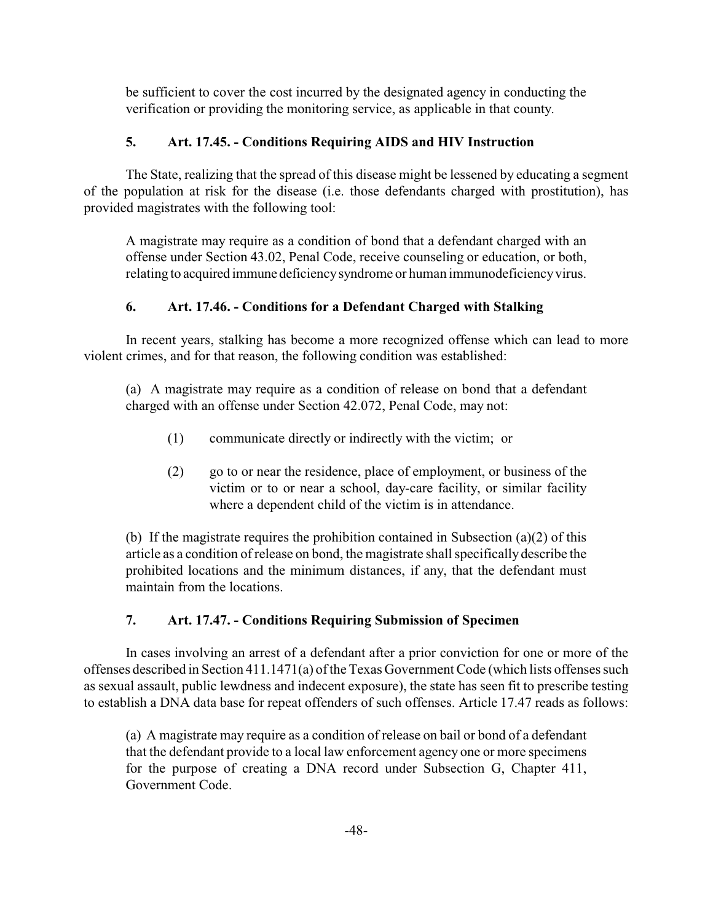be sufficient to cover the cost incurred by the designated agency in conducting the verification or providing the monitoring service, as applicable in that county.

# **5. Art. 17.45. - Conditions Requiring AIDS and HIV Instruction**

The State, realizing that the spread of this disease might be lessened by educating a segment of the population at risk for the disease (i.e. those defendants charged with prostitution), has provided magistrates with the following tool:

A magistrate may require as a condition of bond that a defendant charged with an offense under Section 43.02, Penal Code, receive counseling or education, or both, relating to acquired immune deficiencysyndrome or human immunodeficiencyvirus.

# **6. Art. 17.46. - Conditions for a Defendant Charged with Stalking**

In recent years, stalking has become a more recognized offense which can lead to more violent crimes, and for that reason, the following condition was established:

(a) A magistrate may require as a condition of release on bond that a defendant charged with an offense under Section 42.072, Penal Code, may not:

- (1) communicate directly or indirectly with the victim; or
- (2) go to or near the residence, place of employment, or business of the victim or to or near a school, day-care facility, or similar facility where a dependent child of the victim is in attendance.

(b) If the magistrate requires the prohibition contained in Subsection (a)(2) of this article as a condition of release on bond, the magistrate shall specifically describe the prohibited locations and the minimum distances, if any, that the defendant must maintain from the locations.

# **7. Art. 17.47. - Conditions Requiring Submission of Specimen**

In cases involving an arrest of a defendant after a prior conviction for one or more of the offenses described in Section 411.1471(a) of the Texas Government Code (which lists offenses such as sexual assault, public lewdness and indecent exposure), the state has seen fit to prescribe testing to establish a DNA data base for repeat offenders of such offenses. Article 17.47 reads as follows:

(a) A magistrate may require as a condition of release on bail or bond of a defendant that the defendant provide to a local law enforcement agency one or more specimens for the purpose of creating a DNA record under Subsection G, Chapter 411, Government Code.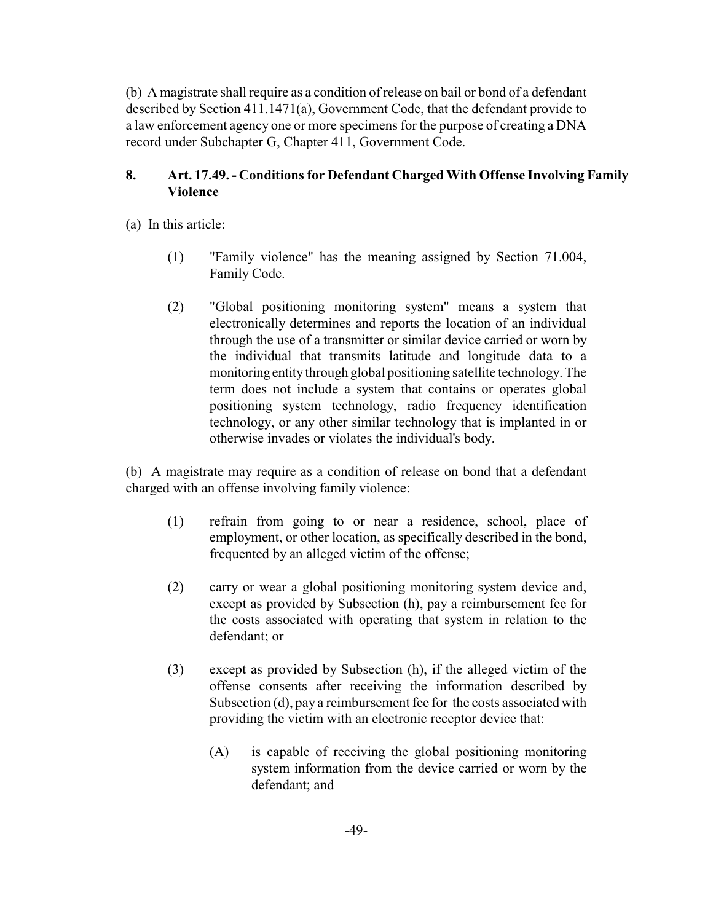(b) A magistrate shall require as a condition of release on bail or bond of a defendant described by Section 411.1471(a), Government Code, that the defendant provide to a law enforcement agency one or more specimens for the purpose of creating a DNA record under Subchapter G, Chapter 411, Government Code.

### **8. Art. 17.49. - Conditions for Defendant Charged With Offense Involving Family Violence**

(a) In this article:

- (1) "Family violence" has the meaning assigned by Section 71.004, Family Code.
- (2) "Global positioning monitoring system" means a system that electronically determines and reports the location of an individual through the use of a transmitter or similar device carried or worn by the individual that transmits latitude and longitude data to a monitoringentitythrough global positioning satellite technology.The term does not include a system that contains or operates global positioning system technology, radio frequency identification technology, or any other similar technology that is implanted in or otherwise invades or violates the individual's body.

(b) A magistrate may require as a condition of release on bond that a defendant charged with an offense involving family violence:

- (1) refrain from going to or near a residence, school, place of employment, or other location, as specifically described in the bond, frequented by an alleged victim of the offense;
- (2) carry or wear a global positioning monitoring system device and, except as provided by Subsection (h), pay a reimbursement fee for the costs associated with operating that system in relation to the defendant; or
- (3) except as provided by Subsection (h), if the alleged victim of the offense consents after receiving the information described by Subsection (d), pay a reimbursement fee for the costs associated with providing the victim with an electronic receptor device that:
	- (A) is capable of receiving the global positioning monitoring system information from the device carried or worn by the defendant; and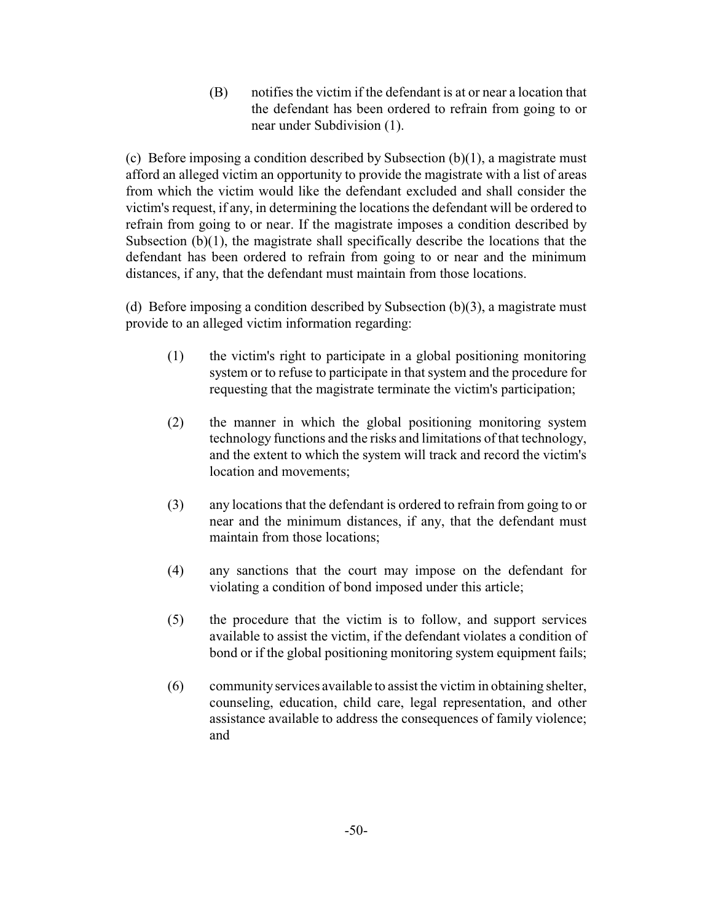(B) notifies the victim if the defendant is at or near a location that the defendant has been ordered to refrain from going to or near under Subdivision (1).

(c) Before imposing a condition described by Subsection  $(b)(1)$ , a magistrate must afford an alleged victim an opportunity to provide the magistrate with a list of areas from which the victim would like the defendant excluded and shall consider the victim's request, if any, in determining the locations the defendant will be ordered to refrain from going to or near. If the magistrate imposes a condition described by Subsection (b)(1), the magistrate shall specifically describe the locations that the defendant has been ordered to refrain from going to or near and the minimum distances, if any, that the defendant must maintain from those locations.

(d) Before imposing a condition described by Subsection (b)(3), a magistrate must provide to an alleged victim information regarding:

- (1) the victim's right to participate in a global positioning monitoring system or to refuse to participate in that system and the procedure for requesting that the magistrate terminate the victim's participation;
- (2) the manner in which the global positioning monitoring system technology functions and the risks and limitations of that technology, and the extent to which the system will track and record the victim's location and movements;
- (3) any locations that the defendant is ordered to refrain from going to or near and the minimum distances, if any, that the defendant must maintain from those locations;
- (4) any sanctions that the court may impose on the defendant for violating a condition of bond imposed under this article;
- (5) the procedure that the victim is to follow, and support services available to assist the victim, if the defendant violates a condition of bond or if the global positioning monitoring system equipment fails;
- (6) community services available to assist the victim in obtaining shelter, counseling, education, child care, legal representation, and other assistance available to address the consequences of family violence; and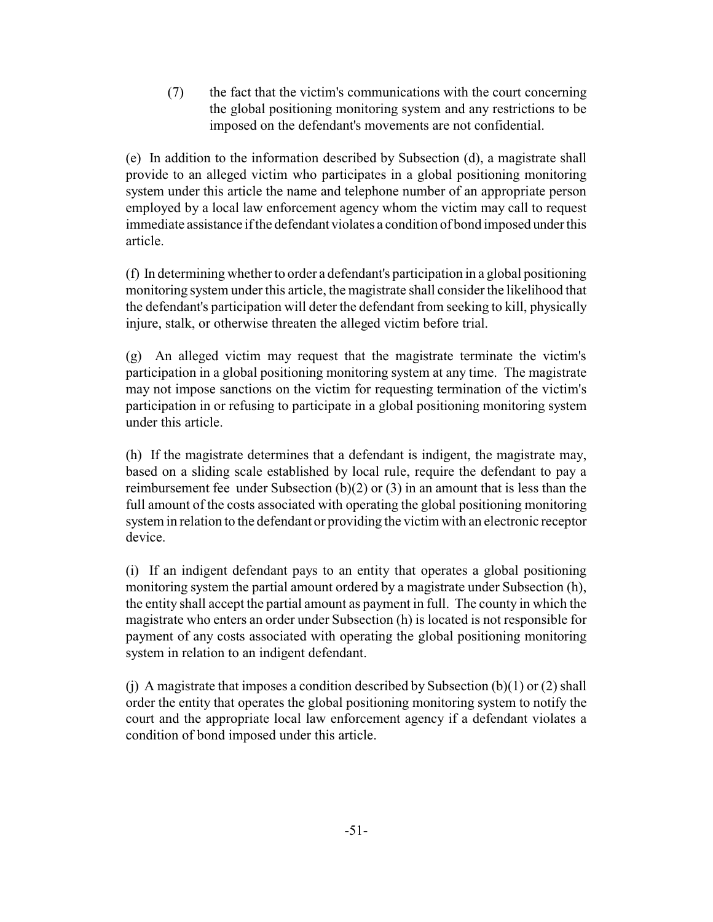(7) the fact that the victim's communications with the court concerning the global positioning monitoring system and any restrictions to be imposed on the defendant's movements are not confidential.

(e) In addition to the information described by Subsection (d), a magistrate shall provide to an alleged victim who participates in a global positioning monitoring system under this article the name and telephone number of an appropriate person employed by a local law enforcement agency whom the victim may call to request immediate assistance if the defendant violates a condition of bond imposed under this article.

(f) In determining whether to order a defendant's participation in a global positioning monitoring system under this article, the magistrate shall consider the likelihood that the defendant's participation will deter the defendant from seeking to kill, physically injure, stalk, or otherwise threaten the alleged victim before trial.

(g) An alleged victim may request that the magistrate terminate the victim's participation in a global positioning monitoring system at any time. The magistrate may not impose sanctions on the victim for requesting termination of the victim's participation in or refusing to participate in a global positioning monitoring system under this article.

(h) If the magistrate determines that a defendant is indigent, the magistrate may, based on a sliding scale established by local rule, require the defendant to pay a reimbursement fee under Subsection (b)(2) or (3) in an amount that is less than the full amount of the costs associated with operating the global positioning monitoring system in relation to the defendant or providing the victim with an electronic receptor device.

(i) If an indigent defendant pays to an entity that operates a global positioning monitoring system the partial amount ordered by a magistrate under Subsection (h), the entity shall accept the partial amount as payment in full. The county in which the magistrate who enters an order under Subsection (h) is located is not responsible for payment of any costs associated with operating the global positioning monitoring system in relation to an indigent defendant.

(j) A magistrate that imposes a condition described by Subsection (b)(1) or (2) shall order the entity that operates the global positioning monitoring system to notify the court and the appropriate local law enforcement agency if a defendant violates a condition of bond imposed under this article.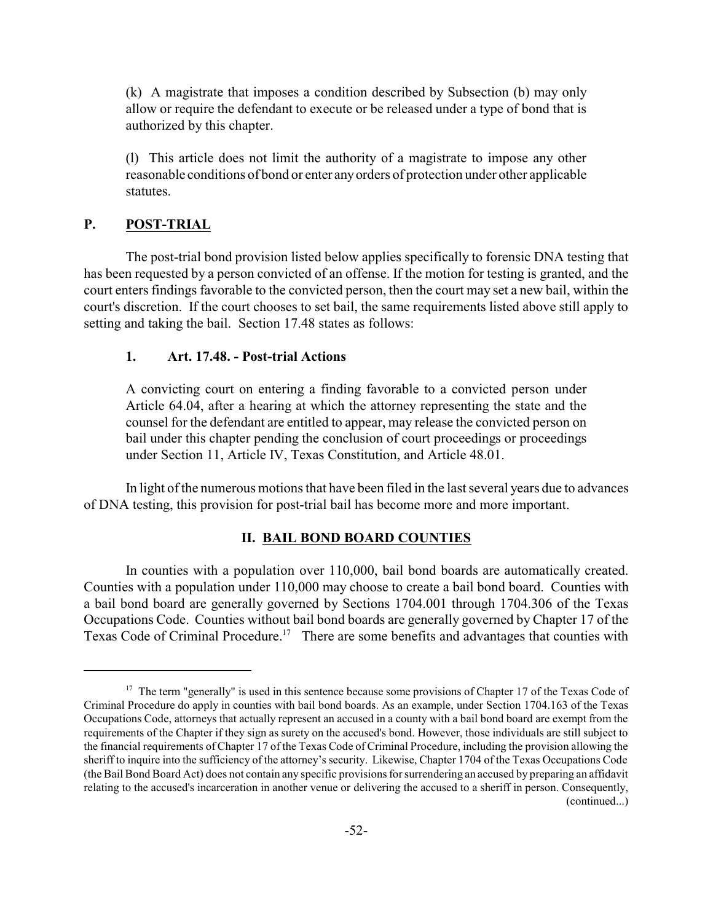(k) A magistrate that imposes a condition described by Subsection (b) may only allow or require the defendant to execute or be released under a type of bond that is authorized by this chapter.

(l) This article does not limit the authority of a magistrate to impose any other reasonable conditions of bond or enter anyorders of protection under other applicable statutes.

#### **P. POST-TRIAL**

The post-trial bond provision listed below applies specifically to forensic DNA testing that has been requested by a person convicted of an offense. If the motion for testing is granted, and the court enters findings favorable to the convicted person, then the court may set a new bail, within the court's discretion. If the court chooses to set bail, the same requirements listed above still apply to setting and taking the bail. Section 17.48 states as follows:

#### **1. Art. 17.48. - Post-trial Actions**

A convicting court on entering a finding favorable to a convicted person under Article 64.04, after a hearing at which the attorney representing the state and the counsel for the defendant are entitled to appear, may release the convicted person on bail under this chapter pending the conclusion of court proceedings or proceedings under Section 11, Article IV, Texas Constitution, and Article 48.01.

In light of the numerous motions that have been filed in the last several years due to advances of DNA testing, this provision for post-trial bail has become more and more important.

#### **II. BAIL BOND BOARD COUNTIES**

In counties with a population over 110,000, bail bond boards are automatically created. Counties with a population under 110,000 may choose to create a bail bond board. Counties with a bail bond board are generally governed by Sections 1704.001 through 1704.306 of the Texas Occupations Code. Counties without bail bond boards are generally governed by Chapter 17 of the Texas Code of Criminal Procedure.<sup>17</sup> There are some benefits and advantages that counties with

<sup>&</sup>lt;sup>17</sup> The term "generally" is used in this sentence because some provisions of Chapter 17 of the Texas Code of Criminal Procedure do apply in counties with bail bond boards. As an example, under Section 1704.163 of the Texas Occupations Code, attorneys that actually represent an accused in a county with a bail bond board are exempt from the requirements of the Chapter if they sign as surety on the accused's bond. However, those individuals are still subject to the financial requirements of Chapter 17 of the Texas Code of Criminal Procedure, including the provision allowing the sheriff to inquire into the sufficiency of the attorney's security. Likewise, Chapter 1704 of the Texas Occupations Code (the Bail Bond Board Act) does not contain any specific provisions for surrendering an accused by preparing an affidavit relating to the accused's incarceration in another venue or delivering the accused to a sheriff in person. Consequently, (continued...)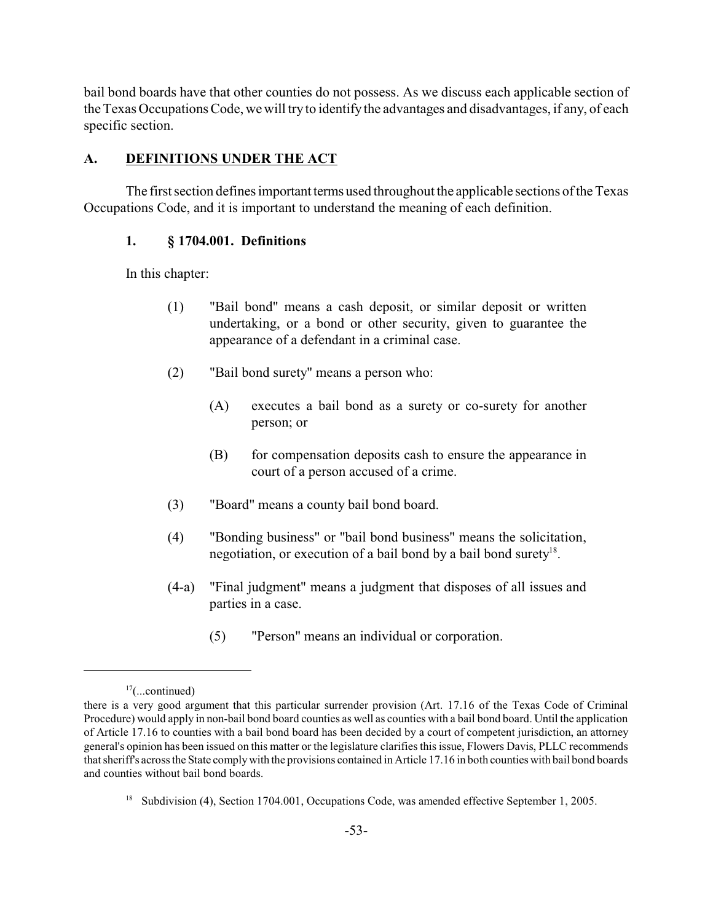bail bond boards have that other counties do not possess. As we discuss each applicable section of the Texas Occupations Code, we will try to identify the advantages and disadvantages, if any, of each specific section.

#### **A. DEFINITIONS UNDER THE ACT**

The first section defines important terms used throughout the applicable sections of the Texas Occupations Code, and it is important to understand the meaning of each definition.

#### **1. § 1704.001. Definitions**

In this chapter:

- (1) "Bail bond" means a cash deposit, or similar deposit or written undertaking, or a bond or other security, given to guarantee the appearance of a defendant in a criminal case.
- (2) "Bail bond surety" means a person who:
	- (A) executes a bail bond as a surety or co-surety for another person; or
	- (B) for compensation deposits cash to ensure the appearance in court of a person accused of a crime.
- (3) "Board" means a county bail bond board.
- (4) "Bonding business" or "bail bond business" means the solicitation, negotiation, or execution of a bail bond by a bail bond surety<sup>18</sup>.
- (4-a) "Final judgment" means a judgment that disposes of all issues and parties in a case.
	- (5) "Person" means an individual or corporation.

 $17$ (...continued)

there is a very good argument that this particular surrender provision (Art. 17.16 of the Texas Code of Criminal Procedure) would apply in non-bail bond board counties as well as counties with a bail bond board. Until the application of Article 17.16 to counties with a bail bond board has been decided by a court of competent jurisdiction, an attorney general's opinion has been issued on this matter or the legislature clarifies this issue, Flowers Davis, PLLC recommends that sheriff's across the State complywith the provisions contained in Article 17.16 in both counties with bail bond boards and counties without bail bond boards.

<sup>&</sup>lt;sup>18</sup> Subdivision (4), Section 1704.001, Occupations Code, was amended effective September 1, 2005.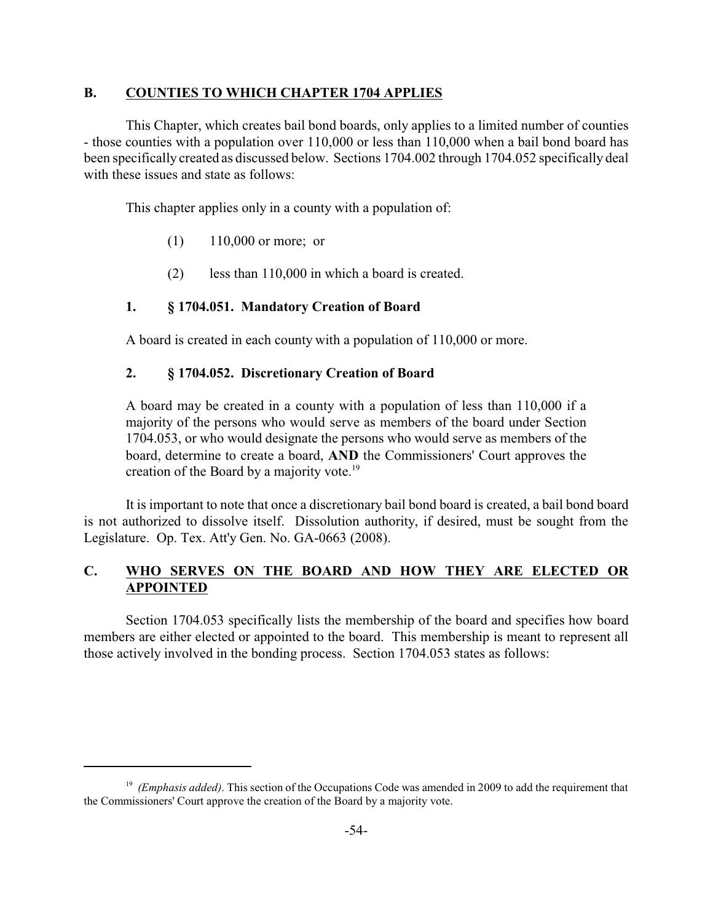#### **B. COUNTIES TO WHICH CHAPTER 1704 APPLIES**

This Chapter, which creates bail bond boards, only applies to a limited number of counties - those counties with a population over 110,000 or less than 110,000 when a bail bond board has been specifically created as discussed below. Sections 1704.002 through 1704.052 specifically deal with these issues and state as follows:

This chapter applies only in a county with a population of:

- (1) 110,000 or more; or
- (2) less than 110,000 in which a board is created.

### **1. § 1704.051. Mandatory Creation of Board**

A board is created in each county with a population of 110,000 or more.

#### **2. § 1704.052. Discretionary Creation of Board**

A board may be created in a county with a population of less than 110,000 if a majority of the persons who would serve as members of the board under Section 1704.053, or who would designate the persons who would serve as members of the board, determine to create a board, **AND** the Commissioners' Court approves the creation of the Board by a majority vote.<sup>19</sup>

It is important to note that once a discretionary bail bond board is created, a bail bond board is not authorized to dissolve itself. Dissolution authority, if desired, must be sought from the Legislature. Op. Tex. Att'y Gen. No. GA-0663 (2008).

# **C. WHO SERVES ON THE BOARD AND HOW THEY ARE ELECTED OR APPOINTED**

Section 1704.053 specifically lists the membership of the board and specifies how board members are either elected or appointed to the board. This membership is meant to represent all those actively involved in the bonding process. Section 1704.053 states as follows:

<sup>19</sup> *(Emphasis added)*. This section of the Occupations Code was amended in 2009 to add the requirement that the Commissioners' Court approve the creation of the Board by a majority vote.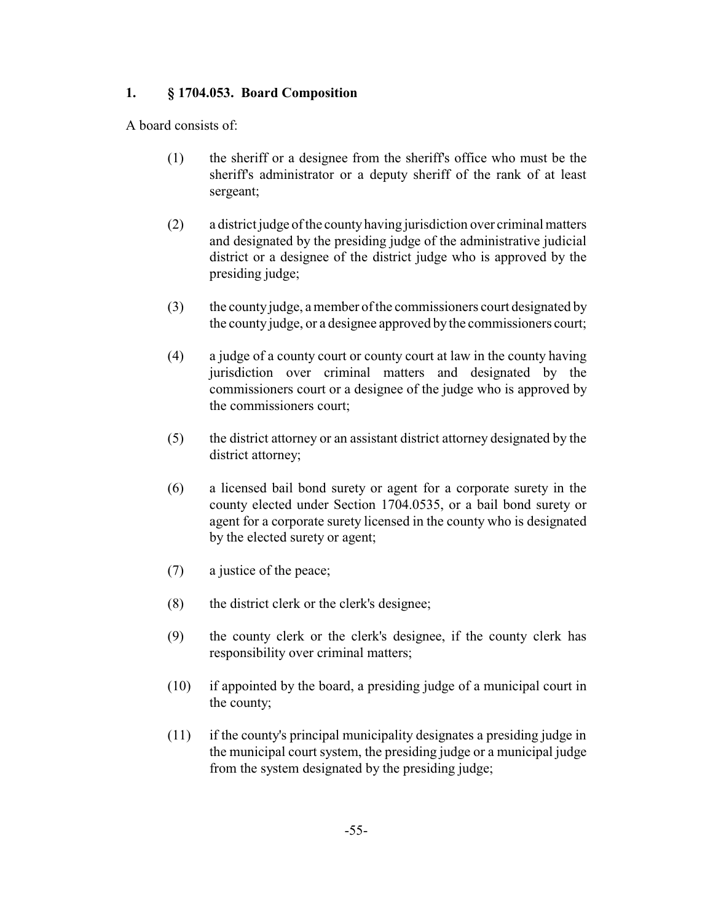### **1. § 1704.053. Board Composition**

A board consists of:

- (1) the sheriff or a designee from the sheriff's office who must be the sheriff's administrator or a deputy sheriff of the rank of at least sergeant;
- (2) a district judge of the countyhaving jurisdiction over criminal matters and designated by the presiding judge of the administrative judicial district or a designee of the district judge who is approved by the presiding judge;
- (3) the county judge, a member of the commissioners court designated by the county judge, or a designee approved by the commissioners court;
- (4) a judge of a county court or county court at law in the county having jurisdiction over criminal matters and designated by the commissioners court or a designee of the judge who is approved by the commissioners court;
- (5) the district attorney or an assistant district attorney designated by the district attorney;
- (6) a licensed bail bond surety or agent for a corporate surety in the county elected under Section 1704.0535, or a bail bond surety or agent for a corporate surety licensed in the county who is designated by the elected surety or agent;
- (7) a justice of the peace;
- (8) the district clerk or the clerk's designee;
- (9) the county clerk or the clerk's designee, if the county clerk has responsibility over criminal matters;
- (10) if appointed by the board, a presiding judge of a municipal court in the county;
- (11) if the county's principal municipality designates a presiding judge in the municipal court system, the presiding judge or a municipal judge from the system designated by the presiding judge;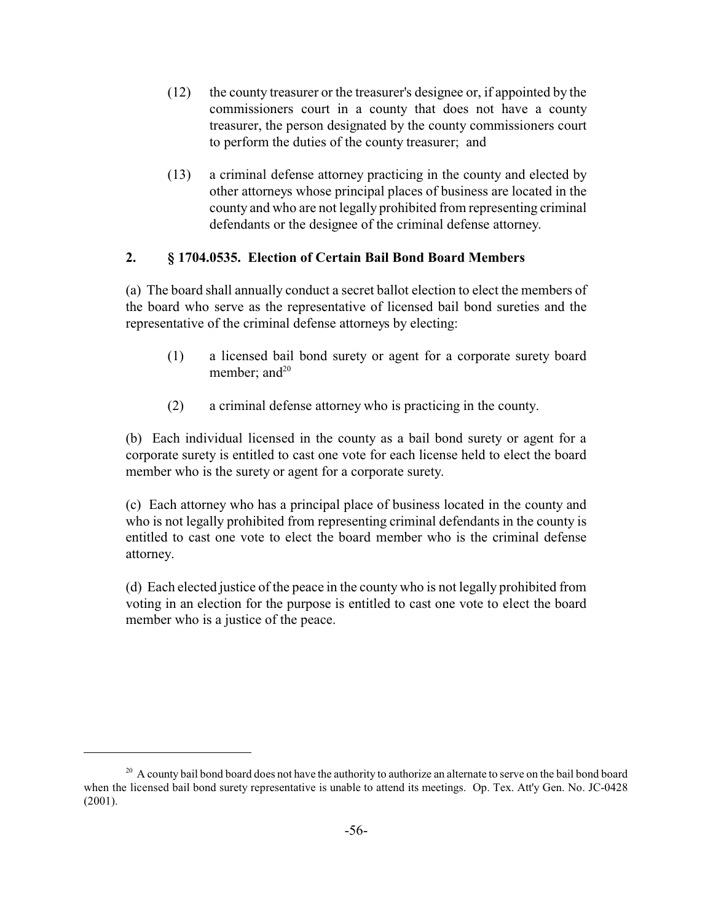- (12) the county treasurer or the treasurer's designee or, if appointed by the commissioners court in a county that does not have a county treasurer, the person designated by the county commissioners court to perform the duties of the county treasurer; and
- (13) a criminal defense attorney practicing in the county and elected by other attorneys whose principal places of business are located in the county and who are not legally prohibited from representing criminal defendants or the designee of the criminal defense attorney.

# **2. § 1704.0535. Election of Certain Bail Bond Board Members**

(a) The board shall annually conduct a secret ballot election to elect the members of the board who serve as the representative of licensed bail bond sureties and the representative of the criminal defense attorneys by electing:

- (1) a licensed bail bond surety or agent for a corporate surety board member; and $20$
- (2) a criminal defense attorney who is practicing in the county.

(b) Each individual licensed in the county as a bail bond surety or agent for a corporate surety is entitled to cast one vote for each license held to elect the board member who is the surety or agent for a corporate surety.

(c) Each attorney who has a principal place of business located in the county and who is not legally prohibited from representing criminal defendants in the county is entitled to cast one vote to elect the board member who is the criminal defense attorney.

(d) Each elected justice of the peace in the county who is not legally prohibited from voting in an election for the purpose is entitled to cast one vote to elect the board member who is a justice of the peace.

<sup>&</sup>lt;sup>20</sup> A county bail bond board does not have the authority to authorize an alternate to serve on the bail bond board when the licensed bail bond surety representative is unable to attend its meetings. Op. Tex. Att'y Gen. No. JC-0428 (2001).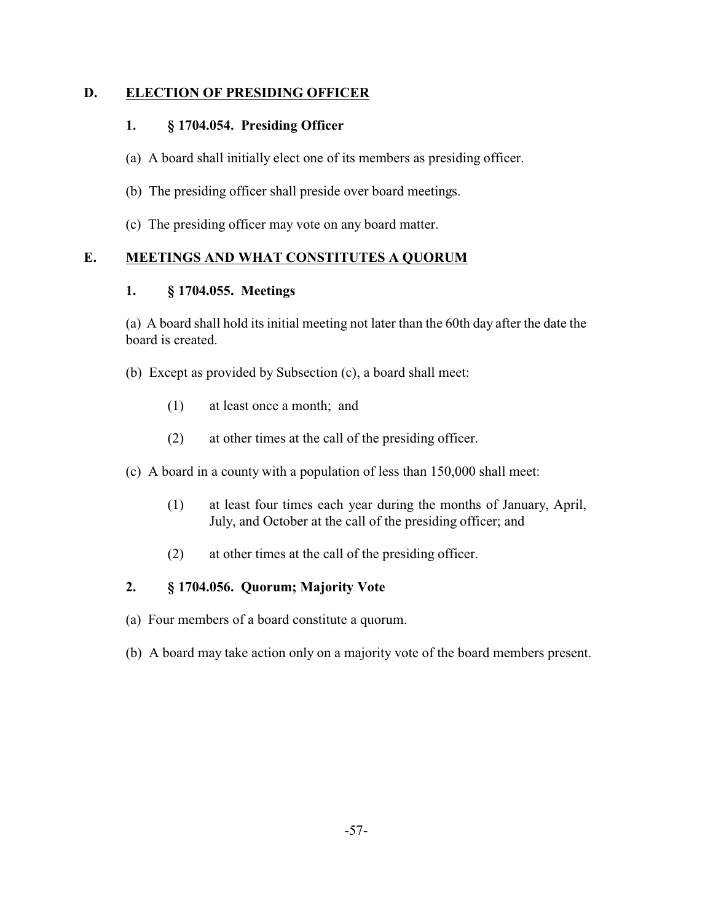### **D. ELECTION OF PRESIDING OFFICER**

#### **1. § 1704.054. Presiding Officer**

- (a) A board shall initially elect one of its members as presiding officer.
- (b) The presiding officer shall preside over board meetings.
- (c) The presiding officer may vote on any board matter.

### **E. MEETINGS AND WHAT CONSTITUTES A QUORUM**

#### **1. § 1704.055. Meetings**

(a) A board shall hold its initial meeting not later than the 60th day after the date the board is created.

- (b) Except as provided by Subsection (c), a board shall meet:
	- (1) at least once a month; and
	- (2) at other times at the call of the presiding officer.
- (c) A board in a county with a population of less than 150,000 shall meet:
	- (1) at least four times each year during the months of January, April, July, and October at the call of the presiding officer; and
	- (2) at other times at the call of the presiding officer.

### **2. § 1704.056. Quorum; Majority Vote**

- (a) Four members of a board constitute a quorum.
- (b) A board may take action only on a majority vote of the board members present.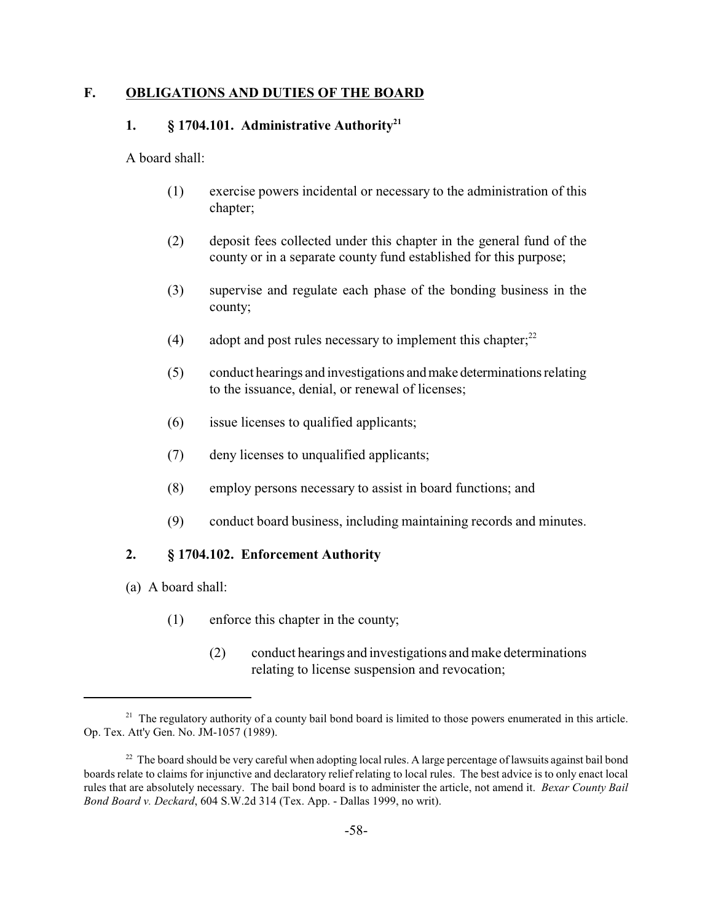#### **F. OBLIGATIONS AND DUTIES OF THE BOARD**

#### **1. § 1704.101. Administrative Authority<sup>21</sup>**

A board shall:

- (1) exercise powers incidental or necessary to the administration of this chapter;
- (2) deposit fees collected under this chapter in the general fund of the county or in a separate county fund established for this purpose;
- (3) supervise and regulate each phase of the bonding business in the county;
- (4) adopt and post rules necessary to implement this chapter; $^{22}$
- (5) conduct hearings and investigations andmake determinations relating to the issuance, denial, or renewal of licenses;
- (6) issue licenses to qualified applicants;
- (7) deny licenses to unqualified applicants;
- (8) employ persons necessary to assist in board functions; and
- (9) conduct board business, including maintaining records and minutes.

#### **2. § 1704.102. Enforcement Authority**

- (a) A board shall:
	- (1) enforce this chapter in the county;
		- (2) conduct hearings and investigations and make determinations relating to license suspension and revocation;

<sup>&</sup>lt;sup>21</sup> The regulatory authority of a county bail bond board is limited to those powers enumerated in this article. Op. Tex. Att'y Gen. No. JM-1057 (1989).

 $22$  The board should be very careful when adopting local rules. A large percentage of lawsuits against bail bond boards relate to claims for injunctive and declaratory relief relating to local rules. The best advice is to only enact local rules that are absolutely necessary. The bail bond board is to administer the article, not amend it. *Bexar County Bail Bond Board v. Deckard*, 604 S.W.2d 314 (Tex. App. - Dallas 1999, no writ).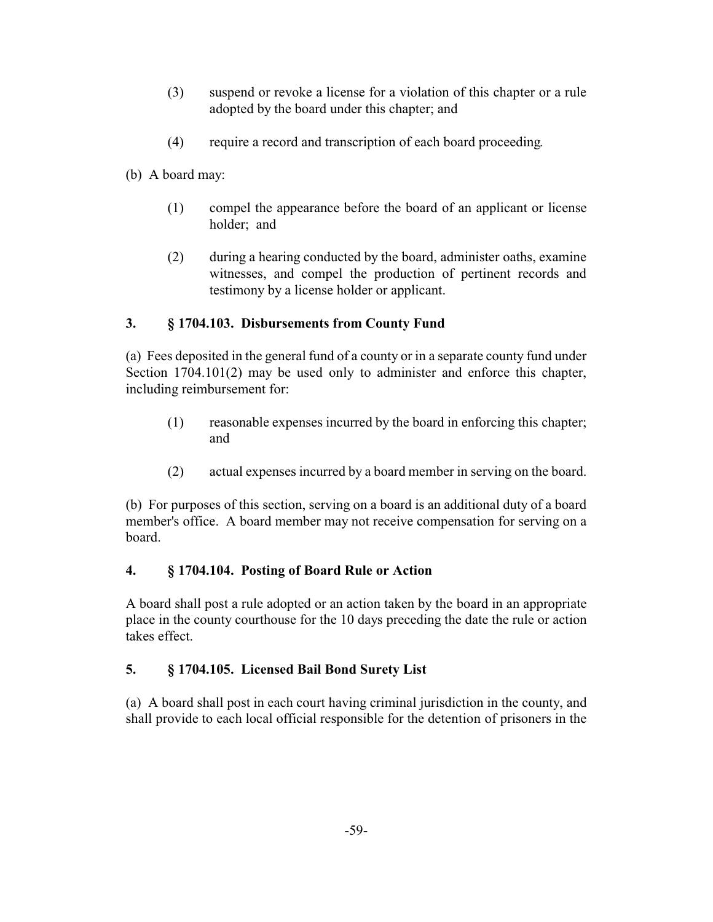- (3) suspend or revoke a license for a violation of this chapter or a rule adopted by the board under this chapter; and
- (4) require a record and transcription of each board proceeding.
- (b) A board may:
	- (1) compel the appearance before the board of an applicant or license holder; and
	- (2) during a hearing conducted by the board, administer oaths, examine witnesses, and compel the production of pertinent records and testimony by a license holder or applicant.

# **3. § 1704.103. Disbursements from County Fund**

(a) Fees deposited in the general fund of a county or in a separate county fund under Section 1704.101(2) may be used only to administer and enforce this chapter, including reimbursement for:

- (1) reasonable expenses incurred by the board in enforcing this chapter; and
- (2) actual expenses incurred by a board member in serving on the board.

(b) For purposes of this section, serving on a board is an additional duty of a board member's office. A board member may not receive compensation for serving on a board.

### **4. § 1704.104. Posting of Board Rule or Action**

A board shall post a rule adopted or an action taken by the board in an appropriate place in the county courthouse for the 10 days preceding the date the rule or action takes effect.

### **5. § 1704.105. Licensed Bail Bond Surety List**

(a) A board shall post in each court having criminal jurisdiction in the county, and shall provide to each local official responsible for the detention of prisoners in the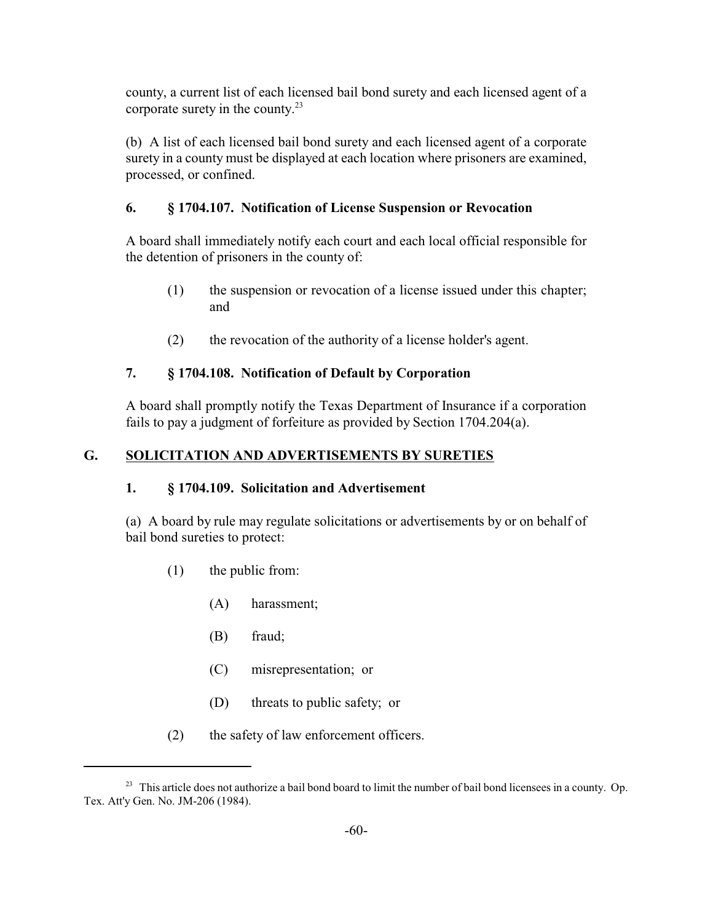county, a current list of each licensed bail bond surety and each licensed agent of a corporate surety in the county.<sup>23</sup>

(b) A list of each licensed bail bond surety and each licensed agent of a corporate surety in a county must be displayed at each location where prisoners are examined, processed, or confined.

### **6. § 1704.107. Notification of License Suspension or Revocation**

A board shall immediately notify each court and each local official responsible for the detention of prisoners in the county of:

- (1) the suspension or revocation of a license issued under this chapter; and
- (2) the revocation of the authority of a license holder's agent.

# **7. § 1704.108. Notification of Default by Corporation**

A board shall promptly notify the Texas Department of Insurance if a corporation fails to pay a judgment of forfeiture as provided by Section 1704.204(a).

# **G. SOLICITATION AND ADVERTISEMENTS BY SURETIES**

### **1. § 1704.109. Solicitation and Advertisement**

(a) A board by rule may regulate solicitations or advertisements by or on behalf of bail bond sureties to protect:

- (1) the public from:
	- (A) harassment;
	- (B) fraud;
	- (C) misrepresentation; or
	- (D) threats to public safety; or
- (2) the safety of law enforcement officers.

<sup>&</sup>lt;sup>23</sup> This article does not authorize a bail bond board to limit the number of bail bond licensees in a county. Op. Tex. Att'y Gen. No. JM-206 (1984).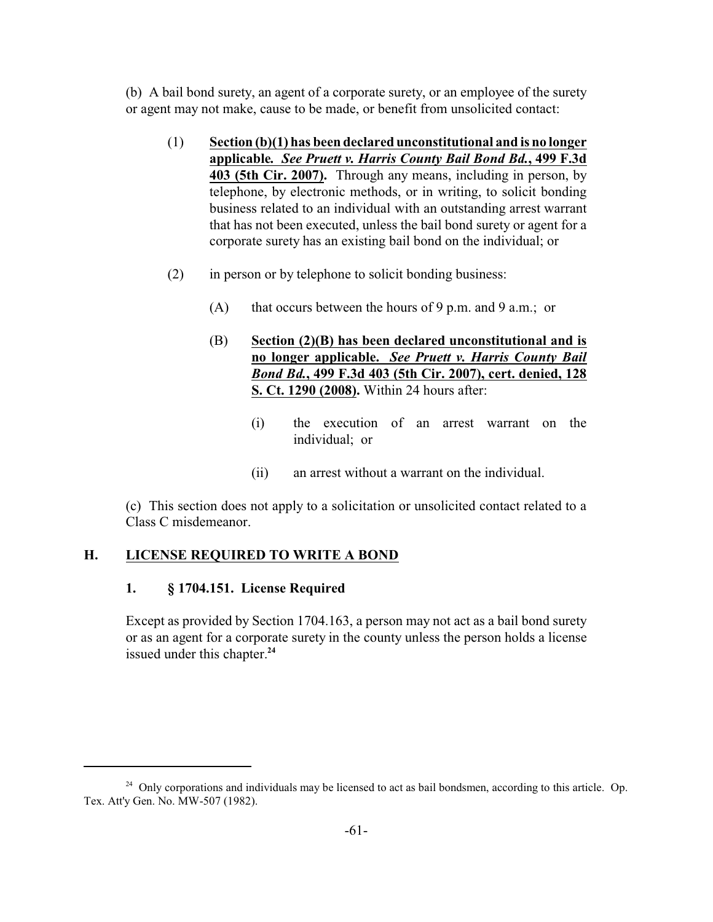(b) A bail bond surety, an agent of a corporate surety, or an employee of the surety or agent may not make, cause to be made, or benefit from unsolicited contact:

- (1) **Section (b)(1) has been declared unconstitutional and is no longer applicable***. See Pruett v. Harris County Bail Bond Bd.***, 499 F.3d 403 (5th Cir. 2007).** Through any means, including in person, by telephone, by electronic methods, or in writing, to solicit bonding business related to an individual with an outstanding arrest warrant that has not been executed, unless the bail bond surety or agent for a corporate surety has an existing bail bond on the individual; or
- (2) in person or by telephone to solicit bonding business:
	- (A) that occurs between the hours of 9 p.m. and 9 a.m.; or
	- (B) **Section (2)(B) has been declared unconstitutional and is no longer applicable.** *See Pruett v. Harris County Bail Bond Bd.***, 499 F.3d 403 (5th Cir. 2007), cert. denied, 128 S. Ct. 1290 (2008).** Within 24 hours after:
		- (i) the execution of an arrest warrant on the individual; or
		- (ii) an arrest without a warrant on the individual.

(c) This section does not apply to a solicitation or unsolicited contact related to a Class C misdemeanor.

### **H. LICENSE REQUIRED TO WRITE A BOND**

#### **1. § 1704.151. License Required**

Except as provided by Section 1704.163, a person may not act as a bail bond surety or as an agent for a corporate surety in the county unless the person holds a license issued under this chapter.**<sup>24</sup>**

<sup>&</sup>lt;sup>24</sup> Only corporations and individuals may be licensed to act as bail bondsmen, according to this article. Op. Tex. Att'y Gen. No. MW-507 (1982).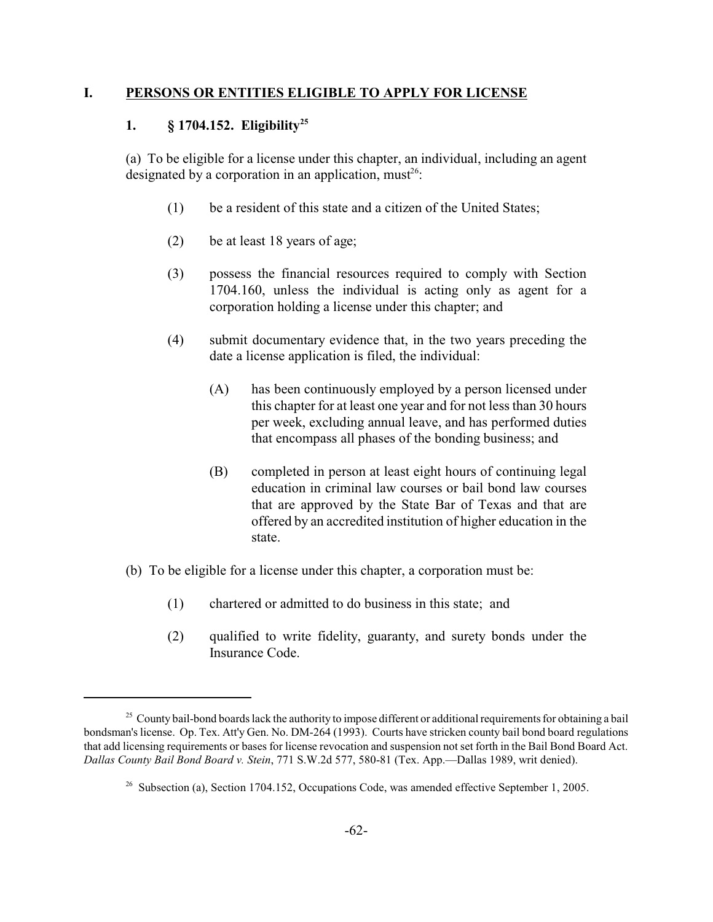### **I. PERSONS OR ENTITIES ELIGIBLE TO APPLY FOR LICENSE**

### **1. § 1704.152. Eligibility<sup>25</sup>**

(a) To be eligible for a license under this chapter, an individual, including an agent designated by a corporation in an application, must<sup>26</sup>:

- (1) be a resident of this state and a citizen of the United States;
- (2) be at least 18 years of age;
- (3) possess the financial resources required to comply with Section 1704.160, unless the individual is acting only as agent for a corporation holding a license under this chapter; and
- (4) submit documentary evidence that, in the two years preceding the date a license application is filed, the individual:
	- (A) has been continuously employed by a person licensed under this chapter for at least one year and for not less than 30 hours per week, excluding annual leave, and has performed duties that encompass all phases of the bonding business; and
	- (B) completed in person at least eight hours of continuing legal education in criminal law courses or bail bond law courses that are approved by the State Bar of Texas and that are offered by an accredited institution of higher education in the state.
- (b) To be eligible for a license under this chapter, a corporation must be:
	- (1) chartered or admitted to do business in this state; and
	- (2) qualified to write fidelity, guaranty, and surety bonds under the Insurance Code.

<sup>&</sup>lt;sup>25</sup> County bail-bond boards lack the authority to impose different or additional requirements for obtaining a bail bondsman's license. Op. Tex. Att'y Gen. No. DM-264 (1993). Courts have stricken county bail bond board regulations that add licensing requirements or bases for license revocation and suspension not set forth in the Bail Bond Board Act. *Dallas County Bail Bond Board v. Stein*, 771 S.W.2d 577, 580-81 (Tex. App.—Dallas 1989, writ denied).

<sup>26</sup> Subsection (a), Section 1704.152, Occupations Code, was amended effective September 1, 2005.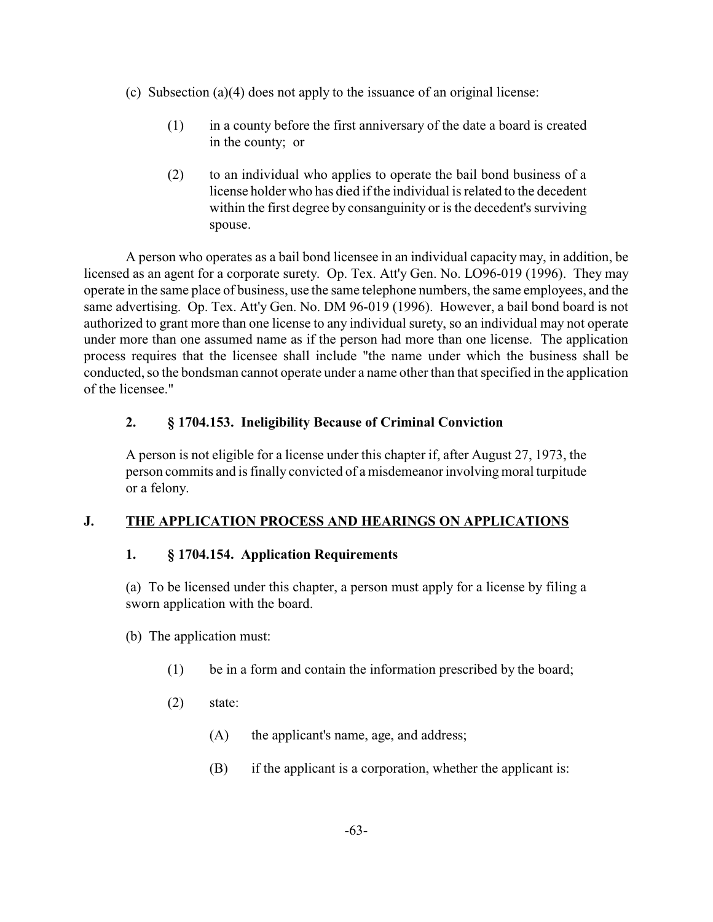- (c) Subsection (a)(4) does not apply to the issuance of an original license:
	- (1) in a county before the first anniversary of the date a board is created in the county; or
	- (2) to an individual who applies to operate the bail bond business of a license holder who has died if the individual is related to the decedent within the first degree by consanguinity or is the decedent's surviving spouse.

A person who operates as a bail bond licensee in an individual capacity may, in addition, be licensed as an agent for a corporate surety. Op. Tex. Att'y Gen. No. LO96-019 (1996). They may operate in the same place of business, use the same telephone numbers, the same employees, and the same advertising. Op. Tex. Att'y Gen. No. DM 96-019 (1996). However, a bail bond board is not authorized to grant more than one license to any individual surety, so an individual may not operate under more than one assumed name as if the person had more than one license. The application process requires that the licensee shall include "the name under which the business shall be conducted, so the bondsman cannot operate under a name other than that specified in the application of the licensee."

### **2. § 1704.153. Ineligibility Because of Criminal Conviction**

A person is not eligible for a license under this chapter if, after August 27, 1973, the person commits and is finally convicted of a misdemeanor involving moral turpitude or a felony.

## **J. THE APPLICATION PROCESS AND HEARINGS ON APPLICATIONS**

## **1. § 1704.154. Application Requirements**

(a) To be licensed under this chapter, a person must apply for a license by filing a sworn application with the board.

- (b) The application must:
	- (1) be in a form and contain the information prescribed by the board;
	- (2) state:
		- (A) the applicant's name, age, and address;
		- (B) if the applicant is a corporation, whether the applicant is: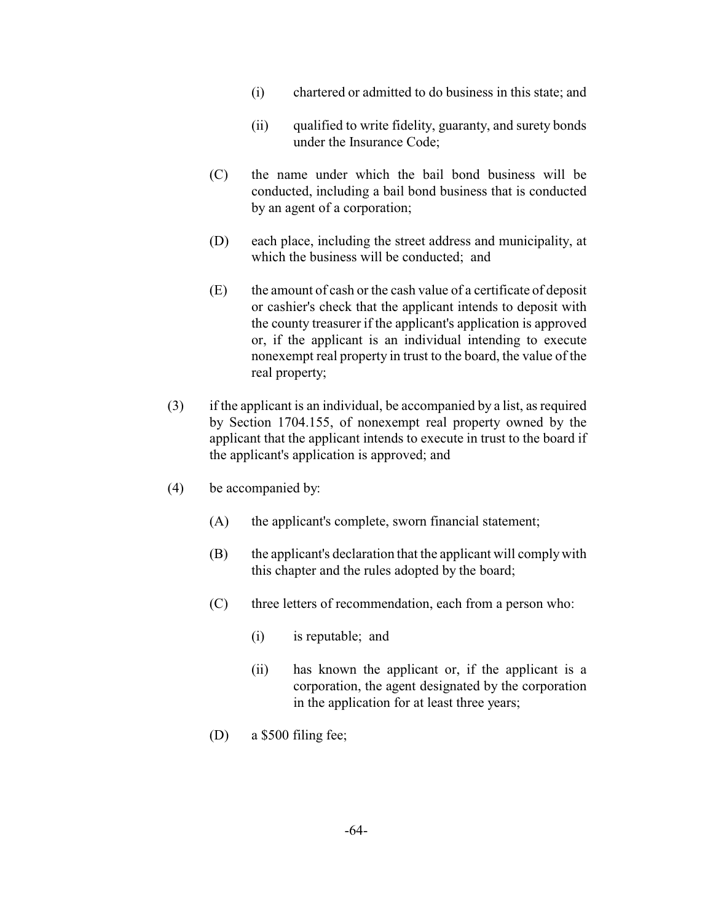- (i) chartered or admitted to do business in this state; and
- (ii) qualified to write fidelity, guaranty, and surety bonds under the Insurance Code;
- (C) the name under which the bail bond business will be conducted, including a bail bond business that is conducted by an agent of a corporation;
- (D) each place, including the street address and municipality, at which the business will be conducted; and
- (E) the amount of cash or the cash value of a certificate of deposit or cashier's check that the applicant intends to deposit with the county treasurer if the applicant's application is approved or, if the applicant is an individual intending to execute nonexempt real property in trust to the board, the value of the real property;
- (3) if the applicant is an individual, be accompanied by a list, as required by Section 1704.155, of nonexempt real property owned by the applicant that the applicant intends to execute in trust to the board if the applicant's application is approved; and
- (4) be accompanied by:
	- (A) the applicant's complete, sworn financial statement;
	- (B) the applicant's declaration that the applicant will comply with this chapter and the rules adopted by the board;
	- (C) three letters of recommendation, each from a person who:
		- (i) is reputable; and
		- (ii) has known the applicant or, if the applicant is a corporation, the agent designated by the corporation in the application for at least three years;
	- (D) a \$500 filing fee;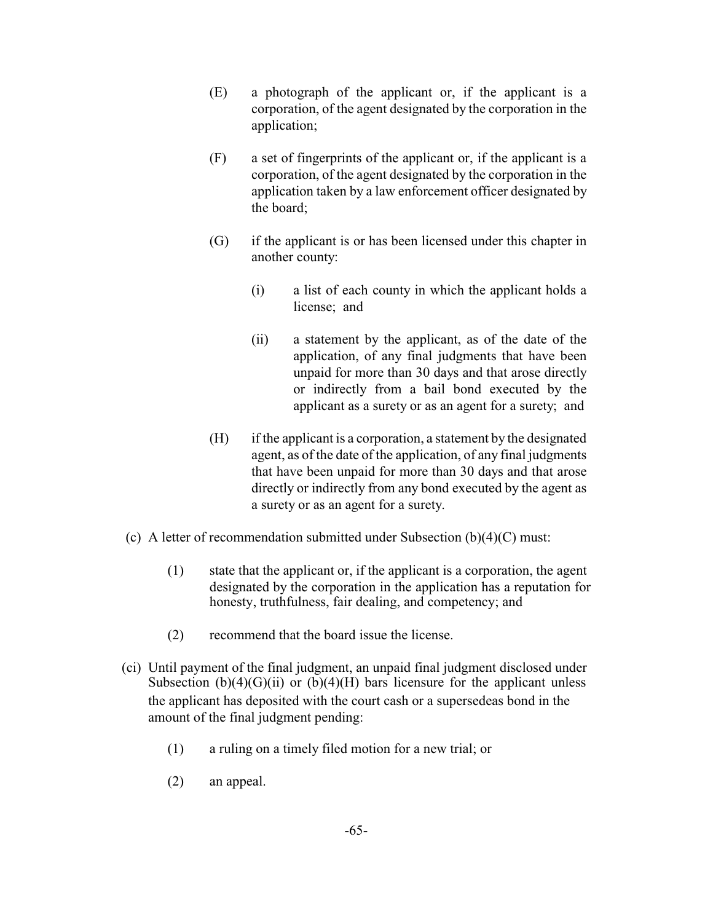- (E) a photograph of the applicant or, if the applicant is a corporation, of the agent designated by the corporation in the application;
- (F) a set of fingerprints of the applicant or, if the applicant is a corporation, of the agent designated by the corporation in the application taken by a law enforcement officer designated by the board;
- (G) if the applicant is or has been licensed under this chapter in another county:
	- (i) a list of each county in which the applicant holds a license; and
	- (ii) a statement by the applicant, as of the date of the application, of any final judgments that have been unpaid for more than 30 days and that arose directly or indirectly from a bail bond executed by the applicant as a surety or as an agent for a surety; and
- (H) if the applicant is a corporation, a statement by the designated agent, as of the date of the application, of any final judgments that have been unpaid for more than 30 days and that arose directly or indirectly from any bond executed by the agent as a surety or as an agent for a surety.
- (c) A letter of recommendation submitted under Subsection  $(b)(4)(C)$  must:
	- (1) state that the applicant or, if the applicant is a corporation, the agent designated by the corporation in the application has a reputation for honesty, truthfulness, fair dealing, and competency; and
	- (2) recommend that the board issue the license.
- (ci) Until payment of the final judgment, an unpaid final judgment disclosed under Subsection  $(b)(4)(G)(ii)$  or  $(b)(4)(H)$  bars licensure for the applicant unless the applicant has deposited with the court cash or a supersedeas bond in the amount of the final judgment pending:
	- (1) a ruling on a timely filed motion for a new trial; or
	- (2) an appeal.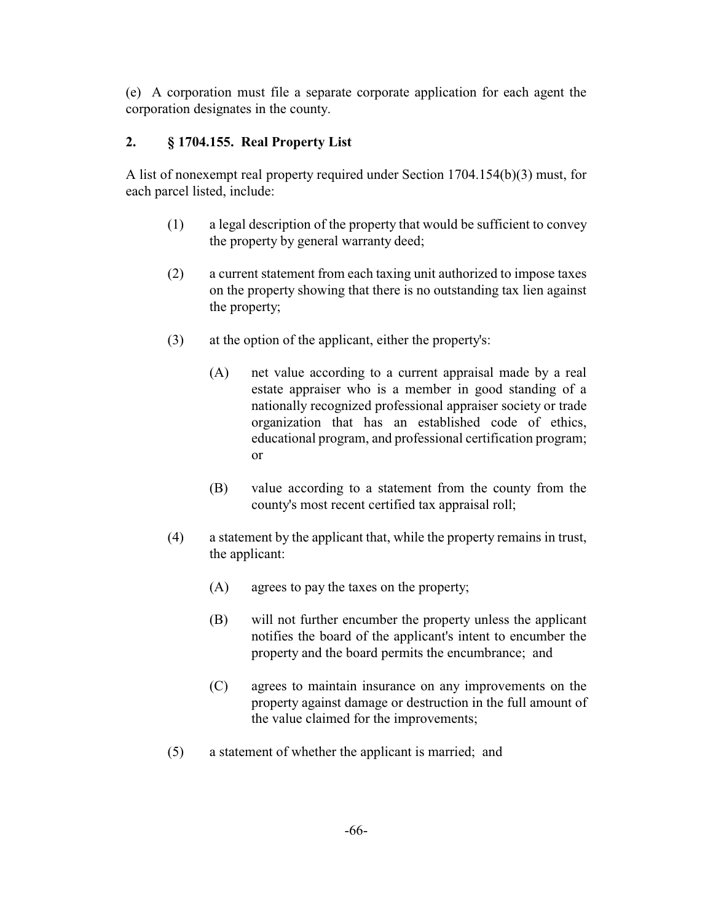(e) A corporation must file a separate corporate application for each agent the corporation designates in the county.

## **2. § 1704.155. Real Property List**

A list of nonexempt real property required under Section 1704.154(b)(3) must, for each parcel listed, include:

- (1) a legal description of the property that would be sufficient to convey the property by general warranty deed;
- (2) a current statement from each taxing unit authorized to impose taxes on the property showing that there is no outstanding tax lien against the property;
- (3) at the option of the applicant, either the property's:
	- (A) net value according to a current appraisal made by a real estate appraiser who is a member in good standing of a nationally recognized professional appraiser society or trade organization that has an established code of ethics, educational program, and professional certification program; or
	- (B) value according to a statement from the county from the county's most recent certified tax appraisal roll;
- (4) a statement by the applicant that, while the property remains in trust, the applicant:
	- (A) agrees to pay the taxes on the property;
	- (B) will not further encumber the property unless the applicant notifies the board of the applicant's intent to encumber the property and the board permits the encumbrance; and
	- (C) agrees to maintain insurance on any improvements on the property against damage or destruction in the full amount of the value claimed for the improvements;
- (5) a statement of whether the applicant is married; and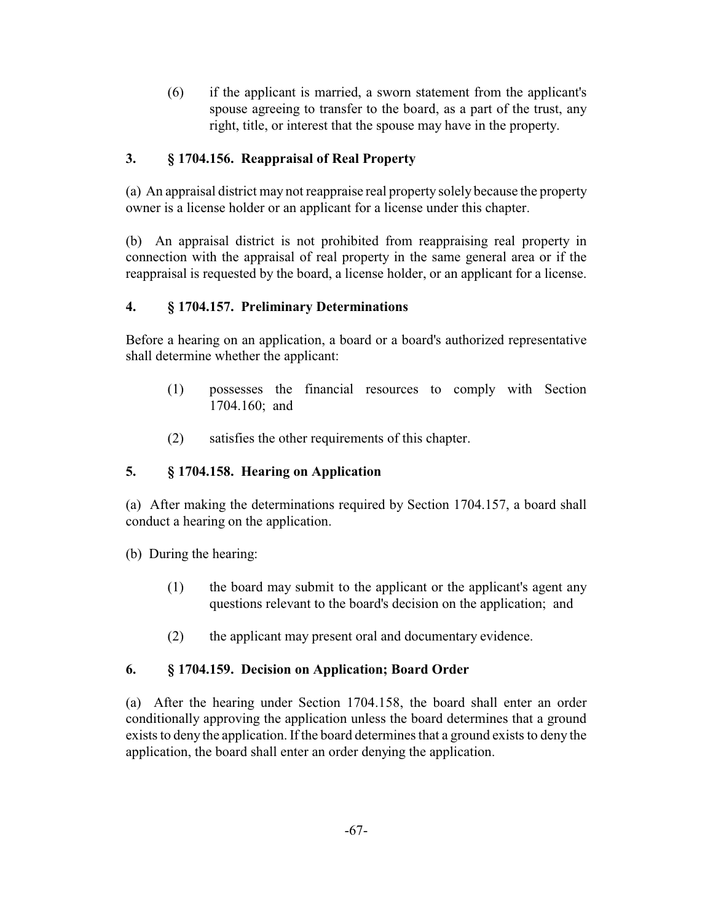(6) if the applicant is married, a sworn statement from the applicant's spouse agreeing to transfer to the board, as a part of the trust, any right, title, or interest that the spouse may have in the property.

## **3. § 1704.156. Reappraisal of Real Property**

(a) An appraisal district may not reappraise real property solely because the property owner is a license holder or an applicant for a license under this chapter.

(b) An appraisal district is not prohibited from reappraising real property in connection with the appraisal of real property in the same general area or if the reappraisal is requested by the board, a license holder, or an applicant for a license.

## **4. § 1704.157. Preliminary Determinations**

Before a hearing on an application, a board or a board's authorized representative shall determine whether the applicant:

- (1) possesses the financial resources to comply with Section 1704.160; and
- (2) satisfies the other requirements of this chapter.

# **5. § 1704.158. Hearing on Application**

(a) After making the determinations required by Section 1704.157, a board shall conduct a hearing on the application.

(b) During the hearing:

- (1) the board may submit to the applicant or the applicant's agent any questions relevant to the board's decision on the application; and
- (2) the applicant may present oral and documentary evidence.

# **6. § 1704.159. Decision on Application; Board Order**

(a) After the hearing under Section 1704.158, the board shall enter an order conditionally approving the application unless the board determines that a ground exists to deny the application. If the board determines that a ground exists to deny the application, the board shall enter an order denying the application.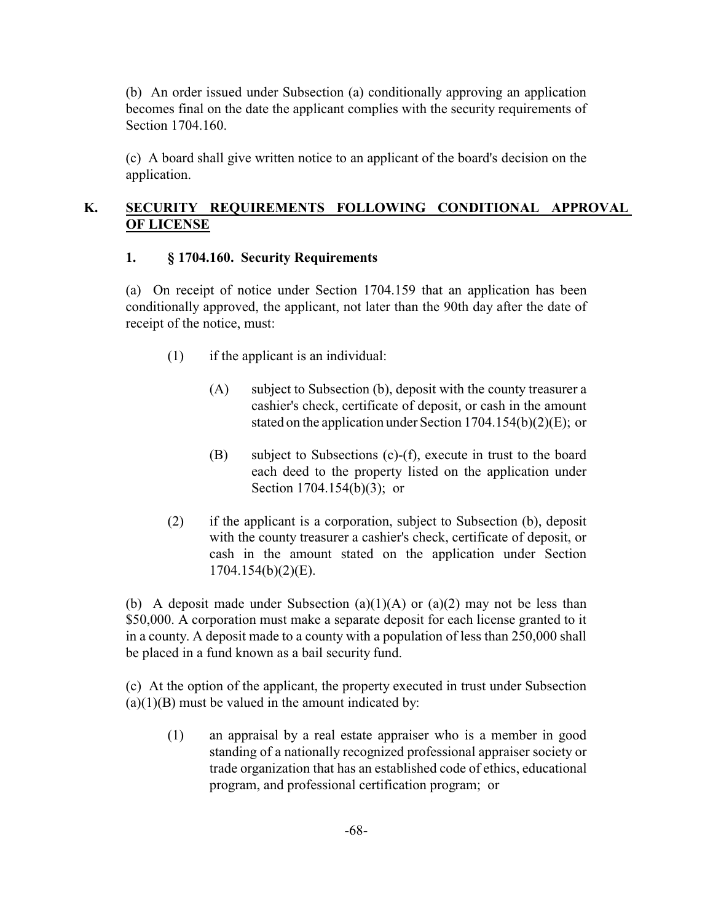(b) An order issued under Subsection (a) conditionally approving an application becomes final on the date the applicant complies with the security requirements of Section 1704.160.

(c) A board shall give written notice to an applicant of the board's decision on the application.

### **K. SECURITY REQUIREMENTS FOLLOWING CONDITIONAL APPROVAL OF LICENSE**

### **1. § 1704.160. Security Requirements**

(a) On receipt of notice under Section 1704.159 that an application has been conditionally approved, the applicant, not later than the 90th day after the date of receipt of the notice, must:

- (1) if the applicant is an individual:
	- (A) subject to Subsection (b), deposit with the county treasurer a cashier's check, certificate of deposit, or cash in the amount stated on the application under Section 1704.154(b)(2)(E); or
	- (B) subject to Subsections (c)-(f), execute in trust to the board each deed to the property listed on the application under Section 1704.154(b)(3); or
- (2) if the applicant is a corporation, subject to Subsection (b), deposit with the county treasurer a cashier's check, certificate of deposit, or cash in the amount stated on the application under Section 1704.154(b)(2)(E).

(b) A deposit made under Subsection (a)(1)(A) or (a)(2) may not be less than \$50,000. A corporation must make a separate deposit for each license granted to it in a county. A deposit made to a county with a population of less than 250,000 shall be placed in a fund known as a bail security fund.

(c) At the option of the applicant, the property executed in trust under Subsection  $(a)(1)(B)$  must be valued in the amount indicated by:

(1) an appraisal by a real estate appraiser who is a member in good standing of a nationally recognized professional appraiser society or trade organization that has an established code of ethics, educational program, and professional certification program; or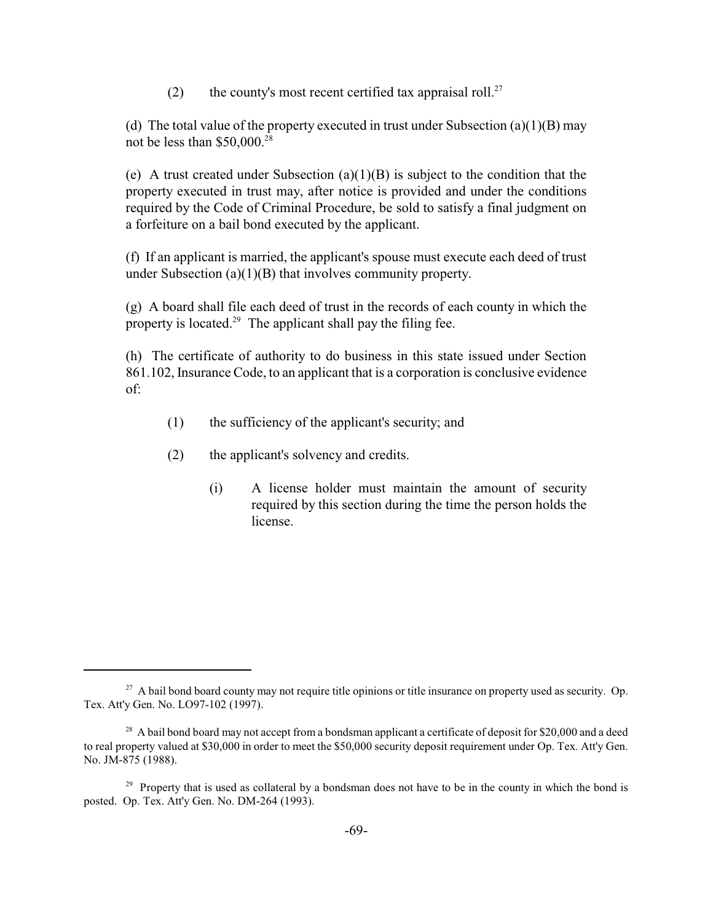(2) the county's most recent certified tax appraisal roll.<sup>27</sup>

(d) The total value of the property executed in trust under Subsection  $(a)(1)(B)$  may not be less than  $$50,000.<sup>28</sup>$ 

(e) A trust created under Subsection  $(a)(1)(B)$  is subject to the condition that the property executed in trust may, after notice is provided and under the conditions required by the Code of Criminal Procedure, be sold to satisfy a final judgment on a forfeiture on a bail bond executed by the applicant.

(f) If an applicant is married, the applicant's spouse must execute each deed of trust under Subsection (a)(1)(B) that involves community property.

(g) A board shall file each deed of trust in the records of each county in which the property is located.<sup>29</sup> The applicant shall pay the filing fee.

(h) The certificate of authority to do business in this state issued under Section 861.102, Insurance Code, to an applicant that is a corporation is conclusive evidence of:

- (1) the sufficiency of the applicant's security; and
- (2) the applicant's solvency and credits.
	- (i) A license holder must maintain the amount of security required by this section during the time the person holds the license.

<sup>&</sup>lt;sup>27</sup> A bail bond board county may not require title opinions or title insurance on property used as security. Op. Tex. Att'y Gen. No. LO97-102 (1997).

<sup>&</sup>lt;sup>28</sup> A bail bond board may not accept from a bondsman applicant a certificate of deposit for \$20,000 and a deed to real property valued at \$30,000 in order to meet the \$50,000 security deposit requirement under Op. Tex. Att'y Gen. No. JM-875 (1988).

<sup>&</sup>lt;sup>29</sup> Property that is used as collateral by a bondsman does not have to be in the county in which the bond is posted. Op. Tex. Att'y Gen. No. DM-264 (1993).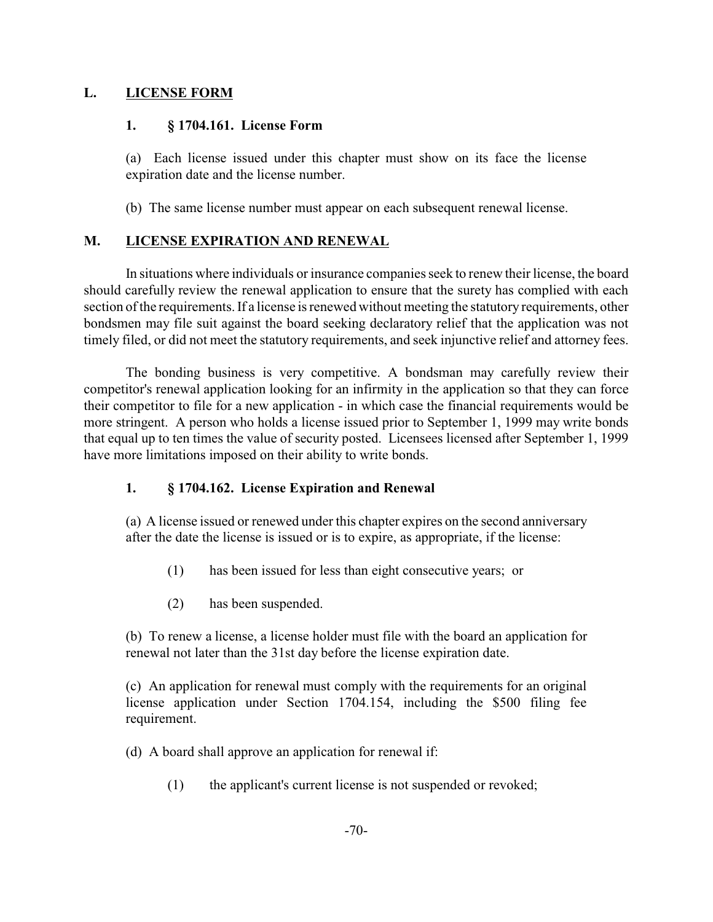### **L. LICENSE FORM**

#### **1. § 1704.161. License Form**

(a) Each license issued under this chapter must show on its face the license expiration date and the license number.

(b) The same license number must appear on each subsequent renewal license.

### **M. LICENSE EXPIRATION AND RENEWAL**

In situations where individuals or insurance companies seek to renew their license, the board should carefully review the renewal application to ensure that the surety has complied with each section of the requirements. If a license is renewed without meeting the statutory requirements, other bondsmen may file suit against the board seeking declaratory relief that the application was not timely filed, or did not meet the statutory requirements, and seek injunctive relief and attorney fees.

The bonding business is very competitive. A bondsman may carefully review their competitor's renewal application looking for an infirmity in the application so that they can force their competitor to file for a new application - in which case the financial requirements would be more stringent. A person who holds a license issued prior to September 1, 1999 may write bonds that equal up to ten times the value of security posted. Licensees licensed after September 1, 1999 have more limitations imposed on their ability to write bonds.

### **1. § 1704.162. License Expiration and Renewal**

(a) A license issued or renewed under this chapter expires on the second anniversary after the date the license is issued or is to expire, as appropriate, if the license:

- (1) has been issued for less than eight consecutive years; or
- (2) has been suspended.

(b) To renew a license, a license holder must file with the board an application for renewal not later than the 31st day before the license expiration date.

(c) An application for renewal must comply with the requirements for an original license application under Section 1704.154, including the \$500 filing fee requirement.

(d) A board shall approve an application for renewal if:

(1) the applicant's current license is not suspended or revoked;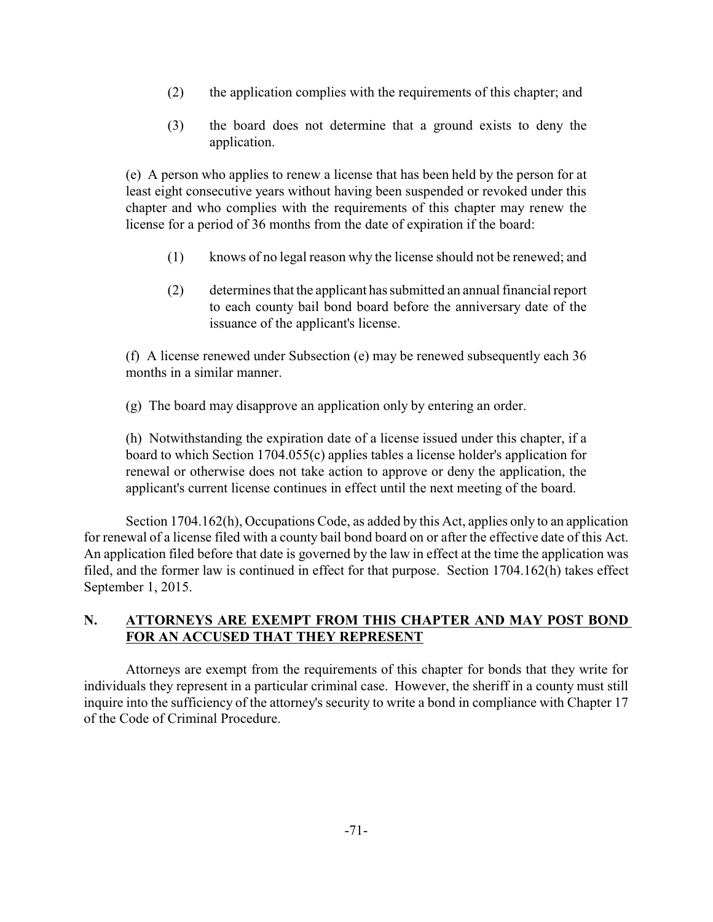- (2) the application complies with the requirements of this chapter; and
- (3) the board does not determine that a ground exists to deny the application.

(e) A person who applies to renew a license that has been held by the person for at least eight consecutive years without having been suspended or revoked under this chapter and who complies with the requirements of this chapter may renew the license for a period of 36 months from the date of expiration if the board:

- (1) knows of no legal reason why the license should not be renewed; and
- (2) determines that the applicant has submitted an annual financial report to each county bail bond board before the anniversary date of the issuance of the applicant's license.

(f) A license renewed under Subsection (e) may be renewed subsequently each 36 months in a similar manner.

(g) The board may disapprove an application only by entering an order.

(h) Notwithstanding the expiration date of a license issued under this chapter, if a board to which Section 1704.055(c) applies tables a license holder's application for renewal or otherwise does not take action to approve or deny the application, the applicant's current license continues in effect until the next meeting of the board.

Section 1704.162(h), Occupations Code, as added by this Act, applies only to an application for renewal of a license filed with a county bail bond board on or after the effective date of this Act. An application filed before that date is governed by the law in effect at the time the application was filed, and the former law is continued in effect for that purpose. Section 1704.162(h) takes effect September 1, 2015.

### **N. ATTORNEYS ARE EXEMPT FROM THIS CHAPTER AND MAY POST BOND FOR AN ACCUSED THAT THEY REPRESENT**

Attorneys are exempt from the requirements of this chapter for bonds that they write for individuals they represent in a particular criminal case. However, the sheriff in a county must still inquire into the sufficiency of the attorney's security to write a bond in compliance with Chapter 17 of the Code of Criminal Procedure.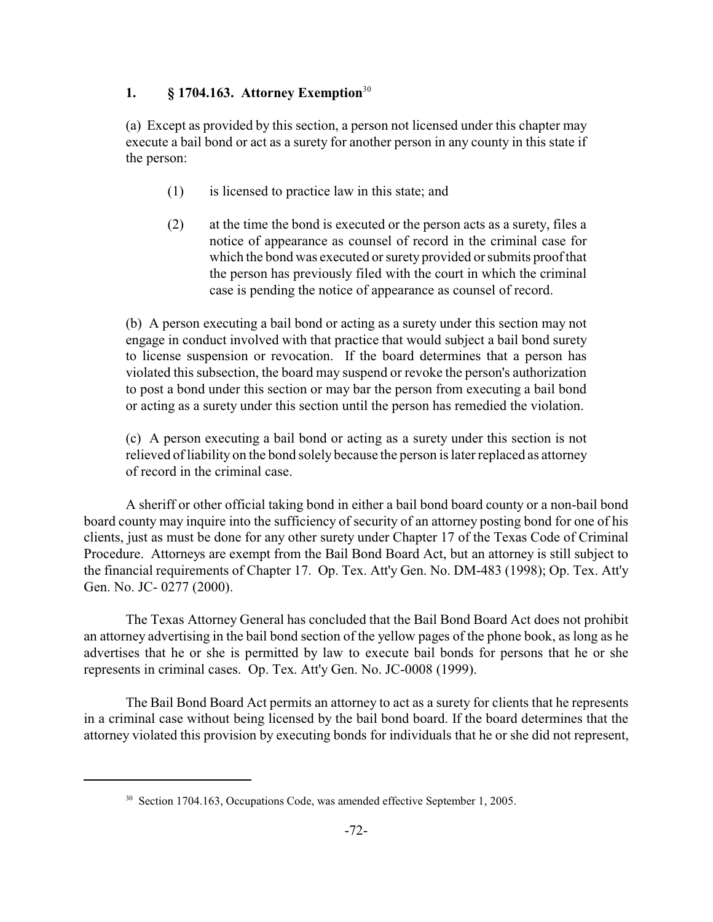### **1. § 1704.163. Attorney Exemption**<sup>30</sup>

(a) Except as provided by this section, a person not licensed under this chapter may execute a bail bond or act as a surety for another person in any county in this state if the person:

- (1) is licensed to practice law in this state; and
- (2) at the time the bond is executed or the person acts as a surety, files a notice of appearance as counsel of record in the criminal case for which the bond was executed or surety provided or submits proof that the person has previously filed with the court in which the criminal case is pending the notice of appearance as counsel of record.

(b) A person executing a bail bond or acting as a surety under this section may not engage in conduct involved with that practice that would subject a bail bond surety to license suspension or revocation. If the board determines that a person has violated this subsection, the board may suspend or revoke the person's authorization to post a bond under this section or may bar the person from executing a bail bond or acting as a surety under this section until the person has remedied the violation.

(c) A person executing a bail bond or acting as a surety under this section is not relieved of liability on the bond solely because the person is later replaced as attorney of record in the criminal case.

A sheriff or other official taking bond in either a bail bond board county or a non-bail bond board county may inquire into the sufficiency of security of an attorney posting bond for one of his clients, just as must be done for any other surety under Chapter 17 of the Texas Code of Criminal Procedure. Attorneys are exempt from the Bail Bond Board Act, but an attorney is still subject to the financial requirements of Chapter 17. Op. Tex. Att'y Gen. No. DM-483 (1998); Op. Tex. Att'y Gen. No. JC- 0277 (2000).

The Texas Attorney General has concluded that the Bail Bond Board Act does not prohibit an attorney advertising in the bail bond section of the yellow pages of the phone book, as long as he advertises that he or she is permitted by law to execute bail bonds for persons that he or she represents in criminal cases. Op. Tex. Att'y Gen. No. JC-0008 (1999).

The Bail Bond Board Act permits an attorney to act as a surety for clients that he represents in a criminal case without being licensed by the bail bond board. If the board determines that the attorney violated this provision by executing bonds for individuals that he or she did not represent,

<sup>&</sup>lt;sup>30</sup> Section 1704.163, Occupations Code, was amended effective September 1, 2005.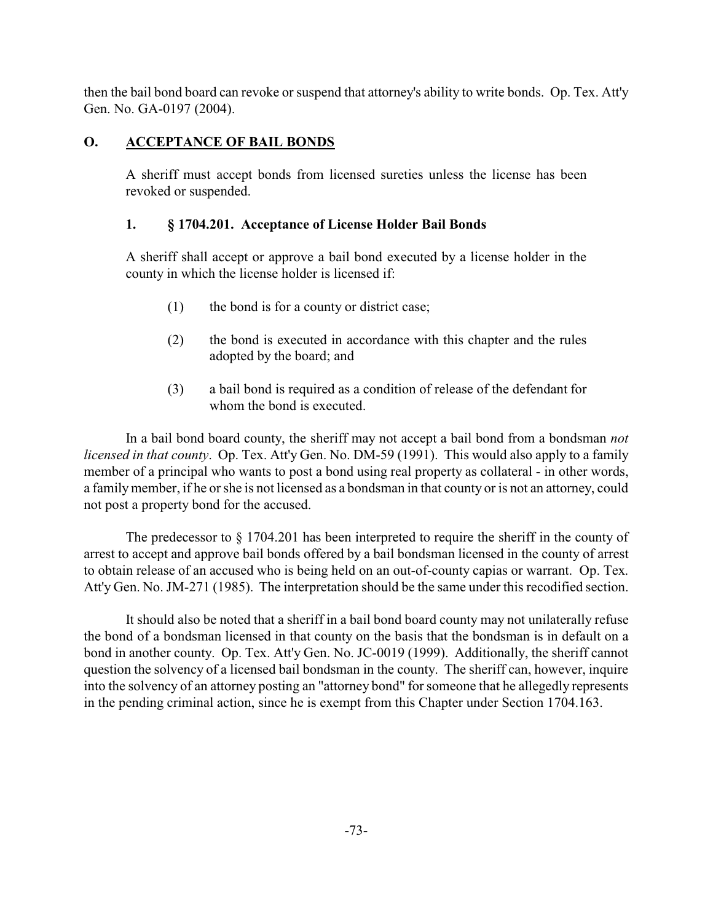then the bail bond board can revoke or suspend that attorney's ability to write bonds. Op. Tex. Att'y Gen. No. GA-0197 (2004).

## **O. ACCEPTANCE OF BAIL BONDS**

A sheriff must accept bonds from licensed sureties unless the license has been revoked or suspended.

### **1. § 1704.201. Acceptance of License Holder Bail Bonds**

A sheriff shall accept or approve a bail bond executed by a license holder in the county in which the license holder is licensed if:

- (1) the bond is for a county or district case;
- (2) the bond is executed in accordance with this chapter and the rules adopted by the board; and
- (3) a bail bond is required as a condition of release of the defendant for whom the bond is executed.

In a bail bond board county, the sheriff may not accept a bail bond from a bondsman *not licensed in that county*. Op. Tex. Att'y Gen. No. DM-59 (1991). This would also apply to a family member of a principal who wants to post a bond using real property as collateral - in other words, a family member, if he or she is not licensed as a bondsman in that county or is not an attorney, could not post a property bond for the accused.

The predecessor to § 1704.201 has been interpreted to require the sheriff in the county of arrest to accept and approve bail bonds offered by a bail bondsman licensed in the county of arrest to obtain release of an accused who is being held on an out-of-county capias or warrant. Op. Tex. Att'y Gen. No. JM-271 (1985). The interpretation should be the same under this recodified section.

It should also be noted that a sheriff in a bail bond board county may not unilaterally refuse the bond of a bondsman licensed in that county on the basis that the bondsman is in default on a bond in another county. Op. Tex. Att'y Gen. No. JC-0019 (1999). Additionally, the sheriff cannot question the solvency of a licensed bail bondsman in the county. The sheriff can, however, inquire into the solvency of an attorney posting an "attorney bond" for someone that he allegedly represents in the pending criminal action, since he is exempt from this Chapter under Section 1704.163.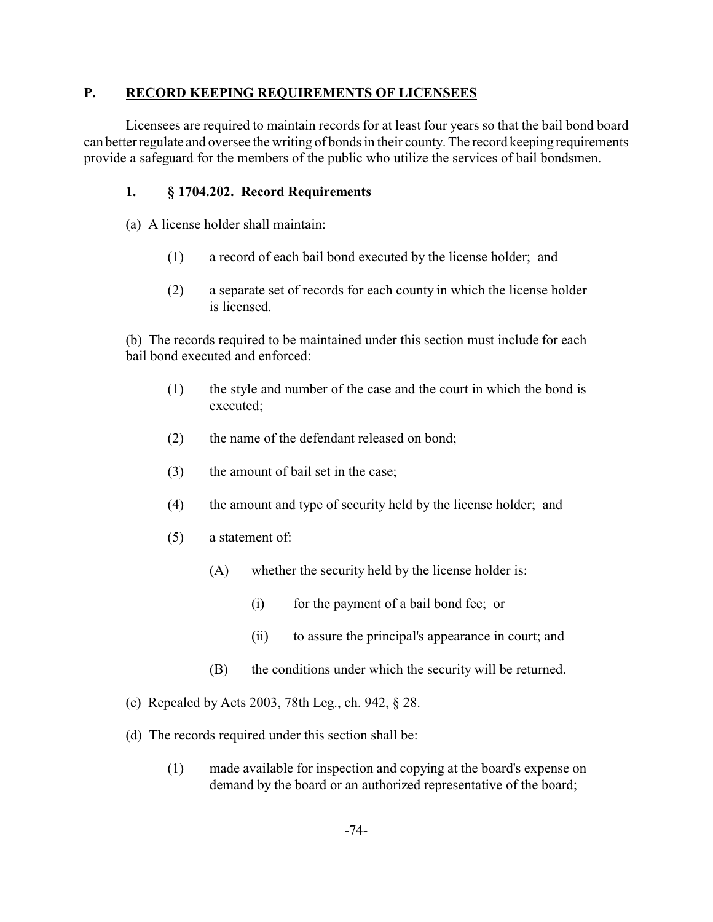#### **P. RECORD KEEPING REQUIREMENTS OF LICENSEES**

Licensees are required to maintain records for at least four years so that the bail bond board can better regulate and oversee the writing of bonds in their county. The record keeping requirements provide a safeguard for the members of the public who utilize the services of bail bondsmen.

### **1. § 1704.202. Record Requirements**

- (a) A license holder shall maintain:
	- (1) a record of each bail bond executed by the license holder; and
	- (2) a separate set of records for each county in which the license holder is licensed.

(b) The records required to be maintained under this section must include for each bail bond executed and enforced:

- (1) the style and number of the case and the court in which the bond is executed;
- (2) the name of the defendant released on bond;
- (3) the amount of bail set in the case;
- (4) the amount and type of security held by the license holder; and
- (5) a statement of:
	- (A) whether the security held by the license holder is:
		- (i) for the payment of a bail bond fee; or
		- (ii) to assure the principal's appearance in court; and
	- (B) the conditions under which the security will be returned.
- (c) Repealed by Acts 2003, 78th Leg., ch. 942, § 28.
- (d) The records required under this section shall be:
	- (1) made available for inspection and copying at the board's expense on demand by the board or an authorized representative of the board;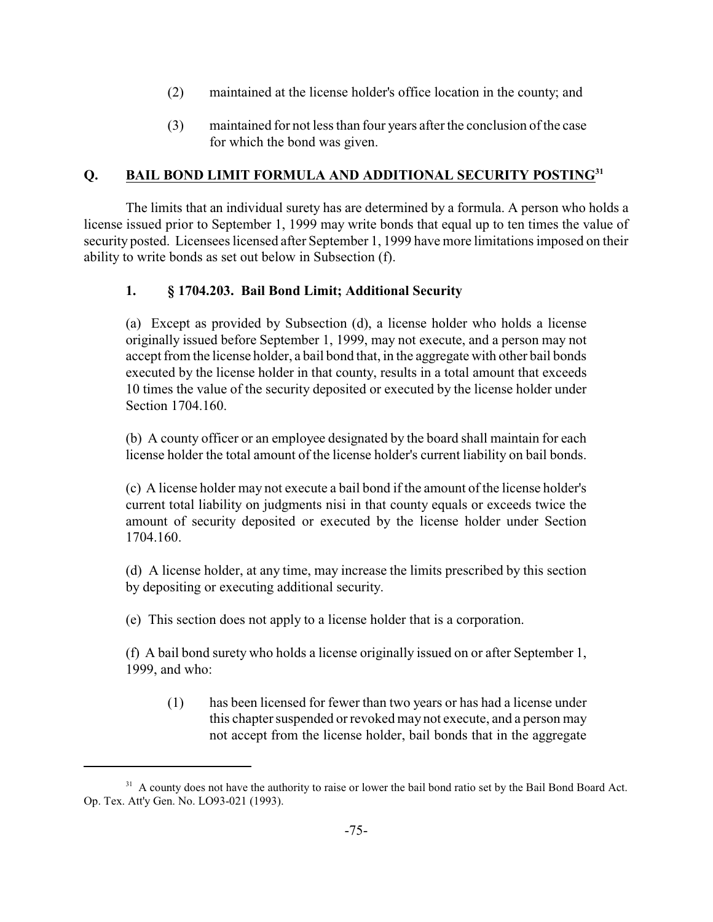- (2) maintained at the license holder's office location in the county; and
- (3) maintained for not less than four years after the conclusion of the case for which the bond was given.

## **Q. BAIL BOND LIMIT FORMULA AND ADDITIONAL SECURITY POSTING<sup>31</sup>**

The limits that an individual surety has are determined by a formula. A person who holds a license issued prior to September 1, 1999 may write bonds that equal up to ten times the value of security posted. Licensees licensed after September 1, 1999 have more limitations imposed on their ability to write bonds as set out below in Subsection (f).

## **1. § 1704.203. Bail Bond Limit; Additional Security**

(a) Except as provided by Subsection (d), a license holder who holds a license originally issued before September 1, 1999, may not execute, and a person may not accept from the license holder, a bail bond that, in the aggregate with other bail bonds executed by the license holder in that county, results in a total amount that exceeds 10 times the value of the security deposited or executed by the license holder under Section 1704.160.

(b) A county officer or an employee designated by the board shall maintain for each license holder the total amount of the license holder's current liability on bail bonds.

(c) A license holder may not execute a bail bond if the amount of the license holder's current total liability on judgments nisi in that county equals or exceeds twice the amount of security deposited or executed by the license holder under Section 1704.160.

(d) A license holder, at any time, may increase the limits prescribed by this section by depositing or executing additional security.

(e) This section does not apply to a license holder that is a corporation.

(f) A bail bond surety who holds a license originally issued on or after September 1, 1999, and who:

(1) has been licensed for fewer than two years or has had a license under this chapter suspended or revoked may not execute, and a person may not accept from the license holder, bail bonds that in the aggregate

<sup>&</sup>lt;sup>31</sup> A county does not have the authority to raise or lower the bail bond ratio set by the Bail Bond Board Act. Op. Tex. Att'y Gen. No. LO93-021 (1993).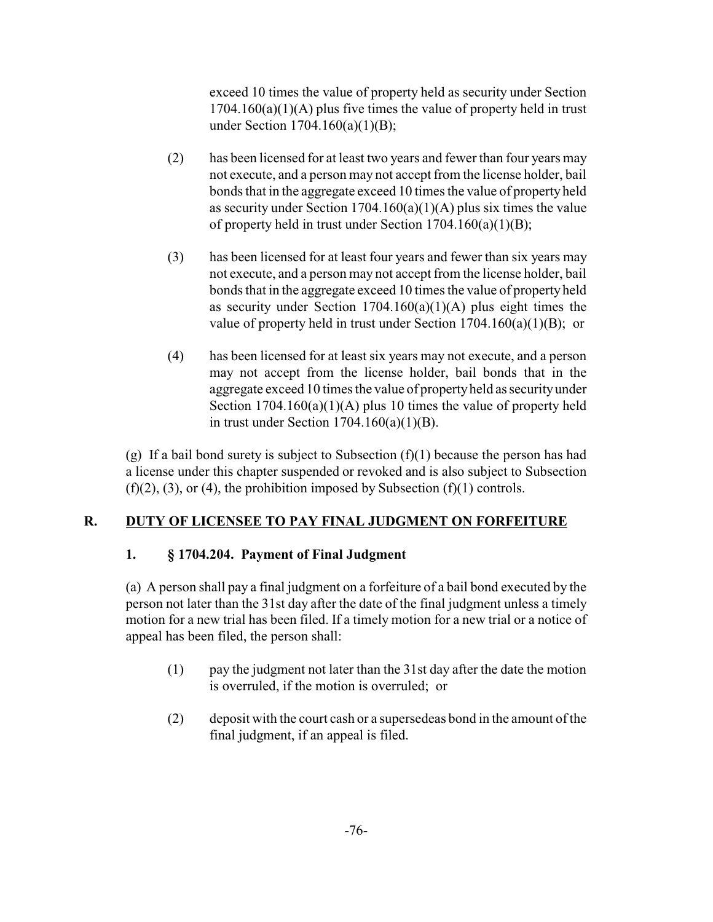exceed 10 times the value of property held as security under Section  $1704.160(a)(1)(A)$  plus five times the value of property held in trust under Section 1704.160(a)(1)(B);

- (2) has been licensed for at least two years and fewer than four years may not execute, and a person may not accept from the license holder, bail bonds that in the aggregate exceed 10 times the value of property held as security under Section  $1704.160(a)(1)(A)$  plus six times the value of property held in trust under Section 1704.160(a)(1)(B);
- (3) has been licensed for at least four years and fewer than six years may not execute, and a person may not accept from the license holder, bail bonds that in the aggregate exceed 10 times the value of property held as security under Section  $1704.160(a)(1)(A)$  plus eight times the value of property held in trust under Section  $1704.160(a)(1)(B)$ ; or
- (4) has been licensed for at least six years may not execute, and a person may not accept from the license holder, bail bonds that in the aggregate exceed 10 times the value of propertyheld as securityunder Section  $1704.160(a)(1)(A)$  plus 10 times the value of property held in trust under Section  $1704.160(a)(1)(B)$ .

(g) If a bail bond surety is subject to Subsection (f)(1) because the person has had a license under this chapter suspended or revoked and is also subject to Subsection  $(f)(2)$ ,  $(3)$ , or  $(4)$ , the prohibition imposed by Subsection  $(f)(1)$  controls.

## **R. DUTY OF LICENSEE TO PAY FINAL JUDGMENT ON FORFEITURE**

## **1. § 1704.204. Payment of Final Judgment**

(a) A person shall pay a final judgment on a forfeiture of a bail bond executed by the person not later than the 31st day after the date of the final judgment unless a timely motion for a new trial has been filed. If a timely motion for a new trial or a notice of appeal has been filed, the person shall:

- (1) pay the judgment not later than the 31st day after the date the motion is overruled, if the motion is overruled; or
- (2) deposit with the court cash or a supersedeas bond in the amount of the final judgment, if an appeal is filed.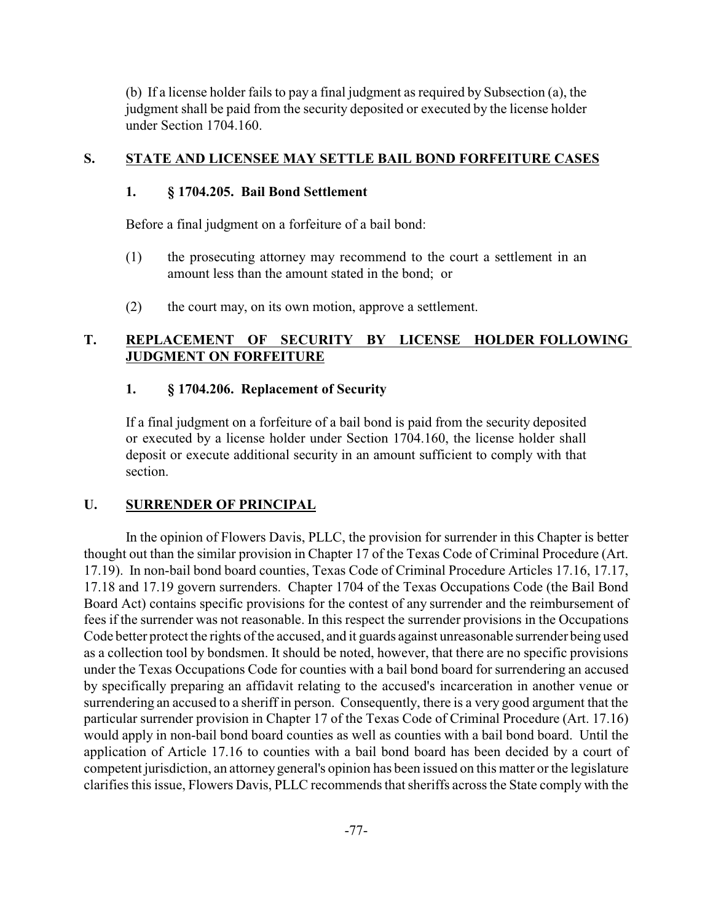(b) If a license holder fails to pay a final judgment as required by Subsection (a), the judgment shall be paid from the security deposited or executed by the license holder under Section 1704.160.

#### **S. STATE AND LICENSEE MAY SETTLE BAIL BOND FORFEITURE CASES**

#### **1. § 1704.205. Bail Bond Settlement**

Before a final judgment on a forfeiture of a bail bond:

- (1) the prosecuting attorney may recommend to the court a settlement in an amount less than the amount stated in the bond; or
- (2) the court may, on its own motion, approve a settlement.

### **T. REPLACEMENT OF SECURITY BY LICENSE HOLDER FOLLOWING JUDGMENT ON FORFEITURE**

#### **1. § 1704.206. Replacement of Security**

If a final judgment on a forfeiture of a bail bond is paid from the security deposited or executed by a license holder under Section 1704.160, the license holder shall deposit or execute additional security in an amount sufficient to comply with that section.

#### **U. SURRENDER OF PRINCIPAL**

In the opinion of Flowers Davis, PLLC, the provision for surrender in this Chapter is better thought out than the similar provision in Chapter 17 of the Texas Code of Criminal Procedure (Art. 17.19). In non-bail bond board counties, Texas Code of Criminal Procedure Articles 17.16, 17.17, 17.18 and 17.19 govern surrenders. Chapter 1704 of the Texas Occupations Code (the Bail Bond Board Act) contains specific provisions for the contest of any surrender and the reimbursement of fees if the surrender was not reasonable. In this respect the surrender provisions in the Occupations Code better protect the rights of the accused, and it guards against unreasonable surrender being used as a collection tool by bondsmen. It should be noted, however, that there are no specific provisions under the Texas Occupations Code for counties with a bail bond board for surrendering an accused by specifically preparing an affidavit relating to the accused's incarceration in another venue or surrendering an accused to a sheriff in person. Consequently, there is a very good argument that the particular surrender provision in Chapter 17 of the Texas Code of Criminal Procedure (Art. 17.16) would apply in non-bail bond board counties as well as counties with a bail bond board. Until the application of Article 17.16 to counties with a bail bond board has been decided by a court of competent jurisdiction, an attorney general's opinion has been issued on this matter or the legislature clarifies this issue, Flowers Davis, PLLC recommends that sheriffs across the State comply with the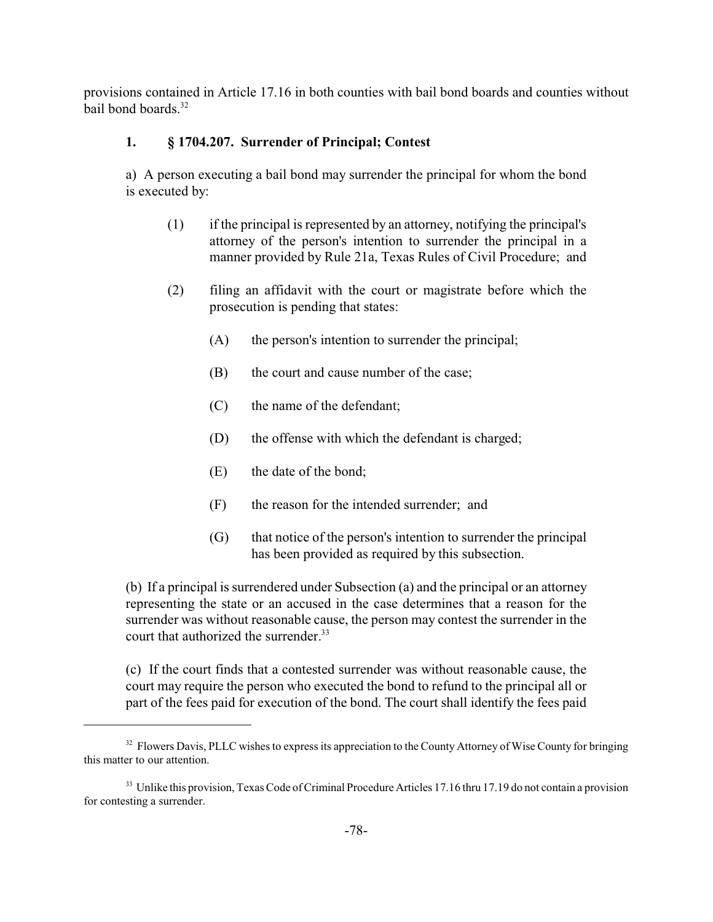provisions contained in Article 17.16 in both counties with bail bond boards and counties without bail bond boards.<sup>32</sup>

### **1. § 1704.207. Surrender of Principal; Contest**

a) A person executing a bail bond may surrender the principal for whom the bond is executed by:

- (1) if the principal is represented by an attorney, notifying the principal's attorney of the person's intention to surrender the principal in a manner provided by Rule 21a, Texas Rules of Civil Procedure; and
- (2) filing an affidavit with the court or magistrate before which the prosecution is pending that states:
	- (A) the person's intention to surrender the principal;
	- (B) the court and cause number of the case;
	- (C) the name of the defendant;
	- (D) the offense with which the defendant is charged;
	- (E) the date of the bond;
	- (F) the reason for the intended surrender; and
	- (G) that notice of the person's intention to surrender the principal has been provided as required by this subsection.

(b) If a principal is surrendered under Subsection (a) and the principal or an attorney representing the state or an accused in the case determines that a reason for the surrender was without reasonable cause, the person may contest the surrender in the court that authorized the surrender.<sup>33</sup>

(c) If the court finds that a contested surrender was without reasonable cause, the court may require the person who executed the bond to refund to the principal all or part of the fees paid for execution of the bond. The court shall identify the fees paid

<sup>&</sup>lt;sup>32</sup> Flowers Davis, PLLC wishes to express its appreciation to the County Attorney of Wise County for bringing this matter to our attention.

<sup>&</sup>lt;sup>33</sup> Unlike this provision, Texas Code of Criminal Procedure Articles 17.16 thru 17.19 do not contain a provision for contesting a surrender.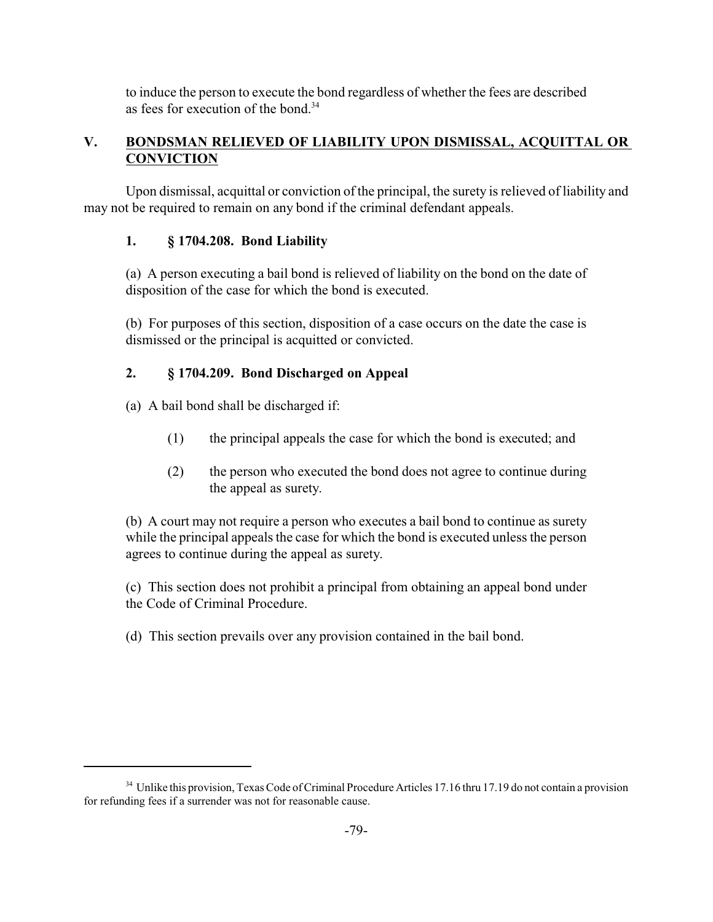to induce the person to execute the bond regardless of whether the fees are described as fees for execution of the bond. $34$ 

### **V. BONDSMAN RELIEVED OF LIABILITY UPON DISMISSAL, ACQUITTAL OR CONVICTION**

Upon dismissal, acquittal or conviction of the principal, the surety is relieved of liability and may not be required to remain on any bond if the criminal defendant appeals.

### **1. § 1704.208. Bond Liability**

(a) A person executing a bail bond is relieved of liability on the bond on the date of disposition of the case for which the bond is executed.

(b) For purposes of this section, disposition of a case occurs on the date the case is dismissed or the principal is acquitted or convicted.

### **2. § 1704.209. Bond Discharged on Appeal**

(a) A bail bond shall be discharged if:

- (1) the principal appeals the case for which the bond is executed; and
- (2) the person who executed the bond does not agree to continue during the appeal as surety.

(b) A court may not require a person who executes a bail bond to continue as surety while the principal appeals the case for which the bond is executed unless the person agrees to continue during the appeal as surety.

(c) This section does not prohibit a principal from obtaining an appeal bond under the Code of Criminal Procedure.

(d) This section prevails over any provision contained in the bail bond.

<sup>&</sup>lt;sup>34</sup> Unlike this provision, Texas Code of Criminal Procedure Articles 17.16 thru 17.19 do not contain a provision for refunding fees if a surrender was not for reasonable cause.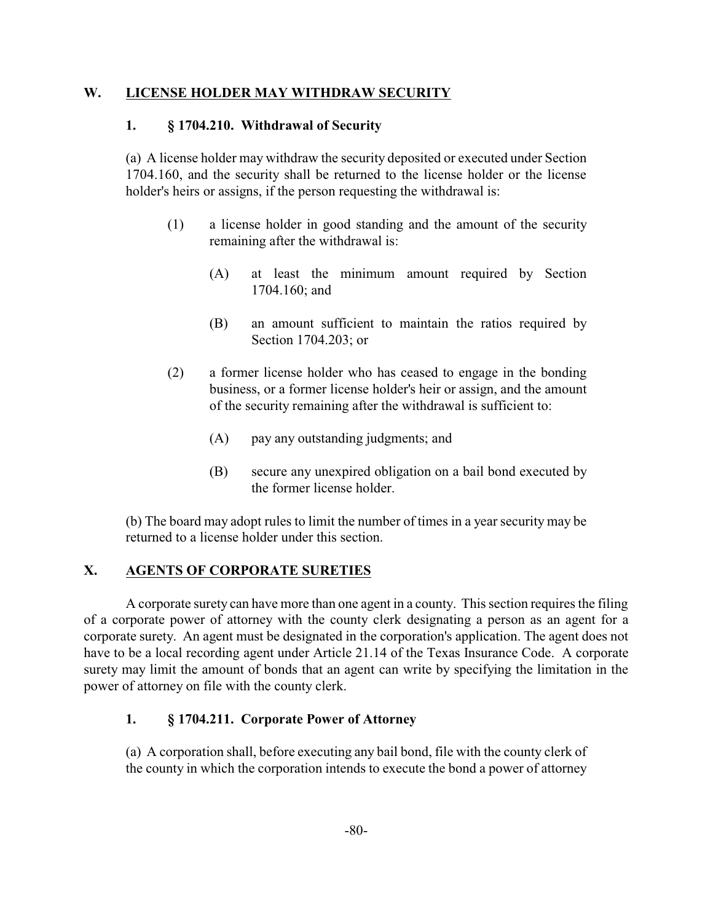#### **W. LICENSE HOLDER MAY WITHDRAW SECURITY**

#### **1. § 1704.210. Withdrawal of Security**

(a) A license holder may withdraw the security deposited or executed under Section 1704.160, and the security shall be returned to the license holder or the license holder's heirs or assigns, if the person requesting the withdrawal is:

- (1) a license holder in good standing and the amount of the security remaining after the withdrawal is:
	- (A) at least the minimum amount required by Section 1704.160; and
	- (B) an amount sufficient to maintain the ratios required by Section 1704.203; or
- (2) a former license holder who has ceased to engage in the bonding business, or a former license holder's heir or assign, and the amount of the security remaining after the withdrawal is sufficient to:
	- (A) pay any outstanding judgments; and
	- (B) secure any unexpired obligation on a bail bond executed by the former license holder.

(b) The board may adopt rules to limit the number of times in a year security may be returned to a license holder under this section.

### **X. AGENTS OF CORPORATE SURETIES**

A corporate surety can have more than one agent in a county. This section requires the filing of a corporate power of attorney with the county clerk designating a person as an agent for a corporate surety. An agent must be designated in the corporation's application. The agent does not have to be a local recording agent under Article 21.14 of the Texas Insurance Code. A corporate surety may limit the amount of bonds that an agent can write by specifying the limitation in the power of attorney on file with the county clerk.

### **1. § 1704.211. Corporate Power of Attorney**

(a) A corporation shall, before executing any bail bond, file with the county clerk of the county in which the corporation intends to execute the bond a power of attorney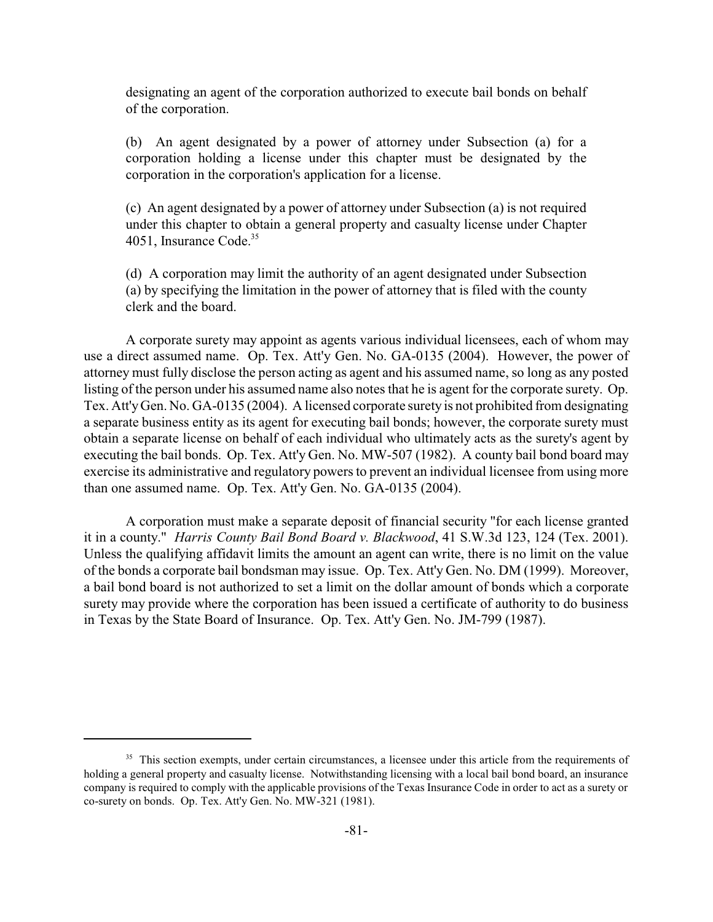designating an agent of the corporation authorized to execute bail bonds on behalf of the corporation.

(b) An agent designated by a power of attorney under Subsection (a) for a corporation holding a license under this chapter must be designated by the corporation in the corporation's application for a license.

(c) An agent designated by a power of attorney under Subsection (a) is not required under this chapter to obtain a general property and casualty license under Chapter 4051, Insurance Code.<sup>35</sup>

(d) A corporation may limit the authority of an agent designated under Subsection (a) by specifying the limitation in the power of attorney that is filed with the county clerk and the board.

A corporate surety may appoint as agents various individual licensees, each of whom may use a direct assumed name. Op. Tex. Att'y Gen. No. GA-0135 (2004). However, the power of attorney must fully disclose the person acting as agent and his assumed name, so long as any posted listing of the person under his assumed name also notes that he is agent for the corporate surety. Op. Tex. Att'yGen. No. GA-0135 (2004). A licensed corporate surety is not prohibited from designating a separate business entity as its agent for executing bail bonds; however, the corporate surety must obtain a separate license on behalf of each individual who ultimately acts as the surety's agent by executing the bail bonds. Op. Tex. Att'y Gen. No. MW-507 (1982). A county bail bond board may exercise its administrative and regulatory powers to prevent an individual licensee from using more than one assumed name. Op. Tex. Att'y Gen. No. GA-0135 (2004).

A corporation must make a separate deposit of financial security "for each license granted it in a county." *Harris County Bail Bond Board v. Blackwood*, 41 S.W.3d 123, 124 (Tex. 2001). Unless the qualifying affidavit limits the amount an agent can write, there is no limit on the value of the bonds a corporate bail bondsman may issue. Op. Tex. Att'y Gen. No. DM (1999). Moreover, a bail bond board is not authorized to set a limit on the dollar amount of bonds which a corporate surety may provide where the corporation has been issued a certificate of authority to do business in Texas by the State Board of Insurance. Op. Tex. Att'y Gen. No. JM-799 (1987).

<sup>&</sup>lt;sup>35</sup> This section exempts, under certain circumstances, a licensee under this article from the requirements of holding a general property and casualty license. Notwithstanding licensing with a local bail bond board, an insurance company is required to comply with the applicable provisions of the Texas Insurance Code in order to act as a surety or co-surety on bonds. Op. Tex. Att'y Gen. No. MW-321 (1981).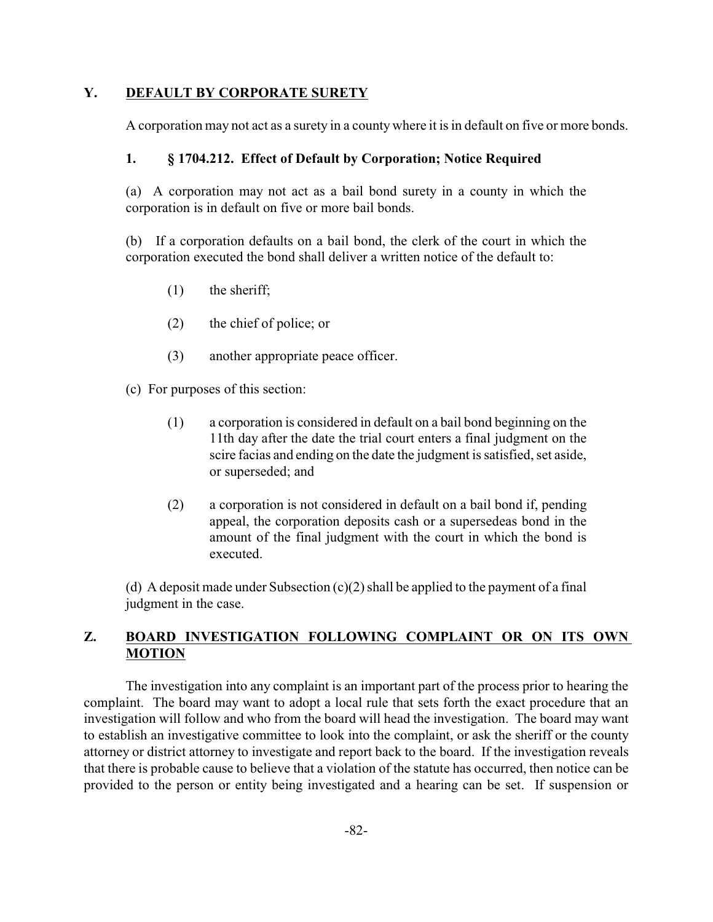#### **Y. DEFAULT BY CORPORATE SURETY**

A corporation may not act as a surety in a county where it is in default on five or more bonds.

#### **1. § 1704.212. Effect of Default by Corporation; Notice Required**

(a) A corporation may not act as a bail bond surety in a county in which the corporation is in default on five or more bail bonds.

(b) If a corporation defaults on a bail bond, the clerk of the court in which the corporation executed the bond shall deliver a written notice of the default to:

- (1) the sheriff;
- (2) the chief of police; or
- (3) another appropriate peace officer.

(c) For purposes of this section:

- (1) a corporation is considered in default on a bail bond beginning on the 11th day after the date the trial court enters a final judgment on the scire facias and ending on the date the judgment is satisfied, set aside, or superseded; and
- (2) a corporation is not considered in default on a bail bond if, pending appeal, the corporation deposits cash or a supersedeas bond in the amount of the final judgment with the court in which the bond is executed.

(d) A deposit made under Subsection  $(c)(2)$  shall be applied to the payment of a final judgment in the case.

### **Z. BOARD INVESTIGATION FOLLOWING COMPLAINT OR ON ITS OWN MOTION**

The investigation into any complaint is an important part of the process prior to hearing the complaint. The board may want to adopt a local rule that sets forth the exact procedure that an investigation will follow and who from the board will head the investigation. The board may want to establish an investigative committee to look into the complaint, or ask the sheriff or the county attorney or district attorney to investigate and report back to the board. If the investigation reveals that there is probable cause to believe that a violation of the statute has occurred, then notice can be provided to the person or entity being investigated and a hearing can be set. If suspension or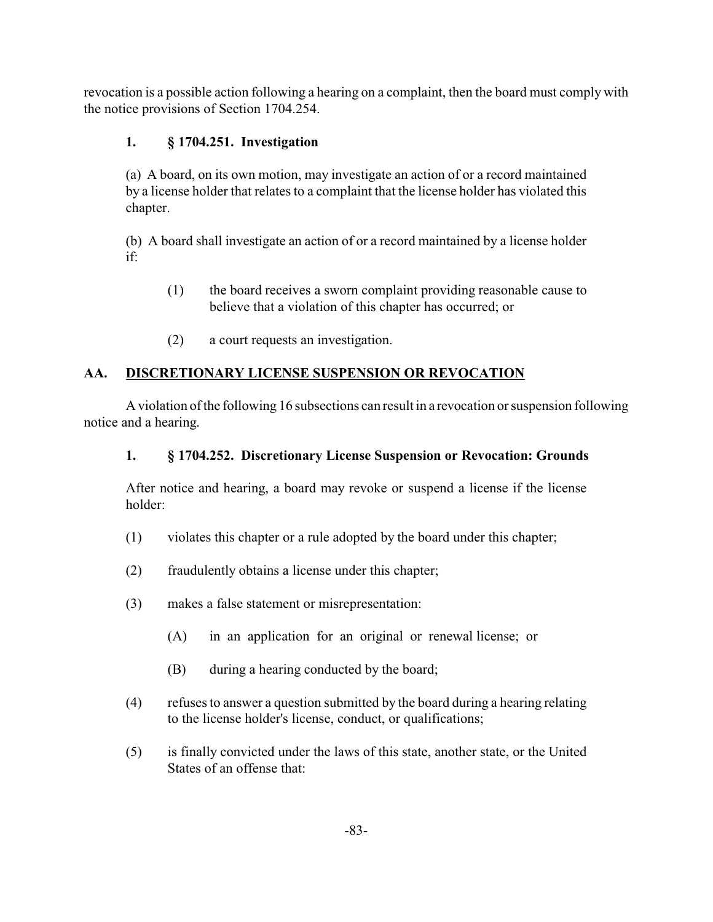revocation is a possible action following a hearing on a complaint, then the board must comply with the notice provisions of Section 1704.254.

## **1. § 1704.251. Investigation**

(a) A board, on its own motion, may investigate an action of or a record maintained by a license holder that relates to a complaint that the license holder has violated this chapter.

(b) A board shall investigate an action of or a record maintained by a license holder if:

- (1) the board receives a sworn complaint providing reasonable cause to believe that a violation of this chapter has occurred; or
- (2) a court requests an investigation.

## **AA. DISCRETIONARY LICENSE SUSPENSION OR REVOCATION**

A violation of the following 16 subsections can result in a revocation or suspension following notice and a hearing.

## **1. § 1704.252. Discretionary License Suspension or Revocation: Grounds**

After notice and hearing, a board may revoke or suspend a license if the license holder:

- (1) violates this chapter or a rule adopted by the board under this chapter;
- (2) fraudulently obtains a license under this chapter;
- (3) makes a false statement or misrepresentation:
	- (A) in an application for an original or renewal license; or
	- (B) during a hearing conducted by the board;
- (4) refuses to answer a question submitted by the board during a hearing relating to the license holder's license, conduct, or qualifications;
- (5) is finally convicted under the laws of this state, another state, or the United States of an offense that: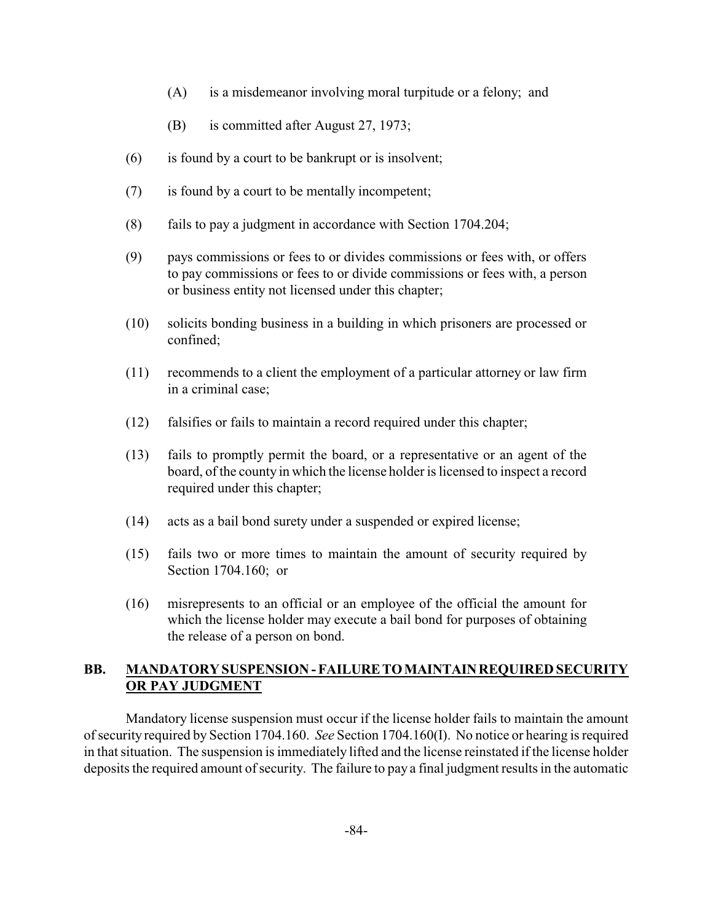- (A) is a misdemeanor involving moral turpitude or a felony; and
- (B) is committed after August 27, 1973;
- (6) is found by a court to be bankrupt or is insolvent;
- (7) is found by a court to be mentally incompetent;
- (8) fails to pay a judgment in accordance with Section 1704.204;
- (9) pays commissions or fees to or divides commissions or fees with, or offers to pay commissions or fees to or divide commissions or fees with, a person or business entity not licensed under this chapter;
- (10) solicits bonding business in a building in which prisoners are processed or confined;
- (11) recommends to a client the employment of a particular attorney or law firm in a criminal case;
- (12) falsifies or fails to maintain a record required under this chapter;
- (13) fails to promptly permit the board, or a representative or an agent of the board, of the county in which the license holder is licensed to inspect a record required under this chapter;
- (14) acts as a bail bond surety under a suspended or expired license;
- (15) fails two or more times to maintain the amount of security required by Section 1704.160; or
- (16) misrepresents to an official or an employee of the official the amount for which the license holder may execute a bail bond for purposes of obtaining the release of a person on bond.

#### **BB. MANDATORY SUSPENSION - FAILURETOMAINTAINREQUIRED SECURITY OR PAY JUDGMENT**

Mandatory license suspension must occur if the license holder fails to maintain the amount of security required by Section 1704.160. *See* Section 1704.160(I). No notice or hearing is required in that situation. The suspension is immediately lifted and the license reinstated if the license holder deposits the required amount of security. The failure to pay a final judgment results in the automatic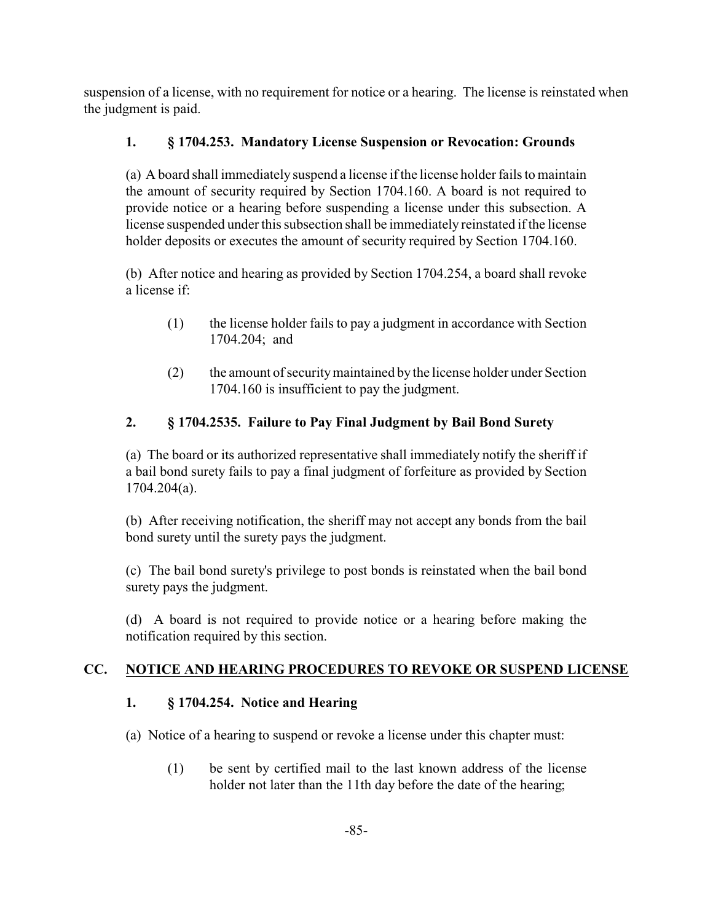suspension of a license, with no requirement for notice or a hearing. The license is reinstated when the judgment is paid.

## **1. § 1704.253. Mandatory License Suspension or Revocation: Grounds**

(a) A board shall immediately suspend a license if the license holder fails to maintain the amount of security required by Section 1704.160. A board is not required to provide notice or a hearing before suspending a license under this subsection. A license suspended under this subsection shall be immediately reinstated if the license holder deposits or executes the amount of security required by Section 1704.160.

(b) After notice and hearing as provided by Section 1704.254, a board shall revoke a license if:

- (1) the license holder fails to pay a judgment in accordance with Section 1704.204; and
- (2) the amount of security maintained by the license holder under Section 1704.160 is insufficient to pay the judgment.

## **2. § 1704.2535. Failure to Pay Final Judgment by Bail Bond Surety**

(a) The board or its authorized representative shall immediately notify the sheriff if a bail bond surety fails to pay a final judgment of forfeiture as provided by Section 1704.204(a).

(b) After receiving notification, the sheriff may not accept any bonds from the bail bond surety until the surety pays the judgment.

(c) The bail bond surety's privilege to post bonds is reinstated when the bail bond surety pays the judgment.

(d) A board is not required to provide notice or a hearing before making the notification required by this section.

## **CC. NOTICE AND HEARING PROCEDURES TO REVOKE OR SUSPEND LICENSE**

## **1. § 1704.254. Notice and Hearing**

(a) Notice of a hearing to suspend or revoke a license under this chapter must:

(1) be sent by certified mail to the last known address of the license holder not later than the 11th day before the date of the hearing;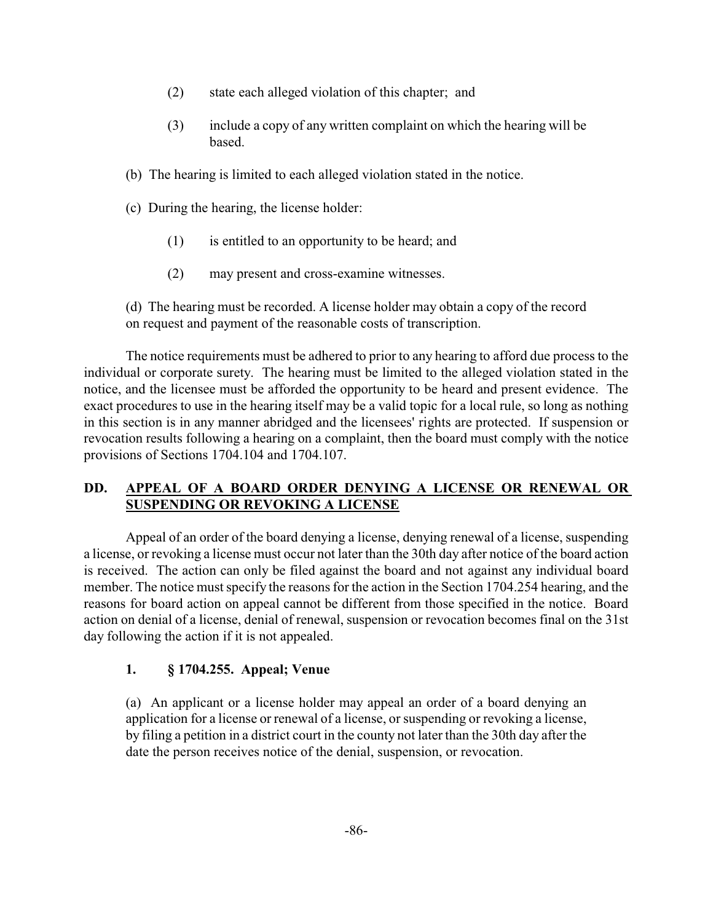- (2) state each alleged violation of this chapter; and
- (3) include a copy of any written complaint on which the hearing will be based.
- (b) The hearing is limited to each alleged violation stated in the notice.
- (c) During the hearing, the license holder:
	- (1) is entitled to an opportunity to be heard; and
	- (2) may present and cross-examine witnesses.

(d) The hearing must be recorded. A license holder may obtain a copy of the record on request and payment of the reasonable costs of transcription.

The notice requirements must be adhered to prior to any hearing to afford due process to the individual or corporate surety. The hearing must be limited to the alleged violation stated in the notice, and the licensee must be afforded the opportunity to be heard and present evidence. The exact procedures to use in the hearing itself may be a valid topic for a local rule, so long as nothing in this section is in any manner abridged and the licensees' rights are protected. If suspension or revocation results following a hearing on a complaint, then the board must comply with the notice provisions of Sections 1704.104 and 1704.107.

### **DD. APPEAL OF A BOARD ORDER DENYING A LICENSE OR RENEWAL OR SUSPENDING OR REVOKING A LICENSE**

Appeal of an order of the board denying a license, denying renewal of a license, suspending a license, or revoking a license must occur not later than the 30th day after notice of the board action is received. The action can only be filed against the board and not against any individual board member. The notice must specify the reasons for the action in the Section 1704.254 hearing, and the reasons for board action on appeal cannot be different from those specified in the notice. Board action on denial of a license, denial of renewal, suspension or revocation becomes final on the 31st day following the action if it is not appealed.

### **1. § 1704.255. Appeal; Venue**

(a) An applicant or a license holder may appeal an order of a board denying an application for a license or renewal of a license, or suspending or revoking a license, by filing a petition in a district court in the county not later than the 30th day after the date the person receives notice of the denial, suspension, or revocation.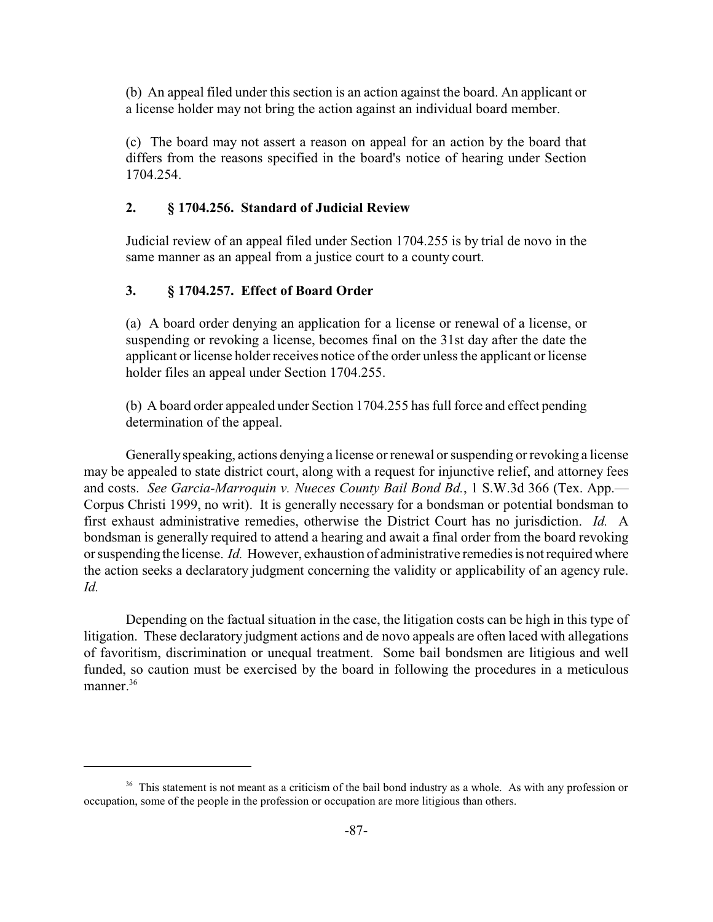(b) An appeal filed under this section is an action against the board. An applicant or a license holder may not bring the action against an individual board member.

(c) The board may not assert a reason on appeal for an action by the board that differs from the reasons specified in the board's notice of hearing under Section 1704.254.

### **2. § 1704.256. Standard of Judicial Review**

Judicial review of an appeal filed under Section 1704.255 is by trial de novo in the same manner as an appeal from a justice court to a county court.

### **3. § 1704.257. Effect of Board Order**

(a) A board order denying an application for a license or renewal of a license, or suspending or revoking a license, becomes final on the 31st day after the date the applicant or license holder receives notice of the order unless the applicant or license holder files an appeal under Section 1704.255.

(b) A board order appealed under Section 1704.255 has full force and effect pending determination of the appeal.

Generallyspeaking, actions denying a license or renewal or suspending or revoking a license may be appealed to state district court, along with a request for injunctive relief, and attorney fees and costs. *See Garcia-Marroquin v. Nueces County Bail Bond Bd.*, 1 S.W.3d 366 (Tex. App.— Corpus Christi 1999, no writ). It is generally necessary for a bondsman or potential bondsman to first exhaust administrative remedies, otherwise the District Court has no jurisdiction. *Id.* A bondsman is generally required to attend a hearing and await a final order from the board revoking or suspending the license. *Id.* However, exhaustion of administrative remedies is not required where the action seeks a declaratory judgment concerning the validity or applicability of an agency rule. *Id.*

Depending on the factual situation in the case, the litigation costs can be high in this type of litigation. These declaratory judgment actions and de novo appeals are often laced with allegations of favoritism, discrimination or unequal treatment. Some bail bondsmen are litigious and well funded, so caution must be exercised by the board in following the procedures in a meticulous manner.<sup>36</sup>

<sup>&</sup>lt;sup>36</sup> This statement is not meant as a criticism of the bail bond industry as a whole. As with any profession or occupation, some of the people in the profession or occupation are more litigious than others.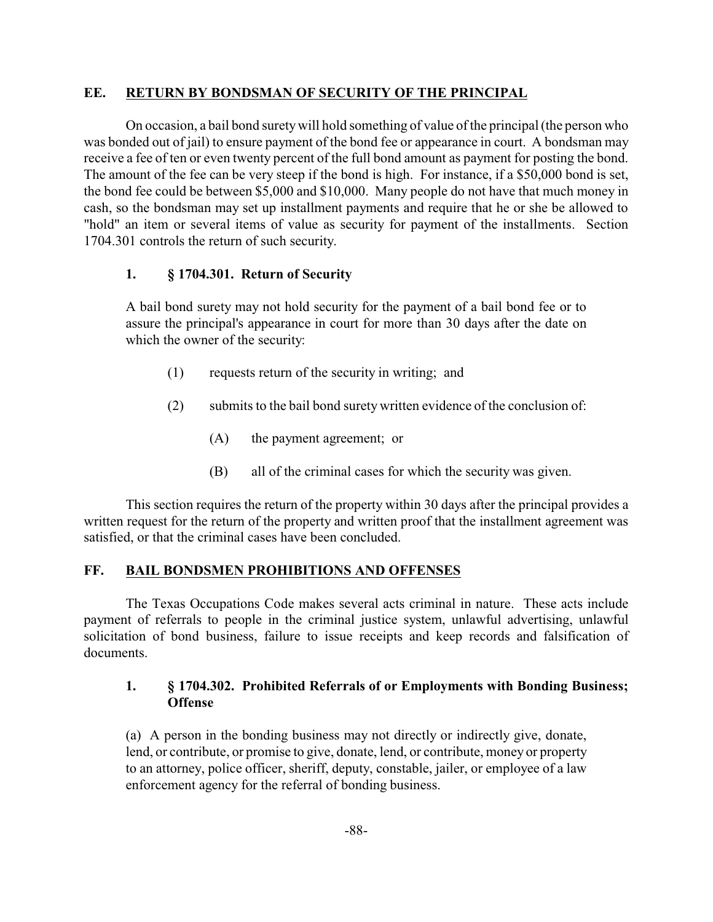#### **EE. RETURN BY BONDSMAN OF SECURITY OF THE PRINCIPAL**

On occasion, a bail bond suretywill hold something of value of the principal (the person who was bonded out of jail) to ensure payment of the bond fee or appearance in court. A bondsman may receive a fee of ten or even twenty percent of the full bond amount as payment for posting the bond. The amount of the fee can be very steep if the bond is high. For instance, if a \$50,000 bond is set, the bond fee could be between \$5,000 and \$10,000. Many people do not have that much money in cash, so the bondsman may set up installment payments and require that he or she be allowed to "hold" an item or several items of value as security for payment of the installments. Section 1704.301 controls the return of such security.

#### **1. § 1704.301. Return of Security**

A bail bond surety may not hold security for the payment of a bail bond fee or to assure the principal's appearance in court for more than 30 days after the date on which the owner of the security:

- (1) requests return of the security in writing; and
- (2) submits to the bail bond surety written evidence of the conclusion of:
	- (A) the payment agreement; or
	- (B) all of the criminal cases for which the security was given.

This section requires the return of the property within 30 days after the principal provides a written request for the return of the property and written proof that the installment agreement was satisfied, or that the criminal cases have been concluded.

### **FF. BAIL BONDSMEN PROHIBITIONS AND OFFENSES**

The Texas Occupations Code makes several acts criminal in nature. These acts include payment of referrals to people in the criminal justice system, unlawful advertising, unlawful solicitation of bond business, failure to issue receipts and keep records and falsification of documents.

### **1. § 1704.302. Prohibited Referrals of or Employments with Bonding Business; Offense**

(a) A person in the bonding business may not directly or indirectly give, donate, lend, or contribute, or promise to give, donate, lend, or contribute, money or property to an attorney, police officer, sheriff, deputy, constable, jailer, or employee of a law enforcement agency for the referral of bonding business.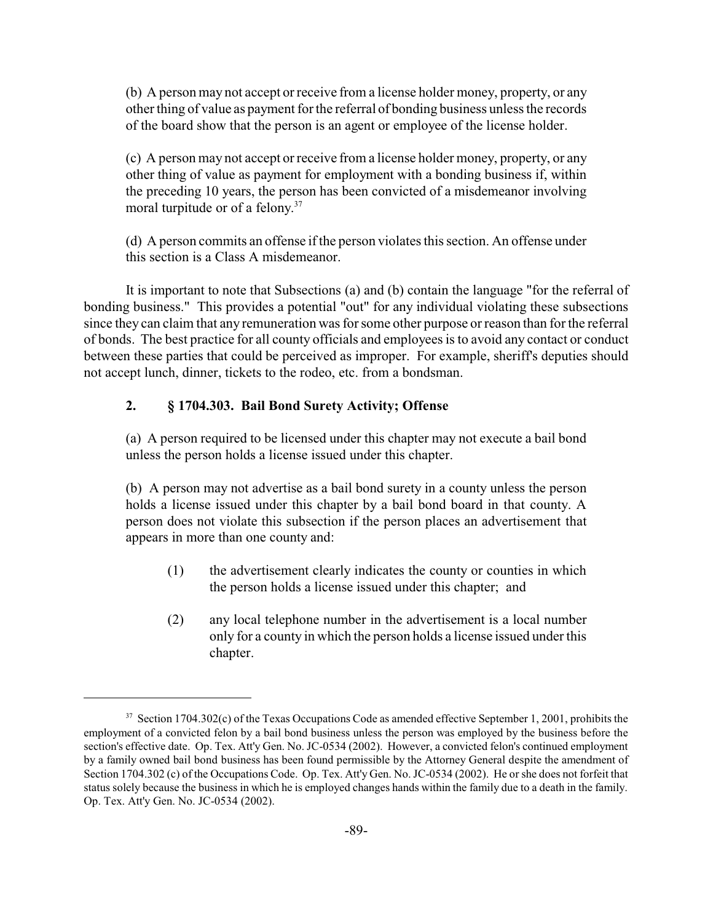(b) A person may not accept or receive from a license holder money, property, or any other thing of value as payment for the referral of bonding business unless the records of the board show that the person is an agent or employee of the license holder.

(c) A person may not accept or receive from a license holder money, property, or any other thing of value as payment for employment with a bonding business if, within the preceding 10 years, the person has been convicted of a misdemeanor involving moral turpitude or of a felony.<sup>37</sup>

(d) A person commits an offense if the person violates this section. An offense under this section is a Class A misdemeanor.

It is important to note that Subsections (a) and (b) contain the language "for the referral of bonding business." This provides a potential "out" for any individual violating these subsections since they can claim that any remuneration was for some other purpose or reason than for the referral of bonds. The best practice for all county officials and employees is to avoid any contact or conduct between these parties that could be perceived as improper. For example, sheriff's deputies should not accept lunch, dinner, tickets to the rodeo, etc. from a bondsman.

### **2. § 1704.303. Bail Bond Surety Activity; Offense**

(a) A person required to be licensed under this chapter may not execute a bail bond unless the person holds a license issued under this chapter.

(b) A person may not advertise as a bail bond surety in a county unless the person holds a license issued under this chapter by a bail bond board in that county. A person does not violate this subsection if the person places an advertisement that appears in more than one county and:

- (1) the advertisement clearly indicates the county or counties in which the person holds a license issued under this chapter; and
- (2) any local telephone number in the advertisement is a local number only for a county in which the person holds a license issued under this chapter.

<sup>&</sup>lt;sup>37</sup> Section 1704.302(c) of the Texas Occupations Code as amended effective September 1, 2001, prohibits the employment of a convicted felon by a bail bond business unless the person was employed by the business before the section's effective date. Op. Tex. Att'y Gen. No. JC-0534 (2002). However, a convicted felon's continued employment by a family owned bail bond business has been found permissible by the Attorney General despite the amendment of Section 1704.302 (c) of the Occupations Code. Op. Tex. Att'y Gen. No. JC-0534 (2002). He or she does not forfeit that status solely because the business in which he is employed changes hands within the family due to a death in the family. Op. Tex. Att'y Gen. No. JC-0534 (2002).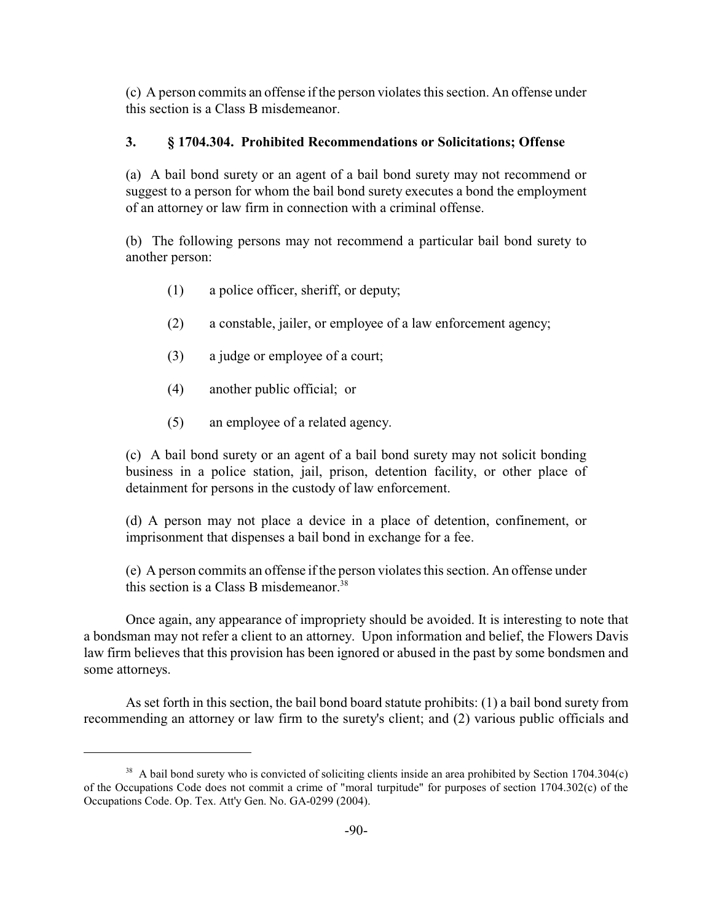(c) A person commits an offense if the person violates this section. An offense under this section is a Class B misdemeanor.

### **3. § 1704.304. Prohibited Recommendations or Solicitations; Offense**

(a) A bail bond surety or an agent of a bail bond surety may not recommend or suggest to a person for whom the bail bond surety executes a bond the employment of an attorney or law firm in connection with a criminal offense.

(b) The following persons may not recommend a particular bail bond surety to another person:

- (1) a police officer, sheriff, or deputy;
- (2) a constable, jailer, or employee of a law enforcement agency;
- (3) a judge or employee of a court;
- (4) another public official; or
- (5) an employee of a related agency.

(c) A bail bond surety or an agent of a bail bond surety may not solicit bonding business in a police station, jail, prison, detention facility, or other place of detainment for persons in the custody of law enforcement.

(d) A person may not place a device in a place of detention, confinement, or imprisonment that dispenses a bail bond in exchange for a fee.

(e) A person commits an offense if the person violates this section. An offense under this section is a Class B misdemeanor.<sup>38</sup>

Once again, any appearance of impropriety should be avoided. It is interesting to note that a bondsman may not refer a client to an attorney. Upon information and belief, the Flowers Davis law firm believes that this provision has been ignored or abused in the past by some bondsmen and some attorneys.

As set forth in this section, the bail bond board statute prohibits: (1) a bail bond surety from recommending an attorney or law firm to the surety's client; and (2) various public officials and

<sup>&</sup>lt;sup>38</sup> A bail bond surety who is convicted of soliciting clients inside an area prohibited by Section 1704.304(c) of the Occupations Code does not commit a crime of "moral turpitude" for purposes of section 1704.302(c) of the Occupations Code. Op. Tex. Att'y Gen. No. GA-0299 (2004).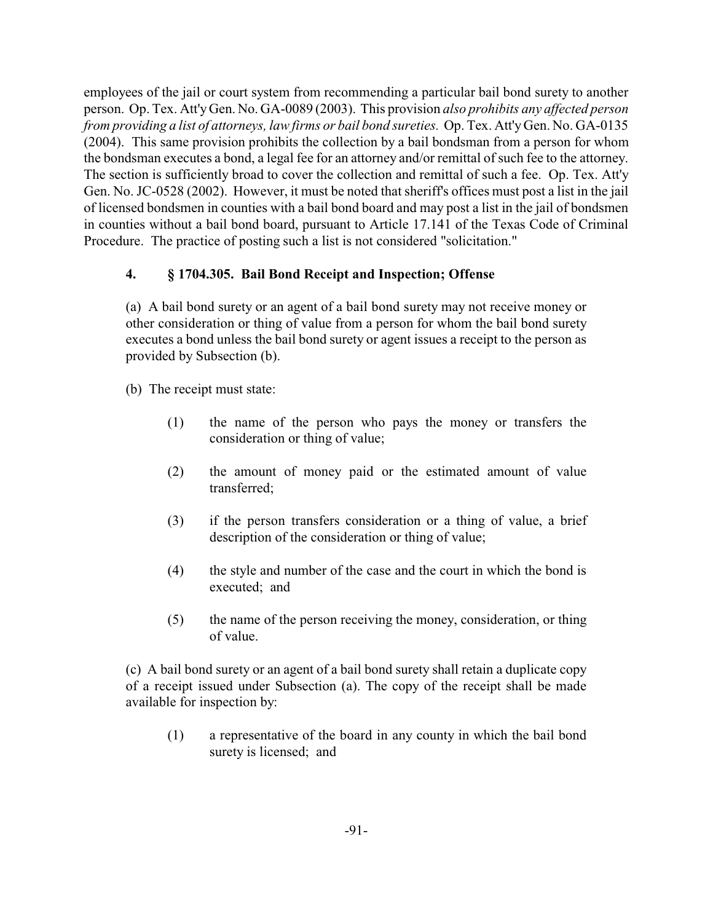employees of the jail or court system from recommending a particular bail bond surety to another person. Op. Tex. Att'y Gen. No. GA-0089 (2003). This provision *also prohibits any affected person from providing a list of attorneys, law firms or bail bond sureties.* Op. Tex. Att'y Gen. No. GA-0135 (2004). This same provision prohibits the collection by a bail bondsman from a person for whom the bondsman executes a bond, a legal fee for an attorney and/or remittal of such fee to the attorney. The section is sufficiently broad to cover the collection and remittal of such a fee. Op. Tex. Att'y Gen. No. JC-0528 (2002). However, it must be noted that sheriff's offices must post a list in the jail of licensed bondsmen in counties with a bail bond board and may post a list in the jail of bondsmen in counties without a bail bond board, pursuant to Article 17.141 of the Texas Code of Criminal Procedure. The practice of posting such a list is not considered "solicitation."

### **4. § 1704.305. Bail Bond Receipt and Inspection; Offense**

(a) A bail bond surety or an agent of a bail bond surety may not receive money or other consideration or thing of value from a person for whom the bail bond surety executes a bond unless the bail bond surety or agent issues a receipt to the person as provided by Subsection (b).

(b) The receipt must state:

- (1) the name of the person who pays the money or transfers the consideration or thing of value;
- (2) the amount of money paid or the estimated amount of value transferred;
- (3) if the person transfers consideration or a thing of value, a brief description of the consideration or thing of value;
- (4) the style and number of the case and the court in which the bond is executed; and
- (5) the name of the person receiving the money, consideration, or thing of value.

(c) A bail bond surety or an agent of a bail bond surety shall retain a duplicate copy of a receipt issued under Subsection (a). The copy of the receipt shall be made available for inspection by:

(1) a representative of the board in any county in which the bail bond surety is licensed; and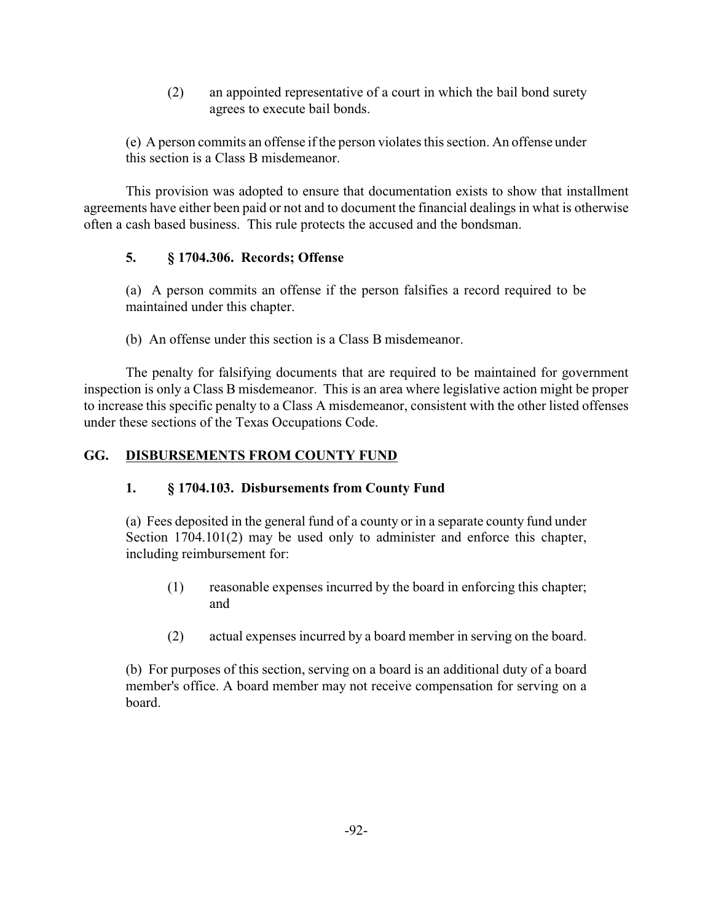(2) an appointed representative of a court in which the bail bond surety agrees to execute bail bonds.

(e) A person commits an offense if the person violates this section. An offense under this section is a Class B misdemeanor.

This provision was adopted to ensure that documentation exists to show that installment agreements have either been paid or not and to document the financial dealings in what is otherwise often a cash based business. This rule protects the accused and the bondsman.

## **5. § 1704.306. Records; Offense**

(a) A person commits an offense if the person falsifies a record required to be maintained under this chapter.

(b) An offense under this section is a Class B misdemeanor.

The penalty for falsifying documents that are required to be maintained for government inspection is only a Class B misdemeanor. This is an area where legislative action might be proper to increase this specific penalty to a Class A misdemeanor, consistent with the other listed offenses under these sections of the Texas Occupations Code.

## **GG. DISBURSEMENTS FROM COUNTY FUND**

# **1. § 1704.103. Disbursements from County Fund**

(a) Fees deposited in the general fund of a county or in a separate county fund under Section 1704.101(2) may be used only to administer and enforce this chapter, including reimbursement for:

- (1) reasonable expenses incurred by the board in enforcing this chapter; and
- (2) actual expenses incurred by a board member in serving on the board.

(b) For purposes of this section, serving on a board is an additional duty of a board member's office. A board member may not receive compensation for serving on a board.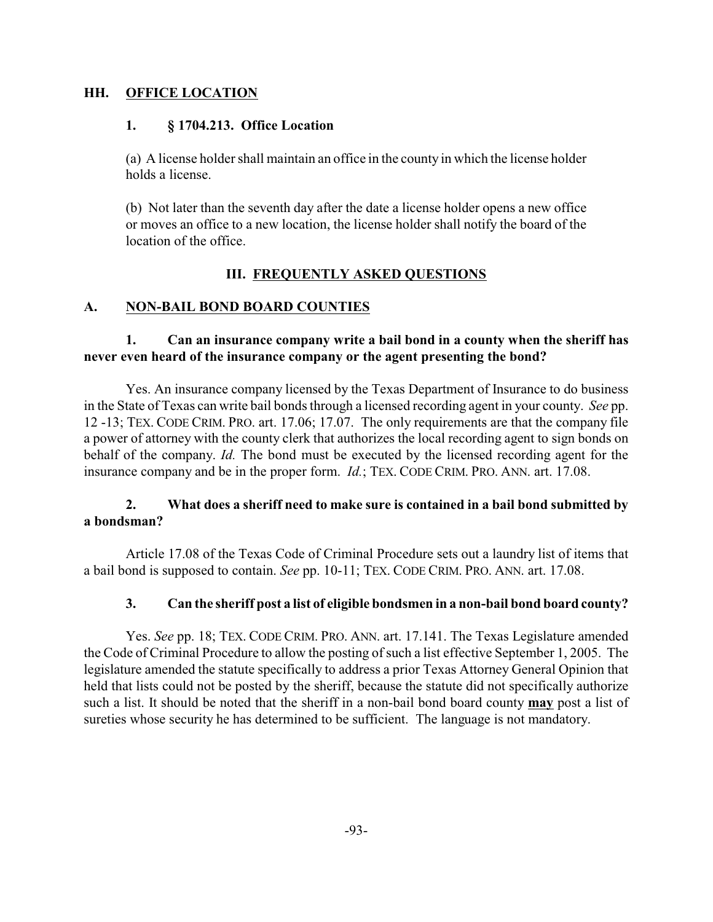#### **HH. OFFICE LOCATION**

#### **1. § 1704.213. Office Location**

(a) A license holder shall maintain an office in the county in which the license holder holds a license.

(b) Not later than the seventh day after the date a license holder opens a new office or moves an office to a new location, the license holder shall notify the board of the location of the office.

### **III. FREQUENTLY ASKED QUESTIONS**

### **A. NON-BAIL BOND BOARD COUNTIES**

#### **1. Can an insurance company write a bail bond in a county when the sheriff has never even heard of the insurance company or the agent presenting the bond?**

Yes. An insurance company licensed by the Texas Department of Insurance to do business in the State of Texas can write bail bonds through a licensed recording agent in your county. *See* pp. 12 -13; TEX. CODE CRIM. PRO. art. 17.06; 17.07. The only requirements are that the company file a power of attorney with the county clerk that authorizes the local recording agent to sign bonds on behalf of the company. *Id.* The bond must be executed by the licensed recording agent for the insurance company and be in the proper form. *Id.*; TEX. CODE CRIM. PRO. ANN. art. 17.08.

### **2. What does a sheriff need to make sure is contained in a bail bond submitted by a bondsman?**

Article 17.08 of the Texas Code of Criminal Procedure sets out a laundry list of items that a bail bond is supposed to contain. *See* pp. 10-11; TEX. CODE CRIM. PRO. ANN. art. 17.08.

### **3. Can the sheriff post a list of eligible bondsmen in a non-bail bond board county?**

Yes. *See* pp. 18; TEX. CODE CRIM. PRO. ANN. art. 17.141. The Texas Legislature amended the Code of Criminal Procedure to allow the posting of such a list effective September 1, 2005. The legislature amended the statute specifically to address a prior Texas Attorney General Opinion that held that lists could not be posted by the sheriff, because the statute did not specifically authorize such a list. It should be noted that the sheriff in a non-bail bond board county **may** post a list of sureties whose security he has determined to be sufficient. The language is not mandatory.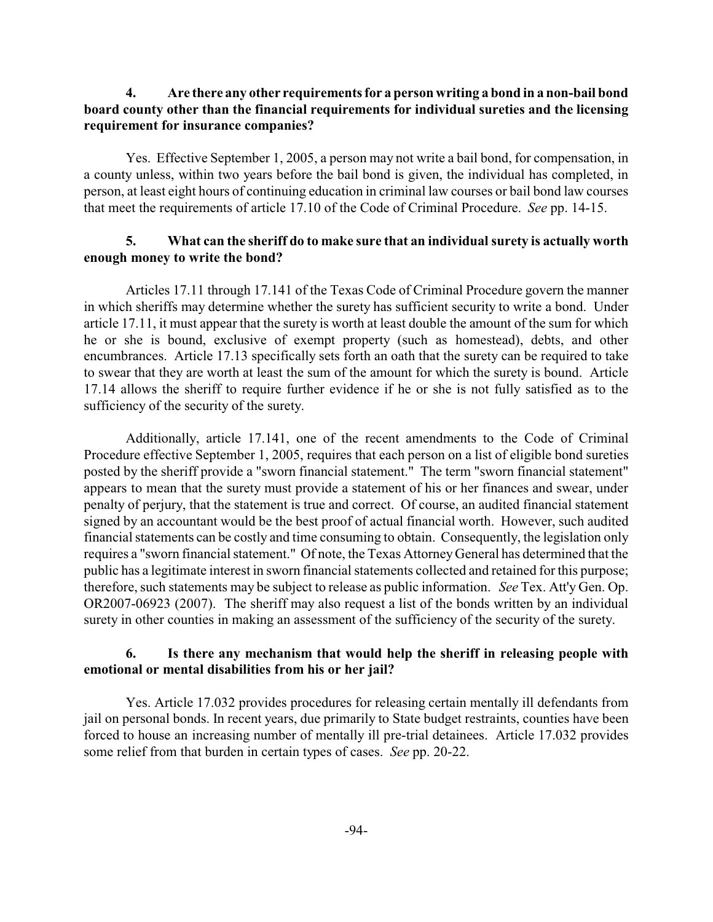### **4. Are there any other requirements for a person writing a bond in a non-bail bond board county other than the financial requirements for individual sureties and the licensing requirement for insurance companies?**

Yes. Effective September 1, 2005, a person may not write a bail bond, for compensation, in a county unless, within two years before the bail bond is given, the individual has completed, in person, at least eight hours of continuing education in criminal law courses or bail bond law courses that meet the requirements of article 17.10 of the Code of Criminal Procedure. *See* pp. 14-15.

### **5. What can the sheriff do to make sure that an individual surety is actually worth enough money to write the bond?**

Articles 17.11 through 17.141 of the Texas Code of Criminal Procedure govern the manner in which sheriffs may determine whether the surety has sufficient security to write a bond. Under article 17.11, it must appear that the surety is worth at least double the amount of the sum for which he or she is bound, exclusive of exempt property (such as homestead), debts, and other encumbrances. Article 17.13 specifically sets forth an oath that the surety can be required to take to swear that they are worth at least the sum of the amount for which the surety is bound. Article 17.14 allows the sheriff to require further evidence if he or she is not fully satisfied as to the sufficiency of the security of the surety.

Additionally, article 17.141, one of the recent amendments to the Code of Criminal Procedure effective September 1, 2005, requires that each person on a list of eligible bond sureties posted by the sheriff provide a "sworn financial statement." The term "sworn financial statement" appears to mean that the surety must provide a statement of his or her finances and swear, under penalty of perjury, that the statement is true and correct. Of course, an audited financial statement signed by an accountant would be the best proof of actual financial worth. However, such audited financial statements can be costly and time consuming to obtain. Consequently, the legislation only requires a "sworn financial statement." Of note, the Texas AttorneyGeneral has determined that the public has a legitimate interest in sworn financial statements collected and retained for this purpose; therefore, such statements may be subject to release as public information. *See* Tex. Att'y Gen. Op. OR2007-06923 (2007). The sheriff may also request a list of the bonds written by an individual surety in other counties in making an assessment of the sufficiency of the security of the surety.

### **6. Is there any mechanism that would help the sheriff in releasing people with emotional or mental disabilities from his or her jail?**

Yes. Article 17.032 provides procedures for releasing certain mentally ill defendants from jail on personal bonds. In recent years, due primarily to State budget restraints, counties have been forced to house an increasing number of mentally ill pre-trial detainees. Article 17.032 provides some relief from that burden in certain types of cases. *See* pp. 20-22.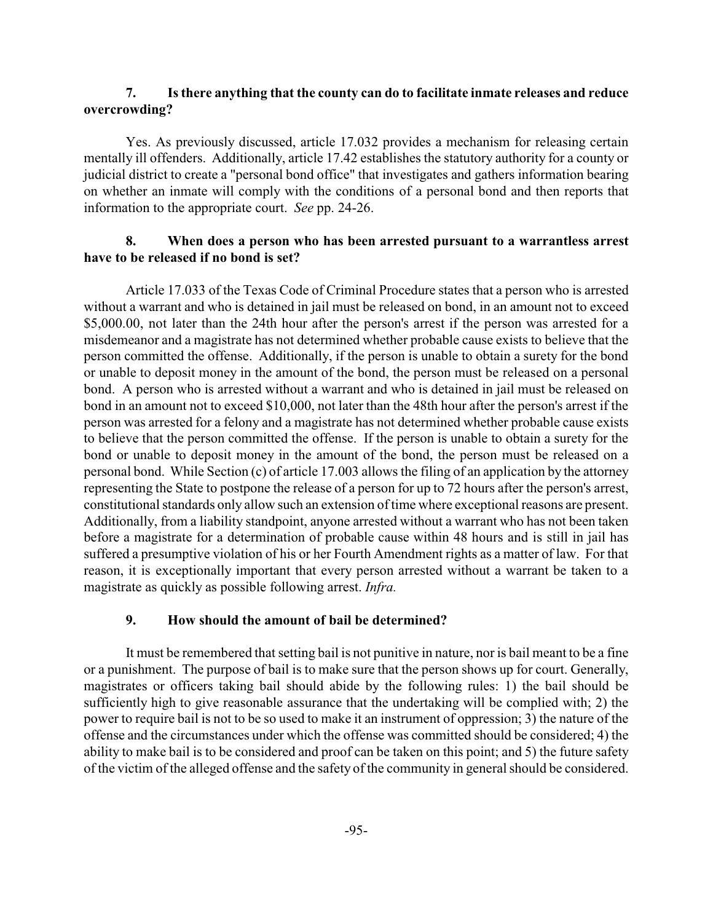#### **7. Is there anything that the county can do to facilitate inmate releases and reduce overcrowding?**

Yes. As previously discussed, article 17.032 provides a mechanism for releasing certain mentally ill offenders. Additionally, article 17.42 establishes the statutory authority for a county or judicial district to create a "personal bond office" that investigates and gathers information bearing on whether an inmate will comply with the conditions of a personal bond and then reports that information to the appropriate court. *See* pp. 24-26.

#### **8. When does a person who has been arrested pursuant to a warrantless arrest have to be released if no bond is set?**

Article 17.033 of the Texas Code of Criminal Procedure states that a person who is arrested without a warrant and who is detained in jail must be released on bond, in an amount not to exceed \$5,000.00, not later than the 24th hour after the person's arrest if the person was arrested for a misdemeanor and a magistrate has not determined whether probable cause exists to believe that the person committed the offense. Additionally, if the person is unable to obtain a surety for the bond or unable to deposit money in the amount of the bond, the person must be released on a personal bond. A person who is arrested without a warrant and who is detained in jail must be released on bond in an amount not to exceed \$10,000, not later than the 48th hour after the person's arrest if the person was arrested for a felony and a magistrate has not determined whether probable cause exists to believe that the person committed the offense. If the person is unable to obtain a surety for the bond or unable to deposit money in the amount of the bond, the person must be released on a personal bond. While Section (c) of article 17.003 allows the filing of an application by the attorney representing the State to postpone the release of a person for up to 72 hours after the person's arrest, constitutional standards only allow such an extension of time where exceptional reasons are present. Additionally, from a liability standpoint, anyone arrested without a warrant who has not been taken before a magistrate for a determination of probable cause within 48 hours and is still in jail has suffered a presumptive violation of his or her Fourth Amendment rights as a matter of law. For that reason, it is exceptionally important that every person arrested without a warrant be taken to a magistrate as quickly as possible following arrest. *Infra.*

### **9. How should the amount of bail be determined?**

It must be remembered that setting bail is not punitive in nature, nor is bail meant to be a fine or a punishment. The purpose of bail is to make sure that the person shows up for court. Generally, magistrates or officers taking bail should abide by the following rules: 1) the bail should be sufficiently high to give reasonable assurance that the undertaking will be complied with; 2) the power to require bail is not to be so used to make it an instrument of oppression; 3) the nature of the offense and the circumstances under which the offense was committed should be considered; 4) the ability to make bail is to be considered and proof can be taken on this point; and 5) the future safety of the victim of the alleged offense and the safety of the community in general should be considered.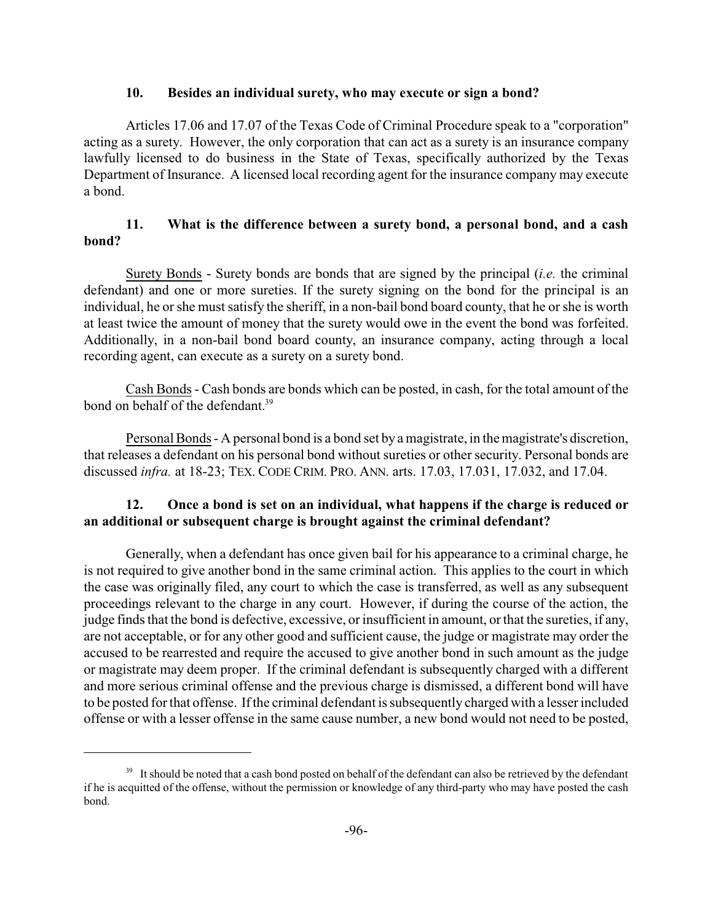#### **10. Besides an individual surety, who may execute or sign a bond?**

Articles 17.06 and 17.07 of the Texas Code of Criminal Procedure speak to a "corporation" acting as a surety. However, the only corporation that can act as a surety is an insurance company lawfully licensed to do business in the State of Texas, specifically authorized by the Texas Department of Insurance. A licensed local recording agent for the insurance company may execute a bond.

#### **11. What is the difference between a surety bond, a personal bond, and a cash bond?**

Surety Bonds - Surety bonds are bonds that are signed by the principal (*i.e.* the criminal defendant) and one or more sureties. If the surety signing on the bond for the principal is an individual, he or she must satisfy the sheriff, in a non-bail bond board county, that he or she is worth at least twice the amount of money that the surety would owe in the event the bond was forfeited. Additionally, in a non-bail bond board county, an insurance company, acting through a local recording agent, can execute as a surety on a surety bond.

Cash Bonds - Cash bonds are bonds which can be posted, in cash, for the total amount of the bond on behalf of the defendant.<sup>39</sup>

Personal Bonds - A personal bond is a bond set by a magistrate, in the magistrate's discretion, that releases a defendant on his personal bond without sureties or other security. Personal bonds are discussed *infra.* at 18-23; TEX. CODE CRIM. PRO. ANN. arts. 17.03, 17.031, 17.032, and 17.04.

### **12. Once a bond is set on an individual, what happens if the charge is reduced or an additional or subsequent charge is brought against the criminal defendant?**

Generally, when a defendant has once given bail for his appearance to a criminal charge, he is not required to give another bond in the same criminal action. This applies to the court in which the case was originally filed, any court to which the case is transferred, as well as any subsequent proceedings relevant to the charge in any court. However, if during the course of the action, the judge finds that the bond is defective, excessive, or insufficient in amount, or that the sureties, if any, are not acceptable, or for any other good and sufficient cause, the judge or magistrate may order the accused to be rearrested and require the accused to give another bond in such amount as the judge or magistrate may deem proper. If the criminal defendant is subsequently charged with a different and more serious criminal offense and the previous charge is dismissed, a different bond will have to be posted for that offense. If the criminal defendant is subsequently charged with a lesser included offense or with a lesser offense in the same cause number, a new bond would not need to be posted,

<sup>&</sup>lt;sup>39</sup> It should be noted that a cash bond posted on behalf of the defendant can also be retrieved by the defendant if he is acquitted of the offense, without the permission or knowledge of any third-party who may have posted the cash bond.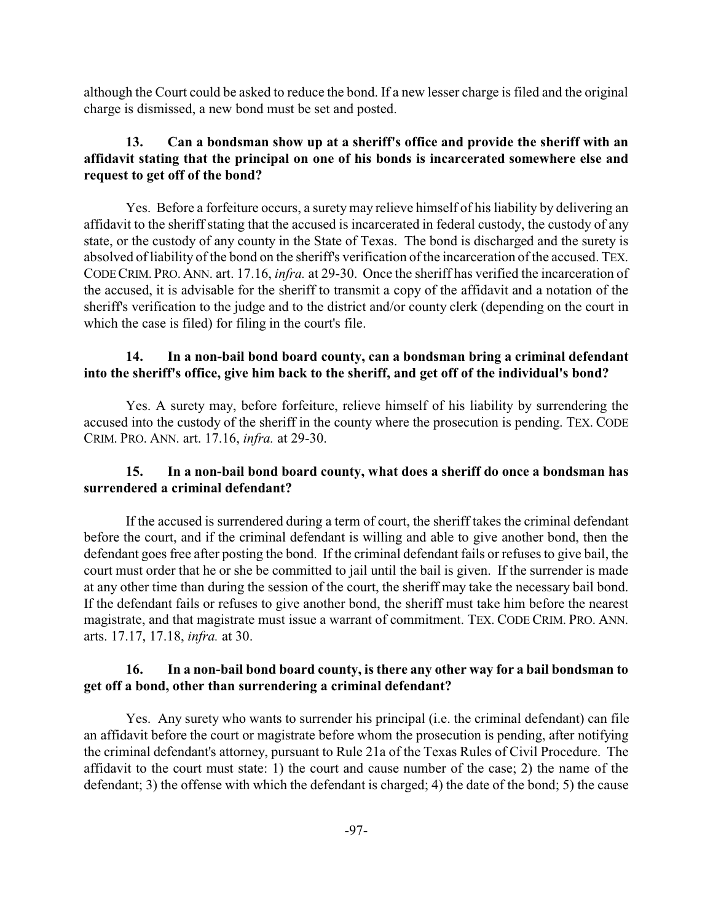although the Court could be asked to reduce the bond. If a new lesser charge is filed and the original charge is dismissed, a new bond must be set and posted.

### **13. Can a bondsman show up at a sheriff's office and provide the sheriff with an affidavit stating that the principal on one of his bonds is incarcerated somewhere else and request to get off of the bond?**

Yes. Before a forfeiture occurs, a surety may relieve himself of his liability by delivering an affidavit to the sheriff stating that the accused is incarcerated in federal custody, the custody of any state, or the custody of any county in the State of Texas. The bond is discharged and the surety is absolved of liability of the bond on the sheriff's verification of the incarceration of the accused. TEX. CODECRIM. PRO. ANN. art. 17.16, *infra.* at 29-30. Once the sheriff has verified the incarceration of the accused, it is advisable for the sheriff to transmit a copy of the affidavit and a notation of the sheriff's verification to the judge and to the district and/or county clerk (depending on the court in which the case is filed) for filing in the court's file.

### **14. In a non-bail bond board county, can a bondsman bring a criminal defendant into the sheriff's office, give him back to the sheriff, and get off of the individual's bond?**

Yes. A surety may, before forfeiture, relieve himself of his liability by surrendering the accused into the custody of the sheriff in the county where the prosecution is pending. TEX. CODE CRIM. PRO. ANN. art. 17.16, *infra.* at 29-30.

### **15. In a non-bail bond board county, what does a sheriff do once a bondsman has surrendered a criminal defendant?**

If the accused is surrendered during a term of court, the sheriff takes the criminal defendant before the court, and if the criminal defendant is willing and able to give another bond, then the defendant goes free after posting the bond. If the criminal defendant fails or refuses to give bail, the court must order that he or she be committed to jail until the bail is given. If the surrender is made at any other time than during the session of the court, the sheriff may take the necessary bail bond. If the defendant fails or refuses to give another bond, the sheriff must take him before the nearest magistrate, and that magistrate must issue a warrant of commitment. TEX. CODE CRIM. PRO. ANN. arts. 17.17, 17.18, *infra.* at 30.

### **16. In a non-bail bond board county, is there any other way for a bail bondsman to get off a bond, other than surrendering a criminal defendant?**

Yes. Any surety who wants to surrender his principal (i.e. the criminal defendant) can file an affidavit before the court or magistrate before whom the prosecution is pending, after notifying the criminal defendant's attorney, pursuant to Rule 21a of the Texas Rules of Civil Procedure. The affidavit to the court must state: 1) the court and cause number of the case; 2) the name of the defendant; 3) the offense with which the defendant is charged; 4) the date of the bond; 5) the cause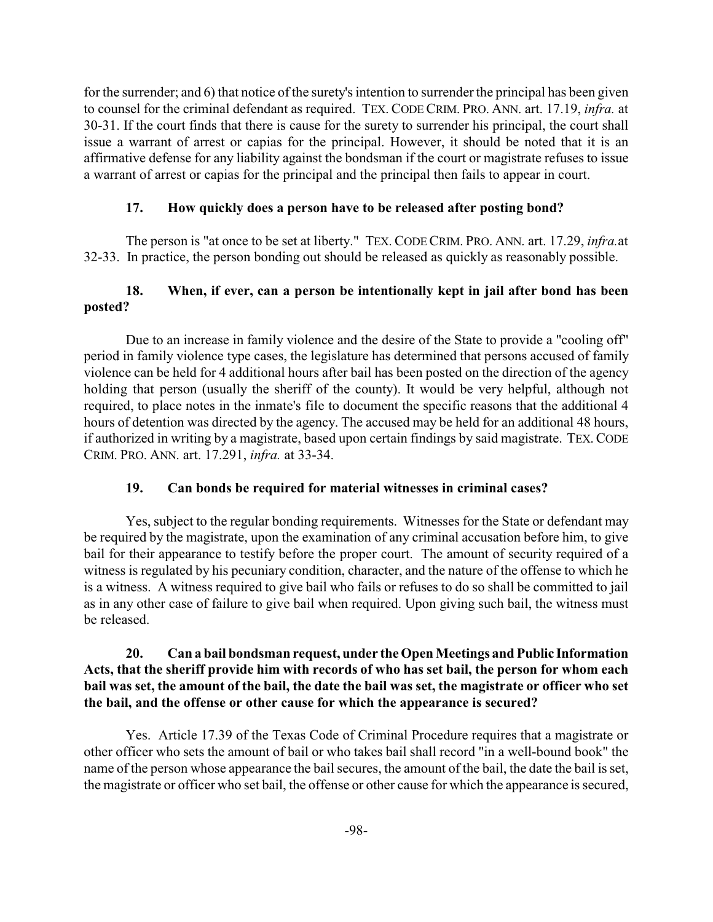for the surrender; and 6) that notice of the surety's intention to surrender the principal has been given to counsel for the criminal defendant as required. TEX. CODECRIM. PRO. ANN. art. 17.19, *infra.* at 30-31. If the court finds that there is cause for the surety to surrender his principal, the court shall issue a warrant of arrest or capias for the principal. However, it should be noted that it is an affirmative defense for any liability against the bondsman if the court or magistrate refuses to issue a warrant of arrest or capias for the principal and the principal then fails to appear in court.

## **17. How quickly does a person have to be released after posting bond?**

The person is "at once to be set at liberty." TEX. CODECRIM. PRO. ANN. art. 17.29, *infra.*at 32-33. In practice, the person bonding out should be released as quickly as reasonably possible.

## **18. When, if ever, can a person be intentionally kept in jail after bond has been posted?**

Due to an increase in family violence and the desire of the State to provide a "cooling off" period in family violence type cases, the legislature has determined that persons accused of family violence can be held for 4 additional hours after bail has been posted on the direction of the agency holding that person (usually the sheriff of the county). It would be very helpful, although not required, to place notes in the inmate's file to document the specific reasons that the additional 4 hours of detention was directed by the agency. The accused may be held for an additional 48 hours, if authorized in writing by a magistrate, based upon certain findings by said magistrate. TEX.CODE CRIM. PRO. ANN. art. 17.291, *infra.* at 33-34.

## **19. Can bonds be required for material witnesses in criminal cases?**

Yes, subject to the regular bonding requirements. Witnesses for the State or defendant may be required by the magistrate, upon the examination of any criminal accusation before him, to give bail for their appearance to testify before the proper court. The amount of security required of a witness is regulated by his pecuniary condition, character, and the nature of the offense to which he is a witness. A witness required to give bail who fails or refuses to do so shall be committed to jail as in any other case of failure to give bail when required. Upon giving such bail, the witness must be released.

## **20. Can a bail bondsman request, under the Open Meetings and Public Information Acts, that the sheriff provide him with records of who has set bail, the person for whom each bail was set, the amount of the bail, the date the bail was set, the magistrate or officer who set the bail, and the offense or other cause for which the appearance is secured?**

Yes. Article 17.39 of the Texas Code of Criminal Procedure requires that a magistrate or other officer who sets the amount of bail or who takes bail shall record "in a well-bound book" the name of the person whose appearance the bail secures, the amount of the bail, the date the bail is set, the magistrate or officer who set bail, the offense or other cause for which the appearance is secured,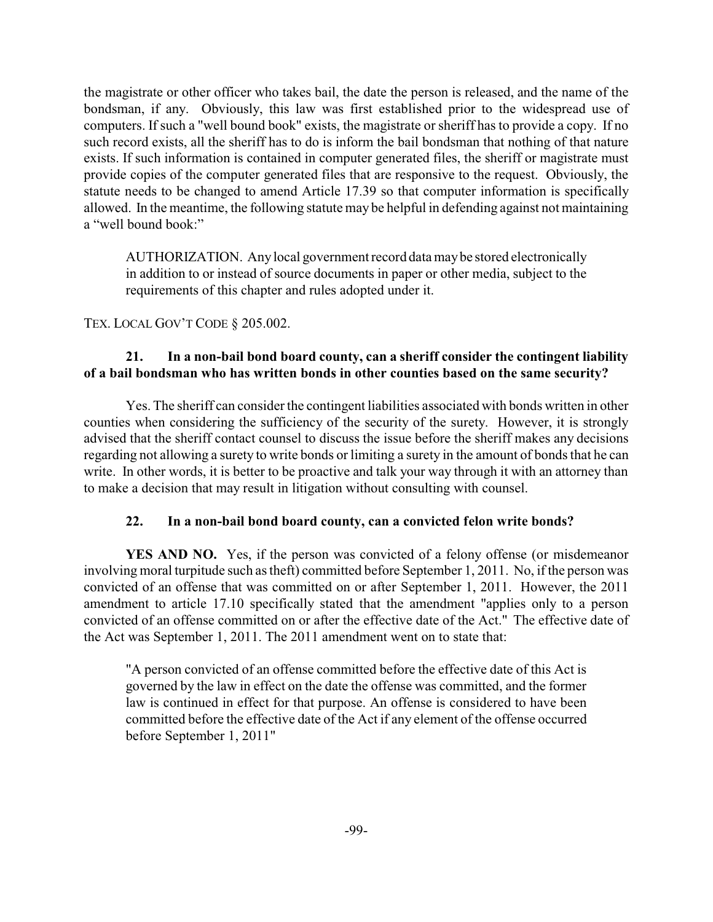the magistrate or other officer who takes bail, the date the person is released, and the name of the bondsman, if any. Obviously, this law was first established prior to the widespread use of computers. If such a "well bound book" exists, the magistrate or sheriff has to provide a copy. If no such record exists, all the sheriff has to do is inform the bail bondsman that nothing of that nature exists. If such information is contained in computer generated files, the sheriff or magistrate must provide copies of the computer generated files that are responsive to the request. Obviously, the statute needs to be changed to amend Article 17.39 so that computer information is specifically allowed. In the meantime, the following statute may be helpful in defending against not maintaining a "well bound book:"

AUTHORIZATION. Any local government record data may be stored electronically in addition to or instead of source documents in paper or other media, subject to the requirements of this chapter and rules adopted under it.

TEX. LOCAL GOV'T CODE § 205.002.

# **21. In a non-bail bond board county, can a sheriff consider the contingent liability of a bail bondsman who has written bonds in other counties based on the same security?**

Yes. The sheriff can consider the contingent liabilities associated with bonds written in other counties when considering the sufficiency of the security of the surety. However, it is strongly advised that the sheriff contact counsel to discuss the issue before the sheriff makes any decisions regarding not allowing a surety to write bonds or limiting a surety in the amount of bonds that he can write. In other words, it is better to be proactive and talk your way through it with an attorney than to make a decision that may result in litigation without consulting with counsel.

# **22. In a non-bail bond board county, can a convicted felon write bonds?**

**YES AND NO.** Yes, if the person was convicted of a felony offense (or misdemeanor involving moral turpitude such as theft) committed before September 1, 2011. No, if the person was convicted of an offense that was committed on or after September 1, 2011. However, the 2011 amendment to article 17.10 specifically stated that the amendment "applies only to a person convicted of an offense committed on or after the effective date of the Act." The effective date of the Act was September 1, 2011. The 2011 amendment went on to state that:

"A person convicted of an offense committed before the effective date of this Act is governed by the law in effect on the date the offense was committed, and the former law is continued in effect for that purpose. An offense is considered to have been committed before the effective date of the Act if any element of the offense occurred before September 1, 2011"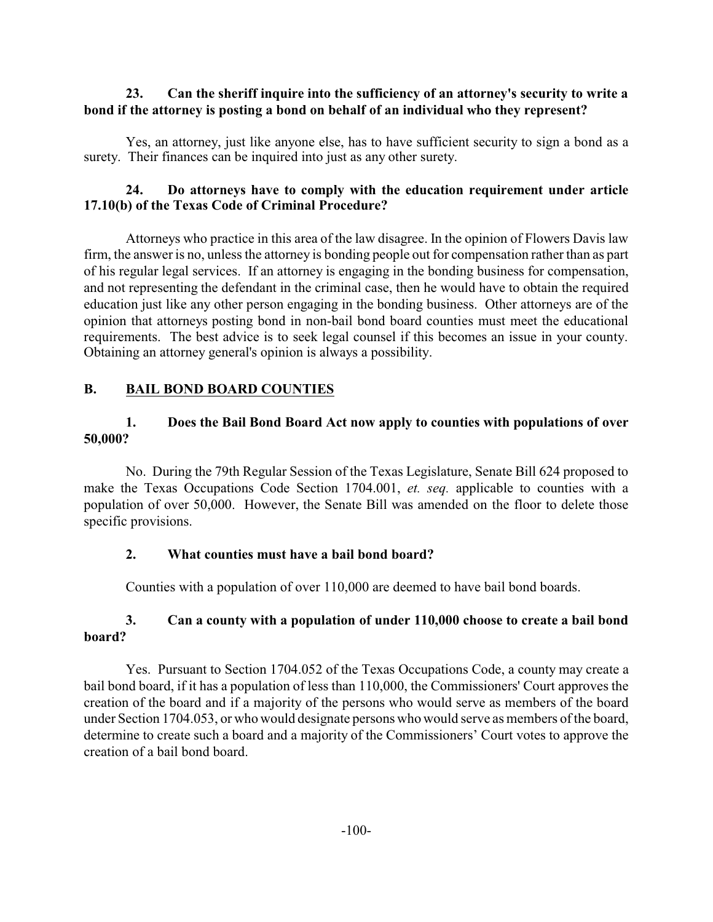## **23. Can the sheriff inquire into the sufficiency of an attorney's security to write a bond if the attorney is posting a bond on behalf of an individual who they represent?**

Yes, an attorney, just like anyone else, has to have sufficient security to sign a bond as a surety. Their finances can be inquired into just as any other surety.

## **24. Do attorneys have to comply with the education requirement under article 17.10(b) of the Texas Code of Criminal Procedure?**

Attorneys who practice in this area of the law disagree. In the opinion of Flowers Davis law firm, the answer is no, unless the attorney is bonding people out for compensation rather than as part of his regular legal services. If an attorney is engaging in the bonding business for compensation, and not representing the defendant in the criminal case, then he would have to obtain the required education just like any other person engaging in the bonding business. Other attorneys are of the opinion that attorneys posting bond in non-bail bond board counties must meet the educational requirements. The best advice is to seek legal counsel if this becomes an issue in your county. Obtaining an attorney general's opinion is always a possibility.

## **B. BAIL BOND BOARD COUNTIES**

## **1. Does the Bail Bond Board Act now apply to counties with populations of over 50,000?**

No. During the 79th Regular Session of the Texas Legislature, Senate Bill 624 proposed to make the Texas Occupations Code Section 1704.001, *et. seq.* applicable to counties with a population of over 50,000. However, the Senate Bill was amended on the floor to delete those specific provisions.

## **2. What counties must have a bail bond board?**

Counties with a population of over 110,000 are deemed to have bail bond boards.

## **3. Can a county with a population of under 110,000 choose to create a bail bond board?**

Yes. Pursuant to Section 1704.052 of the Texas Occupations Code, a county may create a bail bond board, if it has a population of less than 110,000, the Commissioners' Court approves the creation of the board and if a majority of the persons who would serve as members of the board under Section 1704.053, or who would designate persons who would serve as members of the board, determine to create such a board and a majority of the Commissioners' Court votes to approve the creation of a bail bond board.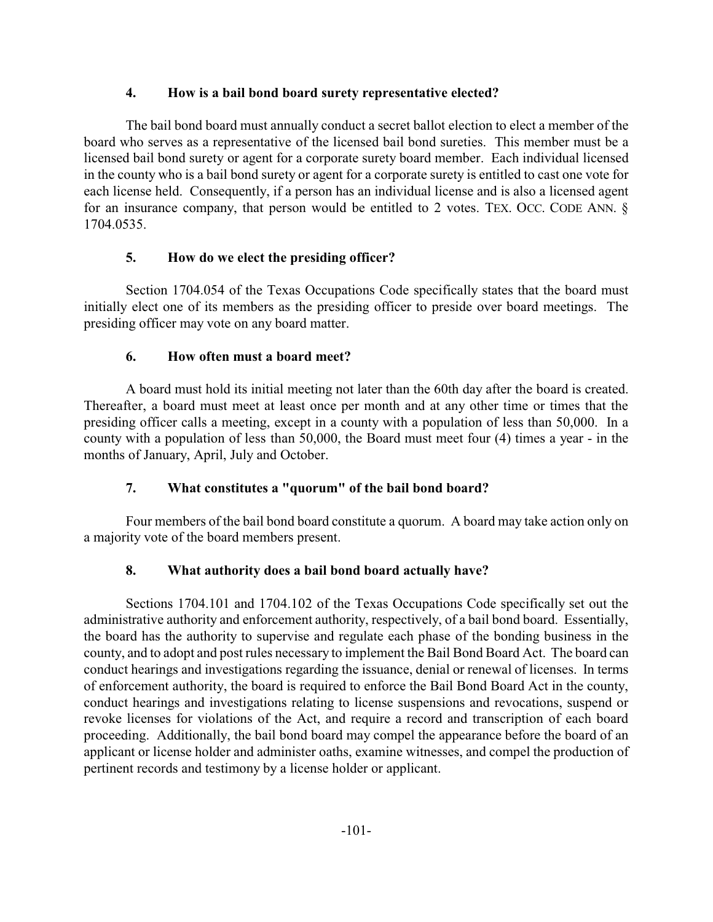## **4. How is a bail bond board surety representative elected?**

The bail bond board must annually conduct a secret ballot election to elect a member of the board who serves as a representative of the licensed bail bond sureties. This member must be a licensed bail bond surety or agent for a corporate surety board member. Each individual licensed in the county who is a bail bond surety or agent for a corporate surety is entitled to cast one vote for each license held. Consequently, if a person has an individual license and is also a licensed agent for an insurance company, that person would be entitled to 2 votes. TEX. OCC. CODE ANN. § 1704.0535.

## **5. How do we elect the presiding officer?**

Section 1704.054 of the Texas Occupations Code specifically states that the board must initially elect one of its members as the presiding officer to preside over board meetings. The presiding officer may vote on any board matter.

## **6. How often must a board meet?**

A board must hold its initial meeting not later than the 60th day after the board is created. Thereafter, a board must meet at least once per month and at any other time or times that the presiding officer calls a meeting, except in a county with a population of less than 50,000. In a county with a population of less than 50,000, the Board must meet four (4) times a year - in the months of January, April, July and October.

# **7. What constitutes a "quorum" of the bail bond board?**

Four members of the bail bond board constitute a quorum. A board may take action only on a majority vote of the board members present.

# **8. What authority does a bail bond board actually have?**

Sections 1704.101 and 1704.102 of the Texas Occupations Code specifically set out the administrative authority and enforcement authority, respectively, of a bail bond board. Essentially, the board has the authority to supervise and regulate each phase of the bonding business in the county, and to adopt and post rules necessary to implement the Bail Bond Board Act. The board can conduct hearings and investigations regarding the issuance, denial or renewal of licenses. In terms of enforcement authority, the board is required to enforce the Bail Bond Board Act in the county, conduct hearings and investigations relating to license suspensions and revocations, suspend or revoke licenses for violations of the Act, and require a record and transcription of each board proceeding. Additionally, the bail bond board may compel the appearance before the board of an applicant or license holder and administer oaths, examine witnesses, and compel the production of pertinent records and testimony by a license holder or applicant.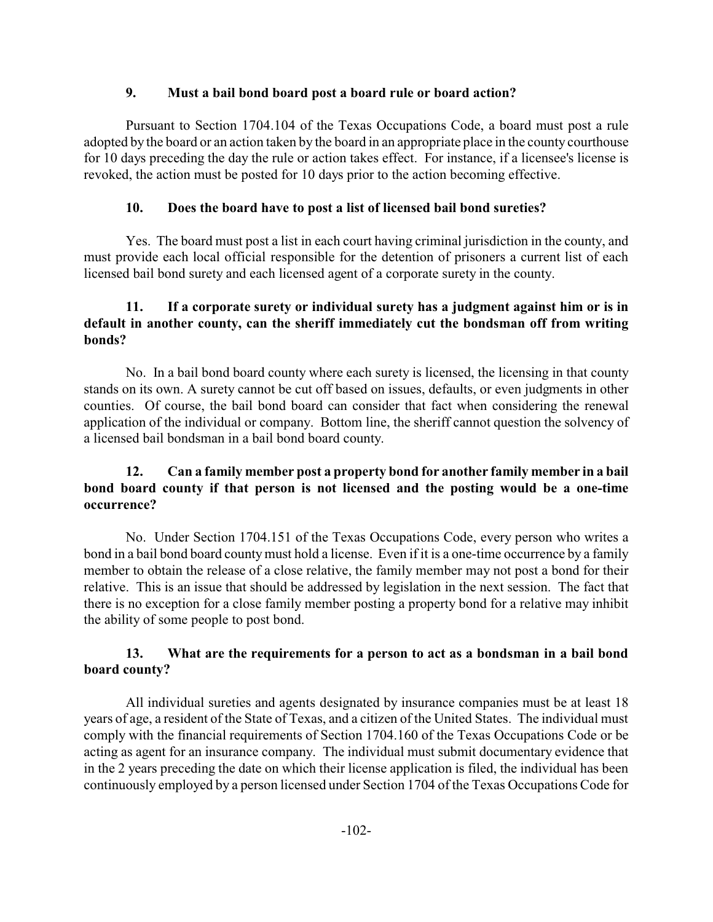#### **9. Must a bail bond board post a board rule or board action?**

Pursuant to Section 1704.104 of the Texas Occupations Code, a board must post a rule adopted by the board or an action taken by the board in an appropriate place in the county courthouse for 10 days preceding the day the rule or action takes effect. For instance, if a licensee's license is revoked, the action must be posted for 10 days prior to the action becoming effective.

## **10. Does the board have to post a list of licensed bail bond sureties?**

Yes. The board must post a list in each court having criminal jurisdiction in the county, and must provide each local official responsible for the detention of prisoners a current list of each licensed bail bond surety and each licensed agent of a corporate surety in the county.

## **11. If a corporate surety or individual surety has a judgment against him or is in default in another county, can the sheriff immediately cut the bondsman off from writing bonds?**

No. In a bail bond board county where each surety is licensed, the licensing in that county stands on its own. A surety cannot be cut off based on issues, defaults, or even judgments in other counties. Of course, the bail bond board can consider that fact when considering the renewal application of the individual or company. Bottom line, the sheriff cannot question the solvency of a licensed bail bondsman in a bail bond board county.

## **12. Can a family member post a property bond for another family member in a bail bond board county if that person is not licensed and the posting would be a one-time occurrence?**

No. Under Section 1704.151 of the Texas Occupations Code, every person who writes a bond in a bail bond board county must hold a license. Even if it is a one-time occurrence by a family member to obtain the release of a close relative, the family member may not post a bond for their relative. This is an issue that should be addressed by legislation in the next session. The fact that there is no exception for a close family member posting a property bond for a relative may inhibit the ability of some people to post bond.

# **13. What are the requirements for a person to act as a bondsman in a bail bond board county?**

All individual sureties and agents designated by insurance companies must be at least 18 years of age, a resident of the State of Texas, and a citizen of the United States. The individual must comply with the financial requirements of Section 1704.160 of the Texas Occupations Code or be acting as agent for an insurance company. The individual must submit documentary evidence that in the 2 years preceding the date on which their license application is filed, the individual has been continuously employed by a person licensed under Section 1704 of the Texas Occupations Code for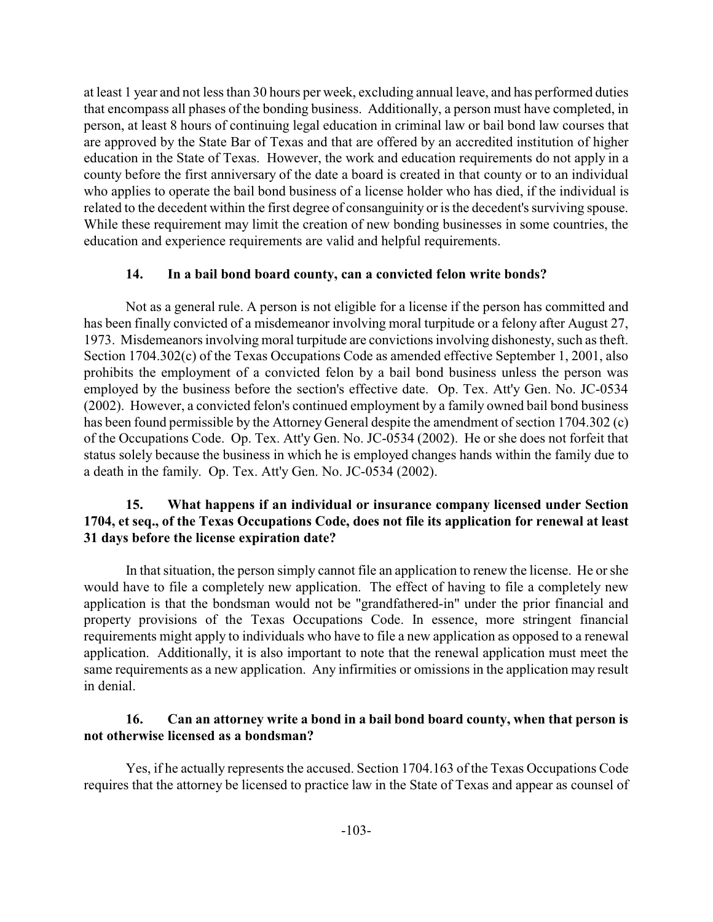at least 1 year and not less than 30 hours per week, excluding annual leave, and has performed duties that encompass all phases of the bonding business. Additionally, a person must have completed, in person, at least 8 hours of continuing legal education in criminal law or bail bond law courses that are approved by the State Bar of Texas and that are offered by an accredited institution of higher education in the State of Texas. However, the work and education requirements do not apply in a county before the first anniversary of the date a board is created in that county or to an individual who applies to operate the bail bond business of a license holder who has died, if the individual is related to the decedent within the first degree of consanguinity or is the decedent's surviving spouse. While these requirement may limit the creation of new bonding businesses in some countries, the education and experience requirements are valid and helpful requirements.

#### **14. In a bail bond board county, can a convicted felon write bonds?**

Not as a general rule. A person is not eligible for a license if the person has committed and has been finally convicted of a misdemeanor involving moral turpitude or a felony after August 27, 1973. Misdemeanors involving moral turpitude are convictions involving dishonesty, such as theft. Section 1704.302(c) of the Texas Occupations Code as amended effective September 1, 2001, also prohibits the employment of a convicted felon by a bail bond business unless the person was employed by the business before the section's effective date. Op. Tex. Att'y Gen. No. JC-0534 (2002). However, a convicted felon's continued employment by a family owned bail bond business has been found permissible by the Attorney General despite the amendment of section 1704.302 (c) of the Occupations Code. Op. Tex. Att'y Gen. No. JC-0534 (2002). He or she does not forfeit that status solely because the business in which he is employed changes hands within the family due to a death in the family. Op. Tex. Att'y Gen. No. JC-0534 (2002).

## **15. What happens if an individual or insurance company licensed under Section 1704, et seq., of the Texas Occupations Code, does not file its application for renewal at least 31 days before the license expiration date?**

In that situation, the person simply cannot file an application to renew the license. He or she would have to file a completely new application. The effect of having to file a completely new application is that the bondsman would not be "grandfathered-in" under the prior financial and property provisions of the Texas Occupations Code. In essence, more stringent financial requirements might apply to individuals who have to file a new application as opposed to a renewal application. Additionally, it is also important to note that the renewal application must meet the same requirements as a new application. Any infirmities or omissions in the application may result in denial.

#### **16. Can an attorney write a bond in a bail bond board county, when that person is not otherwise licensed as a bondsman?**

Yes, if he actually represents the accused. Section 1704.163 of the Texas Occupations Code requires that the attorney be licensed to practice law in the State of Texas and appear as counsel of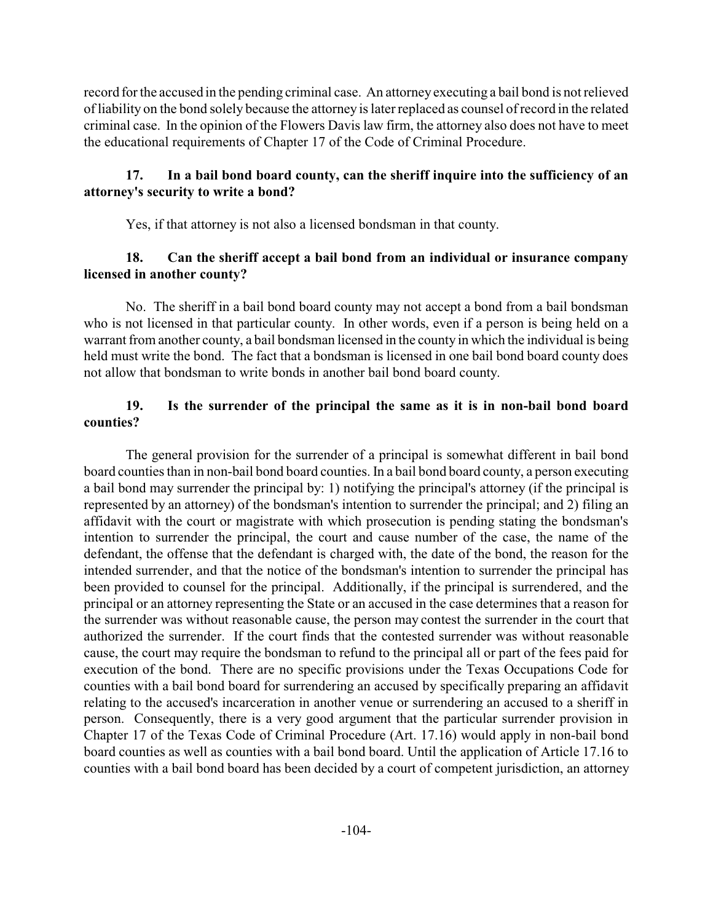record for the accused in the pending criminal case. An attorney executing a bail bond is not relieved of liability on the bond solely because the attorney is later replaced as counsel of record in the related criminal case. In the opinion of the Flowers Davis law firm, the attorney also does not have to meet the educational requirements of Chapter 17 of the Code of Criminal Procedure.

## **17. In a bail bond board county, can the sheriff inquire into the sufficiency of an attorney's security to write a bond?**

Yes, if that attorney is not also a licensed bondsman in that county.

#### **18. Can the sheriff accept a bail bond from an individual or insurance company licensed in another county?**

No. The sheriff in a bail bond board county may not accept a bond from a bail bondsman who is not licensed in that particular county. In other words, even if a person is being held on a warrant from another county, a bail bondsman licensed in the county in which the individual is being held must write the bond. The fact that a bondsman is licensed in one bail bond board county does not allow that bondsman to write bonds in another bail bond board county.

## **19. Is the surrender of the principal the same as it is in non-bail bond board counties?**

The general provision for the surrender of a principal is somewhat different in bail bond board counties than in non-bail bond board counties. In a bail bond board county, a person executing a bail bond may surrender the principal by: 1) notifying the principal's attorney (if the principal is represented by an attorney) of the bondsman's intention to surrender the principal; and 2) filing an affidavit with the court or magistrate with which prosecution is pending stating the bondsman's intention to surrender the principal, the court and cause number of the case, the name of the defendant, the offense that the defendant is charged with, the date of the bond, the reason for the intended surrender, and that the notice of the bondsman's intention to surrender the principal has been provided to counsel for the principal. Additionally, if the principal is surrendered, and the principal or an attorney representing the State or an accused in the case determines that a reason for the surrender was without reasonable cause, the person may contest the surrender in the court that authorized the surrender. If the court finds that the contested surrender was without reasonable cause, the court may require the bondsman to refund to the principal all or part of the fees paid for execution of the bond. There are no specific provisions under the Texas Occupations Code for counties with a bail bond board for surrendering an accused by specifically preparing an affidavit relating to the accused's incarceration in another venue or surrendering an accused to a sheriff in person. Consequently, there is a very good argument that the particular surrender provision in Chapter 17 of the Texas Code of Criminal Procedure (Art. 17.16) would apply in non-bail bond board counties as well as counties with a bail bond board. Until the application of Article 17.16 to counties with a bail bond board has been decided by a court of competent jurisdiction, an attorney